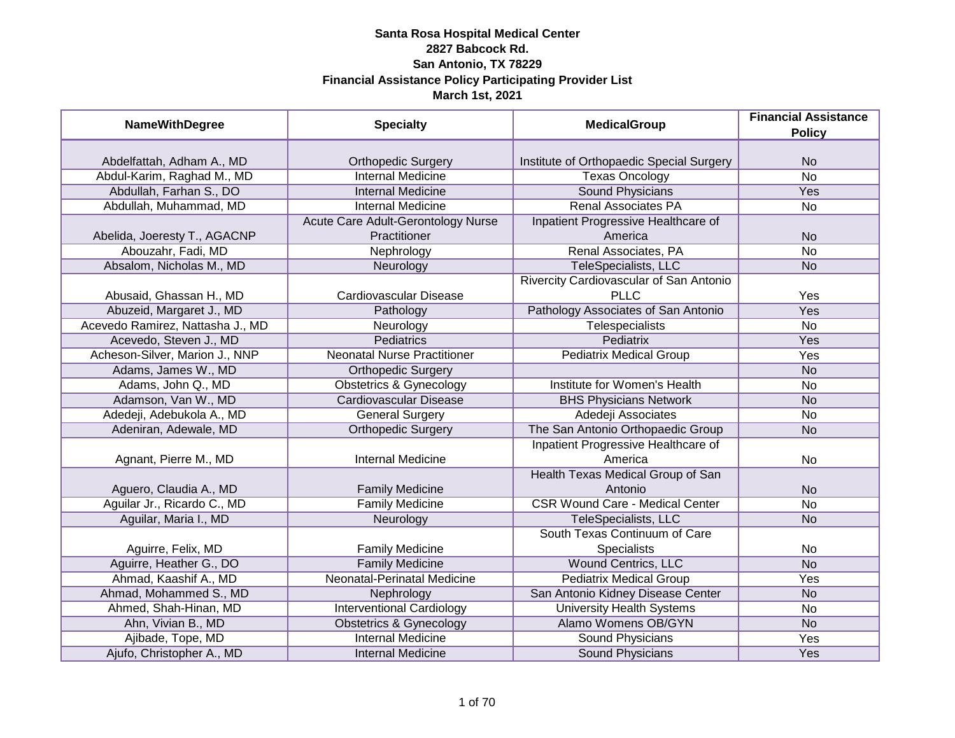| <b>NameWithDegree</b>            | <b>Specialty</b>                   | <b>MedicalGroup</b>                      | <b>Financial Assistance</b><br><b>Policy</b> |
|----------------------------------|------------------------------------|------------------------------------------|----------------------------------------------|
|                                  |                                    |                                          |                                              |
| Abdelfattah, Adham A., MD        | <b>Orthopedic Surgery</b>          | Institute of Orthopaedic Special Surgery | <b>No</b>                                    |
| Abdul-Karim, Raghad M., MD       | <b>Internal Medicine</b>           | <b>Texas Oncology</b>                    | $\overline{No}$                              |
| Abdullah, Farhan S., DO          | <b>Internal Medicine</b>           | <b>Sound Physicians</b>                  | Yes                                          |
| Abdullah, Muhammad, MD           | <b>Internal Medicine</b>           | <b>Renal Associates PA</b>               | $\overline{No}$                              |
|                                  | Acute Care Adult-Gerontology Nurse | Inpatient Progressive Healthcare of      |                                              |
| Abelida, Joeresty T., AGACNP     | Practitioner                       | America                                  | <b>No</b>                                    |
| Abouzahr, Fadi, MD               | Nephrology                         | Renal Associates, PA                     | <b>No</b>                                    |
| Absalom, Nicholas M., MD         | Neurology                          | TeleSpecialists, LLC                     | <b>No</b>                                    |
|                                  |                                    | Rivercity Cardiovascular of San Antonio  |                                              |
| Abusaid, Ghassan H., MD          | Cardiovascular Disease             | <b>PLLC</b>                              | Yes                                          |
| Abuzeid, Margaret J., MD         | Pathology                          | Pathology Associates of San Antonio      | Yes                                          |
| Acevedo Ramirez, Nattasha J., MD | Neurology                          | Telespecialists                          | No                                           |
| Acevedo, Steven J., MD           | <b>Pediatrics</b>                  | Pediatrix                                | Yes                                          |
| Acheson-Silver, Marion J., NNP   | <b>Neonatal Nurse Practitioner</b> | <b>Pediatrix Medical Group</b>           | Yes                                          |
| Adams, James W., MD              | <b>Orthopedic Surgery</b>          |                                          | <b>No</b>                                    |
| Adams, John Q., MD               | <b>Obstetrics &amp; Gynecology</b> | Institute for Women's Health             | No                                           |
| Adamson, Van W., MD              | <b>Cardiovascular Disease</b>      | <b>BHS Physicians Network</b>            | <b>No</b>                                    |
| Adedeji, Adebukola A., MD        | <b>General Surgery</b>             | Adedeji Associates                       | <b>No</b>                                    |
| Adeniran, Adewale, MD            | <b>Orthopedic Surgery</b>          | The San Antonio Orthopaedic Group        | <b>No</b>                                    |
|                                  |                                    | Inpatient Progressive Healthcare of      |                                              |
| Agnant, Pierre M., MD            | <b>Internal Medicine</b>           | America                                  | No                                           |
|                                  |                                    | Health Texas Medical Group of San        |                                              |
| Aguero, Claudia A., MD           | <b>Family Medicine</b>             | Antonio                                  | <b>No</b>                                    |
| Aguilar Jr., Ricardo C., MD      | <b>Family Medicine</b>             | <b>CSR Wound Care - Medical Center</b>   | <b>No</b>                                    |
| Aguilar, Maria I., MD            | Neurology                          | TeleSpecialists, LLC                     | <b>No</b>                                    |
|                                  |                                    | South Texas Continuum of Care            |                                              |
| Aguirre, Felix, MD               | <b>Family Medicine</b>             | Specialists                              | No                                           |
| Aguirre, Heather G., DO          | <b>Family Medicine</b>             | <b>Wound Centrics, LLC</b>               | <b>No</b>                                    |
| Ahmad, Kaashif A., MD            | Neonatal-Perinatal Medicine        | <b>Pediatrix Medical Group</b>           | Yes                                          |
| Ahmad, Mohammed S., MD           | Nephrology                         | San Antonio Kidney Disease Center        | <b>No</b>                                    |
| Ahmed, Shah-Hinan, MD            | <b>Interventional Cardiology</b>   | <b>University Health Systems</b>         | $\overline{No}$                              |
| Ahn, Vivian B., MD               | <b>Obstetrics &amp; Gynecology</b> | Alamo Womens OB/GYN                      | N <sub>o</sub>                               |
| Ajibade, Tope, MD                | <b>Internal Medicine</b>           | <b>Sound Physicians</b>                  | Yes                                          |
| Ajufo, Christopher A., MD        | <b>Internal Medicine</b>           | Sound Physicians                         | Yes                                          |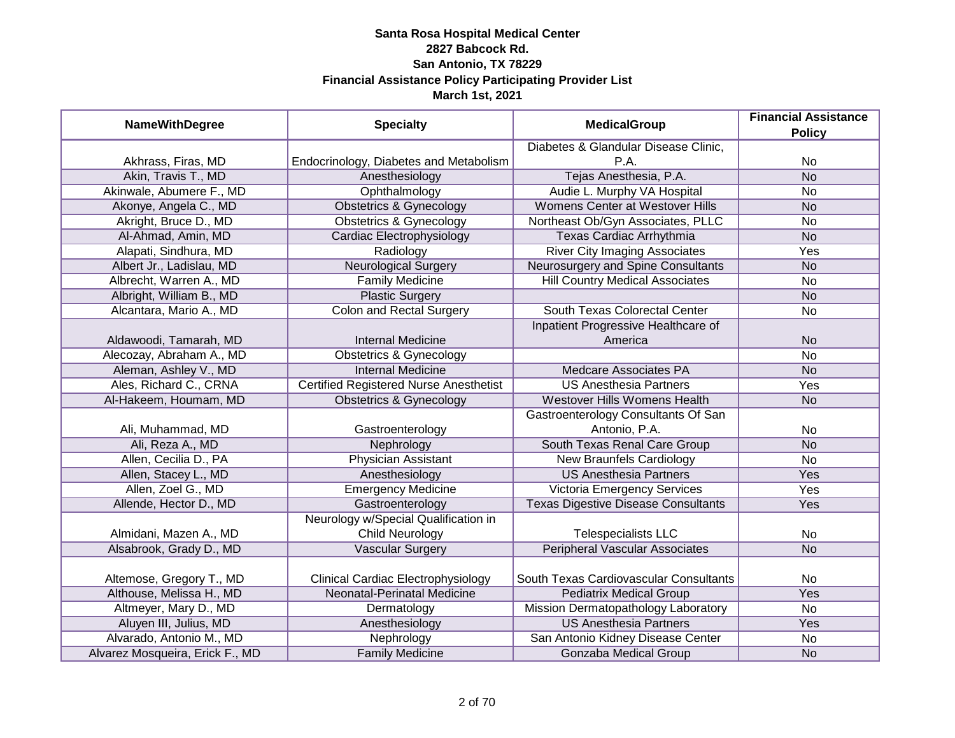| <b>NameWithDegree</b>           | <b>Specialty</b>                              | <b>MedicalGroup</b>                        | <b>Financial Assistance</b><br><b>Policy</b> |
|---------------------------------|-----------------------------------------------|--------------------------------------------|----------------------------------------------|
|                                 |                                               | Diabetes & Glandular Disease Clinic,       |                                              |
| Akhrass, Firas, MD              | Endocrinology, Diabetes and Metabolism        | P.A.                                       | <b>No</b>                                    |
| Akin, Travis T., MD             | Anesthesiology                                | Tejas Anesthesia, P.A.                     | <b>No</b>                                    |
| Akinwale, Abumere F., MD        | Ophthalmology                                 | Audie L. Murphy VA Hospital                | <b>No</b>                                    |
| Akonye, Angela C., MD           | <b>Obstetrics &amp; Gynecology</b>            | <b>Womens Center at Westover Hills</b>     | <b>No</b>                                    |
| Akright, Bruce D., MD           | <b>Obstetrics &amp; Gynecology</b>            | Northeast Ob/Gyn Associates, PLLC          | <b>No</b>                                    |
| Al-Ahmad, Amin, MD              | Cardiac Electrophysiology                     | <b>Texas Cardiac Arrhythmia</b>            | N <sub>o</sub>                               |
| Alapati, Sindhura, MD           | Radiology                                     | <b>River City Imaging Associates</b>       | Yes                                          |
| Albert Jr., Ladislau, MD        | <b>Neurological Surgery</b>                   | Neurosurgery and Spine Consultants         | <b>No</b>                                    |
| Albrecht, Warren A., MD         | <b>Family Medicine</b>                        | <b>Hill Country Medical Associates</b>     | <b>No</b>                                    |
| Albright, William B., MD        | <b>Plastic Surgery</b>                        |                                            | <b>No</b>                                    |
| Alcantara, Mario A., MD         | <b>Colon and Rectal Surgery</b>               | South Texas Colorectal Center              | <b>No</b>                                    |
|                                 |                                               | Inpatient Progressive Healthcare of        |                                              |
| Aldawoodi, Tamarah, MD          | <b>Internal Medicine</b>                      | America                                    | <b>No</b>                                    |
| Alecozay, Abraham A., MD        | <b>Obstetrics &amp; Gynecology</b>            |                                            | <b>No</b>                                    |
| Aleman, Ashley V., MD           | <b>Internal Medicine</b>                      | <b>Medcare Associates PA</b>               | <b>No</b>                                    |
| Ales, Richard C., CRNA          | <b>Certified Registered Nurse Anesthetist</b> | <b>US Anesthesia Partners</b>              | Yes                                          |
| Al-Hakeem, Houmam, MD           | <b>Obstetrics &amp; Gynecology</b>            | Westover Hills Womens Health               | <b>No</b>                                    |
|                                 |                                               | Gastroenterology Consultants Of San        |                                              |
| Ali, Muhammad, MD               | Gastroenterology                              | Antonio, P.A.                              | No                                           |
| Ali, Reza A., MD                | Nephrology                                    | South Texas Renal Care Group               | <b>No</b>                                    |
| Allen, Cecilia D., PA           | <b>Physician Assistant</b>                    | <b>New Braunfels Cardiology</b>            | <b>No</b>                                    |
| Allen, Stacey L., MD            | Anesthesiology                                | <b>US Anesthesia Partners</b>              | Yes                                          |
| Allen, Zoel G., MD              | <b>Emergency Medicine</b>                     | Victoria Emergency Services                | Yes                                          |
| Allende, Hector D., MD          | Gastroenterology                              | <b>Texas Digestive Disease Consultants</b> | Yes                                          |
|                                 | Neurology w/Special Qualification in          |                                            |                                              |
| Almidani, Mazen A., MD          | Child Neurology                               | <b>Telespecialists LLC</b>                 | No                                           |
| Alsabrook, Grady D., MD         | <b>Vascular Surgery</b>                       | <b>Peripheral Vascular Associates</b>      | <b>No</b>                                    |
|                                 |                                               |                                            |                                              |
| Altemose, Gregory T., MD        | <b>Clinical Cardiac Electrophysiology</b>     | South Texas Cardiovascular Consultants     | No                                           |
| Althouse, Melissa H., MD        | Neonatal-Perinatal Medicine                   | <b>Pediatrix Medical Group</b>             | Yes                                          |
| Altmeyer, Mary D., MD           | Dermatology                                   | Mission Dermatopathology Laboratory        | No                                           |
| Aluyen III, Julius, MD          | Anesthesiology                                | <b>US Anesthesia Partners</b>              | Yes                                          |
| Alvarado, Antonio M., MD        | Nephrology                                    | San Antonio Kidney Disease Center          | No                                           |
| Alvarez Mosqueira, Erick F., MD | <b>Family Medicine</b>                        | Gonzaba Medical Group                      | <b>No</b>                                    |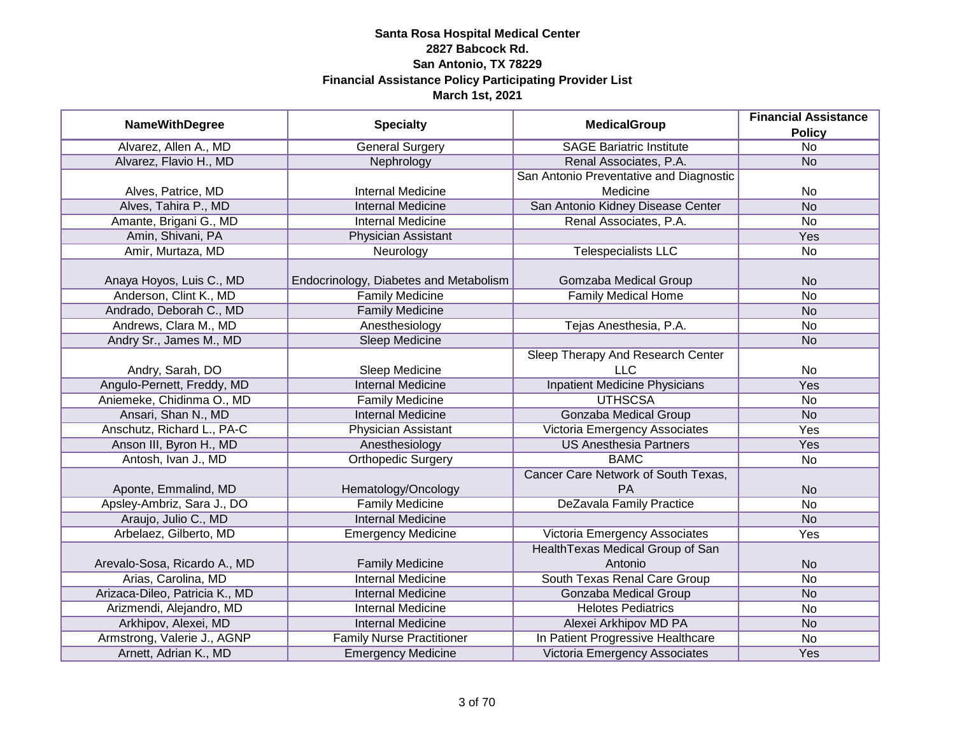|                                |                                        | <b>MedicalGroup</b>                     | <b>Financial Assistance</b> |
|--------------------------------|----------------------------------------|-----------------------------------------|-----------------------------|
| <b>NameWithDegree</b>          | <b>Specialty</b>                       |                                         | <b>Policy</b>               |
| Alvarez, Allen A., MD          | <b>General Surgery</b>                 | <b>SAGE Bariatric Institute</b>         | $\overline{No}$             |
| Alvarez, Flavio H., MD         | Nephrology                             | Renal Associates, P.A.                  | <b>No</b>                   |
|                                |                                        | San Antonio Preventative and Diagnostic |                             |
| Alves, Patrice, MD             | <b>Internal Medicine</b>               | Medicine                                | No                          |
| Alves, Tahira P., MD           | <b>Internal Medicine</b>               | San Antonio Kidney Disease Center       | <b>No</b>                   |
| Amante, Brigani G., MD         | Internal Medicine                      | Renal Associates, P.A.                  | No                          |
| Amin, Shivani, PA              | Physician Assistant                    |                                         | Yes                         |
| Amir, Murtaza, MD              | Neurology                              | <b>Telespecialists LLC</b>              | <b>No</b>                   |
| Anaya Hoyos, Luis C., MD       | Endocrinology, Diabetes and Metabolism | Gomzaba Medical Group                   | <b>No</b>                   |
| Anderson, Clint K., MD         | <b>Family Medicine</b>                 | <b>Family Medical Home</b>              | <b>No</b>                   |
| Andrado, Deborah C., MD        | <b>Family Medicine</b>                 |                                         | <b>No</b>                   |
| Andrews, Clara M., MD          | Anesthesiology                         | Tejas Anesthesia, P.A.                  | No                          |
| Andry Sr., James M., MD        | <b>Sleep Medicine</b>                  |                                         | <b>No</b>                   |
|                                |                                        | Sleep Therapy And Research Center       |                             |
| Andry, Sarah, DO               | Sleep Medicine                         | LLC                                     | No                          |
| Angulo-Pernett, Freddy, MD     | <b>Internal Medicine</b>               | <b>Inpatient Medicine Physicians</b>    | Yes                         |
| Aniemeke, Chidinma O., MD      | <b>Family Medicine</b>                 | <b>UTHSCSA</b>                          | No                          |
| Ansari, Shan N., MD            | <b>Internal Medicine</b>               | <b>Gonzaba Medical Group</b>            | <b>No</b>                   |
| Anschutz, Richard L., PA-C     | <b>Physician Assistant</b>             | Victoria Emergency Associates           | Yes                         |
| Anson III, Byron H., MD        | Anesthesiology                         | <b>US Anesthesia Partners</b>           | Yes                         |
| Antosh, Ivan J., MD            | <b>Orthopedic Surgery</b>              | <b>BAMC</b>                             | No                          |
|                                |                                        | Cancer Care Network of South Texas,     |                             |
| Aponte, Emmalind, MD           | Hematology/Oncology                    | <b>PA</b>                               | <b>No</b>                   |
| Apsley-Ambriz, Sara J., DO     | <b>Family Medicine</b>                 | <b>DeZavala Family Practice</b>         | <b>No</b>                   |
| Araujo, Julio C., MD           | <b>Internal Medicine</b>               |                                         | <b>No</b>                   |
| Arbelaez, Gilberto, MD         | <b>Emergency Medicine</b>              | Victoria Emergency Associates           | Yes                         |
|                                |                                        | Health Texas Medical Group of San       |                             |
| Arevalo-Sosa, Ricardo A., MD   | <b>Family Medicine</b>                 | Antonio                                 | <b>No</b>                   |
| Arias, Carolina, MD            | <b>Internal Medicine</b>               | South Texas Renal Care Group            | No                          |
| Arizaca-Dileo, Patricia K., MD | <b>Internal Medicine</b>               | <b>Gonzaba Medical Group</b>            | <b>No</b>                   |
| Arizmendi, Alejandro, MD       | <b>Internal Medicine</b>               | <b>Helotes Pediatrics</b>               | No                          |
| Arkhipov, Alexei, MD           | <b>Internal Medicine</b>               | Alexei Arkhipov MD PA                   | <b>No</b>                   |
| Armstrong, Valerie J., AGNP    | <b>Family Nurse Practitioner</b>       | In Patient Progressive Healthcare       | $\overline{No}$             |
| Arnett, Adrian K., MD          | <b>Emergency Medicine</b>              | Victoria Emergency Associates           | Yes                         |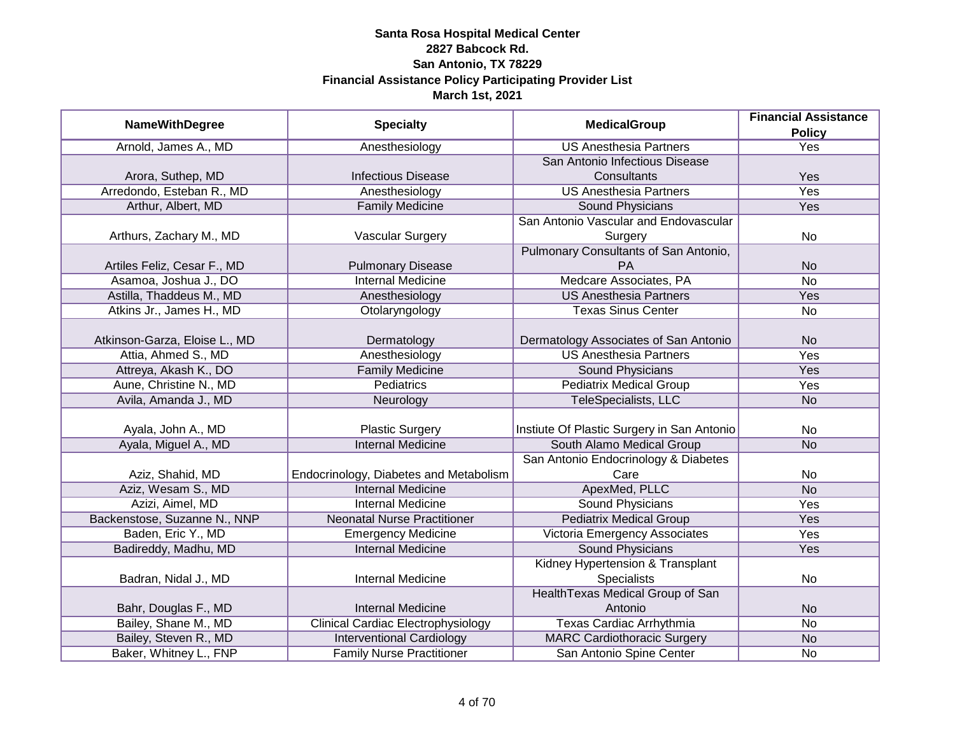|                               |                                           | <b>MedicalGroup</b>                        | <b>Financial Assistance</b> |
|-------------------------------|-------------------------------------------|--------------------------------------------|-----------------------------|
| <b>NameWithDegree</b>         | <b>Specialty</b>                          |                                            | <b>Policy</b>               |
| Arnold, James A., MD          | Anesthesiology                            | <b>US Anesthesia Partners</b>              | <b>Yes</b>                  |
|                               |                                           | San Antonio Infectious Disease             |                             |
| Arora, Suthep, MD             | <b>Infectious Disease</b>                 | Consultants                                | Yes                         |
| Arredondo, Esteban R., MD     | Anesthesiology                            | <b>US Anesthesia Partners</b>              | Yes                         |
| Arthur, Albert, MD            | <b>Family Medicine</b>                    | Sound Physicians                           | <b>Yes</b>                  |
|                               |                                           | San Antonio Vascular and Endovascular      |                             |
| Arthurs, Zachary M., MD       | Vascular Surgery                          | Surgery                                    | No                          |
|                               |                                           | Pulmonary Consultants of San Antonio,      |                             |
| Artiles Feliz, Cesar F., MD   | <b>Pulmonary Disease</b>                  | <b>PA</b>                                  | <b>No</b>                   |
| Asamoa, Joshua J., DO         | <b>Internal Medicine</b>                  | Medcare Associates, PA                     | No                          |
| Astilla, Thaddeus M., MD      | Anesthesiology                            | <b>US Anesthesia Partners</b>              | Yes                         |
| Atkins Jr., James H., MD      | Otolaryngology                            | <b>Texas Sinus Center</b>                  | No                          |
|                               |                                           |                                            |                             |
| Atkinson-Garza, Eloise L., MD | Dermatology                               | Dermatology Associates of San Antonio      | <b>No</b>                   |
| Attia, Ahmed S., MD           | Anesthesiology                            | <b>US Anesthesia Partners</b>              | Yes                         |
| Attreya, Akash K., DO         | <b>Family Medicine</b>                    | <b>Sound Physicians</b>                    | Yes                         |
| Aune, Christine N., MD        | <b>Pediatrics</b>                         | <b>Pediatrix Medical Group</b>             | Yes                         |
| Avila, Amanda J., MD          | Neurology                                 | TeleSpecialists, LLC                       | <b>No</b>                   |
|                               |                                           |                                            |                             |
| Ayala, John A., MD            | <b>Plastic Surgery</b>                    | Instiute Of Plastic Surgery in San Antonio | <b>No</b>                   |
| Ayala, Miguel A., MD          | <b>Internal Medicine</b>                  | South Alamo Medical Group                  | <b>No</b>                   |
|                               |                                           | San Antonio Endocrinology & Diabetes       |                             |
| Aziz, Shahid, MD              | Endocrinology, Diabetes and Metabolism    | Care                                       | No                          |
| Aziz, Wesam S., MD            | <b>Internal Medicine</b>                  | ApexMed, PLLC                              | <b>No</b>                   |
| Azizi, Aimel, MD              | <b>Internal Medicine</b>                  | <b>Sound Physicians</b>                    | Yes                         |
| Backenstose, Suzanne N., NNP  | <b>Neonatal Nurse Practitioner</b>        | <b>Pediatrix Medical Group</b>             | Yes                         |
| Baden, Eric Y., MD            | <b>Emergency Medicine</b>                 | Victoria Emergency Associates              | Yes                         |
| Badireddy, Madhu, MD          | <b>Internal Medicine</b>                  | <b>Sound Physicians</b>                    | Yes                         |
|                               |                                           | Kidney Hypertension & Transplant           |                             |
| Badran, Nidal J., MD          | <b>Internal Medicine</b>                  | <b>Specialists</b>                         | No                          |
|                               |                                           | Health Texas Medical Group of San          |                             |
| Bahr, Douglas F., MD          | <b>Internal Medicine</b>                  | Antonio                                    | <b>No</b>                   |
| Bailey, Shane M., MD          | <b>Clinical Cardiac Electrophysiology</b> | Texas Cardiac Arrhythmia                   | $\overline{No}$             |
| Bailey, Steven R., MD         | <b>Interventional Cardiology</b>          | <b>MARC Cardiothoracic Surgery</b>         | <b>No</b>                   |
| Baker, Whitney L., FNP        | <b>Family Nurse Practitioner</b>          | San Antonio Spine Center                   | No                          |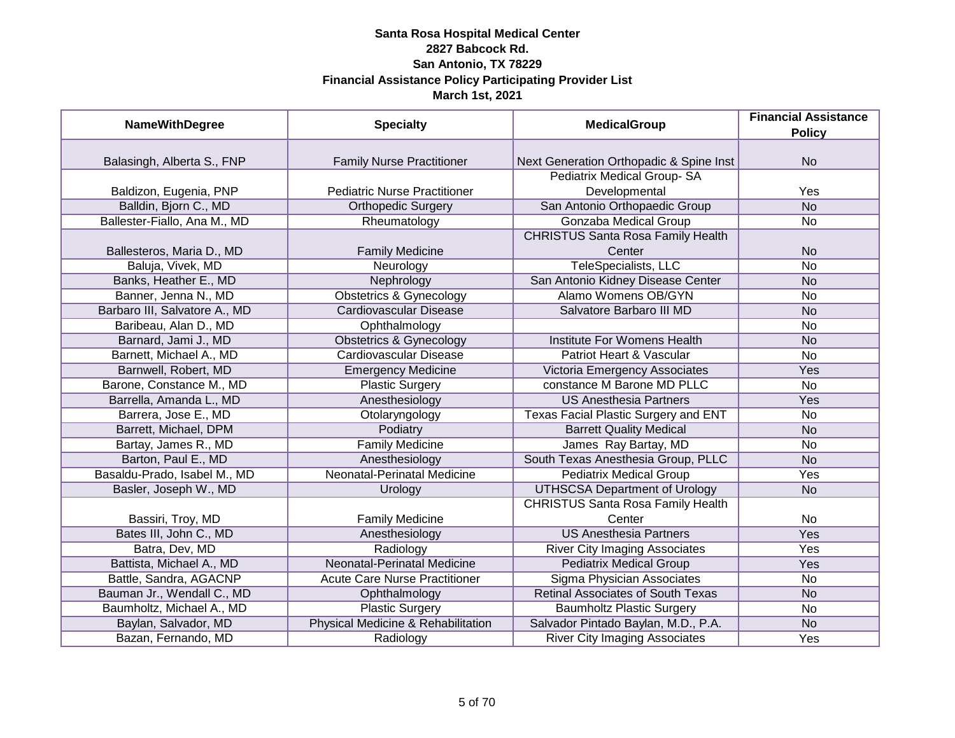| <b>NameWithDegree</b>         | <b>Specialty</b>                     | <b>MedicalGroup</b>                      | <b>Financial Assistance</b> |
|-------------------------------|--------------------------------------|------------------------------------------|-----------------------------|
|                               |                                      |                                          | <b>Policy</b>               |
|                               |                                      |                                          |                             |
| Balasingh, Alberta S., FNP    | <b>Family Nurse Practitioner</b>     | Next Generation Orthopadic & Spine Inst  | <b>No</b>                   |
|                               |                                      | Pediatrix Medical Group-SA               |                             |
| Baldizon, Eugenia, PNP        | <b>Pediatric Nurse Practitioner</b>  | Developmental                            | Yes                         |
| Balldin, Bjorn C., MD         | <b>Orthopedic Surgery</b>            | San Antonio Orthopaedic Group            | $\overline{No}$             |
| Ballester-Fiallo, Ana M., MD  | Rheumatology                         | Gonzaba Medical Group                    | No                          |
|                               |                                      | <b>CHRISTUS Santa Rosa Family Health</b> |                             |
| Ballesteros, Maria D., MD     | <b>Family Medicine</b>               | Center                                   | <b>No</b>                   |
| Baluja, Vivek, MD             | Neurology                            | <b>TeleSpecialists, LLC</b>              | <b>No</b>                   |
| Banks, Heather E., MD         | Nephrology                           | San Antonio Kidney Disease Center        | <b>No</b>                   |
| Banner, Jenna N., MD          | <b>Obstetrics &amp; Gynecology</b>   | <b>Alamo Womens OB/GYN</b>               | No                          |
| Barbaro III, Salvatore A., MD | <b>Cardiovascular Disease</b>        | Salvatore Barbaro III MD                 | <b>No</b>                   |
| Baribeau, Alan D., MD         | Ophthalmology                        |                                          | No                          |
| Barnard, Jami J., MD          | <b>Obstetrics &amp; Gynecology</b>   | Institute For Womens Health              | <b>No</b>                   |
| Barnett, Michael A., MD       | <b>Cardiovascular Disease</b>        | Patriot Heart & Vascular                 | <b>No</b>                   |
| Barnwell, Robert, MD          | <b>Emergency Medicine</b>            | Victoria Emergency Associates            | Yes                         |
| Barone, Constance M., MD      | <b>Plastic Surgery</b>               | constance M Barone MD PLLC               | No                          |
| Barrella, Amanda L., MD       | Anesthesiology                       | <b>US Anesthesia Partners</b>            | Yes                         |
| Barrera, Jose E., MD          | Otolaryngology                       | Texas Facial Plastic Surgery and ENT     | <b>No</b>                   |
| Barrett, Michael, DPM         | Podiatry                             | <b>Barrett Quality Medical</b>           | <b>No</b>                   |
| Bartay, James R., MD          | <b>Family Medicine</b>               | James Ray Bartay, MD                     | No                          |
| Barton, Paul E., MD           | Anesthesiology                       | South Texas Anesthesia Group, PLLC       | <b>No</b>                   |
| Basaldu-Prado, Isabel M., MD  | <b>Neonatal-Perinatal Medicine</b>   | <b>Pediatrix Medical Group</b>           | Yes                         |
| Basler, Joseph W., MD         | Urology                              | <b>UTHSCSA Department of Urology</b>     | <b>No</b>                   |
|                               |                                      | <b>CHRISTUS Santa Rosa Family Health</b> |                             |
| Bassiri, Troy, MD             | <b>Family Medicine</b>               | Center                                   | No                          |
| Bates III, John C., MD        | Anesthesiology                       | <b>US Anesthesia Partners</b>            | Yes                         |
| Batra, Dev, MD                | Radiology                            | <b>River City Imaging Associates</b>     | Yes                         |
| Battista, Michael A., MD      | Neonatal-Perinatal Medicine          | <b>Pediatrix Medical Group</b>           | Yes                         |
| Battle, Sandra, AGACNP        | <b>Acute Care Nurse Practitioner</b> | Sigma Physician Associates               | No                          |
| Bauman Jr., Wendall C., MD    | Ophthalmology                        | <b>Retinal Associates of South Texas</b> | <b>No</b>                   |
| Baumholtz, Michael A., MD     | <b>Plastic Surgery</b>               | <b>Baumholtz Plastic Surgery</b>         | No                          |
| Baylan, Salvador, MD          | Physical Medicine & Rehabilitation   | Salvador Pintado Baylan, M.D., P.A.      | <b>No</b>                   |
| Bazan, Fernando, MD           | Radiology                            | <b>River City Imaging Associates</b>     | Yes                         |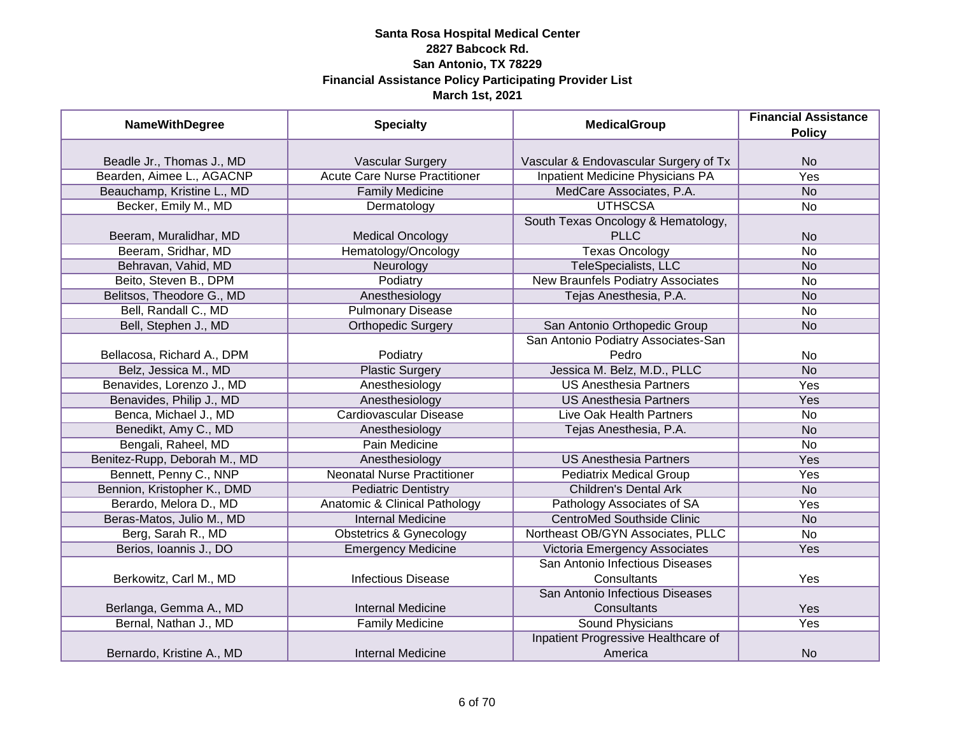| <b>NameWithDegree</b>        | <b>Specialty</b>                         | <b>MedicalGroup</b>                   | <b>Financial Assistance</b> |
|------------------------------|------------------------------------------|---------------------------------------|-----------------------------|
|                              |                                          |                                       | <b>Policy</b>               |
|                              |                                          |                                       |                             |
| Beadle Jr., Thomas J., MD    | <b>Vascular Surgery</b>                  | Vascular & Endovascular Surgery of Tx | <b>No</b>                   |
| Bearden, Aimee L., AGACNP    | <b>Acute Care Nurse Practitioner</b>     | Inpatient Medicine Physicians PA      | <b>Yes</b>                  |
| Beauchamp, Kristine L., MD   | <b>Family Medicine</b>                   | MedCare Associates, P.A.              | $\overline{No}$             |
| Becker, Emily M., MD         | Dermatology                              | <b>UTHSCSA</b>                        | <b>No</b>                   |
|                              |                                          | South Texas Oncology & Hematology,    |                             |
| Beeram, Muralidhar, MD       | <b>Medical Oncology</b>                  | <b>PLLC</b>                           | <b>No</b>                   |
| Beeram, Sridhar, MD          | Hematology/Oncology                      | <b>Texas Oncology</b>                 | <b>No</b>                   |
| Behravan, Vahid, MD          | Neurology                                | TeleSpecialists, LLC                  | <b>No</b>                   |
| Beito, Steven B., DPM        | Podiatry                                 | New Braunfels Podiatry Associates     | <b>No</b>                   |
| Belitsos, Theodore G., MD    | Anesthesiology                           | Tejas Anesthesia, P.A.                | <b>No</b>                   |
| Bell, Randall C., MD         | <b>Pulmonary Disease</b>                 |                                       | <b>No</b>                   |
| Bell, Stephen J., MD         | <b>Orthopedic Surgery</b>                | San Antonio Orthopedic Group          | <b>No</b>                   |
|                              |                                          | San Antonio Podiatry Associates-San   |                             |
| Bellacosa, Richard A., DPM   | Podiatry                                 | Pedro                                 | No.                         |
| Belz, Jessica M., MD         | <b>Plastic Surgery</b>                   | Jessica M. Belz, M.D., PLLC           | <b>No</b>                   |
| Benavides, Lorenzo J., MD    | Anesthesiology                           | <b>US Anesthesia Partners</b>         | Yes                         |
| Benavides, Philip J., MD     | Anesthesiology                           | <b>US Anesthesia Partners</b>         | Yes                         |
| Benca, Michael J., MD        | Cardiovascular Disease                   | Live Oak Health Partners              | <b>No</b>                   |
| Benedikt, Amy C., MD         | Anesthesiology                           | Tejas Anesthesia, P.A.                | <b>No</b>                   |
| Bengali, Raheel, MD          | Pain Medicine                            |                                       | <b>No</b>                   |
| Benitez-Rupp, Deborah M., MD | Anesthesiology                           | <b>US Anesthesia Partners</b>         | Yes                         |
| Bennett, Penny C., NNP       | <b>Neonatal Nurse Practitioner</b>       | <b>Pediatrix Medical Group</b>        | Yes                         |
| Bennion, Kristopher K., DMD  | <b>Pediatric Dentistry</b>               | <b>Children's Dental Ark</b>          | <b>No</b>                   |
| Berardo, Melora D., MD       | <b>Anatomic &amp; Clinical Pathology</b> | Pathology Associates of SA            | Yes                         |
| Beras-Matos, Julio M., MD    | <b>Internal Medicine</b>                 | <b>CentroMed Southside Clinic</b>     | <b>No</b>                   |
| Berg, Sarah R., MD           | <b>Obstetrics &amp; Gynecology</b>       | Northeast OB/GYN Associates, PLLC     | No                          |
| Berios, Ioannis J., DO       | <b>Emergency Medicine</b>                | Victoria Emergency Associates         | Yes                         |
|                              |                                          | San Antonio Infectious Diseases       |                             |
| Berkowitz, Carl M., MD       | <b>Infectious Disease</b>                | Consultants                           | Yes                         |
|                              |                                          | San Antonio Infectious Diseases       |                             |
| Berlanga, Gemma A., MD       | <b>Internal Medicine</b>                 | Consultants                           | Yes                         |
| Bernal, Nathan J., MD        | <b>Family Medicine</b>                   | Sound Physicians                      | <b>Yes</b>                  |
|                              |                                          | Inpatient Progressive Healthcare of   |                             |
| Bernardo, Kristine A., MD    | <b>Internal Medicine</b>                 | America                               | <b>No</b>                   |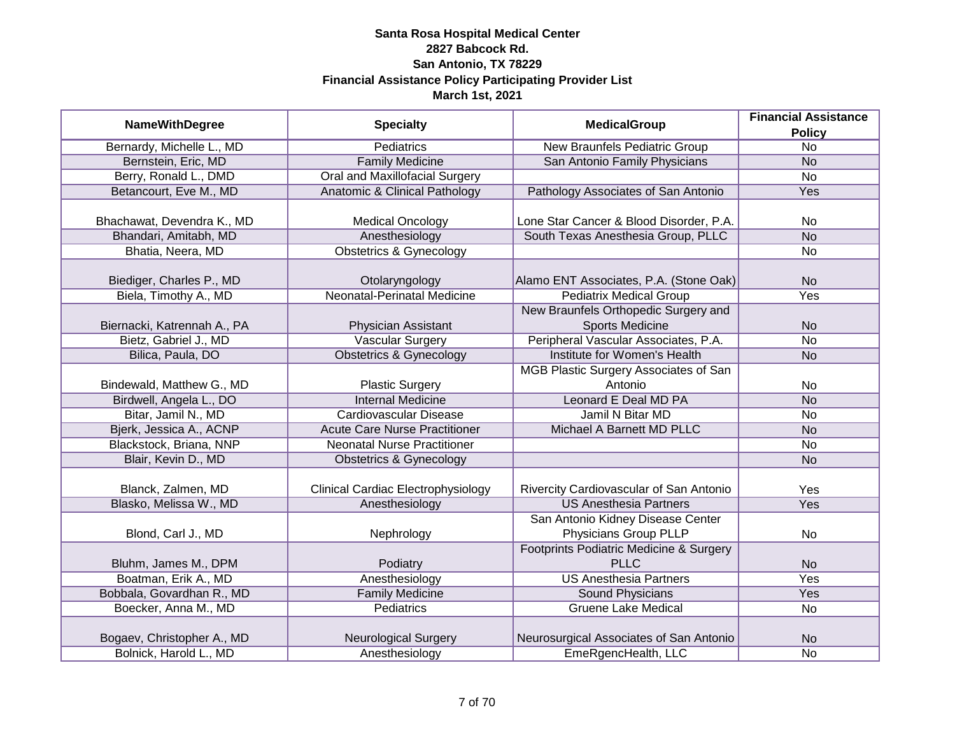| <b>NameWithDegree</b>       | <b>Specialty</b>                          | <b>MedicalGroup</b>                     | <b>Financial Assistance</b> |
|-----------------------------|-------------------------------------------|-----------------------------------------|-----------------------------|
|                             |                                           |                                         | <b>Policy</b>               |
| Bernardy, Michelle L., MD   | <b>Pediatrics</b>                         | <b>New Braunfels Pediatric Group</b>    | $\overline{No}$             |
| Bernstein, Eric, MD         | <b>Family Medicine</b>                    | San Antonio Family Physicians           | $\overline{No}$             |
| Berry, Ronald L., DMD       | Oral and Maxillofacial Surgery            |                                         | $\overline{No}$             |
| Betancourt, Eve M., MD      | Anatomic & Clinical Pathology             | Pathology Associates of San Antonio     | <b>Yes</b>                  |
|                             |                                           |                                         |                             |
| Bhachawat, Devendra K., MD  | <b>Medical Oncology</b>                   | Lone Star Cancer & Blood Disorder, P.A. | No                          |
| Bhandari, Amitabh, MD       | Anesthesiology                            | South Texas Anesthesia Group, PLLC      | $\overline{No}$             |
| Bhatia, Neera, MD           | <b>Obstetrics &amp; Gynecology</b>        |                                         | No                          |
| Biediger, Charles P., MD    | Otolaryngology                            | Alamo ENT Associates, P.A. (Stone Oak)  | <b>No</b>                   |
| Biela, Timothy A., MD       | <b>Neonatal-Perinatal Medicine</b>        | <b>Pediatrix Medical Group</b>          | Yes                         |
|                             |                                           | New Braunfels Orthopedic Surgery and    |                             |
| Biernacki, Katrennah A., PA | Physician Assistant                       | <b>Sports Medicine</b>                  | <b>No</b>                   |
| Bietz, Gabriel J., MD       | <b>Vascular Surgery</b>                   | Peripheral Vascular Associates, P.A.    | No                          |
| Bilica, Paula, DO           | <b>Obstetrics &amp; Gynecology</b>        | Institute for Women's Health            | <b>No</b>                   |
|                             |                                           | MGB Plastic Surgery Associates of San   |                             |
| Bindewald, Matthew G., MD   | <b>Plastic Surgery</b>                    | Antonio                                 | No                          |
| Birdwell, Angela L., DO     | <b>Internal Medicine</b>                  | Leonard E Deal MD PA                    | <b>No</b>                   |
| Bitar, Jamil N., MD         | <b>Cardiovascular Disease</b>             | Jamil N Bitar MD                        | <b>No</b>                   |
| Bjerk, Jessica A., ACNP     | <b>Acute Care Nurse Practitioner</b>      | Michael A Barnett MD PLLC               | <b>No</b>                   |
| Blackstock, Briana, NNP     | <b>Neonatal Nurse Practitioner</b>        |                                         | No                          |
| Blair, Kevin D., MD         | <b>Obstetrics &amp; Gynecology</b>        |                                         | <b>No</b>                   |
| Blanck, Zalmen, MD          | <b>Clinical Cardiac Electrophysiology</b> | Rivercity Cardiovascular of San Antonio | Yes                         |
| Blasko, Melissa W., MD      | Anesthesiology                            | <b>US Anesthesia Partners</b>           | Yes                         |
|                             |                                           | San Antonio Kidney Disease Center       |                             |
| Blond, Carl J., MD          | Nephrology                                | Physicians Group PLLP                   | <b>No</b>                   |
|                             |                                           | Footprints Podiatric Medicine & Surgery |                             |
| Bluhm, James M., DPM        | Podiatry                                  | <b>PLLC</b>                             | <b>No</b>                   |
| Boatman, Erik A., MD        | Anesthesiology                            | <b>US Anesthesia Partners</b>           | Yes                         |
| Bobbala, Govardhan R., MD   | <b>Family Medicine</b>                    | Sound Physicians                        | Yes                         |
| Boecker, Anna M., MD        | Pediatrics                                | <b>Gruene Lake Medical</b>              | <b>No</b>                   |
|                             |                                           |                                         |                             |
| Bogaev, Christopher A., MD  | <b>Neurological Surgery</b>               | Neurosurgical Associates of San Antonio | <b>No</b>                   |
| Bolnick, Harold L., MD      | Anesthesiology                            | EmeRgencHealth, LLC                     | $\overline{No}$             |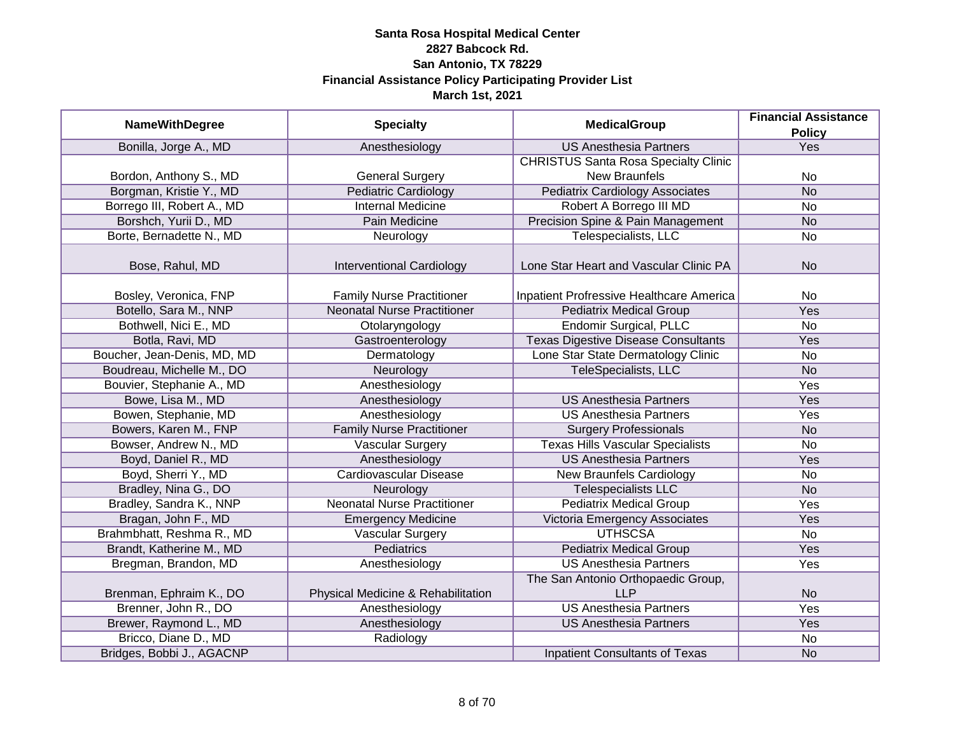|                             |                                    | <b>MedicalGroup</b>                         | <b>Financial Assistance</b> |
|-----------------------------|------------------------------------|---------------------------------------------|-----------------------------|
| <b>NameWithDegree</b>       | <b>Specialty</b>                   |                                             | <b>Policy</b>               |
| Bonilla, Jorge A., MD       | Anesthesiology                     | <b>US Anesthesia Partners</b>               | Yes                         |
|                             |                                    | <b>CHRISTUS Santa Rosa Specialty Clinic</b> |                             |
| Bordon, Anthony S., MD      | <b>General Surgery</b>             | <b>New Braunfels</b>                        | No                          |
| Borgman, Kristie Y., MD     | <b>Pediatric Cardiology</b>        | <b>Pediatrix Cardiology Associates</b>      | N <sub>o</sub>              |
| Borrego III, Robert A., MD  | <b>Internal Medicine</b>           | Robert A Borrego III MD                     | No                          |
| Borshch, Yurii D., MD       | Pain Medicine                      | Precision Spine & Pain Management           | <b>No</b>                   |
| Borte, Bernadette N., MD    | Neurology                          | Telespecialists, LLC                        | <b>No</b>                   |
| Bose, Rahul, MD             |                                    | Lone Star Heart and Vascular Clinic PA      | <b>No</b>                   |
|                             | <b>Interventional Cardiology</b>   |                                             |                             |
| Bosley, Veronica, FNP       | <b>Family Nurse Practitioner</b>   | Inpatient Profressive Healthcare America    | <b>No</b>                   |
| Botello, Sara M., NNP       | <b>Neonatal Nurse Practitioner</b> | <b>Pediatrix Medical Group</b>              | Yes                         |
| Bothwell, Nici E., MD       | Otolaryngology                     | <b>Endomir Surgical, PLLC</b>               | No                          |
| Botla, Ravi, MD             | Gastroenterology                   | <b>Texas Digestive Disease Consultants</b>  | Yes                         |
| Boucher, Jean-Denis, MD, MD | Dermatology                        | Lone Star State Dermatology Clinic          | <b>No</b>                   |
| Boudreau, Michelle M., DO   | Neurology                          | TeleSpecialists, LLC                        | <b>No</b>                   |
| Bouvier, Stephanie A., MD   | Anesthesiology                     |                                             | Yes                         |
| Bowe, Lisa M., MD           | Anesthesiology                     | <b>US Anesthesia Partners</b>               | Yes                         |
| Bowen, Stephanie, MD        | Anesthesiology                     | <b>US Anesthesia Partners</b>               | Yes                         |
| Bowers, Karen M., FNP       | <b>Family Nurse Practitioner</b>   | <b>Surgery Professionals</b>                | <b>No</b>                   |
| Bowser, Andrew N., MD       | <b>Vascular Surgery</b>            | <b>Texas Hills Vascular Specialists</b>     | <b>No</b>                   |
| Boyd, Daniel R., MD         | Anesthesiology                     | <b>US Anesthesia Partners</b>               | Yes                         |
| Boyd, Sherri Y., MD         | Cardiovascular Disease             | <b>New Braunfels Cardiology</b>             | No                          |
| Bradley, Nina G., DO        | Neurology                          | <b>Telespecialists LLC</b>                  | <b>No</b>                   |
| Bradley, Sandra K., NNP     | <b>Neonatal Nurse Practitioner</b> | <b>Pediatrix Medical Group</b>              | Yes                         |
| Bragan, John F., MD         | <b>Emergency Medicine</b>          | Victoria Emergency Associates               | Yes                         |
| Brahmbhatt, Reshma R., MD   | Vascular Surgery                   | <b>UTHSCSA</b>                              | No                          |
| Brandt, Katherine M., MD    | <b>Pediatrics</b>                  | <b>Pediatrix Medical Group</b>              | Yes                         |
| Bregman, Brandon, MD        | Anesthesiology                     | <b>US Anesthesia Partners</b>               | Yes                         |
|                             |                                    | The San Antonio Orthopaedic Group,          |                             |
| Brenman, Ephraim K., DO     | Physical Medicine & Rehabilitation | <b>LLP</b>                                  | <b>No</b>                   |
| Brenner, John R., DO        | Anesthesiology                     | <b>US Anesthesia Partners</b>               | <b>Yes</b>                  |
| Brewer, Raymond L., MD      | Anesthesiology                     | <b>US Anesthesia Partners</b>               | Yes                         |
| Bricco, Diane D., MD        | Radiology                          |                                             | No                          |
| Bridges, Bobbi J., AGACNP   |                                    | <b>Inpatient Consultants of Texas</b>       | <b>No</b>                   |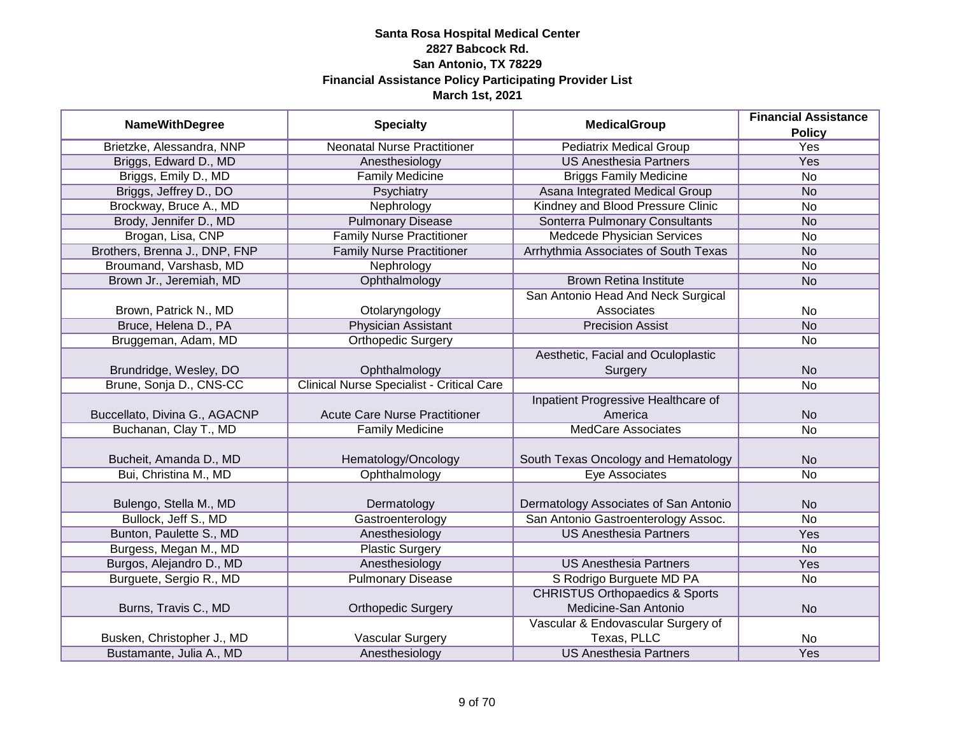| <b>NameWithDegree</b>         |                                                  | <b>MedicalGroup</b>                       | <b>Financial Assistance</b> |
|-------------------------------|--------------------------------------------------|-------------------------------------------|-----------------------------|
|                               | <b>Specialty</b>                                 |                                           | <b>Policy</b>               |
| Brietzke, Alessandra, NNP     | <b>Neonatal Nurse Practitioner</b>               | <b>Pediatrix Medical Group</b>            | <b>Yes</b>                  |
| Briggs, Edward D., MD         | Anesthesiology                                   | <b>US Anesthesia Partners</b>             | <b>Yes</b>                  |
| Briggs, Emily D., MD          | <b>Family Medicine</b>                           | <b>Briggs Family Medicine</b>             | <b>No</b>                   |
| Briggs, Jeffrey D., DO        | Psychiatry                                       | Asana Integrated Medical Group            | <b>No</b>                   |
| Brockway, Bruce A., MD        | Nephrology                                       | Kindney and Blood Pressure Clinic         | <b>No</b>                   |
| Brody, Jennifer D., MD        | <b>Pulmonary Disease</b>                         | Sonterra Pulmonary Consultants            | <b>No</b>                   |
| Brogan, Lisa, CNP             | <b>Family Nurse Practitioner</b>                 | <b>Medcede Physician Services</b>         | No                          |
| Brothers, Brenna J., DNP, FNP | <b>Family Nurse Practitioner</b>                 | Arrhythmia Associates of South Texas      | <b>No</b>                   |
| Broumand, Varshasb, MD        | Nephrology                                       |                                           | No                          |
| Brown Jr., Jeremiah, MD       | Ophthalmology                                    | <b>Brown Retina Institute</b>             | <b>No</b>                   |
|                               |                                                  | San Antonio Head And Neck Surgical        |                             |
| Brown, Patrick N., MD         | Otolaryngology                                   | Associates                                | <b>No</b>                   |
| Bruce, Helena D., PA          | <b>Physician Assistant</b>                       | <b>Precision Assist</b>                   | <b>No</b>                   |
| Bruggeman, Adam, MD           | Orthopedic Surgery                               |                                           | No                          |
|                               |                                                  | Aesthetic, Facial and Oculoplastic        |                             |
| Brundridge, Wesley, DO        | Ophthalmology                                    | Surgery                                   | <b>No</b>                   |
| Brune, Sonja D., CNS-CC       | <b>Clinical Nurse Specialist - Critical Care</b> |                                           | <b>No</b>                   |
|                               |                                                  | Inpatient Progressive Healthcare of       |                             |
| Buccellato, Divina G., AGACNP | <b>Acute Care Nurse Practitioner</b>             | America                                   | <b>No</b>                   |
| Buchanan, Clay T., MD         | <b>Family Medicine</b>                           | <b>MedCare Associates</b>                 | <b>No</b>                   |
|                               |                                                  |                                           |                             |
| Bucheit, Amanda D., MD        | Hematology/Oncology                              | South Texas Oncology and Hematology       | <b>No</b>                   |
| Bui, Christina M., MD         | Ophthalmology                                    | Eye Associates                            | <b>No</b>                   |
|                               |                                                  |                                           |                             |
| Bulengo, Stella M., MD        | Dermatology                                      | Dermatology Associates of San Antonio     | <b>No</b>                   |
| Bullock, Jeff S., MD          | Gastroenterology                                 | San Antonio Gastroenterology Assoc.       | <b>No</b>                   |
| Bunton, Paulette S., MD       | Anesthesiology                                   | <b>US Anesthesia Partners</b>             | Yes                         |
| Burgess, Megan M., MD         | <b>Plastic Surgery</b>                           |                                           | <b>No</b>                   |
| Burgos, Alejandro D., MD      | Anesthesiology                                   | <b>US Anesthesia Partners</b>             | Yes                         |
| Burguete, Sergio R., MD       | <b>Pulmonary Disease</b>                         | S Rodrigo Burguete MD PA                  | No                          |
|                               |                                                  | <b>CHRISTUS Orthopaedics &amp; Sports</b> |                             |
| Burns, Travis C., MD          | <b>Orthopedic Surgery</b>                        | Medicine-San Antonio                      | <b>No</b>                   |
|                               |                                                  | Vascular & Endovascular Surgery of        |                             |
| Busken, Christopher J., MD    | <b>Vascular Surgery</b>                          | Texas, PLLC                               | No                          |
| Bustamante, Julia A., MD      | Anesthesiology                                   | <b>US Anesthesia Partners</b>             | Yes                         |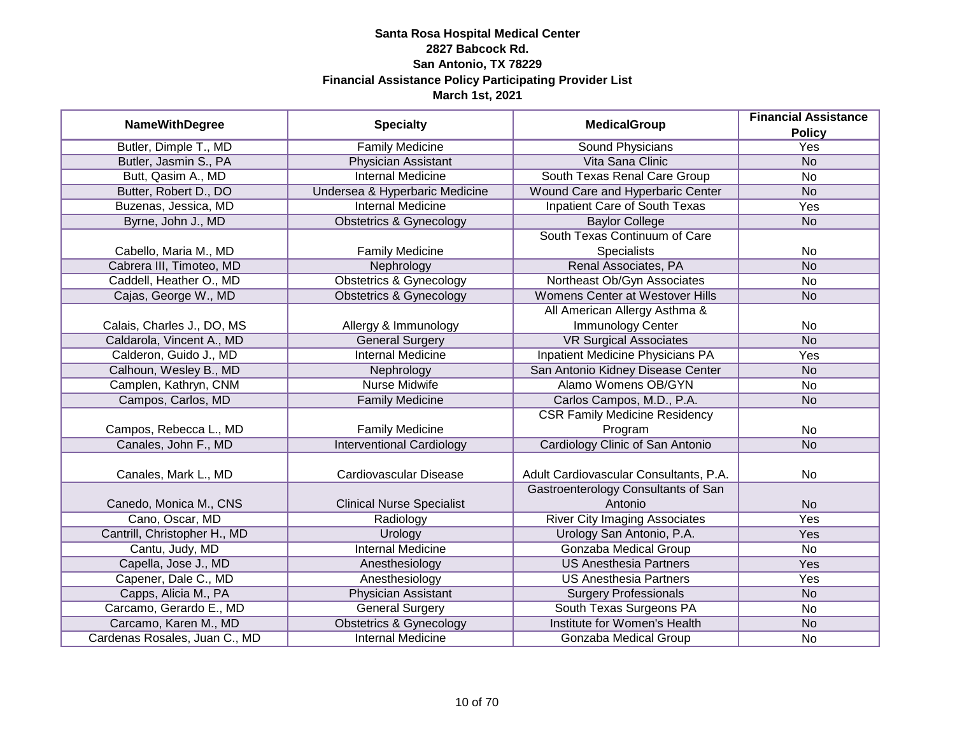| <b>NameWithDegree</b>         |                                    | <b>MedicalGroup</b>                     | <b>Financial Assistance</b> |
|-------------------------------|------------------------------------|-----------------------------------------|-----------------------------|
|                               | <b>Specialty</b>                   |                                         | <b>Policy</b>               |
| Butler, Dimple T., MD         | <b>Family Medicine</b>             | <b>Sound Physicians</b>                 | <b>Yes</b>                  |
| Butler, Jasmin S., PA         | Physician Assistant                | Vita Sana Clinic                        | <b>No</b>                   |
| Butt, Qasim A., MD            | <b>Internal Medicine</b>           | South Texas Renal Care Group            | <b>No</b>                   |
| Butter, Robert D., DO         | Undersea & Hyperbaric Medicine     | Wound Care and Hyperbaric Center        | N <sub>o</sub>              |
| Buzenas, Jessica, MD          | <b>Internal Medicine</b>           | <b>Inpatient Care of South Texas</b>    | Yes                         |
| Byrne, John J., MD            | <b>Obstetrics &amp; Gynecology</b> | <b>Baylor College</b>                   | <b>No</b>                   |
|                               |                                    | South Texas Continuum of Care           |                             |
| Cabello, Maria M., MD         | <b>Family Medicine</b>             | Specialists                             | No                          |
| Cabrera III, Timoteo, MD      | Nephrology                         | Renal Associates, PA                    | <b>No</b>                   |
| Caddell, Heather O., MD       | <b>Obstetrics &amp; Gynecology</b> | Northeast Ob/Gyn Associates             | No                          |
| Cajas, George W., MD          | <b>Obstetrics &amp; Gynecology</b> | <b>Womens Center at Westover Hills</b>  | <b>No</b>                   |
|                               |                                    | All American Allergy Asthma &           |                             |
| Calais, Charles J., DO, MS    | Allergy & Immunology               | Immunology Center                       | No                          |
| Caldarola, Vincent A., MD     | <b>General Surgery</b>             | <b>VR Surgical Associates</b>           | <b>No</b>                   |
| Calderon, Guido J., MD        | <b>Internal Medicine</b>           | <b>Inpatient Medicine Physicians PA</b> | Yes                         |
| Calhoun, Wesley B., MD        | Nephrology                         | San Antonio Kidney Disease Center       | <b>No</b>                   |
| Camplen, Kathryn, CNM         | <b>Nurse Midwife</b>               | Alamo Womens OB/GYN                     | No                          |
| Campos, Carlos, MD            | <b>Family Medicine</b>             | Carlos Campos, M.D., P.A.               | <b>No</b>                   |
|                               |                                    | <b>CSR Family Medicine Residency</b>    |                             |
| Campos, Rebecca L., MD        | <b>Family Medicine</b>             | Program                                 | No                          |
| Canales, John F., MD          | <b>Interventional Cardiology</b>   | Cardiology Clinic of San Antonio        | <b>No</b>                   |
|                               |                                    |                                         |                             |
| Canales, Mark L., MD          | Cardiovascular Disease             | Adult Cardiovascular Consultants, P.A.  | <b>No</b>                   |
|                               |                                    | Gastroenterology Consultants of San     |                             |
| Canedo, Monica M., CNS        | <b>Clinical Nurse Specialist</b>   | Antonio                                 | <b>No</b>                   |
| Cano, Oscar, MD               | Radiology                          | <b>River City Imaging Associates</b>    | Yes                         |
| Cantrill, Christopher H., MD  | <b>Urology</b>                     | Urology San Antonio, P.A.               | Yes                         |
| Cantu, Judy, MD               | <b>Internal Medicine</b>           | <b>Gonzaba Medical Group</b>            | <b>No</b>                   |
| Capella, Jose J., MD          | Anesthesiology                     | <b>US Anesthesia Partners</b>           | Yes                         |
| Capener, Dale C., MD          | Anesthesiology                     | <b>US Anesthesia Partners</b>           | Yes                         |
| Capps, Alicia M., PA          | Physician Assistant                | <b>Surgery Professionals</b>            | N <sub>o</sub>              |
| Carcamo, Gerardo E., MD       | <b>General Surgery</b>             | South Texas Surgeons PA                 | No                          |
| Carcamo, Karen M., MD         | <b>Obstetrics &amp; Gynecology</b> | Institute for Women's Health            | <b>No</b>                   |
| Cardenas Rosales, Juan C., MD | <b>Internal Medicine</b>           | Gonzaba Medical Group                   | No                          |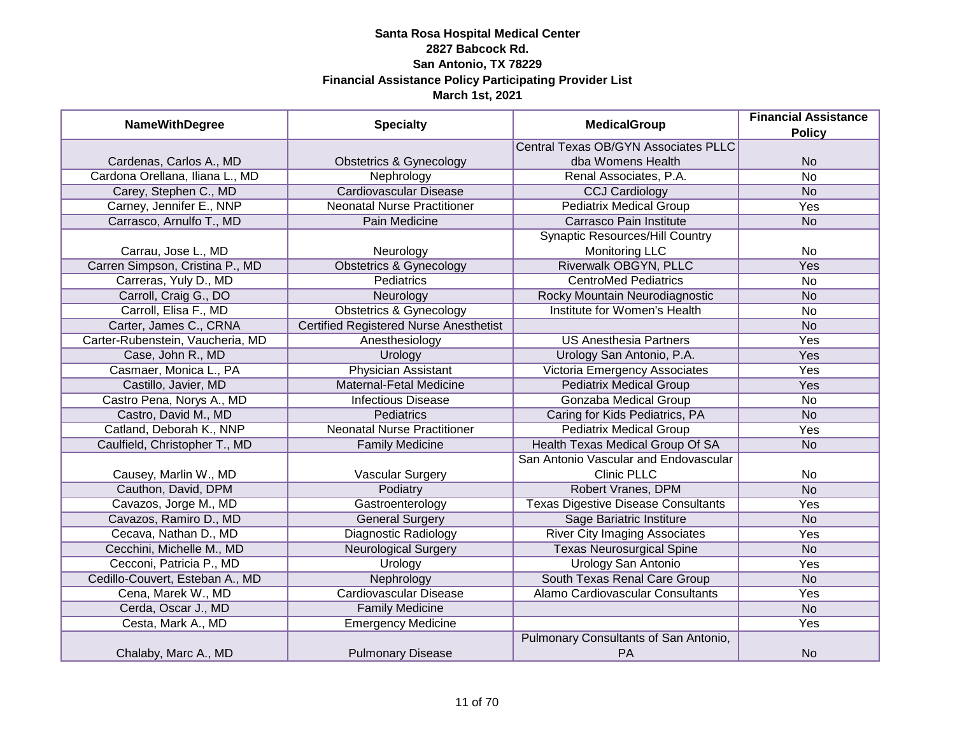| <b>NameWithDegree</b>            | <b>Specialty</b>                              | <b>MedicalGroup</b>                         | <b>Financial Assistance</b><br><b>Policy</b> |
|----------------------------------|-----------------------------------------------|---------------------------------------------|----------------------------------------------|
|                                  |                                               | Central Texas OB/GYN Associates PLLC        |                                              |
| Cardenas, Carlos A., MD          | <b>Obstetrics &amp; Gynecology</b>            | dba Womens Health                           | <b>No</b>                                    |
| Cardona Orellana, Iliana L., MD  | Nephrology                                    | Renal Associates, P.A.                      | $\overline{No}$                              |
| Carey, Stephen C., MD            | <b>Cardiovascular Disease</b>                 | <b>CCJ Cardiology</b>                       | <b>No</b>                                    |
| Carney, Jennifer E., NNP         | <b>Neonatal Nurse Practitioner</b>            | <b>Pediatrix Medical Group</b>              | Yes                                          |
| Carrasco, Arnulfo T., MD         | Pain Medicine                                 | Carrasco Pain Institute                     | <b>No</b>                                    |
|                                  |                                               | <b>Synaptic Resources/Hill Country</b>      |                                              |
| Carrau, Jose L., MD              | Neurology                                     | <b>Monitoring LLC</b>                       | <b>No</b>                                    |
| Carren Simpson, Cristina P., MD  | <b>Obstetrics &amp; Gynecology</b>            | Riverwalk OBGYN, PLLC                       | Yes                                          |
| Carreras, Yuly D., MD            | Pediatrics                                    | <b>CentroMed Pediatrics</b>                 | No                                           |
| Carroll, Craig G., DO            | Neurology                                     | Rocky Mountain Neurodiagnostic              | <b>No</b>                                    |
| Carroll, Elisa F., MD            | <b>Obstetrics &amp; Gynecology</b>            | Institute for Women's Health                | No                                           |
| Carter, James C., CRNA           | <b>Certified Registered Nurse Anesthetist</b> |                                             | <b>No</b>                                    |
| Carter-Rubenstein, Vaucheria, MD | Anesthesiology                                | <b>US Anesthesia Partners</b>               | Yes                                          |
| Case, John R., MD                | Urology                                       | Urology San Antonio, P.A.                   | Yes                                          |
| Casmaer, Monica L., PA           | <b>Physician Assistant</b>                    | Victoria Emergency Associates               | Yes                                          |
| Castillo, Javier, MD             | <b>Maternal-Fetal Medicine</b>                | <b>Pediatrix Medical Group</b>              | Yes                                          |
| Castro Pena, Norys A., MD        | <b>Infectious Disease</b>                     | Gonzaba Medical Group                       | <b>No</b>                                    |
| Castro, David M., MD             | Pediatrics                                    | Caring for Kids Pediatrics, PA              | <b>No</b>                                    |
| Catland, Deborah K., NNP         | <b>Neonatal Nurse Practitioner</b>            | <b>Pediatrix Medical Group</b>              | Yes                                          |
| Caulfield, Christopher T., MD    | <b>Family Medicine</b>                        | Health Texas Medical Group Of SA            | <b>No</b>                                    |
|                                  |                                               | San Antonio Vascular and Endovascular       |                                              |
| Causey, Marlin W., MD            | <b>Vascular Surgery</b>                       | <b>Clinic PLLC</b>                          | <b>No</b>                                    |
| Cauthon, David, DPM              | Podiatry                                      | Robert Vranes, DPM                          | <b>No</b>                                    |
| Cavazos, Jorge M., MD            | Gastroenterology                              | <b>Texas Digestive Disease Consultants</b>  | Yes                                          |
| Cavazos, Ramiro D., MD           | <b>General Surgery</b>                        | Sage Bariatric Institure                    | <b>No</b>                                    |
| Cecava, Nathan D., MD            | <b>Diagnostic Radiology</b>                   | <b>River City Imaging Associates</b>        | Yes                                          |
| Cecchini, Michelle M., MD        | <b>Neurological Surgery</b>                   | <b>Texas Neurosurgical Spine</b>            | <b>No</b>                                    |
| Cecconi, Patricia P., MD         | Urology                                       | <b>Urology San Antonio</b>                  | Yes                                          |
| Cedillo-Couvert, Esteban A., MD  | Nephrology                                    | South Texas Renal Care Group                | <b>No</b>                                    |
| Cena, Marek W., MD               | Cardiovascular Disease                        | Alamo Cardiovascular Consultants            | Yes                                          |
| Cerda, Oscar J., MD              | <b>Family Medicine</b>                        |                                             | <b>No</b>                                    |
| Cesta, Mark A., MD               | <b>Emergency Medicine</b>                     |                                             | <b>Yes</b>                                   |
| Chalaby, Marc A., MD             | <b>Pulmonary Disease</b>                      | Pulmonary Consultants of San Antonio,<br>PA | <b>No</b>                                    |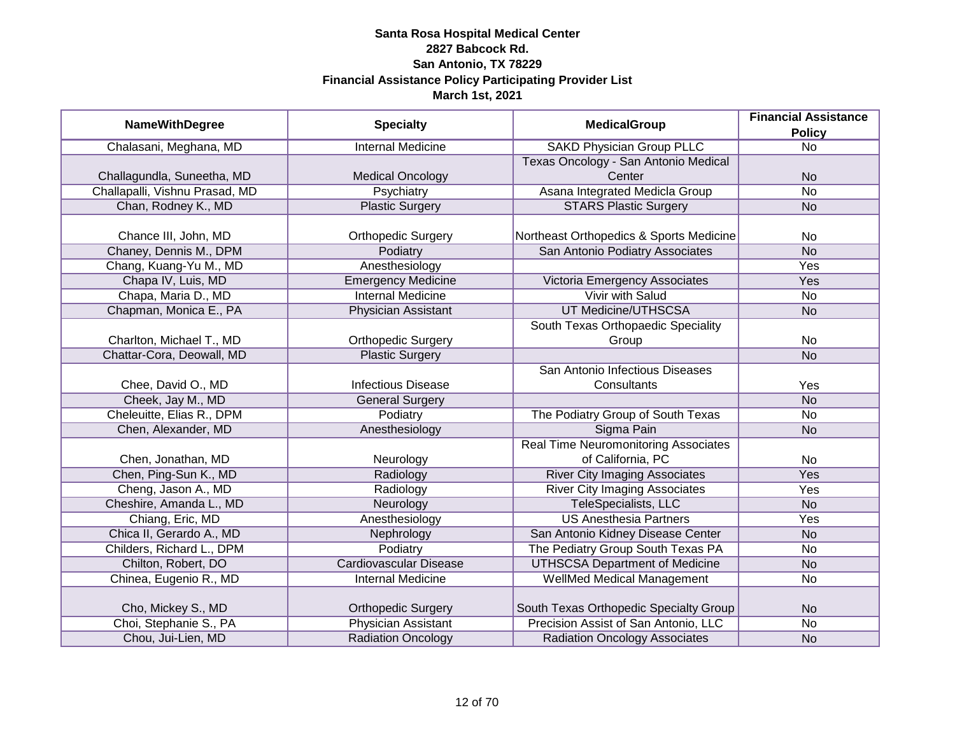|                                |                               | <b>MedicalGroup</b>                         | <b>Financial Assistance</b> |
|--------------------------------|-------------------------------|---------------------------------------------|-----------------------------|
| <b>NameWithDegree</b>          | <b>Specialty</b>              |                                             | <b>Policy</b>               |
| Chalasani, Meghana, MD         | <b>Internal Medicine</b>      | <b>SAKD Physician Group PLLC</b>            | $\overline{No}$             |
|                                |                               | Texas Oncology - San Antonio Medical        |                             |
| Challagundla, Suneetha, MD     | <b>Medical Oncology</b>       | Center                                      | <b>No</b>                   |
| Challapalli, Vishnu Prasad, MD | Psychiatry                    | Asana Integrated Medicla Group              | $\overline{No}$             |
| Chan, Rodney K., MD            | <b>Plastic Surgery</b>        | <b>STARS Plastic Surgery</b>                | <b>No</b>                   |
|                                |                               |                                             |                             |
| Chance III, John, MD           | <b>Orthopedic Surgery</b>     | Northeast Orthopedics & Sports Medicine     | No.                         |
| Chaney, Dennis M., DPM         | Podiatry                      | San Antonio Podiatry Associates             | <b>No</b>                   |
| Chang, Kuang-Yu M., MD         | Anesthesiology                |                                             | Yes                         |
| Chapa IV, Luis, MD             | <b>Emergency Medicine</b>     | Victoria Emergency Associates               | Yes                         |
| Chapa, Maria D., MD            | <b>Internal Medicine</b>      | <b>Vivir with Salud</b>                     | <b>No</b>                   |
| Chapman, Monica E., PA         | <b>Physician Assistant</b>    | <b>UT Medicine/UTHSCSA</b>                  | <b>No</b>                   |
|                                |                               | South Texas Orthopaedic Speciality          |                             |
| Charlton, Michael T., MD       | <b>Orthopedic Surgery</b>     | Group                                       | <b>No</b>                   |
| Chattar-Cora, Deowall, MD      | <b>Plastic Surgery</b>        |                                             | <b>No</b>                   |
|                                |                               | San Antonio Infectious Diseases             |                             |
| Chee, David O., MD             | <b>Infectious Disease</b>     | Consultants                                 | Yes                         |
| Cheek, Jay M., MD              | <b>General Surgery</b>        |                                             | <b>No</b>                   |
| Cheleuitte, Elias R., DPM      | Podiatry                      | The Podiatry Group of South Texas           | <b>No</b>                   |
| Chen, Alexander, MD            | Anesthesiology                | Sigma Pain                                  | <b>No</b>                   |
|                                |                               | <b>Real Time Neuromonitoring Associates</b> |                             |
| Chen, Jonathan, MD             | Neurology                     | of California, PC                           | No                          |
| Chen, Ping-Sun K., MD          | Radiology                     | <b>River City Imaging Associates</b>        | Yes                         |
| Cheng, Jason A., MD            | Radiology                     | <b>River City Imaging Associates</b>        | Yes                         |
| Cheshire, Amanda L., MD        | Neurology                     | TeleSpecialists, LLC                        | <b>No</b>                   |
| Chiang, Eric, MD               | Anesthesiology                | <b>US Anesthesia Partners</b>               | Yes                         |
| Chica II, Gerardo A., MD       | Nephrology                    | San Antonio Kidney Disease Center           | <b>No</b>                   |
| Childers, Richard L., DPM      | Podiatry                      | The Pediatry Group South Texas PA           | <b>No</b>                   |
| Chilton, Robert, DO            | <b>Cardiovascular Disease</b> | <b>UTHSCSA Department of Medicine</b>       | <b>No</b>                   |
| Chinea, Eugenio R., MD         | <b>Internal Medicine</b>      | WellMed Medical Management                  | No                          |
|                                |                               |                                             |                             |
| Cho, Mickey S., MD             | <b>Orthopedic Surgery</b>     | South Texas Orthopedic Specialty Group      | <b>No</b>                   |
| Choi, Stephanie S., PA         | <b>Physician Assistant</b>    | Precision Assist of San Antonio, LLC        | No                          |
| Chou, Jui-Lien, MD             | <b>Radiation Oncology</b>     | <b>Radiation Oncology Associates</b>        | <b>No</b>                   |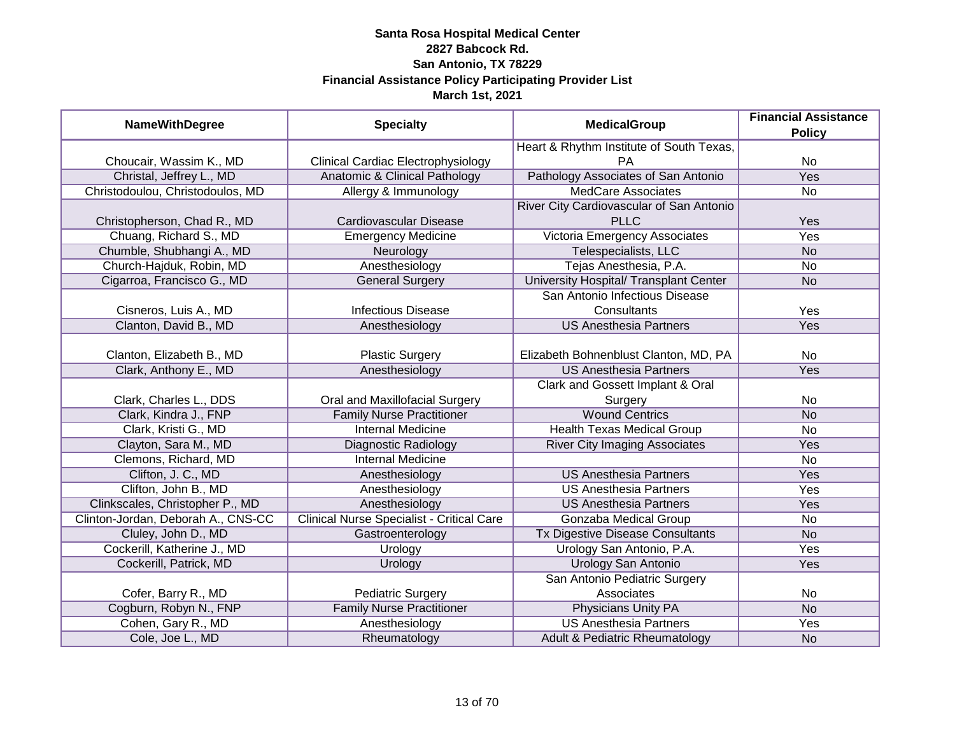| <b>NameWithDegree</b>              | <b>Specialty</b>                                 | <b>MedicalGroup</b>                      | <b>Financial Assistance</b><br><b>Policy</b> |
|------------------------------------|--------------------------------------------------|------------------------------------------|----------------------------------------------|
|                                    |                                                  | Heart & Rhythm Institute of South Texas, |                                              |
| Choucair, Wassim K., MD            | <b>Clinical Cardiac Electrophysiology</b>        | <b>PA</b>                                | No                                           |
| Christal, Jeffrey L., MD           | Anatomic & Clinical Pathology                    | Pathology Associates of San Antonio      | <b>Yes</b>                                   |
| Christodoulou, Christodoulos, MD   | Allergy & Immunology                             | <b>MedCare Associates</b>                | No                                           |
|                                    |                                                  | River City Cardiovascular of San Antonio |                                              |
| Christopherson, Chad R., MD        | Cardiovascular Disease                           | <b>PLLC</b>                              | Yes                                          |
| Chuang, Richard S., MD             | <b>Emergency Medicine</b>                        | <b>Victoria Emergency Associates</b>     | Yes                                          |
| Chumble, Shubhangi A., MD          | Neurology                                        | Telespecialists, LLC                     | <b>No</b>                                    |
| Church-Hajduk, Robin, MD           | Anesthesiology                                   | Tejas Anesthesia, P.A.                   | No                                           |
| Cigarroa, Francisco G., MD         | <b>General Surgery</b>                           | University Hospital/ Transplant Center   | <b>No</b>                                    |
|                                    |                                                  | San Antonio Infectious Disease           |                                              |
| Cisneros, Luis A., MD              | <b>Infectious Disease</b>                        | Consultants                              | Yes                                          |
| Clanton, David B., MD              | Anesthesiology                                   | <b>US Anesthesia Partners</b>            | Yes                                          |
|                                    |                                                  |                                          |                                              |
| Clanton, Elizabeth B., MD          | <b>Plastic Surgery</b>                           | Elizabeth Bohnenblust Clanton, MD, PA    | No                                           |
| Clark, Anthony E., MD              | Anesthesiology                                   | <b>US Anesthesia Partners</b>            | Yes                                          |
|                                    |                                                  | Clark and Gossett Implant & Oral         |                                              |
| Clark, Charles L., DDS             | Oral and Maxillofacial Surgery                   | Surgery                                  | No                                           |
| Clark, Kindra J., FNP              | <b>Family Nurse Practitioner</b>                 | <b>Wound Centrics</b>                    | <b>No</b>                                    |
| Clark, Kristi G., MD               | <b>Internal Medicine</b>                         | <b>Health Texas Medical Group</b>        | No                                           |
| Clayton, Sara M., MD               | <b>Diagnostic Radiology</b>                      | <b>River City Imaging Associates</b>     | Yes                                          |
| Clemons, Richard, MD               | <b>Internal Medicine</b>                         |                                          | No                                           |
| Clifton, J. C., MD                 | Anesthesiology                                   | <b>US Anesthesia Partners</b>            | Yes                                          |
| Clifton, John B., MD               | Anesthesiology                                   | <b>US Anesthesia Partners</b>            | Yes                                          |
| Clinkscales, Christopher P., MD    | Anesthesiology                                   | <b>US Anesthesia Partners</b>            | Yes                                          |
| Clinton-Jordan, Deborah A., CNS-CC | <b>Clinical Nurse Specialist - Critical Care</b> | Gonzaba Medical Group                    | No                                           |
| Cluley, John D., MD                | Gastroenterology                                 | Tx Digestive Disease Consultants         | <b>No</b>                                    |
| Cockerill, Katherine J., MD        | Urology                                          | Urology San Antonio, P.A.                | Yes                                          |
| Cockerill, Patrick, MD             | Urology                                          | <b>Urology San Antonio</b>               | Yes                                          |
|                                    |                                                  | San Antonio Pediatric Surgery            |                                              |
| Cofer, Barry R., MD                | <b>Pediatric Surgery</b>                         | Associates                               | No                                           |
| Cogburn, Robyn N., FNP             | <b>Family Nurse Practitioner</b>                 | <b>Physicians Unity PA</b>               | <b>No</b>                                    |
| Cohen, Gary R., MD                 | Anesthesiology                                   | <b>US Anesthesia Partners</b>            | Yes                                          |
| Cole, Joe L., MD                   | Rheumatology                                     | Adult & Pediatric Rheumatology           | <b>No</b>                                    |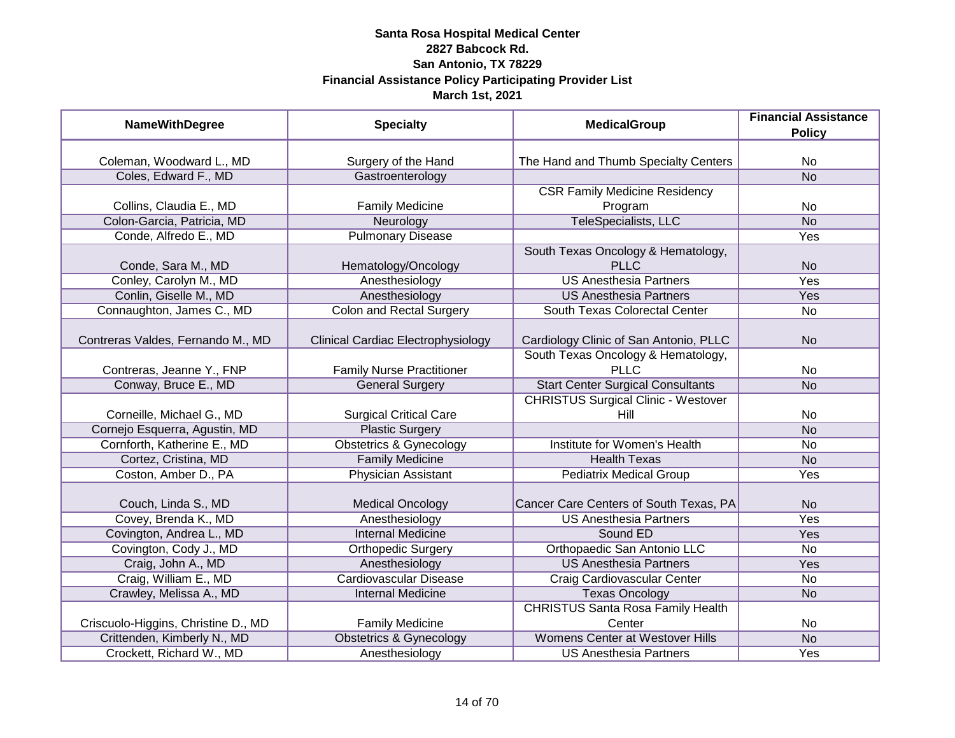| <b>NameWithDegree</b>               | <b>Specialty</b>                   | <b>MedicalGroup</b>                        | <b>Financial Assistance</b><br><b>Policy</b> |
|-------------------------------------|------------------------------------|--------------------------------------------|----------------------------------------------|
|                                     |                                    |                                            |                                              |
| Coleman, Woodward L., MD            | Surgery of the Hand                | The Hand and Thumb Specialty Centers       | N <sub>o</sub>                               |
| Coles, Edward F., MD                | Gastroenterology                   |                                            | <b>No</b>                                    |
|                                     |                                    | <b>CSR Family Medicine Residency</b>       |                                              |
| Collins, Claudia E., MD             | <b>Family Medicine</b>             | Program                                    | No                                           |
| Colon-Garcia, Patricia, MD          | Neurology                          | TeleSpecialists, LLC                       | <b>No</b>                                    |
| Conde, Alfredo E., MD               | <b>Pulmonary Disease</b>           |                                            | Yes                                          |
|                                     |                                    | South Texas Oncology & Hematology,         |                                              |
| Conde, Sara M., MD                  | Hematology/Oncology                | PLLC                                       | <b>No</b>                                    |
| Conley, Carolyn M., MD              | Anesthesiology                     | <b>US Anesthesia Partners</b>              | Yes                                          |
| Conlin, Giselle M., MD              | Anesthesiology                     | <b>US Anesthesia Partners</b>              | Yes                                          |
| Connaughton, James C., MD           | <b>Colon and Rectal Surgery</b>    | South Texas Colorectal Center              | No                                           |
|                                     |                                    |                                            |                                              |
| Contreras Valdes, Fernando M., MD   | Clinical Cardiac Electrophysiology | Cardiology Clinic of San Antonio, PLLC     | <b>No</b>                                    |
|                                     |                                    | South Texas Oncology & Hematology,         |                                              |
| Contreras, Jeanne Y., FNP           | <b>Family Nurse Practitioner</b>   | <b>PLLC</b>                                | No                                           |
| Conway, Bruce E., MD                | <b>General Surgery</b>             | <b>Start Center Surgical Consultants</b>   | <b>No</b>                                    |
|                                     |                                    | <b>CHRISTUS Surgical Clinic - Westover</b> |                                              |
| Corneille, Michael G., MD           | <b>Surgical Critical Care</b>      | Hill                                       | No                                           |
| Cornejo Esquerra, Agustin, MD       | <b>Plastic Surgery</b>             |                                            | <b>No</b>                                    |
| Cornforth, Katherine E., MD         | <b>Obstetrics &amp; Gynecology</b> | Institute for Women's Health               | <b>No</b>                                    |
| Cortez, Cristina, MD                | <b>Family Medicine</b>             | <b>Health Texas</b>                        | <b>No</b>                                    |
| Coston, Amber D., PA                | <b>Physician Assistant</b>         | <b>Pediatrix Medical Group</b>             | Yes                                          |
| Couch, Linda S., MD                 | <b>Medical Oncology</b>            | Cancer Care Centers of South Texas, PA     | <b>No</b>                                    |
| Covey, Brenda K., MD                | Anesthesiology                     | <b>US Anesthesia Partners</b>              | Yes                                          |
| Covington, Andrea L., MD            | <b>Internal Medicine</b>           | Sound ED                                   | Yes                                          |
| Covington, Cody J., MD              | <b>Orthopedic Surgery</b>          | Orthopaedic San Antonio LLC                | <b>No</b>                                    |
| Craig, John A., MD                  | Anesthesiology                     | <b>US Anesthesia Partners</b>              | <b>Yes</b>                                   |
| Craig, William E., MD               | <b>Cardiovascular Disease</b>      | Craig Cardiovascular Center                | <b>No</b>                                    |
| Crawley, Melissa A., MD             | <b>Internal Medicine</b>           | <b>Texas Oncology</b>                      | <b>No</b>                                    |
|                                     |                                    | <b>CHRISTUS Santa Rosa Family Health</b>   |                                              |
| Criscuolo-Higgins, Christine D., MD | <b>Family Medicine</b>             | Center                                     | No                                           |
| Crittenden, Kimberly N., MD         | <b>Obstetrics &amp; Gynecology</b> | <b>Womens Center at Westover Hills</b>     | N <sub>o</sub>                               |
| Crockett, Richard W., MD            | Anesthesiology                     | <b>US Anesthesia Partners</b>              | Yes                                          |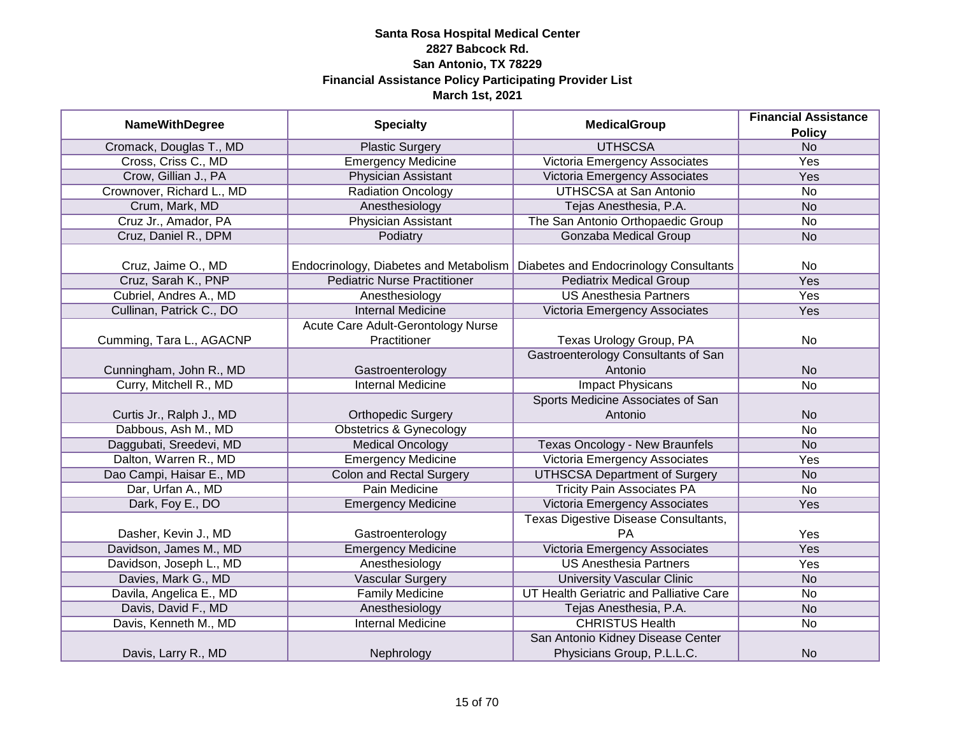| <b>NameWithDegree</b>     | <b>Specialty</b>                       | <b>MedicalGroup</b>                     | <b>Financial Assistance</b> |
|---------------------------|----------------------------------------|-----------------------------------------|-----------------------------|
|                           |                                        |                                         | <b>Policy</b>               |
| Cromack, Douglas T., MD   | <b>Plastic Surgery</b>                 | <b>UTHSCSA</b>                          | N <sub>o</sub>              |
| Cross, Criss C., MD       | <b>Emergency Medicine</b>              | Victoria Emergency Associates           | <b>Yes</b>                  |
| Crow, Gillian J., PA      | <b>Physician Assistant</b>             | Victoria Emergency Associates           | <b>Yes</b>                  |
| Crownover, Richard L., MD | <b>Radiation Oncology</b>              | <b>UTHSCSA at San Antonio</b>           | $\overline{No}$             |
| Crum, Mark, MD            | Anesthesiology                         | Tejas Anesthesia, P.A.                  | <b>No</b>                   |
| Cruz Jr., Amador, PA      | Physician Assistant                    | The San Antonio Orthopaedic Group       | No                          |
| Cruz, Daniel R., DPM      | Podiatry                               | <b>Gonzaba Medical Group</b>            | <b>No</b>                   |
|                           |                                        |                                         |                             |
| Cruz, Jaime O., MD        | Endocrinology, Diabetes and Metabolism | Diabetes and Endocrinology Consultants  | No                          |
| Cruz, Sarah K., PNP       | <b>Pediatric Nurse Practitioner</b>    | <b>Pediatrix Medical Group</b>          | Yes                         |
| Cubriel, Andres A., MD    | Anesthesiology                         | <b>US Anesthesia Partners</b>           | Yes                         |
| Cullinan, Patrick C., DO  | <b>Internal Medicine</b>               | Victoria Emergency Associates           | Yes                         |
|                           | Acute Care Adult-Gerontology Nurse     |                                         |                             |
| Cumming, Tara L., AGACNP  | Practitioner                           | Texas Urology Group, PA                 | No                          |
|                           |                                        | Gastroenterology Consultants of San     |                             |
| Cunningham, John R., MD   | Gastroenterology                       | Antonio                                 | <b>No</b>                   |
| Curry, Mitchell R., MD    | <b>Internal Medicine</b>               | <b>Impact Physicans</b>                 | <b>No</b>                   |
|                           |                                        | Sports Medicine Associates of San       |                             |
| Curtis Jr., Ralph J., MD  | <b>Orthopedic Surgery</b>              | Antonio                                 | <b>No</b>                   |
| Dabbous, Ash M., MD       | <b>Obstetrics &amp; Gynecology</b>     |                                         | $\overline{No}$             |
| Daggubati, Sreedevi, MD   | <b>Medical Oncology</b>                | Texas Oncology - New Braunfels          | <b>No</b>                   |
| Dalton, Warren R., MD     | <b>Emergency Medicine</b>              | Victoria Emergency Associates           | Yes                         |
| Dao Campi, Haisar E., MD  | <b>Colon and Rectal Surgery</b>        | <b>UTHSCSA Department of Surgery</b>    | <b>No</b>                   |
| Dar, Urfan A., MD         | Pain Medicine                          | <b>Tricity Pain Associates PA</b>       | No                          |
| Dark, Foy E., DO          | <b>Emergency Medicine</b>              | Victoria Emergency Associates           | Yes                         |
|                           |                                        | Texas Digestive Disease Consultants,    |                             |
| Dasher, Kevin J., MD      | Gastroenterology                       | PA                                      | Yes                         |
| Davidson, James M., MD    | <b>Emergency Medicine</b>              | Victoria Emergency Associates           | Yes                         |
| Davidson, Joseph L., MD   | Anesthesiology                         | <b>US Anesthesia Partners</b>           | Yes                         |
| Davies, Mark G., MD       | <b>Vascular Surgery</b>                | <b>University Vascular Clinic</b>       | <b>No</b>                   |
| Davila, Angelica E., MD   | <b>Family Medicine</b>                 | UT Health Geriatric and Palliative Care | No                          |
| Davis, David F., MD       | Anesthesiology                         | Tejas Anesthesia, P.A.                  | <b>No</b>                   |
| Davis, Kenneth M., MD     | <b>Internal Medicine</b>               | <b>CHRISTUS Health</b>                  | $\overline{No}$             |
|                           |                                        | San Antonio Kidney Disease Center       |                             |
| Davis, Larry R., MD       | Nephrology                             | Physicians Group, P.L.L.C.              | <b>No</b>                   |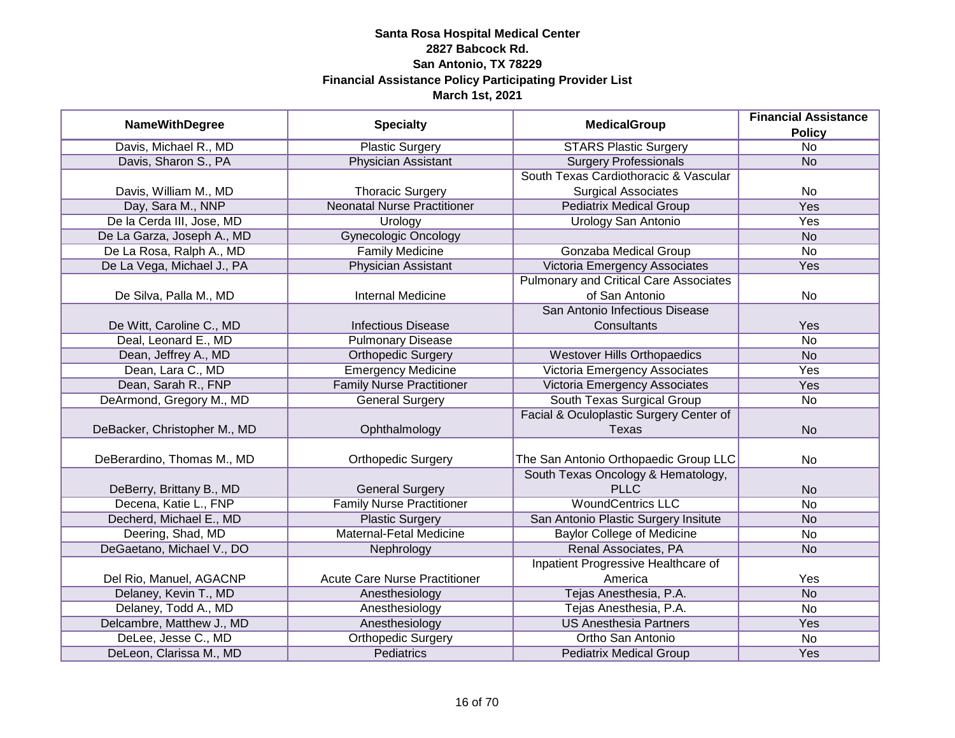|                              | <b>Specialty</b>                     | <b>MedicalGroup</b>                           | <b>Financial Assistance</b> |
|------------------------------|--------------------------------------|-----------------------------------------------|-----------------------------|
| <b>NameWithDegree</b>        |                                      |                                               | <b>Policy</b>               |
| Davis, Michael R., MD        | <b>Plastic Surgery</b>               | <b>STARS Plastic Surgery</b>                  | $\overline{No}$             |
| Davis, Sharon S., PA         | <b>Physician Assistant</b>           | <b>Surgery Professionals</b>                  | <b>No</b>                   |
|                              |                                      | South Texas Cardiothoracic & Vascular         |                             |
| Davis, William M., MD        | <b>Thoracic Surgery</b>              | <b>Surgical Associates</b>                    | No                          |
| Day, Sara M., NNP            | <b>Neonatal Nurse Practitioner</b>   | <b>Pediatrix Medical Group</b>                | <b>Yes</b>                  |
| De la Cerda III, Jose, MD    | Urology                              | Urology San Antonio                           | Yes                         |
| De La Garza, Joseph A., MD   | <b>Gynecologic Oncology</b>          |                                               | <b>No</b>                   |
| De La Rosa, Ralph A., MD     | <b>Family Medicine</b>               | <b>Gonzaba Medical Group</b>                  | <b>No</b>                   |
| De La Vega, Michael J., PA   | Physician Assistant                  | Victoria Emergency Associates                 | Yes                         |
|                              |                                      | <b>Pulmonary and Critical Care Associates</b> |                             |
| De Silva, Palla M., MD       | <b>Internal Medicine</b>             | of San Antonio                                | No                          |
|                              |                                      | San Antonio Infectious Disease                |                             |
| De Witt, Caroline C., MD     | <b>Infectious Disease</b>            | Consultants                                   | Yes                         |
| Deal, Leonard E., MD         | <b>Pulmonary Disease</b>             |                                               | <b>No</b>                   |
| Dean, Jeffrey A., MD         | <b>Orthopedic Surgery</b>            | <b>Westover Hills Orthopaedics</b>            | <b>No</b>                   |
| Dean, Lara C., MD            | <b>Emergency Medicine</b>            | Victoria Emergency Associates                 | Yes                         |
| Dean, Sarah R., FNP          | <b>Family Nurse Practitioner</b>     | <b>Victoria Emergency Associates</b>          | Yes                         |
| DeArmond, Gregory M., MD     | <b>General Surgery</b>               | South Texas Surgical Group                    | No                          |
|                              |                                      | Facial & Oculoplastic Surgery Center of       |                             |
| DeBacker, Christopher M., MD | Ophthalmology                        | Texas                                         | <b>No</b>                   |
|                              |                                      |                                               |                             |
| DeBerardino, Thomas M., MD   | <b>Orthopedic Surgery</b>            | The San Antonio Orthopaedic Group LLC         | No                          |
|                              |                                      | South Texas Oncology & Hematology,            |                             |
| DeBerry, Brittany B., MD     | <b>General Surgery</b>               | <b>PLLC</b>                                   | <b>No</b>                   |
| Decena, Katie L., FNP        | <b>Family Nurse Practitioner</b>     | <b>WoundCentrics LLC</b>                      | <b>No</b>                   |
| Decherd, Michael E., MD      | <b>Plastic Surgery</b>               | San Antonio Plastic Surgery Insitute          | <b>No</b>                   |
| Deering, Shad, MD            | Maternal-Fetal Medicine              | <b>Baylor College of Medicine</b>             | No                          |
| DeGaetano, Michael V., DO    | Nephrology                           | Renal Associates, PA                          | <b>No</b>                   |
|                              |                                      | Inpatient Progressive Healthcare of           |                             |
| Del Rio, Manuel, AGACNP      | <b>Acute Care Nurse Practitioner</b> | America                                       | Yes                         |
| Delaney, Kevin T., MD        | Anesthesiology                       | Tejas Anesthesia, P.A.                        | <b>No</b>                   |
| Delaney, Todd A., MD         | Anesthesiology                       | Tejas Anesthesia, P.A.                        | No                          |
| Delcambre, Matthew J., MD    | Anesthesiology                       | <b>US Anesthesia Partners</b>                 | Yes                         |
| DeLee, Jesse C., MD          | <b>Orthopedic Surgery</b>            | Ortho San Antonio                             | No                          |
| DeLeon, Clarissa M., MD      | <b>Pediatrics</b>                    | <b>Pediatrix Medical Group</b>                | Yes                         |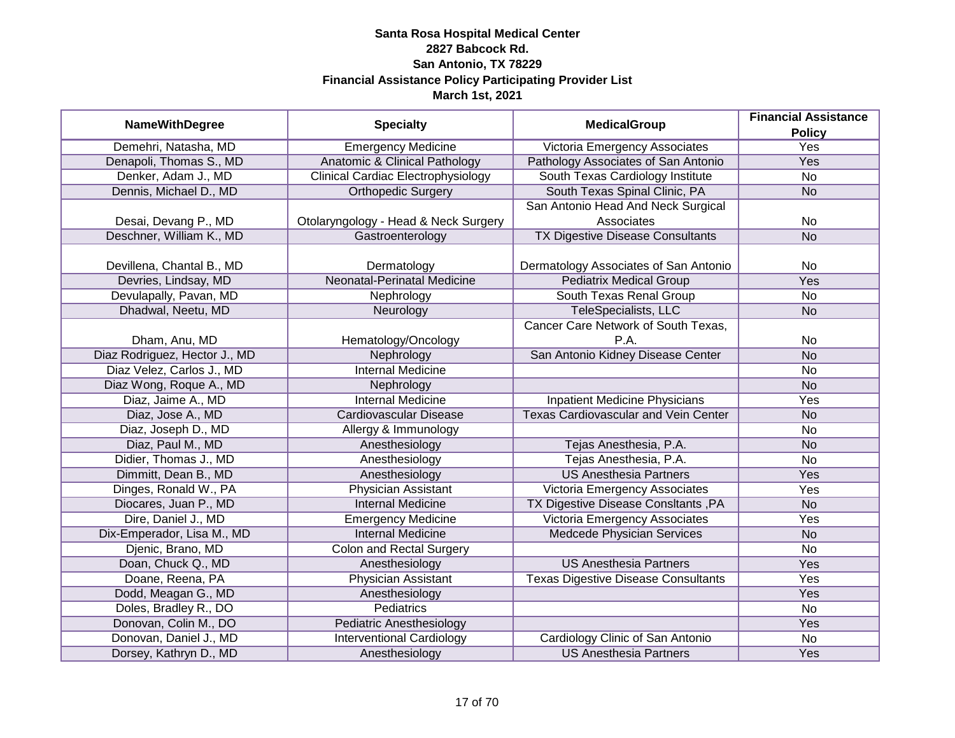| <b>NameWithDegree</b>         | <b>Specialty</b>                          | <b>MedicalGroup</b>                         | <b>Financial Assistance</b> |
|-------------------------------|-------------------------------------------|---------------------------------------------|-----------------------------|
| Demehri, Natasha, MD          | <b>Emergency Medicine</b>                 | Victoria Emergency Associates               | <b>Policy</b><br>Yes        |
| Denapoli, Thomas S., MD       | <b>Anatomic &amp; Clinical Pathology</b>  | Pathology Associates of San Antonio         | Yes                         |
| Denker, Adam J., MD           |                                           |                                             | <b>No</b>                   |
|                               | <b>Clinical Cardiac Electrophysiology</b> | South Texas Cardiology Institute            |                             |
| Dennis, Michael D., MD        | <b>Orthopedic Surgery</b>                 | South Texas Spinal Clinic, PA               | <b>No</b>                   |
|                               |                                           | San Antonio Head And Neck Surgical          |                             |
| Desai, Devang P., MD          | Otolaryngology - Head & Neck Surgery      | Associates                                  | <b>No</b>                   |
| Deschner, William K., MD      | Gastroenterology                          | TX Digestive Disease Consultants            | N <sub>o</sub>              |
| Devillena, Chantal B., MD     | Dermatology                               | Dermatology Associates of San Antonio       | No                          |
| Devries, Lindsay, MD          | Neonatal-Perinatal Medicine               | <b>Pediatrix Medical Group</b>              | Yes                         |
| Devulapally, Pavan, MD        | Nephrology                                | South Texas Renal Group                     | No                          |
| Dhadwal, Neetu, MD            | Neurology                                 | <b>TeleSpecialists, LLC</b>                 | <b>No</b>                   |
|                               |                                           | Cancer Care Network of South Texas,         |                             |
| Dham, Anu, MD                 | Hematology/Oncology                       | P.A.                                        | No                          |
| Diaz Rodriguez, Hector J., MD | Nephrology                                | San Antonio Kidney Disease Center           | <b>No</b>                   |
| Diaz Velez, Carlos J., MD     | <b>Internal Medicine</b>                  |                                             | No                          |
| Diaz Wong, Roque A., MD       | Nephrology                                |                                             | <b>No</b>                   |
| Diaz, Jaime A., MD            | <b>Internal Medicine</b>                  | <b>Inpatient Medicine Physicians</b>        | Yes                         |
| Diaz, Jose A., MD             | Cardiovascular Disease                    | <b>Texas Cardiovascular and Vein Center</b> | <b>No</b>                   |
| Diaz, Joseph D., MD           | Allergy & Immunology                      |                                             | <b>No</b>                   |
| Diaz, Paul M., MD             | Anesthesiology                            | Tejas Anesthesia, P.A.                      | <b>No</b>                   |
| Didier, Thomas J., MD         | Anesthesiology                            | Tejas Anesthesia, P.A.                      | <b>No</b>                   |
| Dimmitt, Dean B., MD          | Anesthesiology                            | <b>US Anesthesia Partners</b>               | Yes                         |
| Dinges, Ronald W., PA         | Physician Assistant                       | Victoria Emergency Associates               | Yes                         |
| Diocares, Juan P., MD         | <b>Internal Medicine</b>                  | TX Digestive Disease ConsItants, PA         | <b>No</b>                   |
| Dire, Daniel J., MD           | <b>Emergency Medicine</b>                 | Victoria Emergency Associates               | Yes                         |
| Dix-Emperador, Lisa M., MD    | <b>Internal Medicine</b>                  | Medcede Physician Services                  | <b>No</b>                   |
| Djenic, Brano, MD             | <b>Colon and Rectal Surgery</b>           |                                             | <b>No</b>                   |
| Doan, Chuck Q., MD            | Anesthesiology                            | <b>US Anesthesia Partners</b>               | Yes                         |
| Doane, Reena, PA              | <b>Physician Assistant</b>                | <b>Texas Digestive Disease Consultants</b>  | Yes                         |
| Dodd, Meagan G., MD           | Anesthesiology                            |                                             | Yes                         |
| Doles, Bradley R., DO         | Pediatrics                                |                                             | <b>No</b>                   |
| Donovan, Colin M., DO         | <b>Pediatric Anesthesiology</b>           |                                             | Yes                         |
| Donovan, Daniel J., MD        | <b>Interventional Cardiology</b>          | Cardiology Clinic of San Antonio            | <b>No</b>                   |
| Dorsey, Kathryn D., MD        | Anesthesiology                            | <b>US Anesthesia Partners</b>               | Yes                         |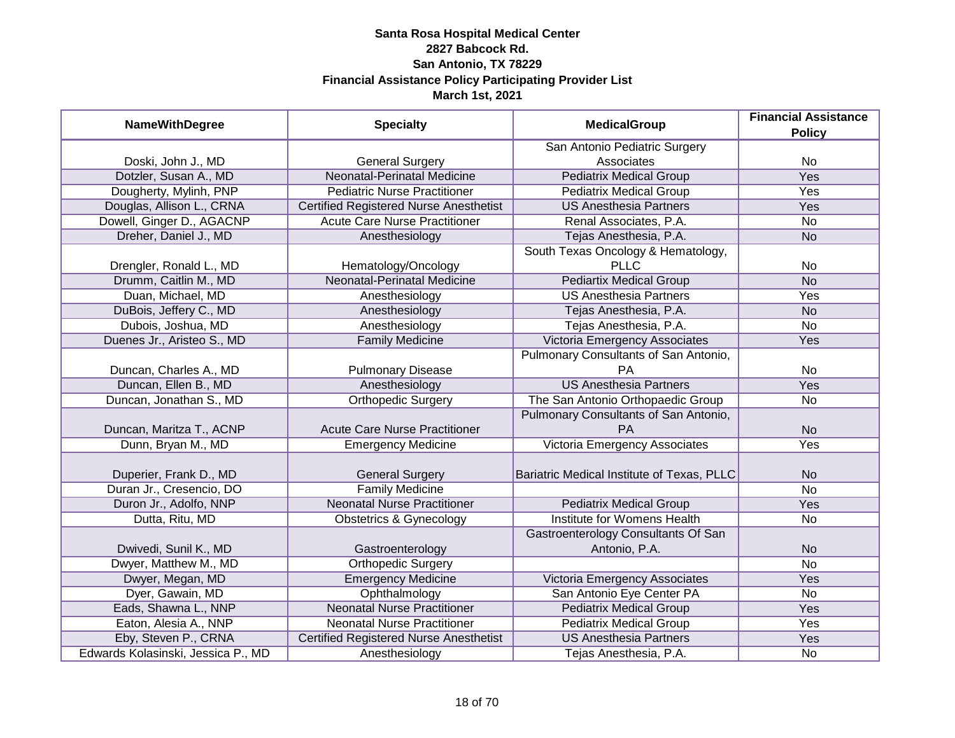| <b>NameWithDegree</b>              | <b>Specialty</b>                              | <b>MedicalGroup</b>                                  | <b>Financial Assistance</b><br><b>Policy</b> |
|------------------------------------|-----------------------------------------------|------------------------------------------------------|----------------------------------------------|
|                                    |                                               | San Antonio Pediatric Surgery                        |                                              |
| Doski, John J., MD                 | <b>General Surgery</b>                        | Associates                                           | No                                           |
| Dotzler, Susan A., MD              | <b>Neonatal-Perinatal Medicine</b>            | <b>Pediatrix Medical Group</b>                       | <b>Yes</b>                                   |
| Dougherty, Mylinh, PNP             | <b>Pediatric Nurse Practitioner</b>           | <b>Pediatrix Medical Group</b>                       | <b>Yes</b>                                   |
| Douglas, Allison L., CRNA          | <b>Certified Registered Nurse Anesthetist</b> | <b>US Anesthesia Partners</b>                        | <b>Yes</b>                                   |
| Dowell, Ginger D., AGACNP          | <b>Acute Care Nurse Practitioner</b>          | Renal Associates, P.A.                               | <b>No</b>                                    |
| Dreher, Daniel J., MD              | Anesthesiology                                | Tejas Anesthesia, P.A.                               | <b>No</b>                                    |
|                                    |                                               | South Texas Oncology & Hematology,                   |                                              |
| Drengler, Ronald L., MD            | Hematology/Oncology                           | <b>PLLC</b>                                          | No                                           |
| Drumm, Caitlin M., MD              | Neonatal-Perinatal Medicine                   | <b>Pediartix Medical Group</b>                       | <b>No</b>                                    |
| Duan, Michael, MD                  | Anesthesiology                                | <b>US Anesthesia Partners</b>                        | Yes                                          |
| DuBois, Jeffery C., MD             | Anesthesiology                                | Tejas Anesthesia, P.A.                               | <b>No</b>                                    |
| Dubois, Joshua, MD                 | Anesthesiology                                | Tejas Anesthesia, P.A.                               | No                                           |
| Duenes Jr., Aristeo S., MD         | <b>Family Medicine</b>                        | Victoria Emergency Associates                        | Yes                                          |
|                                    |                                               | Pulmonary Consultants of San Antonio,                |                                              |
| Duncan, Charles A., MD             | <b>Pulmonary Disease</b>                      | <b>PA</b>                                            | No                                           |
| Duncan, Ellen B., MD               | Anesthesiology                                | <b>US Anesthesia Partners</b>                        | Yes                                          |
| Duncan, Jonathan S., MD            | Orthopedic Surgery                            | The San Antonio Orthopaedic Group                    | <b>No</b>                                    |
| Duncan, Maritza T., ACNP           | <b>Acute Care Nurse Practitioner</b>          | Pulmonary Consultants of San Antonio,<br>PA          | <b>No</b>                                    |
| Dunn, Bryan M., MD                 | <b>Emergency Medicine</b>                     | Victoria Emergency Associates                        | Yes                                          |
| Duperier, Frank D., MD             | <b>General Surgery</b>                        | Bariatric Medical Institute of Texas, PLLC           | <b>No</b>                                    |
| Duran Jr., Cresencio, DO           | <b>Family Medicine</b>                        |                                                      | $\overline{No}$                              |
| Duron Jr., Adolfo, NNP             | <b>Neonatal Nurse Practitioner</b>            | <b>Pediatrix Medical Group</b>                       | Yes                                          |
| Dutta, Ritu, MD                    | <b>Obstetrics &amp; Gynecology</b>            | Institute for Womens Health                          | No                                           |
| Dwivedi, Sunil K., MD              | Gastroenterology                              | Gastroenterology Consultants Of San<br>Antonio, P.A. | <b>No</b>                                    |
| Dwyer, Matthew M., MD              | <b>Orthopedic Surgery</b>                     |                                                      | <b>No</b>                                    |
| Dwyer, Megan, MD                   | <b>Emergency Medicine</b>                     | Victoria Emergency Associates                        | Yes                                          |
| Dyer, Gawain, MD                   | Ophthalmology                                 | San Antonio Eye Center PA                            | No                                           |
| Eads, Shawna L., NNP               | <b>Neonatal Nurse Practitioner</b>            | <b>Pediatrix Medical Group</b>                       | Yes                                          |
| Eaton, Alesia A., NNP              | <b>Neonatal Nurse Practitioner</b>            | <b>Pediatrix Medical Group</b>                       | Yes                                          |
| Eby, Steven P., CRNA               | <b>Certified Registered Nurse Anesthetist</b> | <b>US Anesthesia Partners</b>                        | <b>Yes</b>                                   |
| Edwards Kolasinski, Jessica P., MD | Anesthesiology                                | Tejas Anesthesia, P.A.                               | No                                           |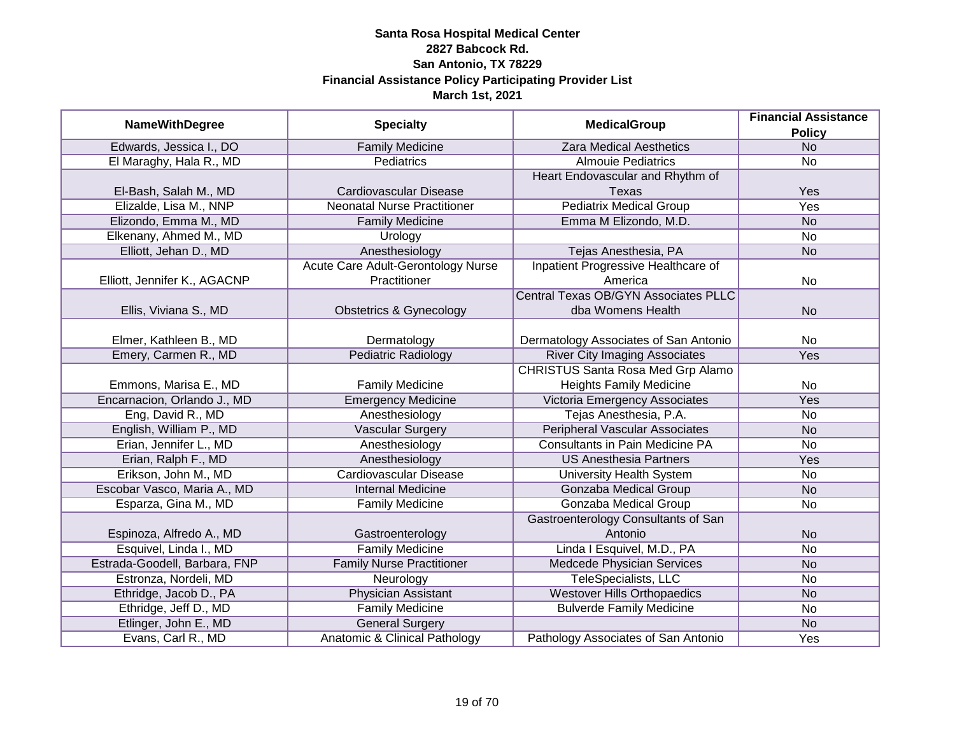|                               | <b>MedicalGroup</b>                      | <b>Financial Assistance</b>                 |               |
|-------------------------------|------------------------------------------|---------------------------------------------|---------------|
| <b>NameWithDegree</b>         | <b>Specialty</b>                         |                                             | <b>Policy</b> |
| Edwards, Jessica I., DO       | <b>Family Medicine</b>                   | <b>Zara Medical Aesthetics</b>              | <b>No</b>     |
| El Maraghy, Hala R., MD       | Pediatrics                               | <b>Almouje Pediatrics</b>                   | <b>No</b>     |
|                               |                                          | Heart Endovascular and Rhythm of            |               |
| El-Bash, Salah M., MD         | <b>Cardiovascular Disease</b>            | Texas                                       | Yes           |
| Elizalde, Lisa M., NNP        | <b>Neonatal Nurse Practitioner</b>       | <b>Pediatrix Medical Group</b>              | <b>Yes</b>    |
| Elizondo, Emma M., MD         | <b>Family Medicine</b>                   | Emma M Elizondo, M.D.                       | <b>No</b>     |
| Elkenany, Ahmed M., MD        | Urology                                  |                                             | <b>No</b>     |
| Elliott, Jehan D., MD         | Anesthesiology                           | Tejas Anesthesia, PA                        | <b>No</b>     |
|                               | Acute Care Adult-Gerontology Nurse       | Inpatient Progressive Healthcare of         |               |
| Elliott, Jennifer K., AGACNP  | Practitioner                             | America                                     | <b>No</b>     |
|                               |                                          | <b>Central Texas OB/GYN Associates PLLC</b> |               |
| Ellis, Viviana S., MD         | <b>Obstetrics &amp; Gynecology</b>       | dba Womens Health                           | <b>No</b>     |
|                               |                                          |                                             |               |
| Elmer, Kathleen B., MD        | Dermatology                              | Dermatology Associates of San Antonio       | <b>No</b>     |
| Emery, Carmen R., MD          | Pediatric Radiology                      | <b>River City Imaging Associates</b>        | Yes           |
|                               |                                          | <b>CHRISTUS Santa Rosa Med Grp Alamo</b>    |               |
| Emmons, Marisa E., MD         | <b>Family Medicine</b>                   | <b>Heights Family Medicine</b>              | <b>No</b>     |
| Encarnacion, Orlando J., MD   | <b>Emergency Medicine</b>                | Victoria Emergency Associates               | Yes           |
| Eng, David R., MD             | Anesthesiology                           | Tejas Anesthesia, P.A.                      | No            |
| English, William P., MD       | <b>Vascular Surgery</b>                  | <b>Peripheral Vascular Associates</b>       | <b>No</b>     |
| Erian, Jennifer L., MD        | Anesthesiology                           | <b>Consultants in Pain Medicine PA</b>      | <b>No</b>     |
| Erian, Ralph F., MD           | Anesthesiology                           | <b>US Anesthesia Partners</b>               | Yes           |
| Erikson, John M., MD          | <b>Cardiovascular Disease</b>            | <b>University Health System</b>             | No            |
| Escobar Vasco, Maria A., MD   | <b>Internal Medicine</b>                 | Gonzaba Medical Group                       | <b>No</b>     |
| Esparza, Gina M., MD          | <b>Family Medicine</b>                   | Gonzaba Medical Group                       | <b>No</b>     |
|                               |                                          | Gastroenterology Consultants of San         |               |
| Espinoza, Alfredo A., MD      | Gastroenterology                         | Antonio                                     | <b>No</b>     |
| Esquivel, Linda I., MD        | <b>Family Medicine</b>                   | Linda I Esquivel, M.D., PA                  | <b>No</b>     |
| Estrada-Goodell, Barbara, FNP | <b>Family Nurse Practitioner</b>         | Medcede Physician Services                  | <b>No</b>     |
| Estronza, Nordeli, MD         | Neurology                                | <b>TeleSpecialists, LLC</b>                 | No            |
| Ethridge, Jacob D., PA        | <b>Physician Assistant</b>               | <b>Westover Hills Orthopaedics</b>          | <b>No</b>     |
| Ethridge, Jeff D., MD         | <b>Family Medicine</b>                   | <b>Bulverde Family Medicine</b>             | <b>No</b>     |
| Etlinger, John E., MD         | <b>General Surgery</b>                   |                                             | <b>No</b>     |
| Evans, Carl R., MD            | <b>Anatomic &amp; Clinical Pathology</b> | Pathology Associates of San Antonio         | Yes           |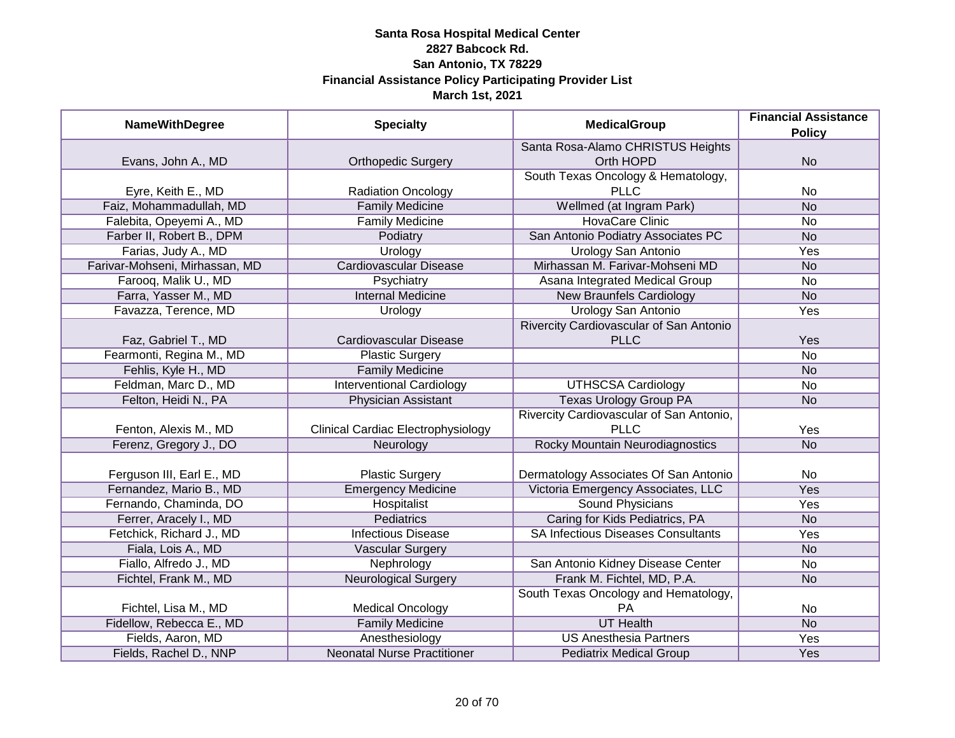| <b>NameWithDegree</b>          | <b>Specialty</b>                          | <b>MedicalGroup</b>                       | <b>Financial Assistance</b> |
|--------------------------------|-------------------------------------------|-------------------------------------------|-----------------------------|
|                                |                                           |                                           | <b>Policy</b>               |
|                                |                                           | Santa Rosa-Alamo CHRISTUS Heights         |                             |
| Evans, John A., MD             | <b>Orthopedic Surgery</b>                 | Orth HOPD                                 | <b>No</b>                   |
|                                |                                           | South Texas Oncology & Hematology,        |                             |
| Eyre, Keith E., MD             | <b>Radiation Oncology</b>                 | <b>PLLC</b>                               | No                          |
| Faiz, Mohammadullah, MD        | <b>Family Medicine</b>                    | Wellmed (at Ingram Park)                  | <b>No</b>                   |
| Falebita, Opeyemi A., MD       | <b>Family Medicine</b>                    | <b>HovaCare Clinic</b>                    | No                          |
| Farber II, Robert B., DPM      | Podiatry                                  | San Antonio Podiatry Associates PC        | <b>No</b>                   |
| Farias, Judy A., MD            | Urology                                   | <b>Urology San Antonio</b>                | Yes                         |
| Farivar-Mohseni, Mirhassan, MD | <b>Cardiovascular Disease</b>             | Mirhassan M. Farivar-Mohseni MD           | <b>No</b>                   |
| Farooq, Malik U., MD           | Psychiatry                                | Asana Integrated Medical Group            | <b>No</b>                   |
| Farra, Yasser M., MD           | <b>Internal Medicine</b>                  | <b>New Braunfels Cardiology</b>           | <b>No</b>                   |
| Favazza, Terence, MD           | Urology                                   | <b>Urology San Antonio</b>                | Yes                         |
|                                |                                           | Rivercity Cardiovascular of San Antonio   |                             |
| Faz, Gabriel T., MD            | Cardiovascular Disease                    | <b>PLLC</b>                               | Yes                         |
| Fearmonti, Regina M., MD       | <b>Plastic Surgery</b>                    |                                           | <b>No</b>                   |
| Fehlis, Kyle H., MD            | <b>Family Medicine</b>                    |                                           | <b>No</b>                   |
| Feldman, Marc D., MD           | <b>Interventional Cardiology</b>          | <b>UTHSCSA Cardiology</b>                 | No                          |
| Felton, Heidi N., PA           | <b>Physician Assistant</b>                | <b>Texas Urology Group PA</b>             | <b>No</b>                   |
|                                |                                           | Rivercity Cardiovascular of San Antonio,  |                             |
| Fenton, Alexis M., MD          | <b>Clinical Cardiac Electrophysiology</b> | <b>PLLC</b>                               | Yes                         |
| Ferenz, Gregory J., DO         | Neurology                                 | <b>Rocky Mountain Neurodiagnostics</b>    | <b>No</b>                   |
|                                |                                           |                                           |                             |
| Ferguson III, Earl E., MD      | <b>Plastic Surgery</b>                    | Dermatology Associates Of San Antonio     | No                          |
| Fernandez, Mario B., MD        | <b>Emergency Medicine</b>                 | Victoria Emergency Associates, LLC        | Yes                         |
| Fernando, Chaminda, DO         | Hospitalist                               | <b>Sound Physicians</b>                   | Yes                         |
| Ferrer, Aracely I., MD         | Pediatrics                                | Caring for Kids Pediatrics, PA            | <b>No</b>                   |
| Fetchick, Richard J., MD       | <b>Infectious Disease</b>                 | <b>SA Infectious Diseases Consultants</b> | Yes                         |
| Fiala, Lois A., MD             | <b>Vascular Surgery</b>                   |                                           | <b>No</b>                   |
| Fiallo, Alfredo J., MD         | Nephrology                                | San Antonio Kidney Disease Center         | No                          |
| Fichtel, Frank M., MD          | <b>Neurological Surgery</b>               | Frank M. Fichtel, MD, P.A.                | <b>No</b>                   |
|                                |                                           | South Texas Oncology and Hematology,      |                             |
| Fichtel, Lisa M., MD           | <b>Medical Oncology</b>                   | PA                                        | No                          |
| Fidellow, Rebecca E., MD       | <b>Family Medicine</b>                    | <b>UT Health</b>                          | N <sub>o</sub>              |
| Fields, Aaron, MD              | Anesthesiology                            | <b>US Anesthesia Partners</b>             | <b>Yes</b>                  |
| Fields, Rachel D., NNP         | <b>Neonatal Nurse Practitioner</b>        | <b>Pediatrix Medical Group</b>            | Yes                         |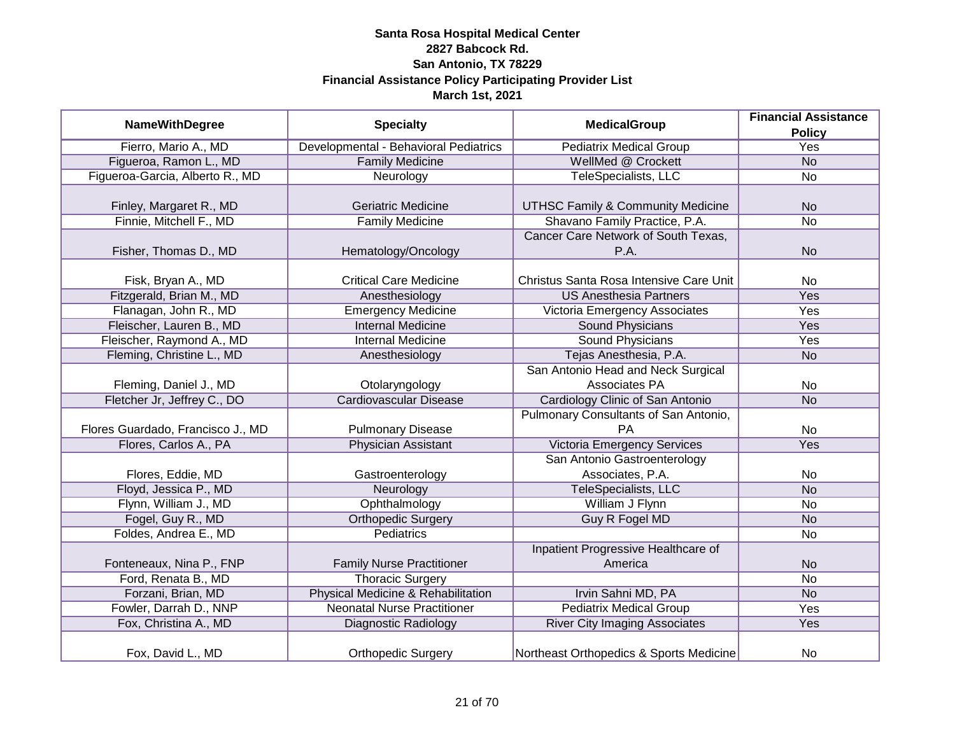| <b>NameWithDegree</b>             | <b>Specialty</b>                      | <b>MedicalGroup</b>                          | <b>Financial Assistance</b> |
|-----------------------------------|---------------------------------------|----------------------------------------------|-----------------------------|
|                                   |                                       |                                              | <b>Policy</b>               |
| Fierro, Mario A., MD              | Developmental - Behavioral Pediatrics | <b>Pediatrix Medical Group</b>               | Yes                         |
| Figueroa, Ramon L., MD            | <b>Family Medicine</b>                | WellMed @ Crockett                           | N <sub>o</sub>              |
| Figueroa-Garcia, Alberto R., MD   | Neurology                             | <b>TeleSpecialists, LLC</b>                  | <b>No</b>                   |
|                                   |                                       |                                              |                             |
| Finley, Margaret R., MD           | <b>Geriatric Medicine</b>             | <b>UTHSC Family &amp; Community Medicine</b> | <b>No</b>                   |
| Finnie, Mitchell F., MD           | <b>Family Medicine</b>                | Shavano Family Practice, P.A.                | <b>No</b>                   |
|                                   |                                       | Cancer Care Network of South Texas,          |                             |
| Fisher, Thomas D., MD             | Hematology/Oncology                   | P.A.                                         | <b>No</b>                   |
|                                   |                                       |                                              |                             |
| Fisk, Bryan A., MD                | <b>Critical Care Medicine</b>         | Christus Santa Rosa Intensive Care Unit      | <b>No</b>                   |
| Fitzgerald, Brian M., MD          | Anesthesiology                        | <b>US Anesthesia Partners</b>                | Yes                         |
| Flanagan, John R., MD             | <b>Emergency Medicine</b>             | Victoria Emergency Associates                | Yes                         |
| Fleischer, Lauren B., MD          | <b>Internal Medicine</b>              | <b>Sound Physicians</b>                      | Yes                         |
| Fleischer, Raymond A., MD         | <b>Internal Medicine</b>              | Sound Physicians                             | Yes                         |
| Fleming, Christine L., MD         | Anesthesiology                        | Tejas Anesthesia, P.A.                       | <b>No</b>                   |
|                                   |                                       | San Antonio Head and Neck Surgical           |                             |
| Fleming, Daniel J., MD            | Otolaryngology                        | Associates PA                                | <b>No</b>                   |
| Fletcher Jr, Jeffrey C., DO       | <b>Cardiovascular Disease</b>         | Cardiology Clinic of San Antonio             | <b>No</b>                   |
|                                   |                                       | Pulmonary Consultants of San Antonio,        |                             |
| Flores Guardado, Francisco J., MD | <b>Pulmonary Disease</b>              | PA                                           | <b>No</b>                   |
| Flores, Carlos A., PA             | <b>Physician Assistant</b>            | <b>Victoria Emergency Services</b>           | Yes                         |
|                                   |                                       | San Antonio Gastroenterology                 |                             |
| Flores, Eddie, MD                 | Gastroenterology                      | Associates, P.A.                             | No                          |
| Floyd, Jessica P., MD             | Neurology                             | TeleSpecialists, LLC                         | <b>No</b>                   |
| Flynn, William J., MD             | Ophthalmology                         | William J Flynn                              | <b>No</b>                   |
| Fogel, Guy R., MD                 | <b>Orthopedic Surgery</b>             | <b>Guy R Fogel MD</b>                        | <b>No</b>                   |
| Foldes, Andrea E., MD             | <b>Pediatrics</b>                     |                                              | <b>No</b>                   |
|                                   |                                       | Inpatient Progressive Healthcare of          |                             |
| Fonteneaux, Nina P., FNP          | <b>Family Nurse Practitioner</b>      | America                                      | <b>No</b>                   |
| Ford, Renata B., MD               | <b>Thoracic Surgery</b>               |                                              | <b>No</b>                   |
| Forzani, Brian, MD                | Physical Medicine & Rehabilitation    | Irvin Sahni MD, PA                           | <b>No</b>                   |
| Fowler, Darrah D., NNP            | <b>Neonatal Nurse Practitioner</b>    | <b>Pediatrix Medical Group</b>               | Yes                         |
| Fox, Christina A., MD             | <b>Diagnostic Radiology</b>           | <b>River City Imaging Associates</b>         | Yes                         |
| Fox, David L., MD                 | <b>Orthopedic Surgery</b>             | Northeast Orthopedics & Sports Medicine      | <b>No</b>                   |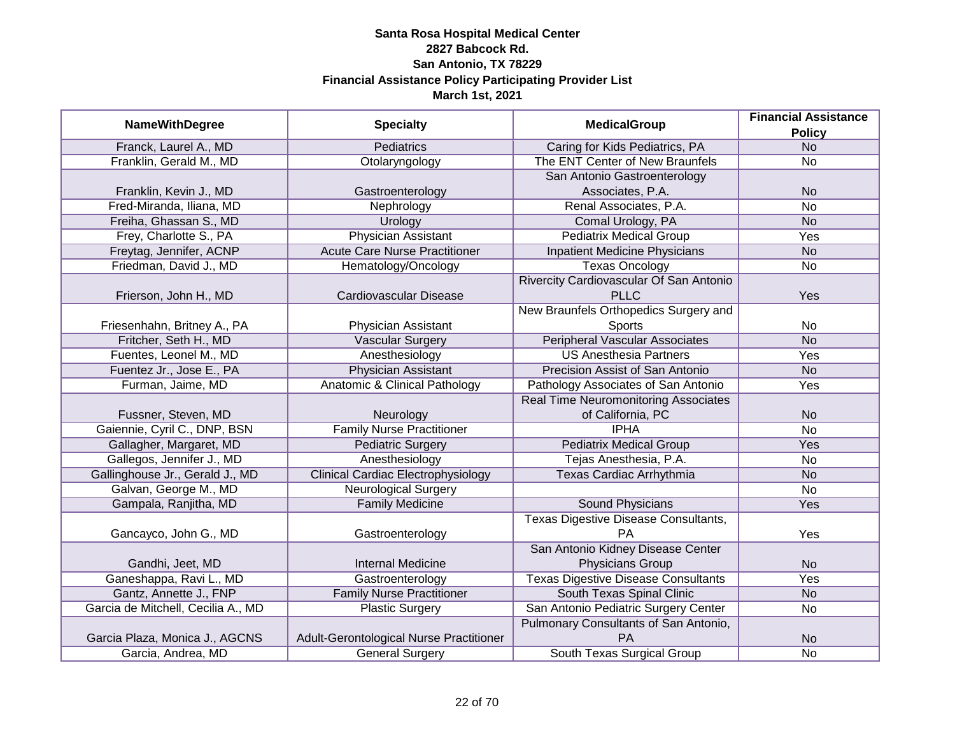|                                    |                                           |                                             | <b>Financial Assistance</b> |
|------------------------------------|-------------------------------------------|---------------------------------------------|-----------------------------|
| <b>NameWithDegree</b>              | <b>Specialty</b>                          | <b>MedicalGroup</b>                         | <b>Policy</b>               |
| Franck, Laurel A., MD              | <b>Pediatrics</b>                         | Caring for Kids Pediatrics, PA              | N <sub>O</sub>              |
| Franklin, Gerald M., MD            | Otolaryngology                            | The ENT Center of New Braunfels             | <b>No</b>                   |
|                                    |                                           | San Antonio Gastroenterology                |                             |
| Franklin, Kevin J., MD             | Gastroenterology                          | Associates, P.A.                            | <b>No</b>                   |
| Fred-Miranda, Iliana, MD           | Nephrology                                | Renal Associates, P.A.                      | <b>No</b>                   |
| Freiha, Ghassan S., MD             | Urology                                   | Comal Urology, PA                           | <b>No</b>                   |
| Frey, Charlotte S., PA             | <b>Physician Assistant</b>                | <b>Pediatrix Medical Group</b>              | <b>Yes</b>                  |
| Freytag, Jennifer, ACNP            | <b>Acute Care Nurse Practitioner</b>      | <b>Inpatient Medicine Physicians</b>        | <b>No</b>                   |
| Friedman, David J., MD             | Hematology/Oncology                       | <b>Texas Oncology</b>                       | No                          |
|                                    |                                           | Rivercity Cardiovascular Of San Antonio     |                             |
| Frierson, John H., MD              | Cardiovascular Disease                    | <b>PLLC</b>                                 | Yes                         |
|                                    |                                           | New Braunfels Orthopedics Surgery and       |                             |
| Friesenhahn, Britney A., PA        | <b>Physician Assistant</b>                | <b>Sports</b>                               | <b>No</b>                   |
| Fritcher, Seth H., MD              | <b>Vascular Surgery</b>                   | <b>Peripheral Vascular Associates</b>       | <b>No</b>                   |
| Fuentes, Leonel M., MD             | Anesthesiology                            | <b>US Anesthesia Partners</b>               | Yes                         |
| Fuentez Jr., Jose E., PA           | <b>Physician Assistant</b>                | Precision Assist of San Antonio             | <b>No</b>                   |
| Furman, Jaime, MD                  | Anatomic & Clinical Pathology             | Pathology Associates of San Antonio         | Yes                         |
|                                    |                                           | <b>Real Time Neuromonitoring Associates</b> |                             |
| Fussner, Steven, MD                | Neurology                                 | of California, PC                           | <b>No</b>                   |
| Gaiennie, Cyril C., DNP, BSN       | <b>Family Nurse Practitioner</b>          | <b>IPHA</b>                                 | <b>No</b>                   |
| Gallagher, Margaret, MD            | <b>Pediatric Surgery</b>                  | <b>Pediatrix Medical Group</b>              | Yes                         |
| Gallegos, Jennifer J., MD          | Anesthesiology                            | Tejas Anesthesia, P.A.                      | <b>No</b>                   |
| Gallinghouse Jr., Gerald J., MD    | <b>Clinical Cardiac Electrophysiology</b> | Texas Cardiac Arrhythmia                    | <b>No</b>                   |
| Galvan, George M., MD              | Neurological Surgery                      |                                             | <b>No</b>                   |
| Gampala, Ranjitha, MD              | <b>Family Medicine</b>                    | <b>Sound Physicians</b>                     | Yes                         |
|                                    |                                           | Texas Digestive Disease Consultants,        |                             |
| Gancayco, John G., MD              | Gastroenterology                          | PA                                          | Yes                         |
|                                    |                                           | San Antonio Kidney Disease Center           |                             |
| Gandhi, Jeet, MD                   | <b>Internal Medicine</b>                  | <b>Physicians Group</b>                     | <b>No</b>                   |
| Ganeshappa, Ravi L., MD            | Gastroenterology                          | <b>Texas Digestive Disease Consultants</b>  | Yes                         |
| Gantz, Annette J., FNP             | <b>Family Nurse Practitioner</b>          | South Texas Spinal Clinic                   | <b>No</b>                   |
| Garcia de Mitchell, Cecilia A., MD | <b>Plastic Surgery</b>                    | San Antonio Pediatric Surgery Center        | <b>No</b>                   |
|                                    |                                           | Pulmonary Consultants of San Antonio,       |                             |
| Garcia Plaza, Monica J., AGCNS     | Adult-Gerontological Nurse Practitioner   | PA                                          | <b>No</b>                   |
| Garcia, Andrea, MD                 | <b>General Surgery</b>                    | South Texas Surgical Group                  | <b>No</b>                   |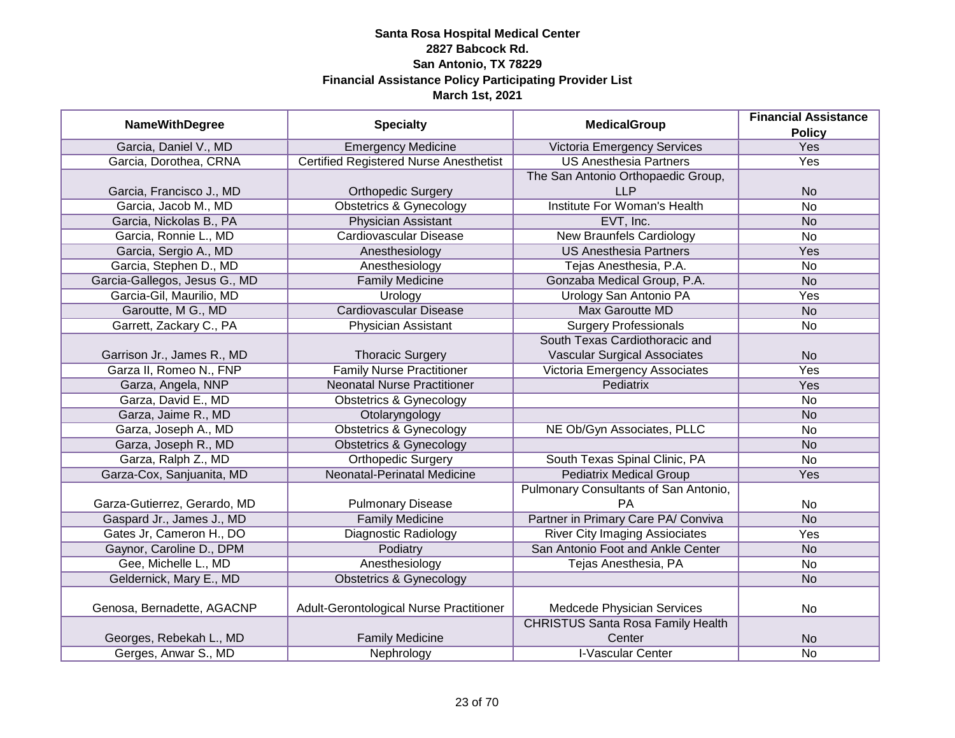|                               |                                               |                                          | <b>Financial Assistance</b> |
|-------------------------------|-----------------------------------------------|------------------------------------------|-----------------------------|
| <b>NameWithDegree</b>         | <b>Specialty</b>                              | <b>MedicalGroup</b>                      | <b>Policy</b>               |
| Garcia, Daniel V., MD         | <b>Emergency Medicine</b>                     | Victoria Emergency Services              | Yes                         |
| Garcia, Dorothea, CRNA        | <b>Certified Registered Nurse Anesthetist</b> | <b>US Anesthesia Partners</b>            | <b>Yes</b>                  |
|                               |                                               | The San Antonio Orthopaedic Group,       |                             |
| Garcia, Francisco J., MD      | <b>Orthopedic Surgery</b>                     | <b>LLP</b>                               | <b>No</b>                   |
| Garcia, Jacob M., MD          | <b>Obstetrics &amp; Gynecology</b>            | <b>Institute For Woman's Health</b>      | $\overline{No}$             |
| Garcia, Nickolas B., PA       | <b>Physician Assistant</b>                    | EVT, Inc.                                | <b>No</b>                   |
| Garcia, Ronnie L., MD         | Cardiovascular Disease                        | <b>New Braunfels Cardiology</b>          | $\overline{No}$             |
| Garcia, Sergio A., MD         | Anesthesiology                                | <b>US Anesthesia Partners</b>            | Yes                         |
| Garcia, Stephen D., MD        | Anesthesiology                                | Tejas Anesthesia, P.A.                   | <b>No</b>                   |
| Garcia-Gallegos, Jesus G., MD | <b>Family Medicine</b>                        | Gonzaba Medical Group, P.A.              | <b>No</b>                   |
| Garcia-Gil, Maurilio, MD      | Urology                                       | <b>Urology San Antonio PA</b>            | Yes                         |
| Garoutte, M G., MD            | Cardiovascular Disease                        | <b>Max Garoutte MD</b>                   | <b>No</b>                   |
| Garrett, Zackary C., PA       | <b>Physician Assistant</b>                    | <b>Surgery Professionals</b>             | No                          |
|                               |                                               | South Texas Cardiothoracic and           |                             |
| Garrison Jr., James R., MD    | <b>Thoracic Surgery</b>                       | <b>Vascular Surgical Associates</b>      | <b>No</b>                   |
| Garza II, Romeo N., FNP       | <b>Family Nurse Practitioner</b>              | Victoria Emergency Associates            | Yes                         |
| Garza, Angela, NNP            | <b>Neonatal Nurse Practitioner</b>            | Pediatrix                                | Yes                         |
| Garza, David E., MD           | <b>Obstetrics &amp; Gynecology</b>            |                                          | <b>No</b>                   |
| Garza, Jaime R., MD           | Otolaryngology                                |                                          | <b>No</b>                   |
| Garza, Joseph A., MD          | <b>Obstetrics &amp; Gynecology</b>            | NE Ob/Gyn Associates, PLLC               | <b>No</b>                   |
| Garza, Joseph R., MD          | <b>Obstetrics &amp; Gynecology</b>            |                                          | <b>No</b>                   |
| Garza, Ralph Z., MD           | Orthopedic Surgery                            | South Texas Spinal Clinic, PA            | <b>No</b>                   |
| Garza-Cox, Sanjuanita, MD     | Neonatal-Perinatal Medicine                   | <b>Pediatrix Medical Group</b>           | Yes                         |
|                               |                                               | Pulmonary Consultants of San Antonio,    |                             |
| Garza-Gutierrez, Gerardo, MD  | <b>Pulmonary Disease</b>                      | <b>PA</b>                                | No                          |
| Gaspard Jr., James J., MD     | <b>Family Medicine</b>                        | Partner in Primary Care PA/ Conviva      | <b>No</b>                   |
| Gates Jr, Cameron H., DO      | <b>Diagnostic Radiology</b>                   | <b>River City Imaging Assiociates</b>    | Yes                         |
| Gaynor, Caroline D., DPM      | Podiatry                                      | San Antonio Foot and Ankle Center        | <b>No</b>                   |
| Gee, Michelle L., MD          | Anesthesiology                                | Tejas Anesthesia, PA                     | <b>No</b>                   |
| Geldernick, Mary E., MD       | <b>Obstetrics &amp; Gynecology</b>            |                                          | <b>No</b>                   |
|                               |                                               |                                          |                             |
| Genosa, Bernadette, AGACNP    | Adult-Gerontological Nurse Practitioner       | Medcede Physician Services               | No                          |
|                               |                                               | <b>CHRISTUS Santa Rosa Family Health</b> |                             |
| Georges, Rebekah L., MD       | <b>Family Medicine</b>                        | Center                                   | <b>No</b>                   |
| Gerges, Anwar S., MD          | Nephrology                                    | <b>I-Vascular Center</b>                 | No                          |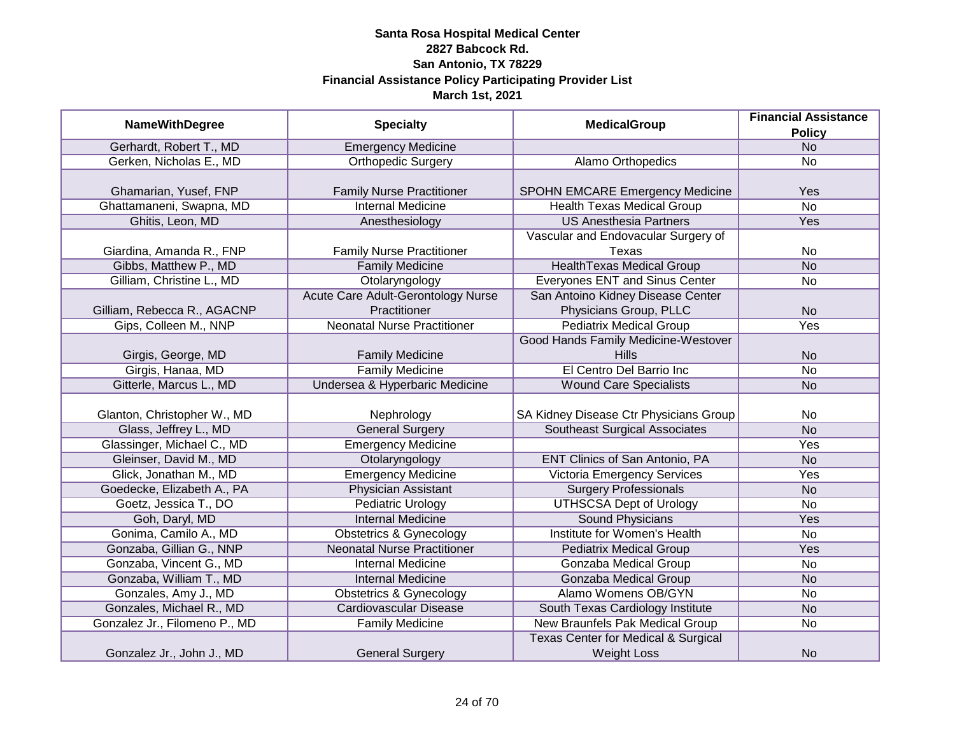| <b>NameWithDegree</b>         | <b>Specialty</b>                          | <b>MedicalGroup</b>                    | <b>Financial Assistance</b> |
|-------------------------------|-------------------------------------------|----------------------------------------|-----------------------------|
|                               |                                           |                                        | <b>Policy</b>               |
| Gerhardt, Robert T., MD       | <b>Emergency Medicine</b>                 |                                        | N <sub>o</sub>              |
| Gerken, Nicholas E., MD       | <b>Orthopedic Surgery</b>                 | Alamo Orthopedics                      | <b>No</b>                   |
|                               |                                           |                                        |                             |
| Ghamarian, Yusef, FNP         | <b>Family Nurse Practitioner</b>          | SPOHN EMCARE Emergency Medicine        | Yes                         |
| Ghattamaneni, Swapna, MD      | <b>Internal Medicine</b>                  | <b>Health Texas Medical Group</b>      | N <sub>o</sub>              |
| Ghitis, Leon, MD              | Anesthesiology                            | <b>US Anesthesia Partners</b>          | Yes                         |
|                               |                                           | Vascular and Endovacular Surgery of    |                             |
| Giardina, Amanda R., FNP      | <b>Family Nurse Practitioner</b>          | Texas                                  | <b>No</b>                   |
| Gibbs, Matthew P., MD         | <b>Family Medicine</b>                    | <b>HealthTexas Medical Group</b>       | <b>No</b>                   |
| Gilliam, Christine L., MD     | Otolaryngology                            | Everyones ENT and Sinus Center         | <b>No</b>                   |
|                               | <b>Acute Care Adult-Gerontology Nurse</b> | San Antoino Kidney Disease Center      |                             |
| Gilliam, Rebecca R., AGACNP   | Practitioner                              | Physicians Group, PLLC                 | <b>No</b>                   |
| Gips, Colleen M., NNP         | <b>Neonatal Nurse Practitioner</b>        | <b>Pediatrix Medical Group</b>         | Yes                         |
|                               |                                           | Good Hands Family Medicine-Westover    |                             |
| Girgis, George, MD            | <b>Family Medicine</b>                    | <b>Hills</b>                           | <b>No</b>                   |
| Girgis, Hanaa, MD             | <b>Family Medicine</b>                    | El Centro Del Barrio Inc               | <b>No</b>                   |
| Gitterle, Marcus L., MD       | Undersea & Hyperbaric Medicine            | <b>Wound Care Specialists</b>          | <b>No</b>                   |
|                               |                                           |                                        |                             |
| Glanton, Christopher W., MD   | Nephrology                                | SA Kidney Disease Ctr Physicians Group | <b>No</b>                   |
| Glass, Jeffrey L., MD         | <b>General Surgery</b>                    | <b>Southeast Surgical Associates</b>   | <b>No</b>                   |
| Glassinger, Michael C., MD    | <b>Emergency Medicine</b>                 |                                        | Yes                         |
| Gleinser, David M., MD        | Otolaryngology                            | ENT Clinics of San Antonio, PA         | <b>No</b>                   |
| Glick, Jonathan M., MD        | <b>Emergency Medicine</b>                 | <b>Victoria Emergency Services</b>     | Yes                         |
| Goedecke, Elizabeth A., PA    | <b>Physician Assistant</b>                | <b>Surgery Professionals</b>           | <b>No</b>                   |
| Goetz, Jessica T., DO         | <b>Pediatric Urology</b>                  | <b>UTHSCSA Dept of Urology</b>         | No                          |
| Goh, Daryl, MD                | <b>Internal Medicine</b>                  | <b>Sound Physicians</b>                | Yes                         |
| Gonima, Camilo A., MD         | <b>Obstetrics &amp; Gynecology</b>        | Institute for Women's Health           | <b>No</b>                   |
| Gonzaba, Gillian G., NNP      | <b>Neonatal Nurse Practitioner</b>        | <b>Pediatrix Medical Group</b>         | Yes                         |
| Gonzaba, Vincent G., MD       | <b>Internal Medicine</b>                  | Gonzaba Medical Group                  | <b>No</b>                   |
| Gonzaba, William T., MD       | <b>Internal Medicine</b>                  | <b>Gonzaba Medical Group</b>           | <b>No</b>                   |
| Gonzales, Amy J., MD          | <b>Obstetrics &amp; Gynecology</b>        | Alamo Womens OB/GYN                    | No                          |
| Gonzales, Michael R., MD      | Cardiovascular Disease                    | South Texas Cardiology Institute       | <b>No</b>                   |
| Gonzalez Jr., Filomeno P., MD | <b>Family Medicine</b>                    | New Braunfels Pak Medical Group        | <b>No</b>                   |
|                               |                                           | Texas Center for Medical & Surgical    |                             |
| Gonzalez Jr., John J., MD     | <b>General Surgery</b>                    | <b>Weight Loss</b>                     | <b>No</b>                   |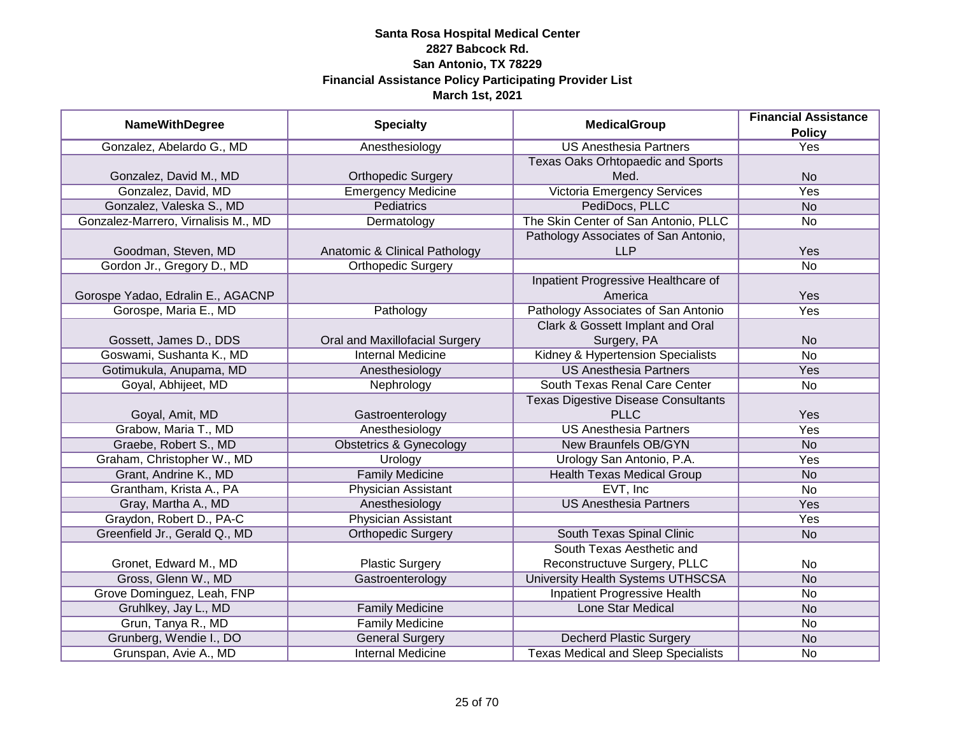|                                     |                                    |                                            | <b>Financial Assistance</b> |
|-------------------------------------|------------------------------------|--------------------------------------------|-----------------------------|
| <b>NameWithDegree</b>               | <b>Specialty</b>                   | <b>MedicalGroup</b>                        | <b>Policy</b>               |
| Gonzalez, Abelardo G., MD           | Anesthesiology                     | <b>US Anesthesia Partners</b>              | <b>Yes</b>                  |
|                                     |                                    | Texas Oaks Orhtopaedic and Sports          |                             |
| Gonzalez, David M., MD              | <b>Orthopedic Surgery</b>          | Med.                                       | <b>No</b>                   |
| Gonzalez, David, MD                 | <b>Emergency Medicine</b>          | <b>Victoria Emergency Services</b>         | <b>Yes</b>                  |
| Gonzalez, Valeska S., MD            | <b>Pediatrics</b>                  | PediDocs, PLLC                             | <b>No</b>                   |
| Gonzalez-Marrero, Virnalisis M., MD | Dermatology                        | The Skin Center of San Antonio, PLLC       | No                          |
|                                     |                                    | Pathology Associates of San Antonio,       |                             |
| Goodman, Steven, MD                 | Anatomic & Clinical Pathology      | <b>LLP</b>                                 | Yes                         |
| Gordon Jr., Gregory D., MD          | <b>Orthopedic Surgery</b>          |                                            | <b>No</b>                   |
|                                     |                                    | Inpatient Progressive Healthcare of        |                             |
| Gorospe Yadao, Edralin E., AGACNP   |                                    | America                                    | Yes                         |
| Gorospe, Maria E., MD               | Pathology                          | Pathology Associates of San Antonio        | Yes                         |
|                                     |                                    | Clark & Gossett Implant and Oral           |                             |
| Gossett, James D., DDS              | Oral and Maxillofacial Surgery     | Surgery, PA                                | <b>No</b>                   |
| Goswami, Sushanta K., MD            | <b>Internal Medicine</b>           | Kidney & Hypertension Specialists          | <b>No</b>                   |
| Gotimukula, Anupama, MD             | Anesthesiology                     | <b>US Anesthesia Partners</b>              | Yes                         |
| Goyal, Abhijeet, MD                 | Nephrology                         | South Texas Renal Care Center              | No                          |
|                                     |                                    | <b>Texas Digestive Disease Consultants</b> |                             |
| Goyal, Amit, MD                     | Gastroenterology                   | <b>PLLC</b>                                | Yes                         |
| Grabow, Maria T., MD                | Anesthesiology                     | <b>US Anesthesia Partners</b>              | Yes                         |
| Graebe, Robert S., MD               | <b>Obstetrics &amp; Gynecology</b> | New Braunfels OB/GYN                       | <b>No</b>                   |
| Graham, Christopher W., MD          | Urology                            | Urology San Antonio, P.A.                  | Yes                         |
| Grant, Andrine K., MD               | <b>Family Medicine</b>             | <b>Health Texas Medical Group</b>          | <b>No</b>                   |
| Grantham, Krista A., PA             | <b>Physician Assistant</b>         | EVT, Inc                                   | <b>No</b>                   |
| Gray, Martha A., MD                 | Anesthesiology                     | <b>US Anesthesia Partners</b>              | Yes                         |
| Graydon, Robert D., PA-C            | <b>Physician Assistant</b>         |                                            | Yes                         |
| Greenfield Jr., Gerald Q., MD       | <b>Orthopedic Surgery</b>          | South Texas Spinal Clinic                  | <b>No</b>                   |
|                                     |                                    | South Texas Aesthetic and                  |                             |
| Gronet, Edward M., MD               | <b>Plastic Surgery</b>             | Reconstructuve Surgery, PLLC               | No                          |
| Gross, Glenn W., MD                 | Gastroenterology                   | University Health Systems UTHSCSA          | <b>No</b>                   |
| Grove Dominguez, Leah, FNP          |                                    | <b>Inpatient Progressive Health</b>        | No                          |
| Gruhlkey, Jay L., MD                | <b>Family Medicine</b>             | <b>Lone Star Medical</b>                   | <b>No</b>                   |
| Grun, Tanya R., MD                  | <b>Family Medicine</b>             |                                            | No                          |
| Grunberg, Wendie I., DO             | <b>General Surgery</b>             | <b>Decherd Plastic Surgery</b>             | <b>No</b>                   |
| Grunspan, Avie A., MD               | <b>Internal Medicine</b>           | <b>Texas Medical and Sleep Specialists</b> | No                          |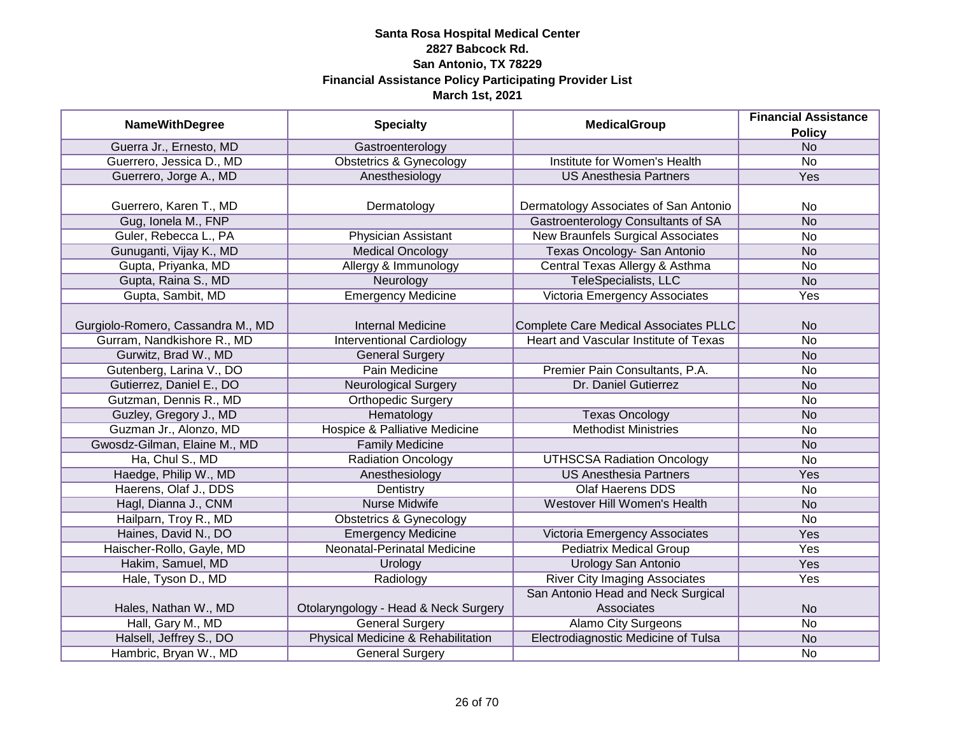|                                   |                                          | <b>MedicalGroup</b>                      | <b>Financial Assistance</b> |
|-----------------------------------|------------------------------------------|------------------------------------------|-----------------------------|
| <b>NameWithDegree</b>             | <b>Specialty</b>                         |                                          | <b>Policy</b>               |
| Guerra Jr., Ernesto, MD           | Gastroenterology                         |                                          | <b>No</b>                   |
| Guerrero, Jessica D., MD          | <b>Obstetrics &amp; Gynecology</b>       | Institute for Women's Health             | $\overline{No}$             |
| Guerrero, Jorge A., MD            | Anesthesiology                           | <b>US Anesthesia Partners</b>            | <b>Yes</b>                  |
|                                   |                                          |                                          |                             |
| Guerrero, Karen T., MD            | Dermatology                              | Dermatology Associates of San Antonio    | No                          |
| Gug, Ionela M., FNP               |                                          | Gastroenterology Consultants of SA       | <b>No</b>                   |
| Guler, Rebecca L., PA             | Physician Assistant                      | <b>New Braunfels Surgical Associates</b> | <b>No</b>                   |
| Gunuganti, Vijay K., MD           | <b>Medical Oncology</b>                  | Texas Oncology- San Antonio              | <b>No</b>                   |
| Gupta, Priyanka, MD               | Allergy & Immunology                     | Central Texas Allergy & Asthma           | No                          |
| Gupta, Raina S., MD               | Neurology                                | TeleSpecialists, LLC                     | <b>No</b>                   |
| Gupta, Sambit, MD                 | <b>Emergency Medicine</b>                | Victoria Emergency Associates            | Yes                         |
|                                   |                                          |                                          |                             |
| Gurgiolo-Romero, Cassandra M., MD | <b>Internal Medicine</b>                 | Complete Care Medical Associates PLLC    | N <sub>o</sub>              |
| Gurram, Nandkishore R., MD        | <b>Interventional Cardiology</b>         | Heart and Vascular Institute of Texas    | <b>No</b>                   |
| Gurwitz, Brad W., MD              | <b>General Surgery</b>                   |                                          | <b>No</b>                   |
| Gutenberg, Larina V., DO          | Pain Medicine                            | Premier Pain Consultants, P.A.           | No                          |
| Gutierrez, Daniel E., DO          | <b>Neurological Surgery</b>              | Dr. Daniel Gutierrez                     | <b>No</b>                   |
| Gutzman, Dennis R., MD            | <b>Orthopedic Surgery</b>                |                                          | <b>No</b>                   |
| Guzley, Gregory J., MD            | Hematology                               | <b>Texas Oncology</b>                    | <b>No</b>                   |
| Guzman Jr., Alonzo, MD            | <b>Hospice &amp; Palliative Medicine</b> | <b>Methodist Ministries</b>              | <b>No</b>                   |
| Gwosdz-Gilman, Elaine M., MD      | <b>Family Medicine</b>                   |                                          | <b>No</b>                   |
| Ha, Chul S., MD                   | <b>Radiation Oncology</b>                | <b>UTHSCSA Radiation Oncology</b>        | <b>No</b>                   |
| Haedge, Philip W., MD             | Anesthesiology                           | <b>US Anesthesia Partners</b>            | Yes                         |
| Haerens, Olaf J., DDS             | Dentistry                                | <b>Olaf Haerens DDS</b>                  | No                          |
| Hagl, Dianna J., CNM              | <b>Nurse Midwife</b>                     | Westover Hill Women's Health             | <b>No</b>                   |
| Hailparn, Troy R., MD             | <b>Obstetrics &amp; Gynecology</b>       |                                          | <b>No</b>                   |
| Haines, David N., DO              | <b>Emergency Medicine</b>                | Victoria Emergency Associates            | Yes                         |
| Haischer-Rollo, Gayle, MD         | Neonatal-Perinatal Medicine              | <b>Pediatrix Medical Group</b>           | Yes                         |
| Hakim, Samuel, MD                 | Urology                                  | <b>Urology San Antonio</b>               | Yes                         |
| Hale, Tyson D., MD                | Radiology                                | <b>River City Imaging Associates</b>     | Yes                         |
|                                   |                                          | San Antonio Head and Neck Surgical       |                             |
| Hales, Nathan W., MD              | Otolaryngology - Head & Neck Surgery     | Associates                               | <b>No</b>                   |
| Hall, Gary M., MD                 | <b>General Surgery</b>                   | <b>Alamo City Surgeons</b>               | $\overline{No}$             |
| Halsell, Jeffrey S., DO           | Physical Medicine & Rehabilitation       | Electrodiagnostic Medicine of Tulsa      | <b>No</b>                   |
| Hambric, Bryan W., MD             | <b>General Surgery</b>                   |                                          | <b>No</b>                   |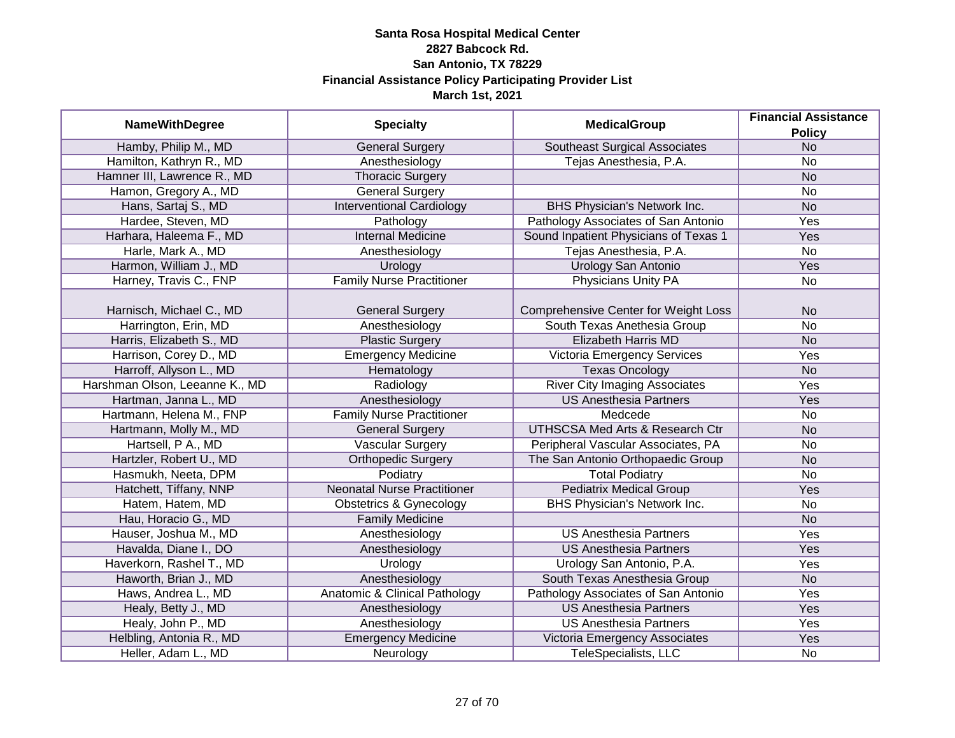|                                | <b>MedicalGroup</b>                | <b>Financial Assistance</b>                 |                |
|--------------------------------|------------------------------------|---------------------------------------------|----------------|
| <b>NameWithDegree</b>          | <b>Specialty</b>                   |                                             | <b>Policy</b>  |
| Hamby, Philip M., MD           | <b>General Surgery</b>             | <b>Southeast Surgical Associates</b>        | N <sub>o</sub> |
| Hamilton, Kathryn R., MD       | Anesthesiology                     | Tejas Anesthesia, P.A.                      | No             |
| Hamner III, Lawrence R., MD    | <b>Thoracic Surgery</b>            |                                             | N <sub>o</sub> |
| Hamon, Gregory A., MD          | <b>General Surgery</b>             |                                             | No             |
| Hans, Sartaj S., MD            | <b>Interventional Cardiology</b>   | BHS Physician's Network Inc.                | <b>No</b>      |
| Hardee, Steven, MD             | Pathology                          | Pathology Associates of San Antonio         | <b>Yes</b>     |
| Harhara, Haleema F., MD        | <b>Internal Medicine</b>           | Sound Inpatient Physicians of Texas 1       | Yes            |
| Harle, Mark A., MD             | Anesthesiology                     | Tejas Anesthesia, P.A.                      | <b>No</b>      |
| Harmon, William J., MD         | Urology                            | Urology San Antonio                         | Yes            |
| Harney, Travis C., FNP         | <b>Family Nurse Practitioner</b>   | Physicians Unity PA                         | No             |
|                                |                                    |                                             |                |
| Harnisch, Michael C., MD       | <b>General Surgery</b>             | <b>Comprehensive Center for Weight Loss</b> | <b>No</b>      |
| Harrington, Erin, MD           | Anesthesiology                     | South Texas Anethesia Group                 | <b>No</b>      |
| Harris, Elizabeth S., MD       | <b>Plastic Surgery</b>             | <b>Elizabeth Harris MD</b>                  | <b>No</b>      |
| Harrison, Corey D., MD         | <b>Emergency Medicine</b>          | <b>Victoria Emergency Services</b>          | Yes            |
| Harroff, Allyson L., MD        | Hematology                         | <b>Texas Oncology</b>                       | <b>No</b>      |
| Harshman Olson, Leeanne K., MD | Radiology                          | <b>River City Imaging Associates</b>        | Yes            |
| Hartman, Janna L., MD          | Anesthesiology                     | <b>US Anesthesia Partners</b>               | Yes            |
| Hartmann, Helena M., FNP       | <b>Family Nurse Practitioner</b>   | Medcede                                     | No             |
| Hartmann, Molly M., MD         | <b>General Surgery</b>             | <b>UTHSCSA Med Arts &amp; Research Ctr</b>  | <b>No</b>      |
| Hartsell, P A., MD             | <b>Vascular Surgery</b>            | Peripheral Vascular Associates, PA          | No             |
| Hartzler, Robert U., MD        | <b>Orthopedic Surgery</b>          | The San Antonio Orthopaedic Group           | <b>No</b>      |
| Hasmukh, Neeta, DPM            | Podiatry                           | <b>Total Podiatry</b>                       | <b>No</b>      |
| Hatchett, Tiffany, NNP         | <b>Neonatal Nurse Practitioner</b> | <b>Pediatrix Medical Group</b>              | Yes            |
| Hatem, Hatem, MD               | <b>Obstetrics &amp; Gynecology</b> | <b>BHS Physician's Network Inc.</b>         | No             |
| Hau, Horacio G., MD            | <b>Family Medicine</b>             |                                             | <b>No</b>      |
| Hauser, Joshua M., MD          | Anesthesiology                     | <b>US Anesthesia Partners</b>               | Yes            |
| Havalda, Diane I., DO          | Anesthesiology                     | <b>US Anesthesia Partners</b>               | Yes            |
| Haverkorn, Rashel T., MD       | Urology                            | Urology San Antonio, P.A.                   | Yes            |
| Haworth, Brian J., MD          | Anesthesiology                     | South Texas Anesthesia Group                | <b>No</b>      |
| Haws, Andrea L., MD            | Anatomic & Clinical Pathology      | Pathology Associates of San Antonio         | Yes            |
| Healy, Betty J., MD            | Anesthesiology                     | <b>US Anesthesia Partners</b>               | Yes            |
| Healy, John P., MD             | Anesthesiology                     | <b>US Anesthesia Partners</b>               | Yes            |
| Helbling, Antonia R., MD       | <b>Emergency Medicine</b>          | Victoria Emergency Associates               | Yes            |
| Heller, Adam L., MD            | Neurology                          | TeleSpecialists, LLC                        | No             |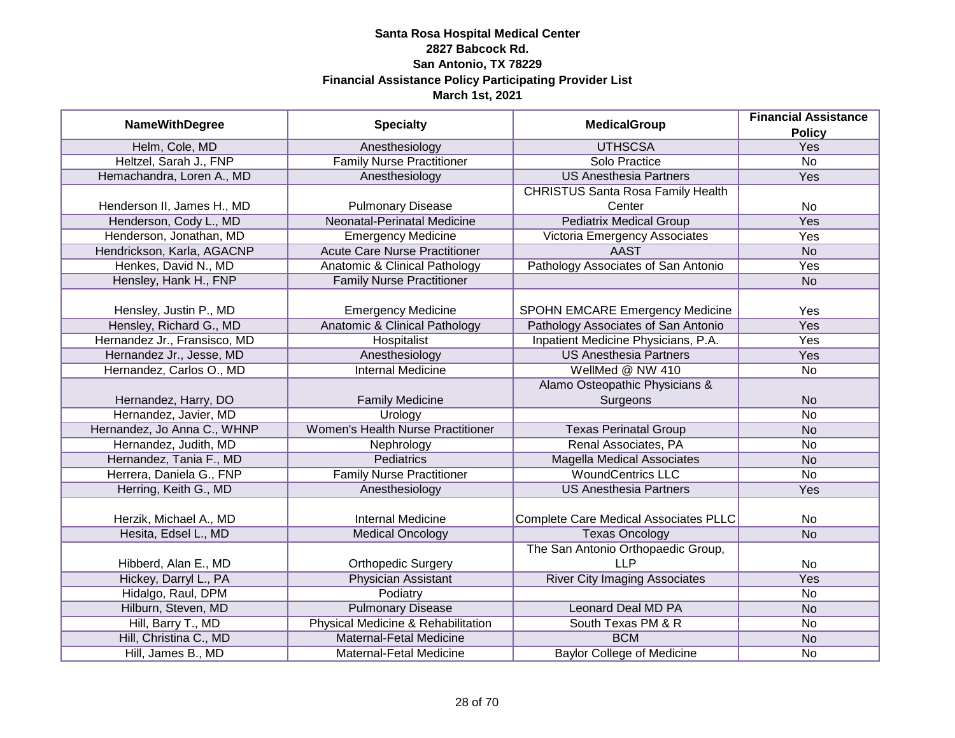| <b>NameWithDegree</b>        | <b>Specialty</b>                         | <b>MedicalGroup</b>                          | <b>Financial Assistance</b> |
|------------------------------|------------------------------------------|----------------------------------------------|-----------------------------|
|                              |                                          |                                              | <b>Policy</b>               |
| Helm, Cole, MD               | Anesthesiology                           | <b>UTHSCSA</b>                               | Yes                         |
| Heltzel, Sarah J., FNP       | <b>Family Nurse Practitioner</b>         | Solo Practice                                | $\overline{No}$             |
| Hemachandra, Loren A., MD    | Anesthesiology                           | <b>US Anesthesia Partners</b>                | <b>Yes</b>                  |
|                              |                                          | <b>CHRISTUS Santa Rosa Family Health</b>     |                             |
| Henderson II, James H., MD   | <b>Pulmonary Disease</b>                 | Center                                       | <b>No</b>                   |
| Henderson, Cody L., MD       | <b>Neonatal-Perinatal Medicine</b>       | <b>Pediatrix Medical Group</b>               | Yes                         |
| Henderson, Jonathan, MD      | <b>Emergency Medicine</b>                | Victoria Emergency Associates                | <b>Yes</b>                  |
| Hendrickson, Karla, AGACNP   | <b>Acute Care Nurse Practitioner</b>     | <b>AAST</b>                                  | <b>No</b>                   |
| Henkes, David N., MD         | Anatomic & Clinical Pathology            | Pathology Associates of San Antonio          | Yes                         |
| Hensley, Hank H., FNP        | <b>Family Nurse Practitioner</b>         |                                              | <b>No</b>                   |
|                              |                                          |                                              |                             |
| Hensley, Justin P., MD       | <b>Emergency Medicine</b>                | <b>SPOHN EMCARE Emergency Medicine</b>       | Yes                         |
| Hensley, Richard G., MD      | <b>Anatomic &amp; Clinical Pathology</b> | Pathology Associates of San Antonio          | Yes                         |
| Hernandez Jr., Fransisco, MD | Hospitalist                              | Inpatient Medicine Physicians, P.A.          | Yes                         |
| Hernandez Jr., Jesse, MD     | Anesthesiology                           | <b>US Anesthesia Partners</b>                | Yes                         |
| Hernandez, Carlos O., MD     | <b>Internal Medicine</b>                 | WellMed @ NW 410                             | <b>No</b>                   |
|                              |                                          | Alamo Osteopathic Physicians &               |                             |
| Hernandez, Harry, DO         | <b>Family Medicine</b>                   | Surgeons                                     | <b>No</b>                   |
| Hernandez, Javier, MD        | Urology                                  |                                              | <b>No</b>                   |
| Hernandez, Jo Anna C., WHNP  | <b>Women's Health Nurse Practitioner</b> | <b>Texas Perinatal Group</b>                 | <b>No</b>                   |
| Hernandez, Judith, MD        | Nephrology                               | Renal Associates, PA                         | <b>No</b>                   |
| Hernandez, Tania F., MD      | Pediatrics                               | <b>Magella Medical Associates</b>            | <b>No</b>                   |
| Herrera, Daniela G., FNP     | <b>Family Nurse Practitioner</b>         | <b>WoundCentrics LLC</b>                     | <b>No</b>                   |
| Herring, Keith G., MD        | Anesthesiology                           | <b>US Anesthesia Partners</b>                | Yes                         |
|                              |                                          |                                              |                             |
| Herzik, Michael A., MD       | <b>Internal Medicine</b>                 | <b>Complete Care Medical Associates PLLC</b> | <b>No</b>                   |
| Hesita, Edsel L., MD         | <b>Medical Oncology</b>                  | <b>Texas Oncology</b>                        | <b>No</b>                   |
|                              |                                          | The San Antonio Orthopaedic Group,           |                             |
| Hibberd, Alan E., MD         | <b>Orthopedic Surgery</b>                | <b>LLP</b>                                   | No                          |
| Hickey, Darryl L., PA        | <b>Physician Assistant</b>               | <b>River City Imaging Associates</b>         | Yes                         |
| Hidalgo, Raul, DPM           | Podiatry                                 |                                              | No                          |
| Hilburn, Steven, MD          | <b>Pulmonary Disease</b>                 | <b>Leonard Deal MD PA</b>                    | <b>No</b>                   |
| Hill, Barry T., MD           | Physical Medicine & Rehabilitation       | South Texas PM & R                           | <b>No</b>                   |
| Hill, Christina C., MD       | Maternal-Fetal Medicine                  | <b>BCM</b>                                   | <b>No</b>                   |
| Hill, James B., MD           | Maternal-Fetal Medicine                  | <b>Baylor College of Medicine</b>            | $\overline{No}$             |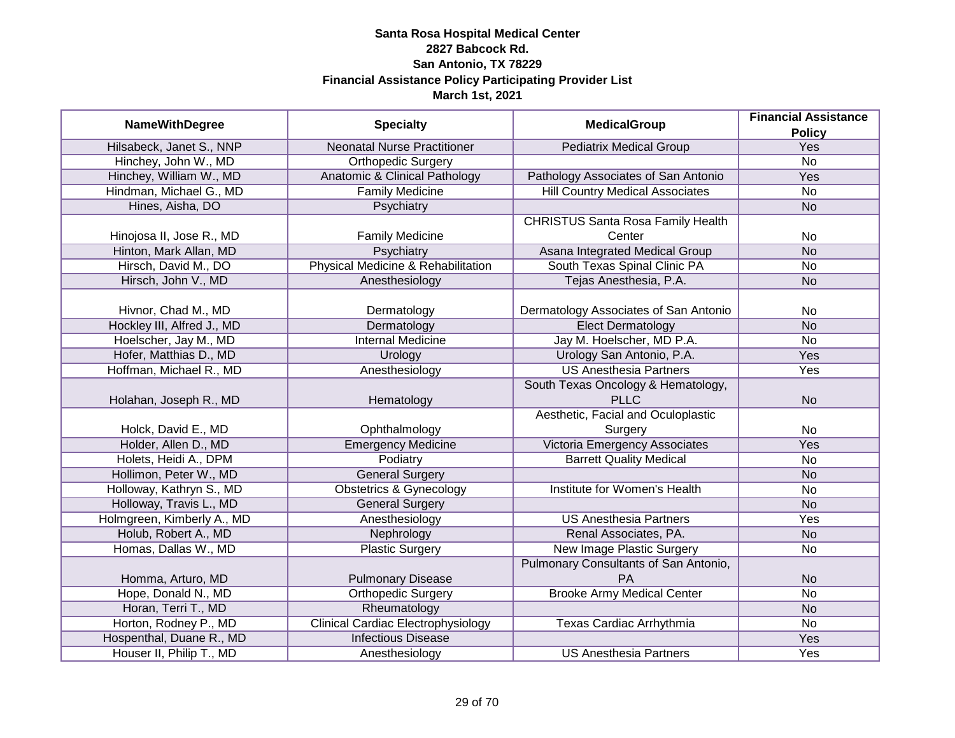| <b>NameWithDegree</b>      | <b>Specialty</b>                          | <b>MedicalGroup</b>                      | <b>Financial Assistance</b> |
|----------------------------|-------------------------------------------|------------------------------------------|-----------------------------|
|                            |                                           |                                          | <b>Policy</b>               |
| Hilsabeck, Janet S., NNP   | <b>Neonatal Nurse Practitioner</b>        | <b>Pediatrix Medical Group</b>           | Yes                         |
| Hinchey, John W., MD       | <b>Orthopedic Surgery</b>                 |                                          | <b>No</b>                   |
| Hinchey, William W., MD    | Anatomic & Clinical Pathology             | Pathology Associates of San Antonio      | Yes                         |
| Hindman, Michael G., MD    | <b>Family Medicine</b>                    | <b>Hill Country Medical Associates</b>   | No                          |
| Hines, Aisha, DO           | Psychiatry                                |                                          | <b>No</b>                   |
|                            |                                           | <b>CHRISTUS Santa Rosa Family Health</b> |                             |
| Hinojosa II, Jose R., MD   | <b>Family Medicine</b>                    | Center                                   | No                          |
| Hinton, Mark Allan, MD     | Psychiatry                                | Asana Integrated Medical Group           | <b>No</b>                   |
| Hirsch, David M., DO       | Physical Medicine & Rehabilitation        | South Texas Spinal Clinic PA             | No                          |
| Hirsch, John V., MD        | Anesthesiology                            | Tejas Anesthesia, P.A.                   | <b>No</b>                   |
|                            |                                           |                                          |                             |
| Hivnor, Chad M., MD        | Dermatology                               | Dermatology Associates of San Antonio    | No                          |
| Hockley III, Alfred J., MD | Dermatology                               | <b>Elect Dermatology</b>                 | <b>No</b>                   |
| Hoelscher, Jay M., MD      | <b>Internal Medicine</b>                  | Jay M. Hoelscher, MD P.A.                | No                          |
| Hofer, Matthias D., MD     | Urology                                   | Urology San Antonio, P.A.                | Yes                         |
| Hoffman, Michael R., MD    | Anesthesiology                            | <b>US Anesthesia Partners</b>            | Yes                         |
|                            |                                           | South Texas Oncology & Hematology,       |                             |
| Holahan, Joseph R., MD     | Hematology                                | <b>PLLC</b>                              | <b>No</b>                   |
|                            |                                           | Aesthetic, Facial and Oculoplastic       |                             |
| Holck, David E., MD        | Ophthalmology                             | Surgery                                  | No                          |
| Holder, Allen D., MD       | <b>Emergency Medicine</b>                 | Victoria Emergency Associates            | Yes                         |
| Holets, Heidi A., DPM      | Podiatry                                  | <b>Barrett Quality Medical</b>           | No                          |
| Hollimon, Peter W., MD     | <b>General Surgery</b>                    |                                          | <b>No</b>                   |
| Holloway, Kathryn S., MD   | <b>Obstetrics &amp; Gynecology</b>        | Institute for Women's Health             | No                          |
| Holloway, Travis L., MD    | <b>General Surgery</b>                    |                                          | <b>No</b>                   |
| Holmgreen, Kimberly A., MD | Anesthesiology                            | <b>US Anesthesia Partners</b>            | Yes                         |
| Holub, Robert A., MD       | Nephrology                                | Renal Associates, PA.                    | <b>No</b>                   |
| Homas, Dallas W., MD       | <b>Plastic Surgery</b>                    | <b>New Image Plastic Surgery</b>         | No                          |
|                            |                                           | Pulmonary Consultants of San Antonio,    |                             |
| Homma, Arturo, MD          | <b>Pulmonary Disease</b>                  | PA                                       | <b>No</b>                   |
| Hope, Donald N., MD        | <b>Orthopedic Surgery</b>                 | <b>Brooke Army Medical Center</b>        | $\overline{No}$             |
| Horan, Terri T., MD        | Rheumatology                              |                                          | <b>No</b>                   |
| Horton, Rodney P., MD      | <b>Clinical Cardiac Electrophysiology</b> | Texas Cardiac Arrhythmia                 | No                          |
| Hospenthal, Duane R., MD   | <b>Infectious Disease</b>                 |                                          | <b>Yes</b>                  |
| Houser II, Philip T., MD   | Anesthesiology                            | <b>US Anesthesia Partners</b>            | Yes                         |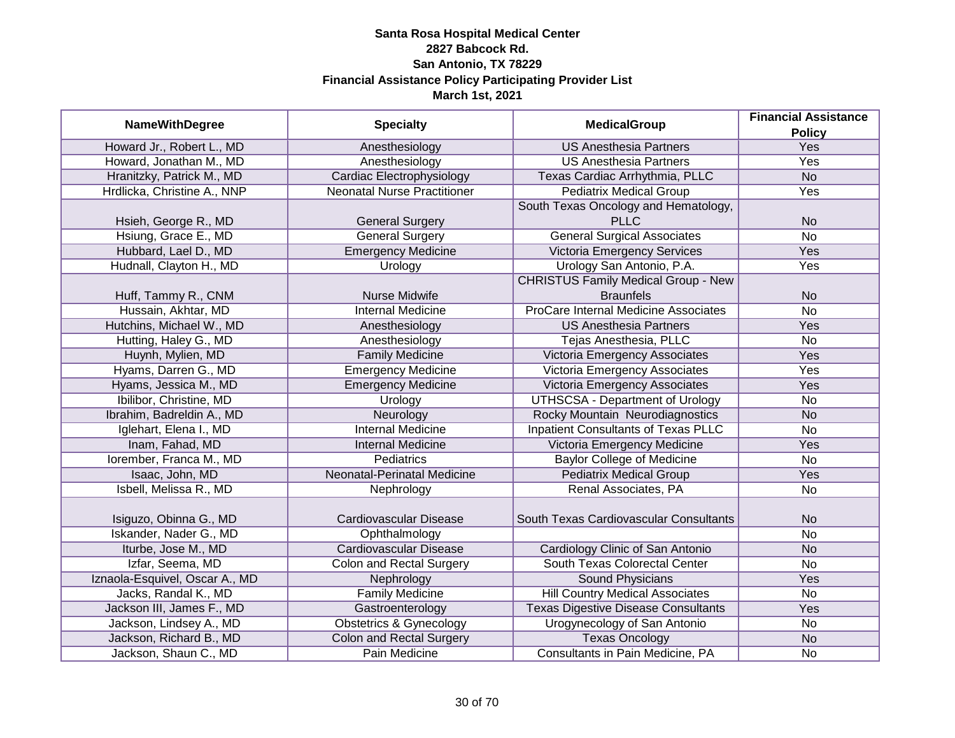|                                |                                    | <b>Financial Assistance</b>                |                 |
|--------------------------------|------------------------------------|--------------------------------------------|-----------------|
| <b>NameWithDegree</b>          | <b>Specialty</b>                   | <b>MedicalGroup</b>                        | <b>Policy</b>   |
| Howard Jr., Robert L., MD      | Anesthesiology                     | <b>US Anesthesia Partners</b>              | Yes             |
| Howard, Jonathan M., MD        | Anesthesiology                     | <b>US Anesthesia Partners</b>              | <b>Yes</b>      |
| Hranitzky, Patrick M., MD      | Cardiac Electrophysiology          | Texas Cardiac Arrhythmia, PLLC             | N <sub>o</sub>  |
| Hrdlicka, Christine A., NNP    | <b>Neonatal Nurse Practitioner</b> | <b>Pediatrix Medical Group</b>             | <b>Yes</b>      |
|                                |                                    | South Texas Oncology and Hematology,       |                 |
| Hsieh, George R., MD           | <b>General Surgery</b>             | <b>PLLC</b>                                | <b>No</b>       |
| Hsiung, Grace E., MD           | <b>General Surgery</b>             | <b>General Surgical Associates</b>         | $\overline{No}$ |
| Hubbard, Lael D., MD           | <b>Emergency Medicine</b>          | Victoria Emergency Services                | Yes             |
| Hudnall, Clayton H., MD        | Urology                            | Urology San Antonio, P.A.                  | Yes             |
|                                |                                    | <b>CHRISTUS Family Medical Group - New</b> |                 |
| Huff, Tammy R., CNM            | <b>Nurse Midwife</b>               | <b>Braunfels</b>                           | <b>No</b>       |
| Hussain, Akhtar, MD            | <b>Internal Medicine</b>           | ProCare Internal Medicine Associates       | <b>No</b>       |
| Hutchins, Michael W., MD       | Anesthesiology                     | <b>US Anesthesia Partners</b>              | Yes             |
| Hutting, Haley G., MD          | Anesthesiology                     | Tejas Anesthesia, PLLC                     | No              |
| Huynh, Mylien, MD              | <b>Family Medicine</b>             | Victoria Emergency Associates              | Yes             |
| Hyams, Darren G., MD           | <b>Emergency Medicine</b>          | Victoria Emergency Associates              | Yes             |
| Hyams, Jessica M., MD          | <b>Emergency Medicine</b>          | Victoria Emergency Associates              | Yes             |
| Ibilibor, Christine, MD        | Urology                            | <b>UTHSCSA - Department of Urology</b>     | <b>No</b>       |
| Ibrahim, Badreldin A., MD      | Neurology                          | Rocky Mountain Neurodiagnostics            | <b>No</b>       |
| Iglehart, Elena I., MD         | <b>Internal Medicine</b>           | <b>Inpatient Consultants of Texas PLLC</b> | <b>No</b>       |
| Inam, Fahad, MD                | <b>Internal Medicine</b>           | Victoria Emergency Medicine                | Yes             |
| Iorember, Franca M., MD        | Pediatrics                         | <b>Baylor College of Medicine</b>          | <b>No</b>       |
| Isaac, John, MD                | Neonatal-Perinatal Medicine        | <b>Pediatrix Medical Group</b>             | Yes             |
| Isbell, Melissa R., MD         | Nephrology                         | Renal Associates, PA                       | <b>No</b>       |
|                                |                                    |                                            |                 |
| Isiguzo, Obinna G., MD         | Cardiovascular Disease             | South Texas Cardiovascular Consultants     | <b>No</b>       |
| Iskander, Nader G., MD         | Ophthalmology                      |                                            | <b>No</b>       |
| Iturbe, Jose M., MD            | <b>Cardiovascular Disease</b>      | Cardiology Clinic of San Antonio           | <b>No</b>       |
| Izfar, Seema, MD               | <b>Colon and Rectal Surgery</b>    | South Texas Colorectal Center              | No              |
| Iznaola-Esquivel, Oscar A., MD | Nephrology                         | Sound Physicians                           | Yes             |
| Jacks, Randal K., MD           | <b>Family Medicine</b>             | <b>Hill Country Medical Associates</b>     | No              |
| Jackson III, James F., MD      | Gastroenterology                   | <b>Texas Digestive Disease Consultants</b> | Yes             |
| Jackson, Lindsey A., MD        | <b>Obstetrics &amp; Gynecology</b> | Urogynecology of San Antonio               | No              |
| Jackson, Richard B., MD        | <b>Colon and Rectal Surgery</b>    | <b>Texas Oncology</b>                      | <b>No</b>       |
| Jackson, Shaun C., MD          | Pain Medicine                      | Consultants in Pain Medicine, PA           | No              |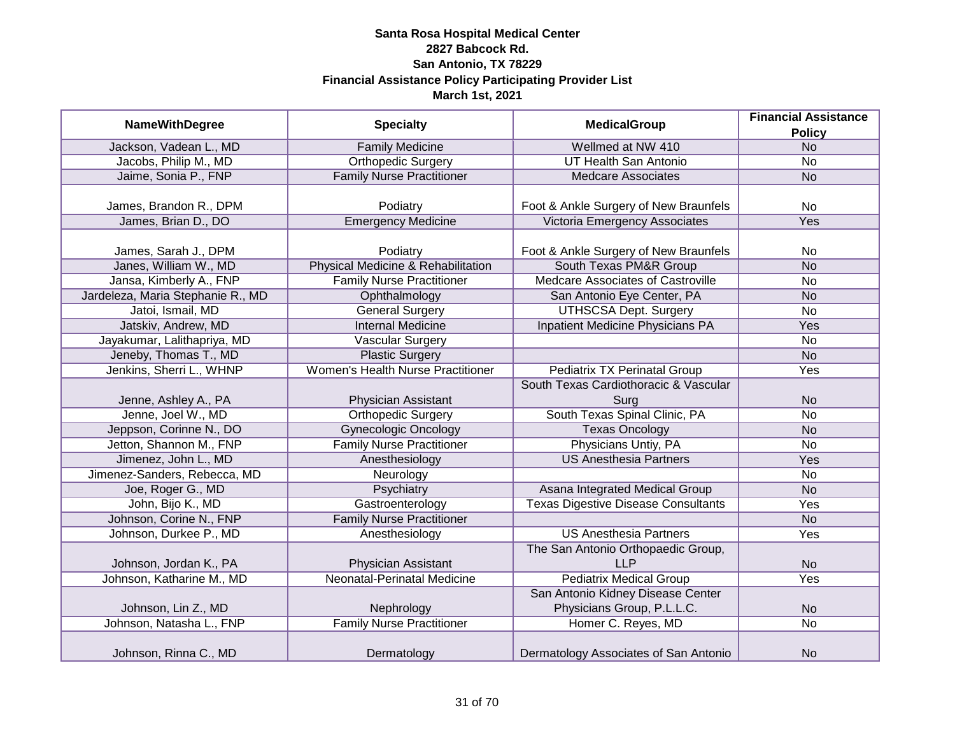| <b>NameWithDegree</b>             | <b>Specialty</b>                   | <b>MedicalGroup</b>                        | <b>Financial Assistance</b> |
|-----------------------------------|------------------------------------|--------------------------------------------|-----------------------------|
|                                   |                                    |                                            | <b>Policy</b>               |
| Jackson, Vadean L., MD            | <b>Family Medicine</b>             | Wellmed at NW 410                          | <b>No</b>                   |
| Jacobs, Philip M., MD             | <b>Orthopedic Surgery</b>          | <b>UT Health San Antonio</b>               | <b>No</b>                   |
| Jaime, Sonia P., FNP              | <b>Family Nurse Practitioner</b>   | <b>Medcare Associates</b>                  | <b>No</b>                   |
|                                   |                                    |                                            |                             |
| James, Brandon R., DPM            | Podiatry                           | Foot & Ankle Surgery of New Braunfels      | No                          |
| James, Brian D., DO               | <b>Emergency Medicine</b>          | Victoria Emergency Associates              | Yes                         |
|                                   |                                    |                                            |                             |
| James, Sarah J., DPM              | Podiatry                           | Foot & Ankle Surgery of New Braunfels      | No                          |
| Janes, William W., MD             | Physical Medicine & Rehabilitation | South Texas PM&R Group                     | <b>No</b>                   |
| Jansa, Kimberly A., FNP           | <b>Family Nurse Practitioner</b>   | Medcare Associates of Castroville          | <b>No</b>                   |
| Jardeleza, Maria Stephanie R., MD | Ophthalmology                      | San Antonio Eye Center, PA                 | <b>No</b>                   |
| Jatoi, Ismail, MD                 | <b>General Surgery</b>             | <b>UTHSCSA Dept. Surgery</b>               | <b>No</b>                   |
| Jatskiv, Andrew, MD               | <b>Internal Medicine</b>           | Inpatient Medicine Physicians PA           | Yes                         |
| Jayakumar, Lalithapriya, MD       | Vascular Surgery                   |                                            | <b>No</b>                   |
| Jeneby, Thomas T., MD             | <b>Plastic Surgery</b>             |                                            | <b>No</b>                   |
| Jenkins, Sherri L., WHNP          | Women's Health Nurse Practitioner  | <b>Pediatrix TX Perinatal Group</b>        | Yes                         |
|                                   |                                    | South Texas Cardiothoracic & Vascular      |                             |
| Jenne, Ashley A., PA              | Physician Assistant                | Surg                                       | <b>No</b>                   |
| Jenne, Joel W., MD                | <b>Orthopedic Surgery</b>          | South Texas Spinal Clinic, PA              | <b>No</b>                   |
| Jeppson, Corinne N., DO           | <b>Gynecologic Oncology</b>        | <b>Texas Oncology</b>                      | <b>No</b>                   |
| Jetton, Shannon M., FNP           | <b>Family Nurse Practitioner</b>   | Physicians Untiy, PA                       | <b>No</b>                   |
| Jimenez, John L., MD              | Anesthesiology                     | <b>US Anesthesia Partners</b>              | Yes                         |
| Jimenez-Sanders, Rebecca, MD      | Neurology                          |                                            | No                          |
| Joe, Roger G., MD                 | Psychiatry                         | Asana Integrated Medical Group             | <b>No</b>                   |
| John, Bijo K., MD                 | Gastroenterology                   | <b>Texas Digestive Disease Consultants</b> | Yes                         |
| Johnson, Corine N., FNP           | <b>Family Nurse Practitioner</b>   |                                            | <b>No</b>                   |
| Johnson, Durkee P., MD            | Anesthesiology                     | <b>US Anesthesia Partners</b>              | Yes                         |
|                                   |                                    | The San Antonio Orthopaedic Group,         |                             |
| Johnson, Jordan K., PA            | Physician Assistant                | <b>LLP</b>                                 | <b>No</b>                   |
| Johnson, Katharine M., MD         | Neonatal-Perinatal Medicine        | <b>Pediatrix Medical Group</b>             | Yes                         |
|                                   |                                    | San Antonio Kidney Disease Center          |                             |
| Johnson, Lin Z., MD               | Nephrology                         | Physicians Group, P.L.L.C.                 | <b>No</b>                   |
| Johnson, Natasha L., FNP          | <b>Family Nurse Practitioner</b>   | Homer C. Reyes, MD                         | <b>No</b>                   |
|                                   |                                    |                                            |                             |
| Johnson, Rinna C., MD             | Dermatology                        | Dermatology Associates of San Antonio      | <b>No</b>                   |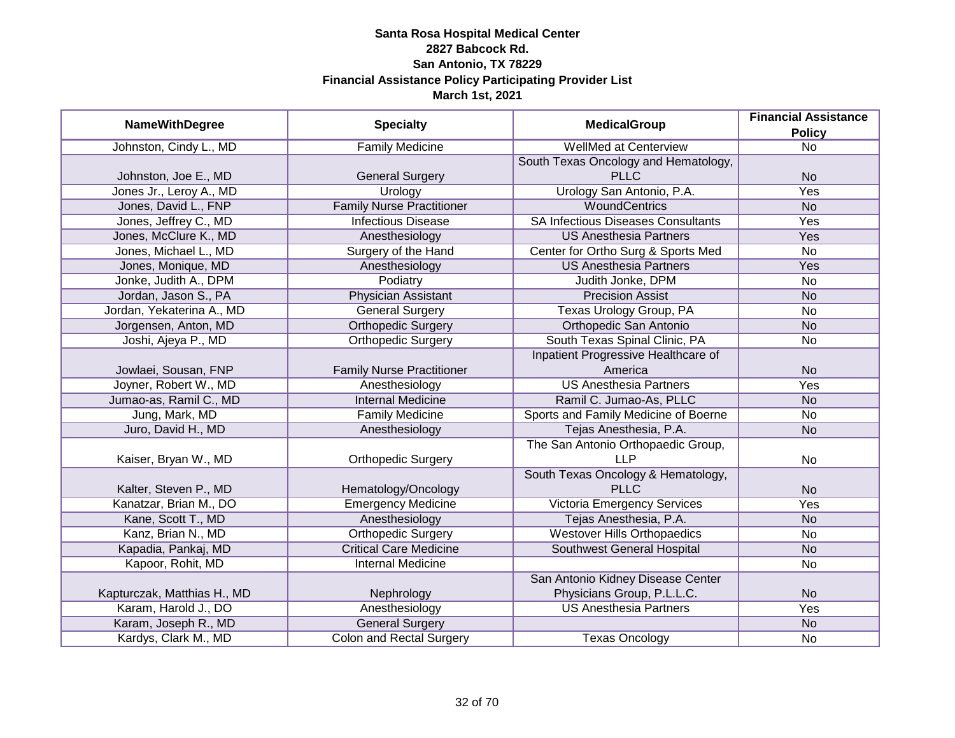|                             | <b>NameWithDegree</b><br><b>Specialty</b><br><b>MedicalGroup</b> | <b>Financial Assistance</b>               |                 |
|-----------------------------|------------------------------------------------------------------|-------------------------------------------|-----------------|
|                             |                                                                  |                                           | <b>Policy</b>   |
| Johnston, Cindy L., MD      | <b>Family Medicine</b>                                           | <b>WellMed at Centerview</b>              | $\overline{No}$ |
|                             |                                                                  | South Texas Oncology and Hematology,      |                 |
| Johnston, Joe E., MD        | <b>General Surgery</b>                                           | <b>PLLC</b>                               | <b>No</b>       |
| Jones Jr., Leroy A., MD     | Urology                                                          | Urology San Antonio, P.A.                 | Yes             |
| Jones, David L., FNP        | <b>Family Nurse Practitioner</b>                                 | <b>WoundCentrics</b>                      | N <sub>o</sub>  |
| Jones, Jeffrey C., MD       | <b>Infectious Disease</b>                                        | <b>SA Infectious Diseases Consultants</b> | Yes             |
| Jones, McClure K., MD       | Anesthesiology                                                   | <b>US Anesthesia Partners</b>             | Yes             |
| Jones, Michael L., MD       | Surgery of the Hand                                              | Center for Ortho Surg & Sports Med        | No              |
| Jones, Monique, MD          | Anesthesiology                                                   | <b>US Anesthesia Partners</b>             | Yes             |
| Jonke, Judith A., DPM       | Podiatry                                                         | Judith Jonke, DPM                         | No              |
| Jordan, Jason S., PA        | <b>Physician Assistant</b>                                       | <b>Precision Assist</b>                   | <b>No</b>       |
| Jordan, Yekaterina A., MD   | <b>General Surgery</b>                                           | Texas Urology Group, PA                   | <b>No</b>       |
| Jorgensen, Anton, MD        | <b>Orthopedic Surgery</b>                                        | Orthopedic San Antonio                    | <b>No</b>       |
| Joshi, Ajeya P., MD         | <b>Orthopedic Surgery</b>                                        | South Texas Spinal Clinic, PA             | No              |
|                             |                                                                  | Inpatient Progressive Healthcare of       |                 |
| Jowlaei, Sousan, FNP        | <b>Family Nurse Practitioner</b>                                 | America                                   | <b>No</b>       |
| Joyner, Robert W., MD       | Anesthesiology                                                   | <b>US Anesthesia Partners</b>             | Yes             |
| Jumao-as, Ramil C., MD      | <b>Internal Medicine</b>                                         | Ramil C. Jumao-As, PLLC                   | <b>No</b>       |
| Jung, Mark, MD              | <b>Family Medicine</b>                                           | Sports and Family Medicine of Boerne      | No              |
| Juro, David H., MD          | Anesthesiology                                                   | Tejas Anesthesia, P.A.                    | <b>No</b>       |
|                             |                                                                  | The San Antonio Orthopaedic Group,        |                 |
| Kaiser, Bryan W., MD        | <b>Orthopedic Surgery</b>                                        | <b>LLP</b>                                | No              |
|                             |                                                                  | South Texas Oncology & Hematology,        |                 |
| Kalter, Steven P., MD       | Hematology/Oncology                                              | <b>PLLC</b>                               | <b>No</b>       |
| Kanatzar, Brian M., DO      | <b>Emergency Medicine</b>                                        | <b>Victoria Emergency Services</b>        | Yes             |
| Kane, Scott T., MD          | Anesthesiology                                                   | Tejas Anesthesia, P.A.                    | <b>No</b>       |
| Kanz, Brian N., MD          | <b>Orthopedic Surgery</b>                                        | <b>Westover Hills Orthopaedics</b>        | No              |
| Kapadia, Pankaj, MD         | <b>Critical Care Medicine</b>                                    | Southwest General Hospital                | <b>No</b>       |
| Kapoor, Rohit, MD           | <b>Internal Medicine</b>                                         |                                           | No              |
|                             |                                                                  | San Antonio Kidney Disease Center         |                 |
| Kapturczak, Matthias H., MD | Nephrology                                                       | Physicians Group, P.L.L.C.                | <b>No</b>       |
| Karam, Harold J., DO        | Anesthesiology                                                   | <b>US Anesthesia Partners</b>             | Yes             |
| Karam, Joseph R., MD        | <b>General Surgery</b>                                           |                                           | <b>No</b>       |
| Kardys, Clark M., MD        | <b>Colon and Rectal Surgery</b>                                  | <b>Texas Oncology</b>                     | No              |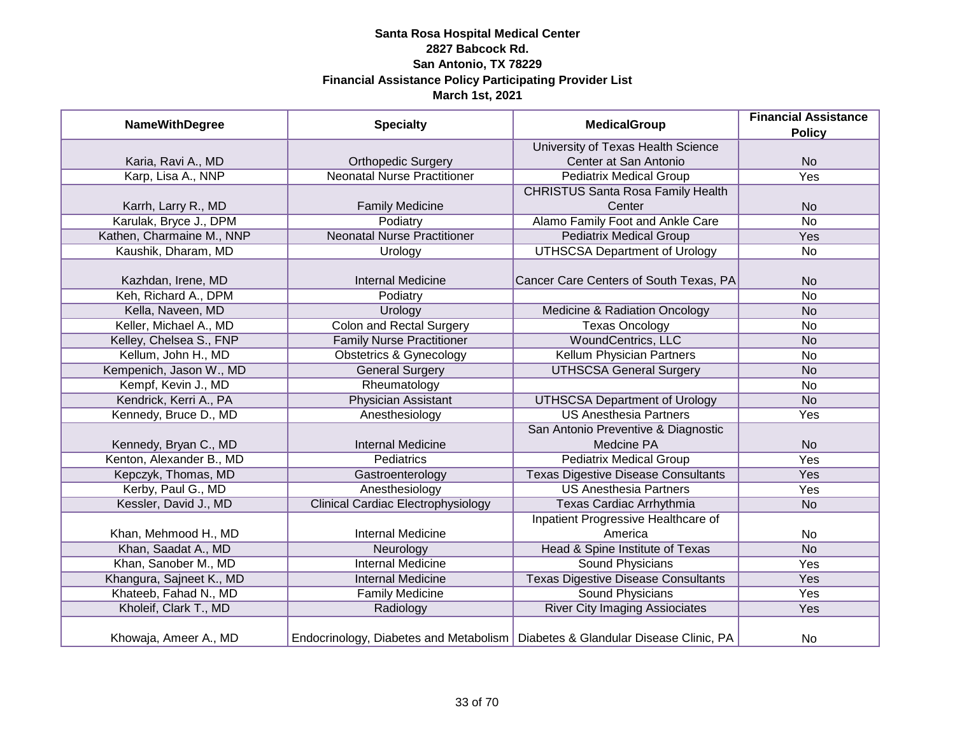| <b>NameWithDegree</b>     | <b>Specialty</b>                          | <b>MedicalGroup</b>                                                              | <b>Financial Assistance</b> |
|---------------------------|-------------------------------------------|----------------------------------------------------------------------------------|-----------------------------|
|                           |                                           |                                                                                  | <b>Policy</b>               |
|                           |                                           | University of Texas Health Science                                               |                             |
| Karia, Ravi A., MD        | <b>Orthopedic Surgery</b>                 | Center at San Antonio                                                            | <b>No</b>                   |
| Karp, Lisa A., NNP        | <b>Neonatal Nurse Practitioner</b>        | <b>Pediatrix Medical Group</b>                                                   | Yes                         |
|                           |                                           | <b>CHRISTUS Santa Rosa Family Health</b>                                         |                             |
| Karrh, Larry R., MD       | <b>Family Medicine</b>                    | Center                                                                           | <b>No</b>                   |
| Karulak, Bryce J., DPM    | Podiatry                                  | Alamo Family Foot and Ankle Care                                                 | <b>No</b>                   |
| Kathen, Charmaine M., NNP | <b>Neonatal Nurse Practitioner</b>        | <b>Pediatrix Medical Group</b>                                                   | Yes                         |
| Kaushik, Dharam, MD       | Urology                                   | <b>UTHSCSA Department of Urology</b>                                             | No                          |
|                           |                                           |                                                                                  |                             |
| Kazhdan, Irene, MD        | <b>Internal Medicine</b>                  | Cancer Care Centers of South Texas, PA                                           | <b>No</b>                   |
| Keh, Richard A., DPM      | Podiatry                                  |                                                                                  | <b>No</b>                   |
| Kella, Naveen, MD         | Urology                                   | Medicine & Radiation Oncology                                                    | <b>No</b>                   |
| Keller, Michael A., MD    | <b>Colon and Rectal Surgery</b>           | <b>Texas Oncology</b>                                                            | No                          |
| Kelley, Chelsea S., FNP   | <b>Family Nurse Practitioner</b>          | <b>WoundCentrics, LLC</b>                                                        | <b>No</b>                   |
| Kellum, John H., MD       | <b>Obstetrics &amp; Gynecology</b>        | <b>Kellum Physician Partners</b>                                                 | No                          |
| Kempenich, Jason W., MD   | <b>General Surgery</b>                    | <b>UTHSCSA General Surgery</b>                                                   | <b>No</b>                   |
| Kempf, Kevin J., MD       | Rheumatology                              |                                                                                  | No                          |
| Kendrick, Kerri A., PA    | <b>Physician Assistant</b>                | <b>UTHSCSA Department of Urology</b>                                             | <b>No</b>                   |
| Kennedy, Bruce D., MD     | Anesthesiology                            | <b>US Anesthesia Partners</b>                                                    | Yes                         |
|                           |                                           | San Antonio Preventive & Diagnostic                                              |                             |
| Kennedy, Bryan C., MD     | <b>Internal Medicine</b>                  | Medcine PA                                                                       | <b>No</b>                   |
| Kenton, Alexander B., MD  | Pediatrics                                | <b>Pediatrix Medical Group</b>                                                   | Yes                         |
| Kepczyk, Thomas, MD       | Gastroenterology                          | <b>Texas Digestive Disease Consultants</b>                                       | Yes                         |
| Kerby, Paul G., MD        | Anesthesiology                            | <b>US Anesthesia Partners</b>                                                    | Yes                         |
| Kessler, David J., MD     | <b>Clinical Cardiac Electrophysiology</b> | <b>Texas Cardiac Arrhythmia</b>                                                  | <b>No</b>                   |
|                           |                                           | Inpatient Progressive Healthcare of                                              |                             |
| Khan, Mehmood H., MD      | <b>Internal Medicine</b>                  | America                                                                          | No                          |
| Khan, Saadat A., MD       | Neurology                                 | Head & Spine Institute of Texas                                                  | <b>No</b>                   |
| Khan, Sanober M., MD      | <b>Internal Medicine</b>                  | Sound Physicians                                                                 | Yes                         |
| Khangura, Sajneet K., MD  | <b>Internal Medicine</b>                  | <b>Texas Digestive Disease Consultants</b>                                       | Yes                         |
| Khateeb, Fahad N., MD     | <b>Family Medicine</b>                    | <b>Sound Physicians</b>                                                          | Yes                         |
| Kholeif, Clark T., MD     | Radiology                                 | <b>River City Imaging Assiociates</b>                                            | Yes                         |
|                           |                                           |                                                                                  |                             |
| Khowaja, Ameer A., MD     |                                           | Endocrinology, Diabetes and Metabolism   Diabetes & Glandular Disease Clinic, PA | No                          |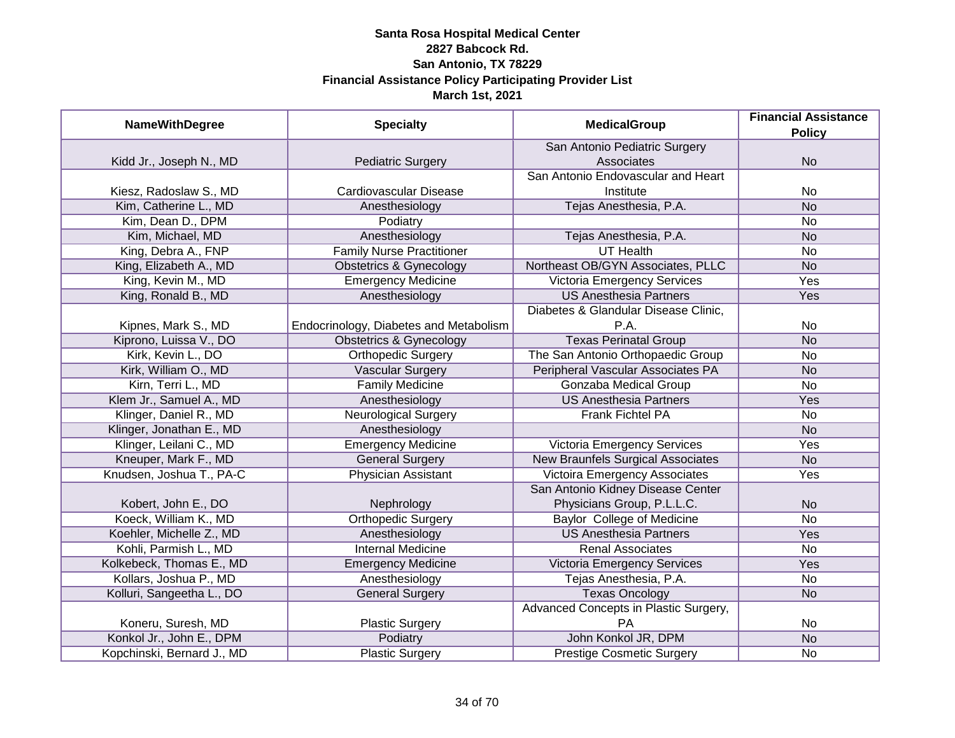| <b>NameWithDegree</b>      | <b>Specialty</b>                       | <b>MedicalGroup</b>                      | <b>Financial Assistance</b> |
|----------------------------|----------------------------------------|------------------------------------------|-----------------------------|
|                            |                                        |                                          | <b>Policy</b>               |
|                            |                                        | San Antonio Pediatric Surgery            |                             |
| Kidd Jr., Joseph N., MD    | <b>Pediatric Surgery</b>               | Associates                               | <b>No</b>                   |
|                            |                                        | San Antonio Endovascular and Heart       |                             |
| Kiesz, Radoslaw S., MD     | Cardiovascular Disease                 | Institute                                | No                          |
| Kim, Catherine L., MD      | Anesthesiology                         | Tejas Anesthesia, P.A.                   | <b>No</b>                   |
| Kim, Dean D., DPM          | Podiatry                               |                                          | No                          |
| Kim, Michael, MD           | Anesthesiology                         | Tejas Anesthesia, P.A.                   | <b>No</b>                   |
| King, Debra A., FNP        | <b>Family Nurse Practitioner</b>       | <b>UT Health</b>                         | No                          |
| King, Elizabeth A., MD     | <b>Obstetrics &amp; Gynecology</b>     | Northeast OB/GYN Associates, PLLC        | <b>No</b>                   |
| King, Kevin M., MD         | <b>Emergency Medicine</b>              | Victoria Emergency Services              | Yes                         |
| King, Ronald B., MD        | Anesthesiology                         | <b>US Anesthesia Partners</b>            | Yes                         |
|                            |                                        | Diabetes & Glandular Disease Clinic,     |                             |
| Kipnes, Mark S., MD        | Endocrinology, Diabetes and Metabolism | P.A.                                     | No                          |
| Kiprono, Luissa V., DO     | <b>Obstetrics &amp; Gynecology</b>     | <b>Texas Perinatal Group</b>             | <b>No</b>                   |
| Kirk, Kevin L., DO         | <b>Orthopedic Surgery</b>              | The San Antonio Orthopaedic Group        | <b>No</b>                   |
| Kirk, William O., MD       | <b>Vascular Surgery</b>                | Peripheral Vascular Associates PA        | <b>No</b>                   |
| Kirn, Terri L., MD         | <b>Family Medicine</b>                 | Gonzaba Medical Group                    | No                          |
| Klem Jr., Samuel A., MD    | Anesthesiology                         | <b>US Anesthesia Partners</b>            | Yes                         |
| Klinger, Daniel R., MD     | <b>Neurological Surgery</b>            | Frank Fichtel PA                         | No                          |
| Klinger, Jonathan E., MD   | Anesthesiology                         |                                          | <b>No</b>                   |
| Klinger, Leilani C., MD    | <b>Emergency Medicine</b>              | <b>Victoria Emergency Services</b>       | Yes                         |
| Kneuper, Mark F., MD       | <b>General Surgery</b>                 | <b>New Braunfels Surgical Associates</b> | <b>No</b>                   |
| Knudsen, Joshua T., PA-C   | <b>Physician Assistant</b>             | <b>Victoira Emergency Associates</b>     | Yes                         |
|                            |                                        | San Antonio Kidney Disease Center        |                             |
| Kobert, John E., DO        | Nephrology                             | Physicians Group, P.L.L.C.               | <b>No</b>                   |
| Koeck, William K., MD      | <b>Orthopedic Surgery</b>              | <b>Baylor College of Medicine</b>        | <b>No</b>                   |
| Koehler, Michelle Z., MD   | Anesthesiology                         | <b>US Anesthesia Partners</b>            | Yes                         |
| Kohli, Parmish L., MD      | <b>Internal Medicine</b>               | <b>Renal Associates</b>                  | No                          |
| Kolkebeck, Thomas E., MD   | <b>Emergency Medicine</b>              | Victoria Emergency Services              | Yes                         |
| Kollars, Joshua P., MD     | Anesthesiology                         | Tejas Anesthesia, P.A.                   | No                          |
| Kolluri, Sangeetha L., DO  | <b>General Surgery</b>                 | <b>Texas Oncology</b>                    | <b>No</b>                   |
|                            |                                        | Advanced Concepts in Plastic Surgery,    |                             |
| Koneru, Suresh, MD         | <b>Plastic Surgery</b>                 | PA                                       | No                          |
| Konkol Jr., John E., DPM   | Podiatry                               | John Konkol JR, DPM                      | N <sub>o</sub>              |
| Kopchinski, Bernard J., MD | <b>Plastic Surgery</b>                 | <b>Prestige Cosmetic Surgery</b>         | No                          |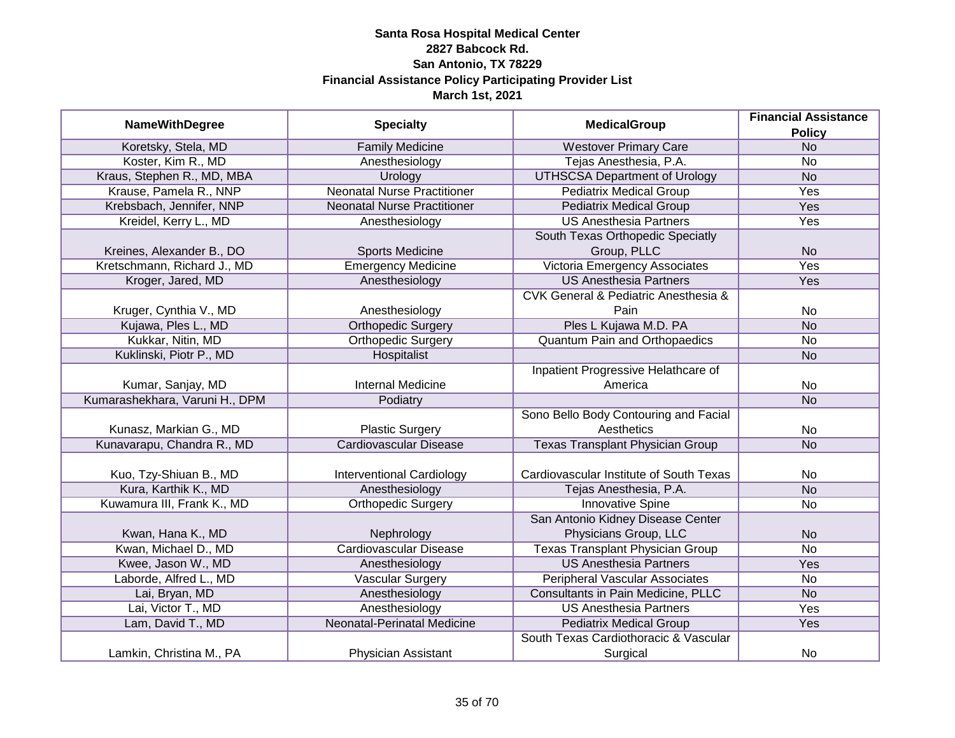| <b>NameWithDegree</b>          |                                    | <b>MedicalGroup</b>                                 | <b>Financial Assistance</b> |
|--------------------------------|------------------------------------|-----------------------------------------------------|-----------------------------|
|                                | <b>Specialty</b>                   |                                                     | <b>Policy</b>               |
| Koretsky, Stela, MD            | <b>Family Medicine</b>             | <b>Westover Primary Care</b>                        | N <sub>o</sub>              |
| Koster, Kim R., MD             | Anesthesiology                     | Tejas Anesthesia, P.A.                              | No                          |
| Kraus, Stephen R., MD, MBA     | Urology                            | <b>UTHSCSA Department of Urology</b>                | N <sub>o</sub>              |
| Krause, Pamela R., NNP         | <b>Neonatal Nurse Practitioner</b> | <b>Pediatrix Medical Group</b>                      | <b>Yes</b>                  |
| Krebsbach, Jennifer, NNP       | <b>Neonatal Nurse Practitioner</b> | <b>Pediatrix Medical Group</b>                      | <b>Yes</b>                  |
| Kreidel, Kerry L., MD          | Anesthesiology                     | <b>US Anesthesia Partners</b>                       | Yes                         |
|                                |                                    | South Texas Orthopedic Speciatly                    |                             |
| Kreines, Alexander B., DO      | <b>Sports Medicine</b>             | Group, PLLC                                         | <b>No</b>                   |
| Kretschmann, Richard J., MD    | <b>Emergency Medicine</b>          | Victoria Emergency Associates                       | Yes                         |
| Kroger, Jared, MD              | Anesthesiology                     | <b>US Anesthesia Partners</b>                       | Yes                         |
|                                |                                    | <b>CVK General &amp; Pediatric Anesthesia &amp;</b> |                             |
| Kruger, Cynthia V., MD         | Anesthesiology                     | Pain                                                | No                          |
| Kujawa, Ples L., MD            | <b>Orthopedic Surgery</b>          | Ples L Kujawa M.D. PA                               | <b>No</b>                   |
| Kukkar, Nitin, MD              | <b>Orthopedic Surgery</b>          | <b>Quantum Pain and Orthopaedics</b>                | No                          |
| Kuklinski, Piotr P., MD        | Hospitalist                        |                                                     | <b>No</b>                   |
|                                |                                    | Inpatient Progressive Helathcare of                 |                             |
| Kumar, Sanjay, MD              | <b>Internal Medicine</b>           | America                                             | No                          |
| Kumarashekhara, Varuni H., DPM | Podiatry                           |                                                     | <b>No</b>                   |
|                                |                                    | Sono Bello Body Contouring and Facial               |                             |
| Kunasz, Markian G., MD         | <b>Plastic Surgery</b>             | Aesthetics                                          | <b>No</b>                   |
| Kunavarapu, Chandra R., MD     | <b>Cardiovascular Disease</b>      | <b>Texas Transplant Physician Group</b>             | <b>No</b>                   |
|                                |                                    |                                                     |                             |
| Kuo, Tzy-Shiuan B., MD         | <b>Interventional Cardiology</b>   | Cardiovascular Institute of South Texas             | No                          |
| Kura, Karthik K., MD           | Anesthesiology                     | Tejas Anesthesia, P.A.                              | <b>No</b>                   |
| Kuwamura III, Frank K., MD     | <b>Orthopedic Surgery</b>          | <b>Innovative Spine</b>                             | <b>No</b>                   |
|                                |                                    | San Antonio Kidney Disease Center                   |                             |
| Kwan, Hana K., MD              | Nephrology                         | Physicians Group, LLC                               | <b>No</b>                   |
| Kwan, Michael D., MD           | <b>Cardiovascular Disease</b>      | <b>Texas Transplant Physician Group</b>             | <b>No</b>                   |
| Kwee, Jason W., MD             | Anesthesiology                     | <b>US Anesthesia Partners</b>                       | Yes                         |
| Laborde, Alfred L., MD         | Vascular Surgery                   | Peripheral Vascular Associates                      | No                          |
| Lai, Bryan, MD                 | Anesthesiology                     | Consultants in Pain Medicine, PLLC                  | <b>No</b>                   |
| Lai, Victor T., MD             | Anesthesiology                     | <b>US Anesthesia Partners</b>                       | Yes                         |
| Lam, David T., MD              | <b>Neonatal-Perinatal Medicine</b> | <b>Pediatrix Medical Group</b>                      | Yes                         |
|                                |                                    | South Texas Cardiothoracic & Vascular               |                             |
| Lamkin, Christina M., PA       | Physician Assistant                | Surgical                                            | No                          |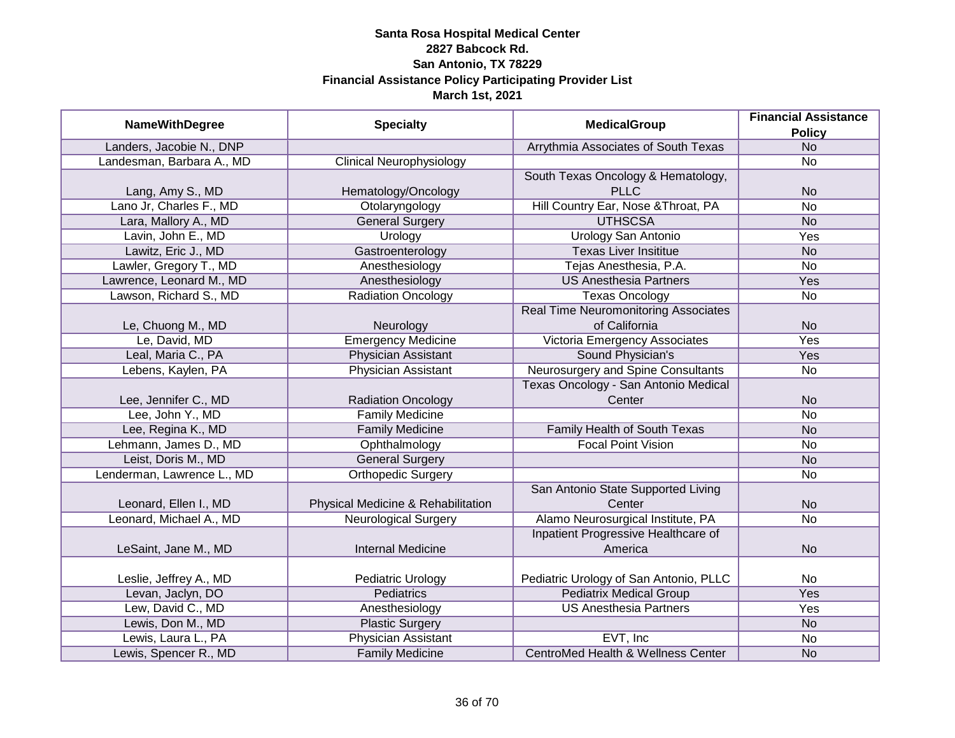| <b>NameWithDegree</b>      | <b>Specialty</b>                   | <b>MedicalGroup</b>                           | <b>Financial Assistance</b> |
|----------------------------|------------------------------------|-----------------------------------------------|-----------------------------|
|                            |                                    |                                               | <b>Policy</b>               |
| Landers, Jacobie N., DNP   |                                    | Arrythmia Associates of South Texas           | N <sub>o</sub>              |
| Landesman, Barbara A., MD  | <b>Clinical Neurophysiology</b>    |                                               | <b>No</b>                   |
|                            |                                    | South Texas Oncology & Hematology,            |                             |
| Lang, Amy S., MD           | Hematology/Oncology                | <b>PLLC</b>                                   | <b>No</b>                   |
| Lano Jr, Charles F., MD    | Otolaryngology                     | Hill Country Ear, Nose & Throat, PA           | $\overline{No}$             |
| Lara, Mallory A., MD       | <b>General Surgery</b>             | <b>UTHSCSA</b>                                | <b>No</b>                   |
| Lavin, John E., MD         | Urology                            | <b>Urology San Antonio</b>                    | Yes                         |
| Lawitz, Eric J., MD        | Gastroenterology                   | <b>Texas Liver Insititue</b>                  | <b>No</b>                   |
| Lawler, Gregory T., MD     | Anesthesiology                     | Tejas Anesthesia, P.A.                        | <b>No</b>                   |
| Lawrence, Leonard M., MD   | Anesthesiology                     | <b>US Anesthesia Partners</b>                 | Yes                         |
| Lawson, Richard S., MD     | <b>Radiation Oncology</b>          | <b>Texas Oncology</b>                         | No                          |
|                            |                                    | <b>Real Time Neuromonitoring Associates</b>   |                             |
| Le, Chuong M., MD          | Neurology                          | of California                                 | <b>No</b>                   |
| Le, David, MD              | <b>Emergency Medicine</b>          | Victoria Emergency Associates                 | Yes                         |
| Leal, Maria C., PA         | <b>Physician Assistant</b>         | Sound Physician's                             | Yes                         |
| Lebens, Kaylen, PA         | <b>Physician Assistant</b>         | Neurosurgery and Spine Consultants            | No                          |
|                            |                                    | Texas Oncology - San Antonio Medical          |                             |
| Lee, Jennifer C., MD       | <b>Radiation Oncology</b>          | Center                                        | <b>No</b>                   |
| Lee, John Y., MD           | <b>Family Medicine</b>             |                                               | <b>No</b>                   |
| Lee, Regina K., MD         | <b>Family Medicine</b>             | Family Health of South Texas                  | <b>No</b>                   |
| Lehmann, James D., MD      | Ophthalmology                      | <b>Focal Point Vision</b>                     | <b>No</b>                   |
| Leist, Doris M., MD        | <b>General Surgery</b>             |                                               | <b>No</b>                   |
| Lenderman, Lawrence L., MD | <b>Orthopedic Surgery</b>          |                                               | <b>No</b>                   |
|                            |                                    | San Antonio State Supported Living            |                             |
| Leonard, Ellen I., MD      | Physical Medicine & Rehabilitation | Center                                        | <b>No</b>                   |
| Leonard, Michael A., MD    | <b>Neurological Surgery</b>        | Alamo Neurosurgical Institute, PA             | <b>No</b>                   |
|                            |                                    | Inpatient Progressive Healthcare of           |                             |
| LeSaint, Jane M., MD       | <b>Internal Medicine</b>           | America                                       | <b>No</b>                   |
|                            |                                    |                                               |                             |
| Leslie, Jeffrey A., MD     | Pediatric Urology                  | Pediatric Urology of San Antonio, PLLC        | No                          |
| Levan, Jaclyn, DO          | <b>Pediatrics</b>                  | <b>Pediatrix Medical Group</b>                | Yes                         |
| Lew, David C., MD          | Anesthesiology                     | <b>US Anesthesia Partners</b>                 | Yes                         |
| Lewis, Don M., MD          | <b>Plastic Surgery</b>             |                                               | <b>No</b>                   |
| Lewis, Laura L., PA        | Physician Assistant                | EVT, Inc                                      | <b>No</b>                   |
| Lewis, Spencer R., MD      | <b>Family Medicine</b>             | <b>CentroMed Health &amp; Wellness Center</b> | <b>No</b>                   |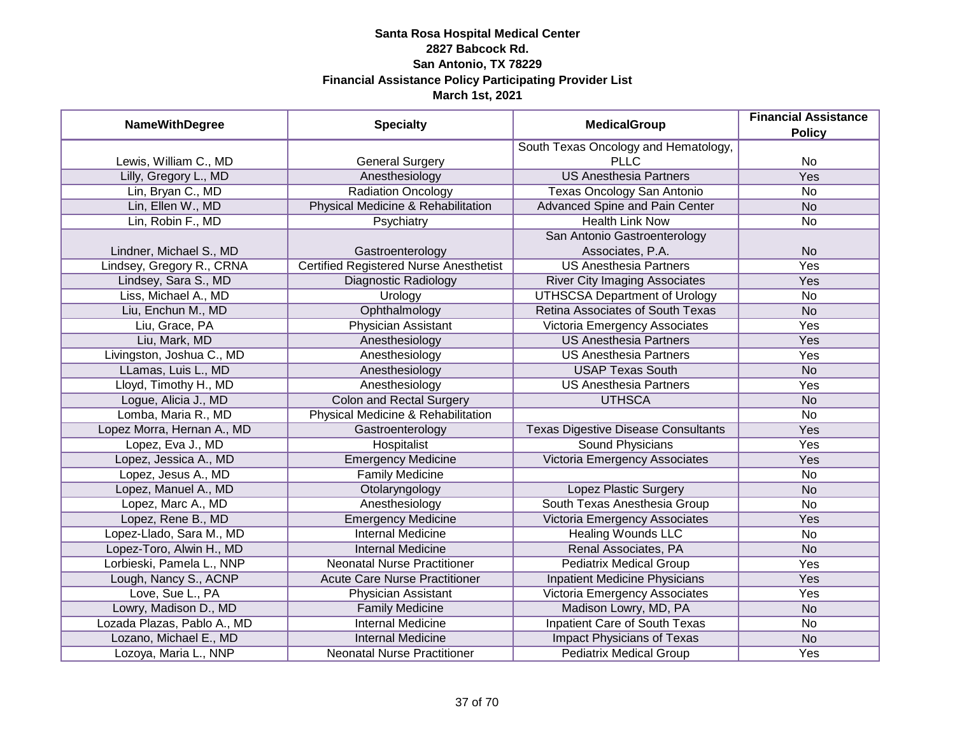| <b>NameWithDegree</b>       | <b>Specialty</b>                              | <b>MedicalGroup</b>                        | <b>Financial Assistance</b><br><b>Policy</b> |
|-----------------------------|-----------------------------------------------|--------------------------------------------|----------------------------------------------|
|                             |                                               | South Texas Oncology and Hematology,       |                                              |
| Lewis, William C., MD       | <b>General Surgery</b>                        | <b>PLLC</b>                                | No                                           |
| Lilly, Gregory L., MD       | Anesthesiology                                | <b>US Anesthesia Partners</b>              | <b>Yes</b>                                   |
| Lin, Bryan C., MD           | <b>Radiation Oncology</b>                     | <b>Texas Oncology San Antonio</b>          | <b>No</b>                                    |
| Lin, Ellen W., MD           | Physical Medicine & Rehabilitation            | <b>Advanced Spine and Pain Center</b>      | <b>No</b>                                    |
| Lin, Robin F., MD           | Psychiatry                                    | <b>Health Link Now</b>                     | No                                           |
|                             |                                               | San Antonio Gastroenterology               |                                              |
| Lindner, Michael S., MD     | Gastroenterology                              | Associates, P.A.                           | <b>No</b>                                    |
| Lindsey, Gregory R., CRNA   | <b>Certified Registered Nurse Anesthetist</b> | <b>US Anesthesia Partners</b>              | Yes                                          |
| Lindsey, Sara S., MD        | Diagnostic Radiology                          | <b>River City Imaging Associates</b>       | Yes                                          |
| Liss, Michael A., MD        | Urology                                       | <b>UTHSCSA Department of Urology</b>       | <b>No</b>                                    |
| Liu, Enchun M., MD          | Ophthalmology                                 | Retina Associates of South Texas           | <b>No</b>                                    |
| Liu, Grace, PA              | Physician Assistant                           | Victoria Emergency Associates              | Yes                                          |
| Liu, Mark, MD               | Anesthesiology                                | <b>US Anesthesia Partners</b>              | Yes                                          |
| Livingston, Joshua C., MD   | Anesthesiology                                | <b>US Anesthesia Partners</b>              | Yes                                          |
| LLamas, Luis L., MD         | Anesthesiology                                | <b>USAP Texas South</b>                    | <b>No</b>                                    |
| Lloyd, Timothy H., MD       | Anesthesiology                                | <b>US Anesthesia Partners</b>              | Yes                                          |
| Logue, Alicia J., MD        | <b>Colon and Rectal Surgery</b>               | <b>UTHSCA</b>                              | <b>No</b>                                    |
| Lomba, Maria R., MD         | Physical Medicine & Rehabilitation            |                                            | No                                           |
| Lopez Morra, Hernan A., MD  | Gastroenterology                              | <b>Texas Digestive Disease Consultants</b> | Yes                                          |
| Lopez, Eva J., MD           | Hospitalist                                   | <b>Sound Physicians</b>                    | Yes                                          |
| Lopez, Jessica A., MD       | <b>Emergency Medicine</b>                     | Victoria Emergency Associates              | Yes                                          |
| Lopez, Jesus A., MD         | <b>Family Medicine</b>                        |                                            | <b>No</b>                                    |
| Lopez, Manuel A., MD        | Otolaryngology                                | Lopez Plastic Surgery                      | <b>No</b>                                    |
| Lopez, Marc A., MD          | Anesthesiology                                | South Texas Anesthesia Group               | <b>No</b>                                    |
| Lopez, Rene B., MD          | <b>Emergency Medicine</b>                     | Victoria Emergency Associates              | Yes                                          |
| Lopez-Llado, Sara M., MD    | <b>Internal Medicine</b>                      | <b>Healing Wounds LLC</b>                  | <b>No</b>                                    |
| Lopez-Toro, Alwin H., MD    | <b>Internal Medicine</b>                      | Renal Associates, PA                       | <b>No</b>                                    |
| Lorbieski, Pamela L., NNP   | <b>Neonatal Nurse Practitioner</b>            | <b>Pediatrix Medical Group</b>             | Yes                                          |
| Lough, Nancy S., ACNP       | <b>Acute Care Nurse Practitioner</b>          | <b>Inpatient Medicine Physicians</b>       | <b>Yes</b>                                   |
| Love, Sue L., PA            | Physician Assistant                           | Victoria Emergency Associates              | <b>Yes</b>                                   |
| Lowry, Madison D., MD       | <b>Family Medicine</b>                        | Madison Lowry, MD, PA                      | <b>No</b>                                    |
| Lozada Plazas, Pablo A., MD | <b>Internal Medicine</b>                      | <b>Inpatient Care of South Texas</b>       | No                                           |
| Lozano, Michael E., MD      | <b>Internal Medicine</b>                      | <b>Impact Physicians of Texas</b>          | N <sub>o</sub>                               |
| Lozoya, Maria L., NNP       | <b>Neonatal Nurse Practitioner</b>            | <b>Pediatrix Medical Group</b>             | <b>Yes</b>                                   |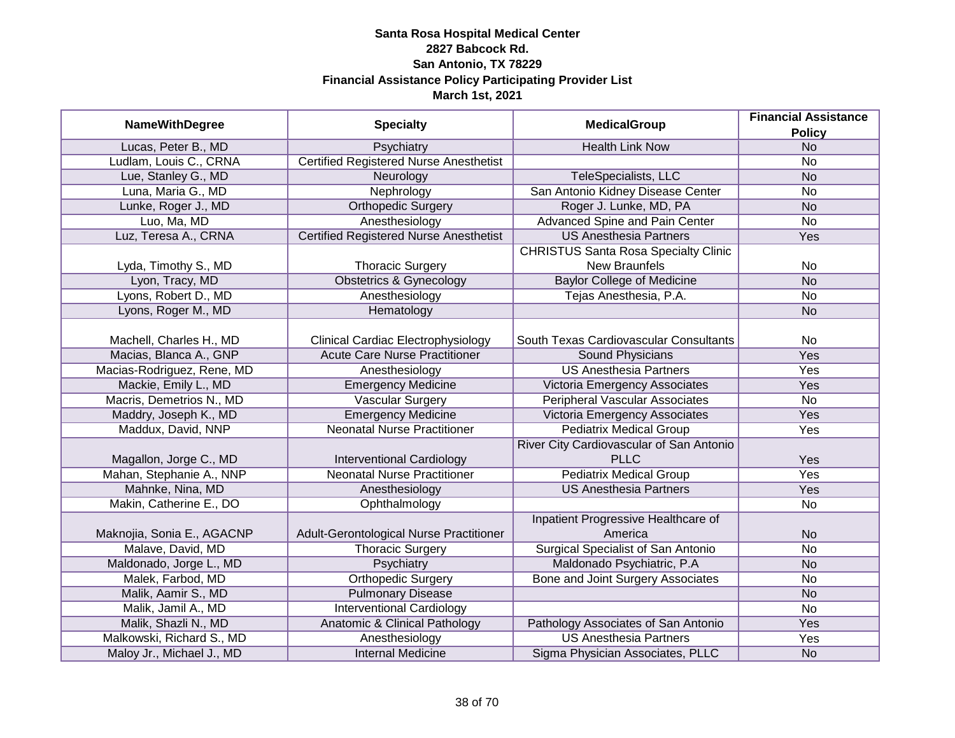|                            |                                               |                                             | <b>Financial Assistance</b> |
|----------------------------|-----------------------------------------------|---------------------------------------------|-----------------------------|
| <b>NameWithDegree</b>      | <b>Specialty</b>                              | <b>MedicalGroup</b>                         | <b>Policy</b>               |
| Lucas, Peter B., MD        | Psychiatry                                    | <b>Health Link Now</b>                      | N <sub>o</sub>              |
| Ludlam, Louis C., CRNA     | <b>Certified Registered Nurse Anesthetist</b> |                                             | No                          |
| Lue, Stanley G., MD        | Neurology                                     | TeleSpecialists, LLC                        | N <sub>o</sub>              |
| Luna, Maria G., MD         | Nephrology                                    | San Antonio Kidney Disease Center           | $\overline{No}$             |
| Lunke, Roger J., MD        | <b>Orthopedic Surgery</b>                     | Roger J. Lunke, MD, PA                      | <b>No</b>                   |
| Luo, Ma, MD                | Anesthesiology                                | Advanced Spine and Pain Center              | No                          |
| Luz, Teresa A., CRNA       | <b>Certified Registered Nurse Anesthetist</b> | <b>US Anesthesia Partners</b>               | Yes                         |
|                            |                                               | <b>CHRISTUS Santa Rosa Specialty Clinic</b> |                             |
| Lyda, Timothy S., MD       | <b>Thoracic Surgery</b>                       | <b>New Braunfels</b>                        | No                          |
| Lyon, Tracy, MD            | <b>Obstetrics &amp; Gynecology</b>            | <b>Baylor College of Medicine</b>           | <b>No</b>                   |
| Lyons, Robert D., MD       | Anesthesiology                                | Tejas Anesthesia, P.A.                      | No                          |
| Lyons, Roger M., MD        | Hematology                                    |                                             | <b>No</b>                   |
|                            |                                               |                                             |                             |
| Machell, Charles H., MD    | <b>Clinical Cardiac Electrophysiology</b>     | South Texas Cardiovascular Consultants      | No                          |
| Macias, Blanca A., GNP     | <b>Acute Care Nurse Practitioner</b>          | Sound Physicians                            | Yes                         |
| Macias-Rodriguez, Rene, MD | Anesthesiology                                | <b>US Anesthesia Partners</b>               | Yes                         |
| Mackie, Emily L., MD       | <b>Emergency Medicine</b>                     | Victoria Emergency Associates               | Yes                         |
| Macris, Demetrios N., MD   | <b>Vascular Surgery</b>                       | <b>Peripheral Vascular Associates</b>       | No                          |
| Maddry, Joseph K., MD      | <b>Emergency Medicine</b>                     | Victoria Emergency Associates               | Yes                         |
| Maddux, David, NNP         | <b>Neonatal Nurse Practitioner</b>            | <b>Pediatrix Medical Group</b>              | Yes                         |
|                            |                                               | River City Cardiovascular of San Antonio    |                             |
| Magallon, Jorge C., MD     | <b>Interventional Cardiology</b>              | <b>PLLC</b>                                 | Yes                         |
| Mahan, Stephanie A., NNP   | <b>Neonatal Nurse Practitioner</b>            | <b>Pediatrix Medical Group</b>              | Yes                         |
| Mahnke, Nina, MD           | Anesthesiology                                | <b>US Anesthesia Partners</b>               | Yes                         |
| Makin, Catherine E., DO    | Ophthalmology                                 |                                             | No                          |
|                            |                                               | Inpatient Progressive Healthcare of         |                             |
| Maknojia, Sonia E., AGACNP | Adult-Gerontological Nurse Practitioner       | America                                     | <b>No</b>                   |
| Malave, David, MD          | <b>Thoracic Surgery</b>                       | <b>Surgical Specialist of San Antonio</b>   | <b>No</b>                   |
| Maldonado, Jorge L., MD    | Psychiatry                                    | Maldonado Psychiatric, P.A                  | <b>No</b>                   |
| Malek, Farbod, MD          | <b>Orthopedic Surgery</b>                     | Bone and Joint Surgery Associates           | No                          |
| Malik, Aamir S., MD        | <b>Pulmonary Disease</b>                      |                                             | <b>No</b>                   |
| Malik, Jamil A., MD        | <b>Interventional Cardiology</b>              |                                             | No                          |
| Malik, Shazli N., MD       | <b>Anatomic &amp; Clinical Pathology</b>      | Pathology Associates of San Antonio         | Yes                         |
| Malkowski, Richard S., MD  | Anesthesiology                                | <b>US Anesthesia Partners</b>               | Yes                         |
| Maloy Jr., Michael J., MD  | <b>Internal Medicine</b>                      | Sigma Physician Associates, PLLC            | <b>No</b>                   |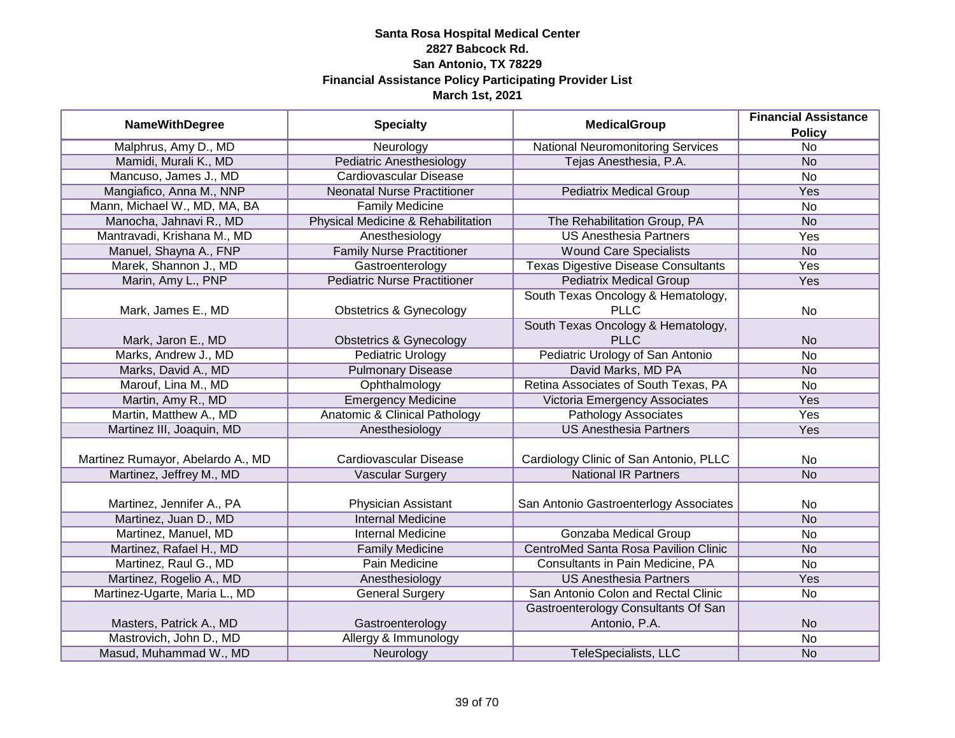|                                   | <b>Specialty</b><br><b>MedicalGroup</b> | <b>Financial Assistance</b>                 |                 |
|-----------------------------------|-----------------------------------------|---------------------------------------------|-----------------|
| <b>NameWithDegree</b>             |                                         |                                             | <b>Policy</b>   |
| Malphrus, Amy D., MD              | Neurology                               | <b>National Neuromonitoring Services</b>    | $\overline{No}$ |
| Mamidi, Murali K., MD             | <b>Pediatric Anesthesiology</b>         | Tejas Anesthesia, P.A.                      | <b>No</b>       |
| Mancuso, James J., MD             | <b>Cardiovascular Disease</b>           |                                             | $\overline{No}$ |
| Mangiafico, Anna M., NNP          | <b>Neonatal Nurse Practitioner</b>      | <b>Pediatrix Medical Group</b>              | Yes             |
| Mann, Michael W., MD, MA, BA      | <b>Family Medicine</b>                  |                                             | No              |
| Manocha, Jahnavi R., MD           | Physical Medicine & Rehabilitation      | The Rehabilitation Group, PA                | <b>No</b>       |
| Mantravadi, Krishana M., MD       | Anesthesiology                          | <b>US Anesthesia Partners</b>               | <b>Yes</b>      |
| Manuel, Shayna A., FNP            | <b>Family Nurse Practitioner</b>        | <b>Wound Care Specialists</b>               | <b>No</b>       |
| Marek, Shannon J., MD             | Gastroenterology                        | <b>Texas Digestive Disease Consultants</b>  | Yes             |
| Marin, Amy L., PNP                | <b>Pediatric Nurse Practitioner</b>     | <b>Pediatrix Medical Group</b>              | Yes             |
|                                   |                                         | South Texas Oncology & Hematology,          |                 |
| Mark, James E., MD                | <b>Obstetrics &amp; Gynecology</b>      | <b>PLLC</b>                                 | No              |
|                                   |                                         | South Texas Oncology & Hematology,          |                 |
| Mark, Jaron E., MD                | <b>Obstetrics &amp; Gynecology</b>      | <b>PLLC</b>                                 | <b>No</b>       |
| Marks, Andrew J., MD              | <b>Pediatric Urology</b>                | Pediatric Urology of San Antonio            | No              |
| Marks, David A., MD               | <b>Pulmonary Disease</b>                | David Marks, MD PA                          | <b>No</b>       |
| Marouf, Lina M., MD               | Ophthalmology                           | Retina Associates of South Texas, PA        | No              |
| Martin, Amy R., MD                | <b>Emergency Medicine</b>               | Victoria Emergency Associates               | Yes             |
| Martin, Matthew A., MD            | Anatomic & Clinical Pathology           | <b>Pathology Associates</b>                 | Yes             |
| Martinez III, Joaquin, MD         | Anesthesiology                          | <b>US Anesthesia Partners</b>               | Yes             |
|                                   |                                         |                                             |                 |
| Martinez Rumayor, Abelardo A., MD | Cardiovascular Disease                  | Cardiology Clinic of San Antonio, PLLC      | No              |
| Martinez, Jeffrey M., MD          | Vascular Surgery                        | <b>National IR Partners</b>                 | <b>No</b>       |
|                                   |                                         |                                             |                 |
| Martinez, Jennifer A., PA         | Physician Assistant                     | San Antonio Gastroenterlogy Associates      | No              |
| Martinez, Juan D., MD             | <b>Internal Medicine</b>                |                                             | <b>No</b>       |
| Martinez, Manuel, MD              | <b>Internal Medicine</b>                | <b>Gonzaba Medical Group</b>                | No              |
| Martinez, Rafael H., MD           | <b>Family Medicine</b>                  | <b>CentroMed Santa Rosa Pavilion Clinic</b> | <b>No</b>       |
| Martinez, Raul G., MD             | Pain Medicine                           | Consultants in Pain Medicine, PA            | No              |
| Martinez, Rogelio A., MD          | Anesthesiology                          | <b>US Anesthesia Partners</b>               | Yes             |
| Martinez-Ugarte, Maria L., MD     | <b>General Surgery</b>                  | San Antonio Colon and Rectal Clinic         | No              |
|                                   |                                         | Gastroenterology Consultants Of San         |                 |
| Masters, Patrick A., MD           | Gastroenterology                        | Antonio, P.A.                               | <b>No</b>       |
| Mastrovich, John D., MD           | Allergy & Immunology                    |                                             | $\overline{No}$ |
| Masud, Muhammad W., MD            | Neurology                               | <b>TeleSpecialists, LLC</b>                 | <b>No</b>       |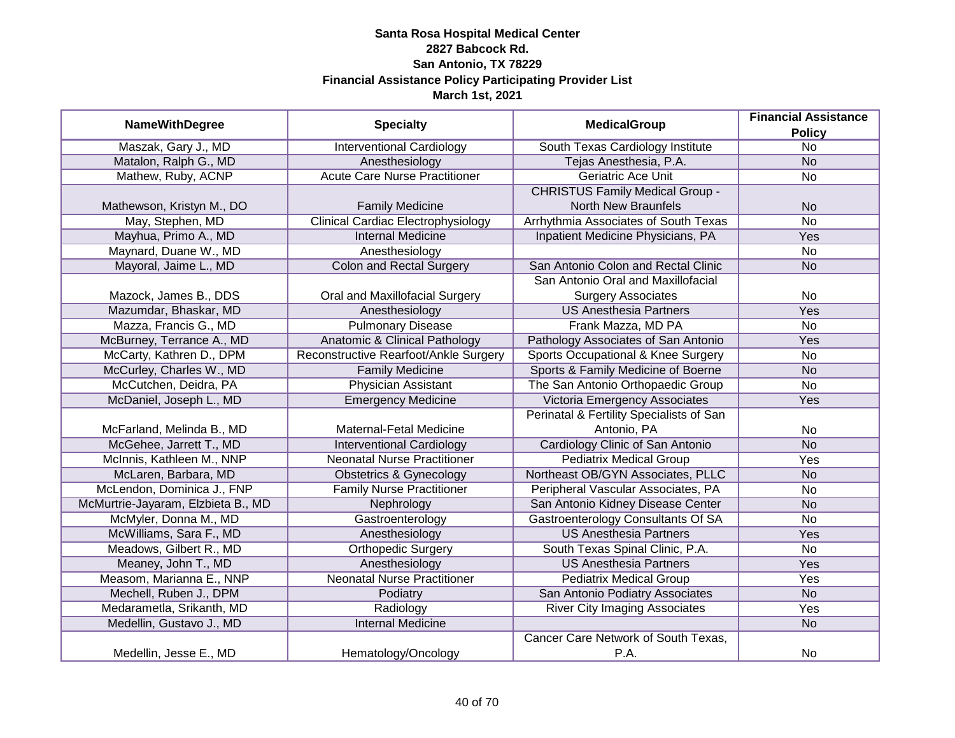|                                    |                                           | <b>MedicalGroup</b>                      | <b>Financial Assistance</b> |
|------------------------------------|-------------------------------------------|------------------------------------------|-----------------------------|
| <b>NameWithDegree</b>              | <b>Specialty</b>                          |                                          | <b>Policy</b>               |
| Maszak, Gary J., MD                | <b>Interventional Cardiology</b>          | South Texas Cardiology Institute         | $\overline{No}$             |
| Matalon, Ralph G., MD              | Anesthesiology                            | Tejas Anesthesia, P.A.                   | N <sub>o</sub>              |
| Mathew, Ruby, ACNP                 | <b>Acute Care Nurse Practitioner</b>      | <b>Geriatric Ace Unit</b>                | $\overline{No}$             |
|                                    |                                           | <b>CHRISTUS Family Medical Group -</b>   |                             |
| Mathewson, Kristyn M., DO          | <b>Family Medicine</b>                    | <b>North New Braunfels</b>               | <b>No</b>                   |
| May, Stephen, MD                   | <b>Clinical Cardiac Electrophysiology</b> | Arrhythmia Associates of South Texas     | <b>No</b>                   |
| Mayhua, Primo A., MD               | <b>Internal Medicine</b>                  | Inpatient Medicine Physicians, PA        | Yes                         |
| Maynard, Duane W., MD              | Anesthesiology                            |                                          | <b>No</b>                   |
| Mayoral, Jaime L., MD              | <b>Colon and Rectal Surgery</b>           | San Antonio Colon and Rectal Clinic      | <b>No</b>                   |
|                                    |                                           | San Antonio Oral and Maxillofacial       |                             |
| Mazock, James B., DDS              | Oral and Maxillofacial Surgery            | <b>Surgery Associates</b>                | No                          |
| Mazumdar, Bhaskar, MD              | Anesthesiology                            | <b>US Anesthesia Partners</b>            | Yes                         |
| Mazza, Francis G., MD              | <b>Pulmonary Disease</b>                  | Frank Mazza, MD PA                       | <b>No</b>                   |
| McBurney, Terrance A., MD          | <b>Anatomic &amp; Clinical Pathology</b>  | Pathology Associates of San Antonio      | Yes                         |
| McCarty, Kathren D., DPM           | Reconstructive Rearfoot/Ankle Surgery     | Sports Occupational & Knee Surgery       | No                          |
| McCurley, Charles W., MD           | <b>Family Medicine</b>                    | Sports & Family Medicine of Boerne       | <b>No</b>                   |
| McCutchen, Deidra, PA              | <b>Physician Assistant</b>                | The San Antonio Orthopaedic Group        | <b>No</b>                   |
| McDaniel, Joseph L., MD            | <b>Emergency Medicine</b>                 | Victoria Emergency Associates            | Yes                         |
|                                    |                                           | Perinatal & Fertility Specialists of San |                             |
| McFarland, Melinda B., MD          | Maternal-Fetal Medicine                   | Antonio, PA                              | No                          |
| McGehee, Jarrett T., MD            | <b>Interventional Cardiology</b>          | Cardiology Clinic of San Antonio         | <b>No</b>                   |
| McInnis, Kathleen M., NNP          | <b>Neonatal Nurse Practitioner</b>        | <b>Pediatrix Medical Group</b>           | Yes                         |
| McLaren, Barbara, MD               | Obstetrics & Gynecology                   | Northeast OB/GYN Associates, PLLC        | <b>No</b>                   |
| McLendon, Dominica J., FNP         | <b>Family Nurse Practitioner</b>          | Peripheral Vascular Associates, PA       | No                          |
| McMurtrie-Jayaram, Elzbieta B., MD | Nephrology                                | San Antonio Kidney Disease Center        | <b>No</b>                   |
| McMyler, Donna M., MD              | Gastroenterology                          | Gastroenterology Consultants Of SA       | No                          |
| McWilliams, Sara F., MD            | Anesthesiology                            | <b>US Anesthesia Partners</b>            | Yes                         |
| Meadows, Gilbert R., MD            | <b>Orthopedic Surgery</b>                 | South Texas Spinal Clinic, P.A.          | No                          |
| Meaney, John T., MD                | Anesthesiology                            | <b>US Anesthesia Partners</b>            | Yes                         |
| Measom, Marianna E., NNP           | <b>Neonatal Nurse Practitioner</b>        | <b>Pediatrix Medical Group</b>           | Yes                         |
| Mechell, Ruben J., DPM             | Podiatry                                  | San Antonio Podiatry Associates          | <b>No</b>                   |
| Medarametla, Srikanth, MD          | Radiology                                 | <b>River City Imaging Associates</b>     | Yes                         |
| Medellin, Gustavo J., MD           | <b>Internal Medicine</b>                  |                                          | N <sub>o</sub>              |
|                                    |                                           | Cancer Care Network of South Texas,      |                             |
| Medellin, Jesse E., MD             | Hematology/Oncology                       | P.A.                                     | No                          |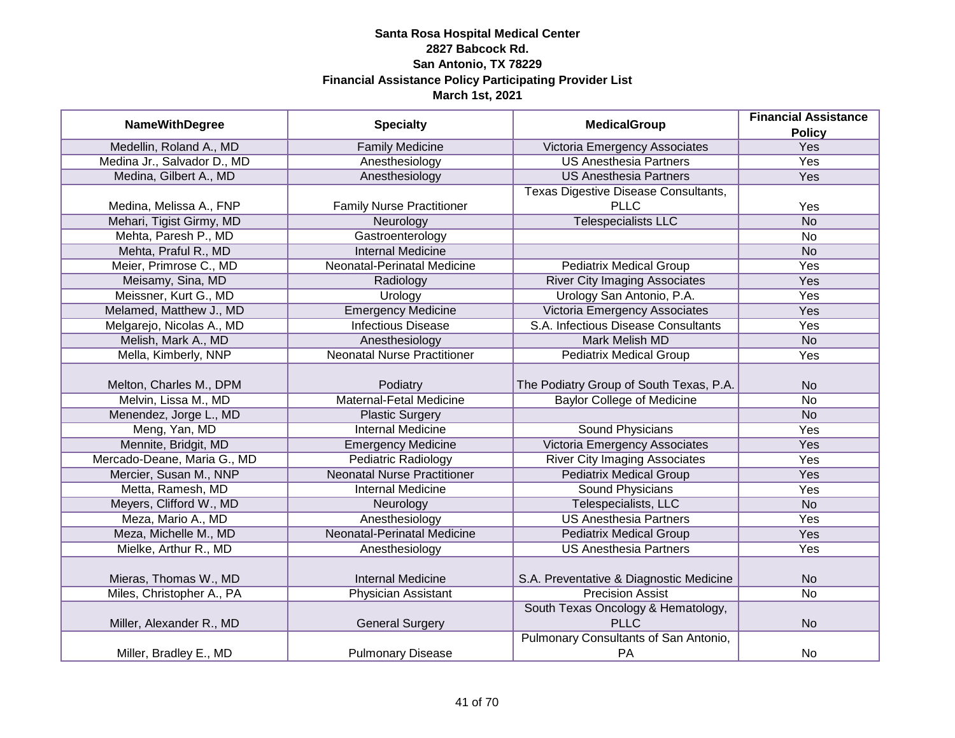|                             |                                    | <b>MedicalGroup</b>                     | <b>Financial Assistance</b> |
|-----------------------------|------------------------------------|-----------------------------------------|-----------------------------|
| <b>NameWithDegree</b>       | <b>Specialty</b>                   |                                         | <b>Policy</b>               |
| Medellin, Roland A., MD     | <b>Family Medicine</b>             | Victoria Emergency Associates           | Yes                         |
| Medina Jr., Salvador D., MD | Anesthesiology                     | <b>US Anesthesia Partners</b>           | <b>Yes</b>                  |
| Medina, Gilbert A., MD      | Anesthesiology                     | <b>US Anesthesia Partners</b>           | Yes                         |
|                             |                                    | Texas Digestive Disease Consultants,    |                             |
| Medina, Melissa A., FNP     | <b>Family Nurse Practitioner</b>   | <b>PLLC</b>                             | Yes                         |
| Mehari, Tigist Girmy, MD    | Neurology                          | <b>Telespecialists LLC</b>              | <b>No</b>                   |
| Mehta, Paresh P., MD        | Gastroenterology                   |                                         | No                          |
| Mehta, Praful R., MD        | <b>Internal Medicine</b>           |                                         | <b>No</b>                   |
| Meier, Primrose C., MD      | Neonatal-Perinatal Medicine        | <b>Pediatrix Medical Group</b>          | Yes                         |
| Meisamy, Sina, MD           | Radiology                          | <b>River City Imaging Associates</b>    | Yes                         |
| Meissner, Kurt G., MD       | Urology                            | Urology San Antonio, P.A.               | Yes                         |
| Melamed, Matthew J., MD     | <b>Emergency Medicine</b>          | Victoria Emergency Associates           | Yes                         |
| Melgarejo, Nicolas A., MD   | <b>Infectious Disease</b>          | S.A. Infectious Disease Consultants     | Yes                         |
| Melish, Mark A., MD         | Anesthesiology                     | <b>Mark Melish MD</b>                   | <b>No</b>                   |
| Mella, Kimberly, NNP        | <b>Neonatal Nurse Practitioner</b> | <b>Pediatrix Medical Group</b>          | Yes                         |
|                             |                                    |                                         |                             |
| Melton, Charles M., DPM     | Podiatry                           | The Podiatry Group of South Texas, P.A. | <b>No</b>                   |
| Melvin, Lissa M., MD        | Maternal-Fetal Medicine            | <b>Baylor College of Medicine</b>       | <b>No</b>                   |
| Menendez, Jorge L., MD      | <b>Plastic Surgery</b>             |                                         | <b>No</b>                   |
| Meng, Yan, MD               | <b>Internal Medicine</b>           | <b>Sound Physicians</b>                 | Yes                         |
| Mennite, Bridgit, MD        | <b>Emergency Medicine</b>          | Victoria Emergency Associates           | Yes                         |
| Mercado-Deane, Maria G., MD | <b>Pediatric Radiology</b>         | <b>River City Imaging Associates</b>    | Yes                         |
| Mercier, Susan M., NNP      | <b>Neonatal Nurse Practitioner</b> | <b>Pediatrix Medical Group</b>          | Yes                         |
| Metta, Ramesh, MD           | <b>Internal Medicine</b>           | <b>Sound Physicians</b>                 | Yes                         |
| Meyers, Clifford W., MD     | Neurology                          | Telespecialists, LLC                    | <b>No</b>                   |
| Meza, Mario A., MD          | Anesthesiology                     | <b>US Anesthesia Partners</b>           | Yes                         |
| Meza, Michelle M., MD       | <b>Neonatal-Perinatal Medicine</b> | <b>Pediatrix Medical Group</b>          | Yes                         |
| Mielke, Arthur R., MD       | Anesthesiology                     | <b>US Anesthesia Partners</b>           | Yes                         |
| Mieras, Thomas W., MD       | <b>Internal Medicine</b>           | S.A. Preventative & Diagnostic Medicine | <b>No</b>                   |
| Miles, Christopher A., PA   | <b>Physician Assistant</b>         | <b>Precision Assist</b>                 | $\overline{No}$             |
|                             |                                    | South Texas Oncology & Hematology,      |                             |
| Miller, Alexander R., MD    | <b>General Surgery</b>             | <b>PLLC</b>                             | <b>No</b>                   |
|                             |                                    | Pulmonary Consultants of San Antonio,   |                             |
| Miller, Bradley E., MD      | <b>Pulmonary Disease</b>           | PA                                      | No                          |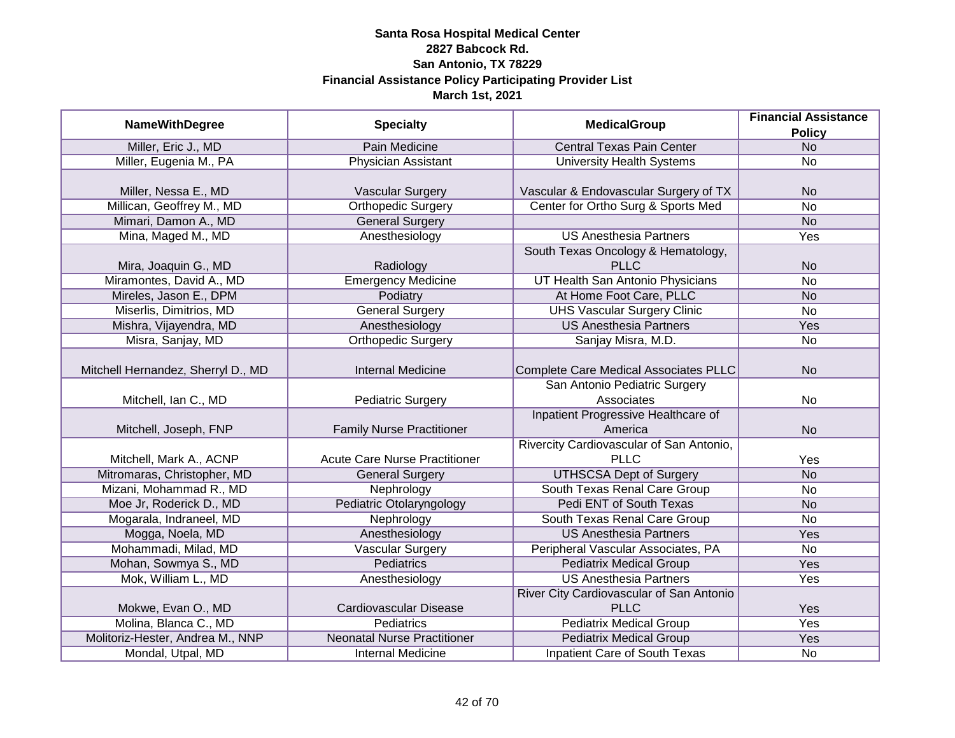|                                    |                                      | <b>MedicalGroup</b>                          | <b>Financial Assistance</b> |
|------------------------------------|--------------------------------------|----------------------------------------------|-----------------------------|
| <b>NameWithDegree</b>              | <b>Specialty</b>                     |                                              | <b>Policy</b>               |
| Miller, Eric J., MD                | Pain Medicine                        | <b>Central Texas Pain Center</b>             | <b>No</b>                   |
| Miller, Eugenia M., PA             | <b>Physician Assistant</b>           | <b>University Health Systems</b>             | <b>No</b>                   |
|                                    |                                      |                                              |                             |
| Miller, Nessa E., MD               | Vascular Surgery                     | Vascular & Endovascular Surgery of TX        | <b>No</b>                   |
| Millican, Geoffrey M., MD          | Orthopedic Surgery                   | Center for Ortho Surg & Sports Med           | <b>No</b>                   |
| Mimari, Damon A., MD               | <b>General Surgery</b>               |                                              | <b>No</b>                   |
| Mina, Maged M., MD                 | Anesthesiology                       | <b>US Anesthesia Partners</b>                | <b>Yes</b>                  |
|                                    |                                      | South Texas Oncology & Hematology,           |                             |
| Mira, Joaquin G., MD               | Radiology                            | <b>PLLC</b>                                  | <b>No</b>                   |
| Miramontes, David A., MD           | <b>Emergency Medicine</b>            | UT Health San Antonio Physicians             | <b>No</b>                   |
| Mireles, Jason E., DPM             | Podiatry                             | At Home Foot Care, PLLC                      | <b>No</b>                   |
| Miserlis, Dimitrios, MD            | <b>General Surgery</b>               | <b>UHS Vascular Surgery Clinic</b>           | <b>No</b>                   |
| Mishra, Vijayendra, MD             | Anesthesiology                       | <b>US Anesthesia Partners</b>                | <b>Yes</b>                  |
| Misra, Sanjay, MD                  | Orthopedic Surgery                   | Sanjay Misra, M.D.                           | No                          |
|                                    |                                      |                                              |                             |
| Mitchell Hernandez, Sherryl D., MD | <b>Internal Medicine</b>             | <b>Complete Care Medical Associates PLLC</b> | <b>No</b>                   |
|                                    |                                      | San Antonio Pediatric Surgery                |                             |
| Mitchell, Ian C., MD               | <b>Pediatric Surgery</b>             | Associates                                   | N <sub>o</sub>              |
|                                    |                                      | Inpatient Progressive Healthcare of          |                             |
| Mitchell, Joseph, FNP              | <b>Family Nurse Practitioner</b>     | America                                      | <b>No</b>                   |
|                                    |                                      | Rivercity Cardiovascular of San Antonio,     |                             |
| Mitchell, Mark A., ACNP            | <b>Acute Care Nurse Practitioner</b> | <b>PLLC</b>                                  | Yes                         |
| Mitromaras, Christopher, MD        | <b>General Surgery</b>               | <b>UTHSCSA Dept of Surgery</b>               | <b>No</b>                   |
| Mizani, Mohammad R., MD            | Nephrology                           | South Texas Renal Care Group                 | No                          |
| Moe Jr, Roderick D., MD            | Pediatric Otolaryngology             | Pedi ENT of South Texas                      | <b>No</b>                   |
| Mogarala, Indraneel, MD            | Nephrology                           | South Texas Renal Care Group                 | <b>No</b>                   |
| Mogga, Noela, MD                   | Anesthesiology                       | <b>US Anesthesia Partners</b>                | Yes                         |
| Mohammadi, Milad, MD               | Vascular Surgery                     | Peripheral Vascular Associates, PA           | <b>No</b>                   |
| Mohan, Sowmya S., MD               | <b>Pediatrics</b>                    | <b>Pediatrix Medical Group</b>               | Yes                         |
| Mok, William L., MD                | Anesthesiology                       | <b>US Anesthesia Partners</b>                | Yes                         |
|                                    |                                      | River City Cardiovascular of San Antonio     |                             |
| Mokwe, Evan O., MD                 | Cardiovascular Disease               | <b>PLLC</b>                                  | Yes                         |
| Molina, Blanca C., MD              | <b>Pediatrics</b>                    | <b>Pediatrix Medical Group</b>               | <b>Yes</b>                  |
| Molitoriz-Hester, Andrea M., NNP   | <b>Neonatal Nurse Practitioner</b>   | <b>Pediatrix Medical Group</b>               | <b>Yes</b>                  |
| Mondal, Utpal, MD                  | <b>Internal Medicine</b>             | <b>Inpatient Care of South Texas</b>         | <b>No</b>                   |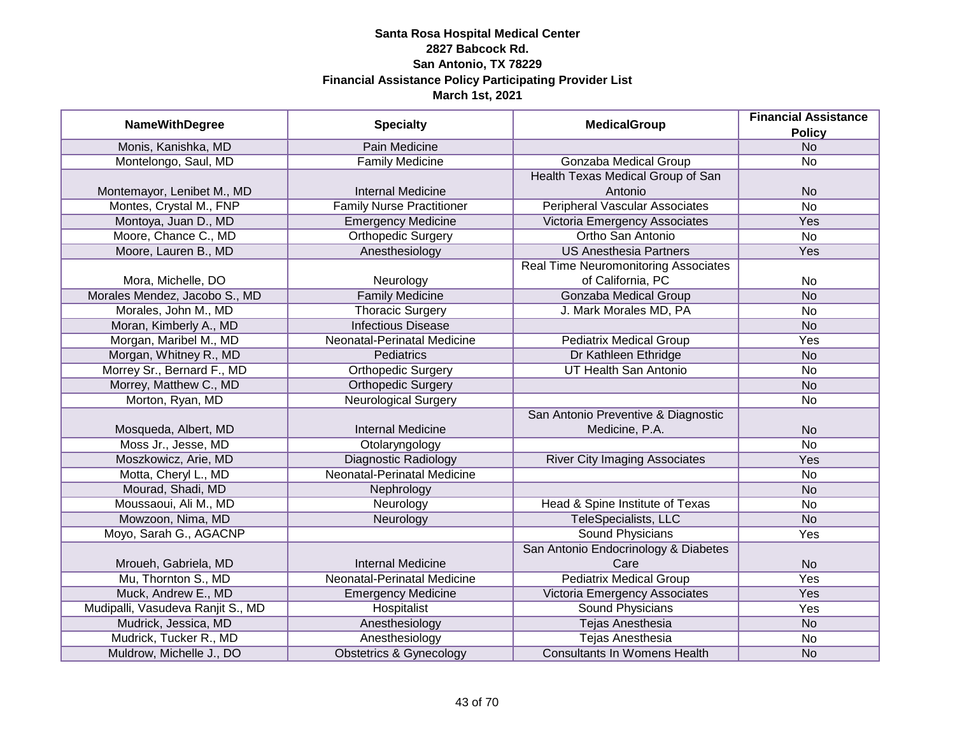|                                   |                                  | <b>MedicalGroup</b>                   | <b>Financial Assistance</b> |
|-----------------------------------|----------------------------------|---------------------------------------|-----------------------------|
| <b>NameWithDegree</b>             | <b>Specialty</b>                 |                                       | <b>Policy</b>               |
| Monis, Kanishka, MD               | Pain Medicine                    |                                       | N <sub>o</sub>              |
| Montelongo, Saul, MD              | <b>Family Medicine</b>           | Gonzaba Medical Group                 | No                          |
|                                   |                                  | Health Texas Medical Group of San     |                             |
| Montemayor, Lenibet M., MD        | <b>Internal Medicine</b>         | Antonio                               | <b>No</b>                   |
| Montes, Crystal M., FNP           | <b>Family Nurse Practitioner</b> | <b>Peripheral Vascular Associates</b> | $\overline{No}$             |
| Montoya, Juan D., MD              | <b>Emergency Medicine</b>        | Victoria Emergency Associates         | <b>Yes</b>                  |
| Moore, Chance C., MD              | Orthopedic Surgery               | Ortho San Antonio                     | $\overline{No}$             |
| Moore, Lauren B., MD              | Anesthesiology                   | <b>US Anesthesia Partners</b>         | Yes                         |
|                                   |                                  | Real Time Neuromonitoring Associates  |                             |
| Mora, Michelle, DO                | Neurology                        | of California, PC                     | No                          |
| Morales Mendez, Jacobo S., MD     | <b>Family Medicine</b>           | <b>Gonzaba Medical Group</b>          | <b>No</b>                   |
| Morales, John M., MD              | <b>Thoracic Surgery</b>          | J. Mark Morales MD, PA                | <b>No</b>                   |
| Moran, Kimberly A., MD            | <b>Infectious Disease</b>        |                                       | <b>No</b>                   |
| Morgan, Maribel M., MD            | Neonatal-Perinatal Medicine      | <b>Pediatrix Medical Group</b>        | Yes                         |
| Morgan, Whitney R., MD            | Pediatrics                       | Dr Kathleen Ethridge                  | <b>No</b>                   |
| Morrey Sr., Bernard F., MD        | <b>Orthopedic Surgery</b>        | UT Health San Antonio                 | No                          |
| Morrey, Matthew C., MD            | <b>Orthopedic Surgery</b>        |                                       | <b>No</b>                   |
| Morton, Ryan, MD                  | <b>Neurological Surgery</b>      |                                       | No                          |
|                                   |                                  | San Antonio Preventive & Diagnostic   |                             |
| Mosqueda, Albert, MD              | <b>Internal Medicine</b>         | Medicine, P.A.                        | <b>No</b>                   |
| Moss Jr., Jesse, MD               | Otolaryngology                   |                                       | <b>No</b>                   |
| Moszkowicz, Arie, MD              | Diagnostic Radiology             | <b>River City Imaging Associates</b>  | Yes                         |
| Motta, Cheryl L., MD              | Neonatal-Perinatal Medicine      |                                       | <b>No</b>                   |
| Mourad, Shadi, MD                 | Nephrology                       |                                       | <b>No</b>                   |
| Moussaoui, Ali M., MD             | Neurology                        | Head & Spine Institute of Texas       | <b>No</b>                   |
| Mowzoon, Nima, MD                 | Neurology                        | TeleSpecialists, LLC                  | <b>No</b>                   |
| Moyo, Sarah G., AGACNP            |                                  | <b>Sound Physicians</b>               | Yes                         |
|                                   |                                  | San Antonio Endocrinology & Diabetes  |                             |
| Mroueh, Gabriela, MD              | <b>Internal Medicine</b>         | Care                                  | <b>No</b>                   |
| Mu, Thornton S., MD               | Neonatal-Perinatal Medicine      | <b>Pediatrix Medical Group</b>        | Yes                         |
| Muck, Andrew E., MD               | <b>Emergency Medicine</b>        | Victoria Emergency Associates         | Yes                         |
| Mudipalli, Vasudeva Ranjit S., MD | Hospitalist                      | <b>Sound Physicians</b>               | Yes                         |
| Mudrick, Jessica, MD              | Anesthesiology                   | <b>Tejas Anesthesia</b>               | <b>No</b>                   |
| Mudrick, Tucker R., MD            | Anesthesiology                   | <b>Tejas Anesthesia</b>               | No                          |
| Muldrow, Michelle J., DO          | Obstetrics & Gynecology          | <b>Consultants In Womens Health</b>   | <b>No</b>                   |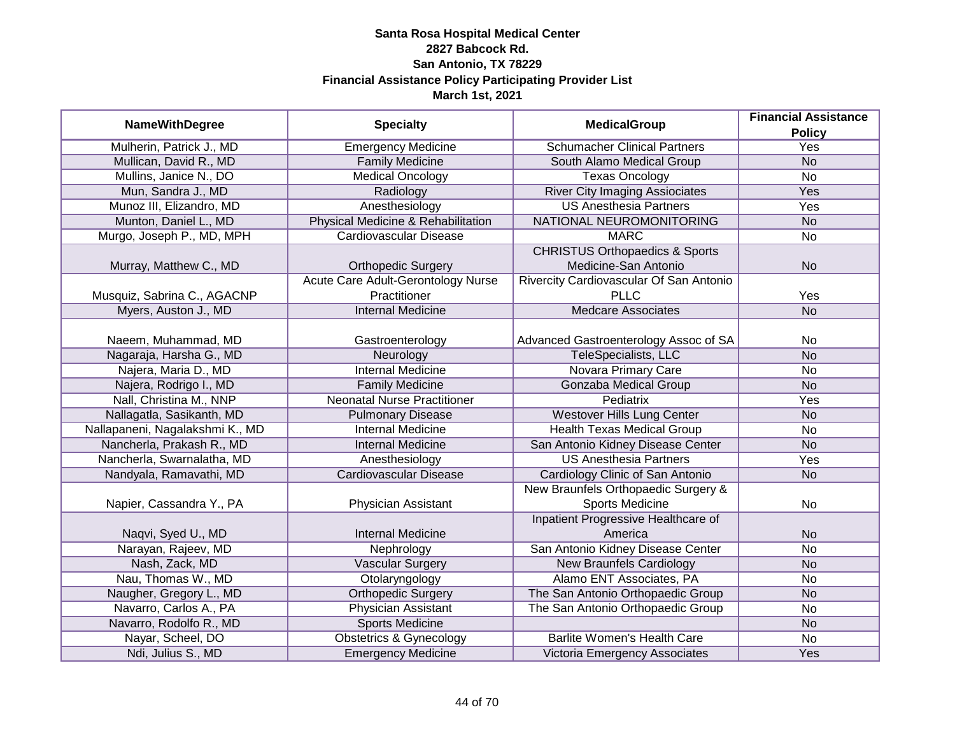|                                 |                                    |                                           | <b>Financial Assistance</b> |
|---------------------------------|------------------------------------|-------------------------------------------|-----------------------------|
| <b>NameWithDegree</b>           | <b>Specialty</b>                   | <b>MedicalGroup</b>                       | <b>Policy</b>               |
| Mulherin, Patrick J., MD        | <b>Emergency Medicine</b>          | <b>Schumacher Clinical Partners</b>       | <b>Yes</b>                  |
| Mullican, David R., MD          | <b>Family Medicine</b>             | South Alamo Medical Group                 | <b>No</b>                   |
| Mullins, Janice N., DO          | <b>Medical Oncology</b>            | <b>Texas Oncology</b>                     | $\overline{No}$             |
| Mun, Sandra J., MD              | Radiology                          | <b>River City Imaging Assiociates</b>     | <b>Yes</b>                  |
| Munoz III, Elizandro, MD        | Anesthesiology                     | <b>US Anesthesia Partners</b>             | <b>Yes</b>                  |
| Munton, Daniel L., MD           | Physical Medicine & Rehabilitation | NATIONAL NEUROMONITORING                  | <b>No</b>                   |
| Murgo, Joseph P., MD, MPH       | <b>Cardiovascular Disease</b>      | <b>MARC</b>                               | No                          |
|                                 |                                    | <b>CHRISTUS Orthopaedics &amp; Sports</b> |                             |
| Murray, Matthew C., MD          | <b>Orthopedic Surgery</b>          | Medicine-San Antonio                      | <b>No</b>                   |
|                                 | Acute Care Adult-Gerontology Nurse | Rivercity Cardiovascular Of San Antonio   |                             |
| Musquiz, Sabrina C., AGACNP     | Practitioner                       | <b>PLLC</b>                               | Yes                         |
| Myers, Auston J., MD            | <b>Internal Medicine</b>           | <b>Medcare Associates</b>                 | <b>No</b>                   |
|                                 |                                    |                                           |                             |
| Naeem, Muhammad, MD             | Gastroenterology                   | Advanced Gastroenterology Assoc of SA     | No                          |
| Nagaraja, Harsha G., MD         | Neurology                          | TeleSpecialists, LLC                      | <b>No</b>                   |
| Najera, Maria D., MD            | <b>Internal Medicine</b>           | Novara Primary Care                       | No                          |
| Najera, Rodrigo I., MD          | <b>Family Medicine</b>             | <b>Gonzaba Medical Group</b>              | <b>No</b>                   |
| Nall, Christina M., NNP         | <b>Neonatal Nurse Practitioner</b> | Pediatrix                                 | Yes                         |
| Nallagatla, Sasikanth, MD       | <b>Pulmonary Disease</b>           | <b>Westover Hills Lung Center</b>         | <b>No</b>                   |
| Nallapaneni, Nagalakshmi K., MD | <b>Internal Medicine</b>           | <b>Health Texas Medical Group</b>         | No                          |
| Nancherla, Prakash R., MD       | <b>Internal Medicine</b>           | San Antonio Kidney Disease Center         | <b>No</b>                   |
| Nancherla, Swarnalatha, MD      | Anesthesiology                     | <b>US Anesthesia Partners</b>             | Yes                         |
| Nandyala, Ramavathi, MD         | Cardiovascular Disease             | Cardiology Clinic of San Antonio          | <b>No</b>                   |
|                                 |                                    | New Braunfels Orthopaedic Surgery &       |                             |
| Napier, Cassandra Y., PA        | Physician Assistant                | Sports Medicine                           | No                          |
|                                 |                                    | Inpatient Progressive Healthcare of       |                             |
| Naqvi, Syed U., MD              | <b>Internal Medicine</b>           | America                                   | <b>No</b>                   |
| Narayan, Rajeev, MD             | Nephrology                         | San Antonio Kidney Disease Center         | <b>No</b>                   |
| Nash, Zack, MD                  | Vascular Surgery                   | <b>New Braunfels Cardiology</b>           | <b>No</b>                   |
| Nau, Thomas W., MD              | Otolaryngology                     | Alamo ENT Associates, PA                  | No                          |
| Naugher, Gregory L., MD         | <b>Orthopedic Surgery</b>          | The San Antonio Orthopaedic Group         | <b>No</b>                   |
| Navarro, Carlos A., PA          | <b>Physician Assistant</b>         | The San Antonio Orthopaedic Group         | No                          |
| Navarro, Rodolfo R., MD         | <b>Sports Medicine</b>             |                                           | <b>No</b>                   |
| Nayar, Scheel, DO               | <b>Obstetrics &amp; Gynecology</b> | <b>Barlite Women's Health Care</b>        | No                          |
| Ndi, Julius S., MD              | <b>Emergency Medicine</b>          | Victoria Emergency Associates             | Yes                         |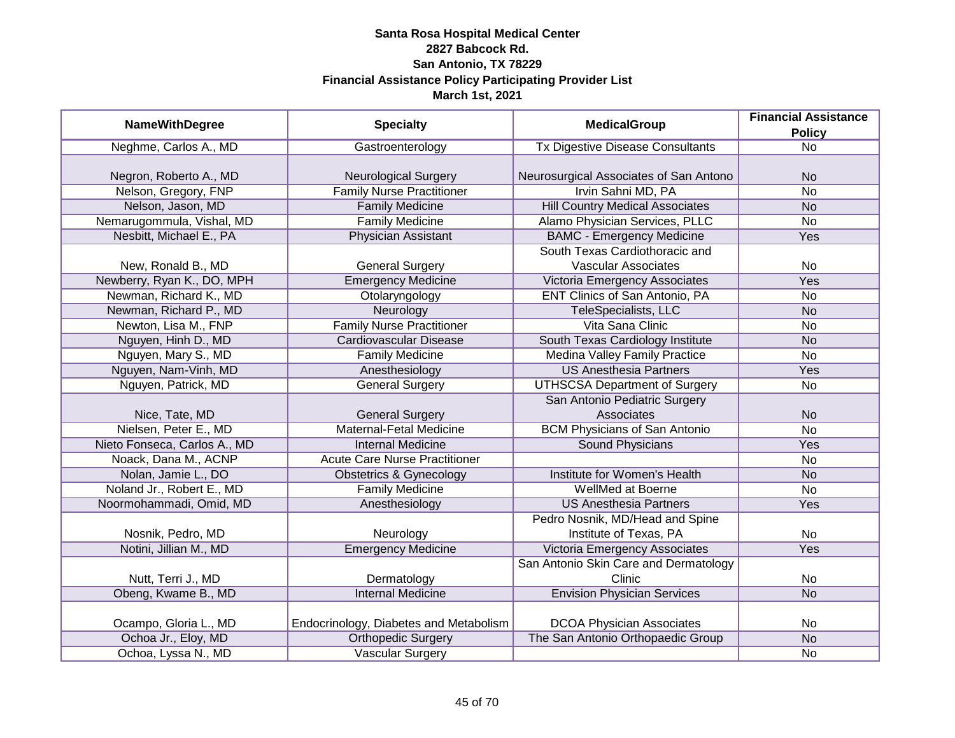| <b>NameWithDegree</b>        |                                        | <b>MedicalGroup</b>                     | <b>Financial Assistance</b> |
|------------------------------|----------------------------------------|-----------------------------------------|-----------------------------|
|                              | <b>Specialty</b>                       |                                         | <b>Policy</b>               |
| Neghme, Carlos A., MD        | Gastroenterology                       | <b>Tx Digestive Disease Consultants</b> | <b>No</b>                   |
|                              |                                        |                                         |                             |
| Negron, Roberto A., MD       | <b>Neurological Surgery</b>            | Neurosurgical Associates of San Antono  | <b>No</b>                   |
| Nelson, Gregory, FNP         | <b>Family Nurse Practitioner</b>       | Irvin Sahni MD, PA                      | <b>No</b>                   |
| Nelson, Jason, MD            | <b>Family Medicine</b>                 | <b>Hill Country Medical Associates</b>  | <b>No</b>                   |
| Nemarugommula, Vishal, MD    | <b>Family Medicine</b>                 | Alamo Physician Services, PLLC          | No                          |
| Nesbitt, Michael E., PA      | <b>Physician Assistant</b>             | <b>BAMC - Emergency Medicine</b>        | Yes                         |
|                              |                                        | South Texas Cardiothoracic and          |                             |
| New, Ronald B., MD           | <b>General Surgery</b>                 | <b>Vascular Associates</b>              | <b>No</b>                   |
| Newberry, Ryan K., DO, MPH   | <b>Emergency Medicine</b>              | Victoria Emergency Associates           | Yes                         |
| Newman, Richard K., MD       | Otolaryngology                         | ENT Clinics of San Antonio, PA          | <b>No</b>                   |
| Newman, Richard P., MD       | Neurology                              | <b>TeleSpecialists, LLC</b>             | <b>No</b>                   |
| Newton, Lisa M., FNP         | <b>Family Nurse Practitioner</b>       | Vita Sana Clinic                        | No                          |
| Nguyen, Hinh D., MD          | <b>Cardiovascular Disease</b>          | South Texas Cardiology Institute        | <b>No</b>                   |
| Nguyen, Mary S., MD          | <b>Family Medicine</b>                 | <b>Medina Valley Family Practice</b>    | <b>No</b>                   |
| Nguyen, Nam-Vinh, MD         | Anesthesiology                         | <b>US Anesthesia Partners</b>           | Yes                         |
| Nguyen, Patrick, MD          | <b>General Surgery</b>                 | <b>UTHSCSA Department of Surgery</b>    | No                          |
|                              |                                        | San Antonio Pediatric Surgery           |                             |
| Nice, Tate, MD               | <b>General Surgery</b>                 | Associates                              | <b>No</b>                   |
| Nielsen, Peter E., MD        | Maternal-Fetal Medicine                | <b>BCM Physicians of San Antonio</b>    | <b>No</b>                   |
| Nieto Fonseca, Carlos A., MD | <b>Internal Medicine</b>               | Sound Physicians                        | Yes                         |
| Noack, Dana M., ACNP         | <b>Acute Care Nurse Practitioner</b>   |                                         | <b>No</b>                   |
| Nolan, Jamie L., DO          | <b>Obstetrics &amp; Gynecology</b>     | Institute for Women's Health            | <b>No</b>                   |
| Noland Jr., Robert E., MD    | <b>Family Medicine</b>                 | WellMed at Boerne                       | <b>No</b>                   |
| Noormohammadi, Omid, MD      | Anesthesiology                         | <b>US Anesthesia Partners</b>           | Yes                         |
|                              |                                        | Pedro Nosnik, MD/Head and Spine         |                             |
| Nosnik, Pedro, MD            | Neurology                              | Institute of Texas, PA                  | No                          |
| Notini, Jillian M., MD       | <b>Emergency Medicine</b>              | Victoria Emergency Associates           | <b>Yes</b>                  |
|                              |                                        | San Antonio Skin Care and Dermatology   |                             |
| Nutt, Terri J., MD           | Dermatology                            | Clinic                                  | No                          |
| Obeng, Kwame B., MD          | <b>Internal Medicine</b>               | <b>Envision Physician Services</b>      | N <sub>o</sub>              |
|                              |                                        |                                         |                             |
| Ocampo, Gloria L., MD        | Endocrinology, Diabetes and Metabolism | <b>DCOA Physician Associates</b>        | No                          |
| Ochoa Jr., Eloy, MD          | <b>Orthopedic Surgery</b>              | The San Antonio Orthopaedic Group       | N <sub>o</sub>              |
| Ochoa, Lyssa N., MD          | <b>Vascular Surgery</b>                |                                         | <b>No</b>                   |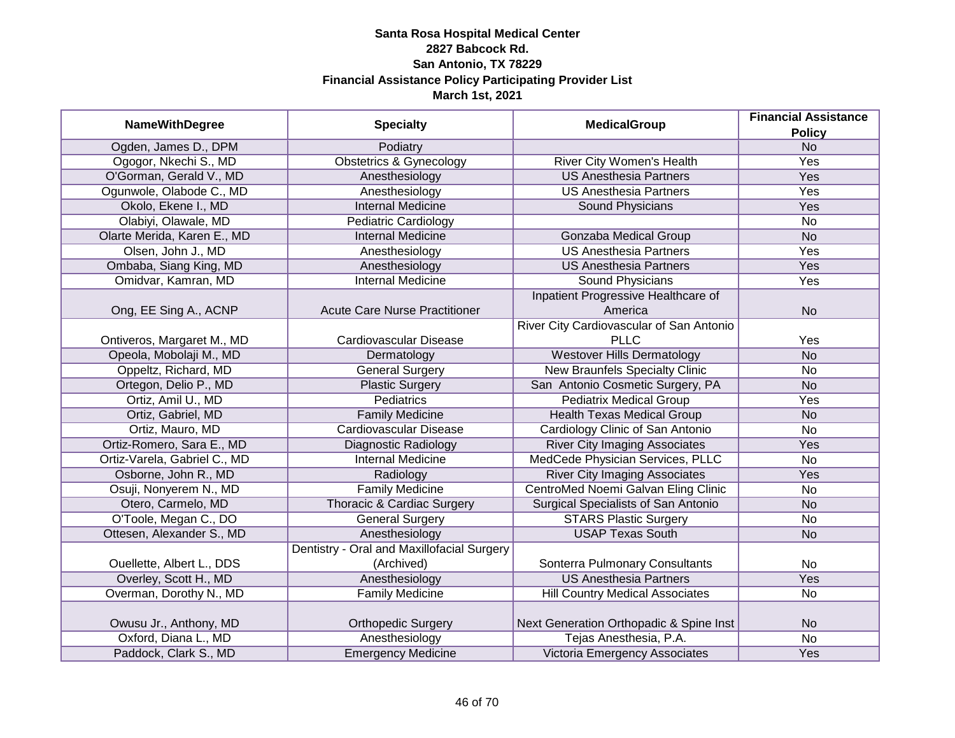|                              | <b>Specialty</b>                           | <b>MedicalGroup</b>                      | <b>Financial Assistance</b> |
|------------------------------|--------------------------------------------|------------------------------------------|-----------------------------|
| <b>NameWithDegree</b>        |                                            |                                          | <b>Policy</b>               |
| Ogden, James D., DPM         | Podiatry                                   |                                          | N <sub>o</sub>              |
| Ogogor, Nkechi S., MD        | <b>Obstetrics &amp; Gynecology</b>         | <b>River City Women's Health</b>         | <b>Yes</b>                  |
| O'Gorman, Gerald V., MD      | Anesthesiology                             | <b>US Anesthesia Partners</b>            | Yes                         |
| Ogunwole, Olabode C., MD     | Anesthesiology                             | <b>US Anesthesia Partners</b>            | <b>Yes</b>                  |
| Okolo, Ekene I., MD          | <b>Internal Medicine</b>                   | Sound Physicians                         | Yes                         |
| Olabiyi, Olawale, MD         | <b>Pediatric Cardiology</b>                |                                          | <b>No</b>                   |
| Olarte Merida, Karen E., MD  | <b>Internal Medicine</b>                   | <b>Gonzaba Medical Group</b>             | N <sub>o</sub>              |
| Olsen, John J., MD           | Anesthesiology                             | <b>US Anesthesia Partners</b>            | Yes                         |
| Ombaba, Siang King, MD       | Anesthesiology                             | <b>US Anesthesia Partners</b>            | Yes                         |
| Omidvar, Kamran, MD          | <b>Internal Medicine</b>                   | Sound Physicians                         | Yes                         |
|                              |                                            | Inpatient Progressive Healthcare of      |                             |
| Ong, EE Sing A., ACNP        | <b>Acute Care Nurse Practitioner</b>       | America                                  | <b>No</b>                   |
|                              |                                            | River City Cardiovascular of San Antonio |                             |
| Ontiveros, Margaret M., MD   | <b>Cardiovascular Disease</b>              | <b>PLLC</b>                              | Yes                         |
| Opeola, Mobolaji M., MD      | Dermatology                                | <b>Westover Hills Dermatology</b>        | <b>No</b>                   |
| Oppeltz, Richard, MD         | <b>General Surgery</b>                     | <b>New Braunfels Specialty Clinic</b>    | <b>No</b>                   |
| Ortegon, Delio P., MD        | <b>Plastic Surgery</b>                     | San Antonio Cosmetic Surgery, PA         | <b>No</b>                   |
| Ortiz, Amil U., MD           | <b>Pediatrics</b>                          | <b>Pediatrix Medical Group</b>           | Yes                         |
| Ortiz, Gabriel, MD           | <b>Family Medicine</b>                     | <b>Health Texas Medical Group</b>        | <b>No</b>                   |
| Ortiz, Mauro, MD             | <b>Cardiovascular Disease</b>              | Cardiology Clinic of San Antonio         | <b>No</b>                   |
| Ortiz-Romero, Sara E., MD    | <b>Diagnostic Radiology</b>                | <b>River City Imaging Associates</b>     | Yes                         |
| Ortiz-Varela, Gabriel C., MD | <b>Internal Medicine</b>                   | MedCede Physician Services, PLLC         | <b>No</b>                   |
| Osborne, John R., MD         | Radiology                                  | <b>River City Imaging Associates</b>     | Yes                         |
| Osuji, Nonyerem N., MD       | <b>Family Medicine</b>                     | CentroMed Noemi Galvan Eling Clinic      | <b>No</b>                   |
| Otero, Carmelo, MD           | Thoracic & Cardiac Surgery                 | Surgical Specialists of San Antonio      | <b>No</b>                   |
| O'Toole, Megan C., DO        | <b>General Surgery</b>                     | <b>STARS Plastic Surgery</b>             | <b>No</b>                   |
| Ottesen, Alexander S., MD    | Anesthesiology                             | <b>USAP Texas South</b>                  | <b>No</b>                   |
|                              | Dentistry - Oral and Maxillofacial Surgery |                                          |                             |
| Ouellette, Albert L., DDS    | (Archived)                                 | Sonterra Pulmonary Consultants           | No                          |
| Overley, Scott H., MD        | Anesthesiology                             | <b>US Anesthesia Partners</b>            | Yes                         |
| Overman, Dorothy N., MD      | <b>Family Medicine</b>                     | <b>Hill Country Medical Associates</b>   | <b>No</b>                   |
|                              |                                            |                                          |                             |
| Owusu Jr., Anthony, MD       | <b>Orthopedic Surgery</b>                  | Next Generation Orthopadic & Spine Inst  | <b>No</b>                   |
| Oxford, Diana L., MD         | Anesthesiology                             | Tejas Anesthesia, P.A.                   | <b>No</b>                   |
| Paddock, Clark S., MD        | Emergency Medicine                         | Victoria Emergency Associates            | Yes                         |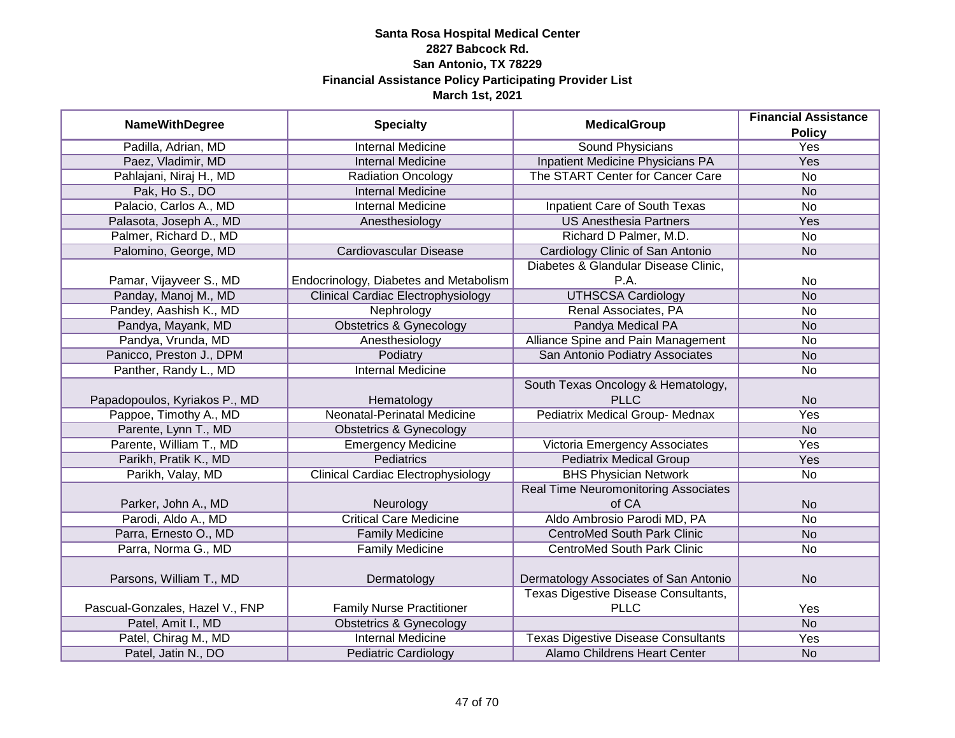|                                 |                                           |                                             | <b>Financial Assistance</b> |
|---------------------------------|-------------------------------------------|---------------------------------------------|-----------------------------|
| <b>NameWithDegree</b>           | <b>Specialty</b>                          | <b>MedicalGroup</b>                         | <b>Policy</b>               |
| Padilla, Adrian, MD             | <b>Internal Medicine</b>                  | <b>Sound Physicians</b>                     | <b>Yes</b>                  |
| Paez, Vladimir, MD              | <b>Internal Medicine</b>                  | <b>Inpatient Medicine Physicians PA</b>     | Yes                         |
| Pahlajani, Niraj H., MD         | <b>Radiation Oncology</b>                 | The START Center for Cancer Care            | $\overline{No}$             |
| Pak, Ho S., DO                  | <b>Internal Medicine</b>                  |                                             | <b>No</b>                   |
| Palacio, Carlos A., MD          | <b>Internal Medicine</b>                  | Inpatient Care of South Texas               | No                          |
| Palasota, Joseph A., MD         | Anesthesiology                            | <b>US Anesthesia Partners</b>               | Yes                         |
| Palmer, Richard D., MD          |                                           | Richard D Palmer, M.D.                      | No                          |
| Palomino, George, MD            | Cardiovascular Disease                    | Cardiology Clinic of San Antonio            | <b>No</b>                   |
|                                 |                                           | Diabetes & Glandular Disease Clinic,        |                             |
| Pamar, Vijayveer S., MD         | Endocrinology, Diabetes and Metabolism    | P.A.                                        | No                          |
| Panday, Manoj M., MD            | <b>Clinical Cardiac Electrophysiology</b> | <b>UTHSCSA Cardiology</b>                   | <b>No</b>                   |
| Pandey, Aashish K., MD          | Nephrology                                | Renal Associates, PA                        | <b>No</b>                   |
| Pandya, Mayank, MD              | <b>Obstetrics &amp; Gynecology</b>        | Pandya Medical PA                           | <b>No</b>                   |
| Pandya, Vrunda, MD              | Anesthesiology                            | Alliance Spine and Pain Management          | No                          |
| Panicco, Preston J., DPM        | Podiatry                                  | San Antonio Podiatry Associates             | <b>No</b>                   |
| Panther, Randy L., MD           | <b>Internal Medicine</b>                  |                                             | No                          |
|                                 |                                           | South Texas Oncology & Hematology,          |                             |
| Papadopoulos, Kyriakos P., MD   | Hematology                                | PLLC                                        | <b>No</b>                   |
| Pappoe, Timothy A., MD          | Neonatal-Perinatal Medicine               | Pediatrix Medical Group- Mednax             | Yes                         |
| Parente, Lynn T., MD            | <b>Obstetrics &amp; Gynecology</b>        |                                             | <b>No</b>                   |
| Parente, William T., MD         | <b>Emergency Medicine</b>                 | Victoria Emergency Associates               | Yes                         |
| Parikh, Pratik K., MD           | <b>Pediatrics</b>                         | <b>Pediatrix Medical Group</b>              | Yes                         |
| Parikh, Valay, MD               | <b>Clinical Cardiac Electrophysiology</b> | <b>BHS Physician Network</b>                | <b>No</b>                   |
|                                 |                                           | <b>Real Time Neuromonitoring Associates</b> |                             |
| Parker, John A., MD             | Neurology                                 | of CA                                       | <b>No</b>                   |
| Parodi, Aldo A., MD             | <b>Critical Care Medicine</b>             | Aldo Ambrosio Parodi MD, PA                 | No                          |
| Parra, Ernesto O., MD           | <b>Family Medicine</b>                    | <b>CentroMed South Park Clinic</b>          | <b>No</b>                   |
| Parra, Norma G., MD             | <b>Family Medicine</b>                    | <b>CentroMed South Park Clinic</b>          | No                          |
|                                 |                                           |                                             |                             |
| Parsons, William T., MD         | Dermatology                               | Dermatology Associates of San Antonio       | <b>No</b>                   |
|                                 |                                           | <b>Texas Digestive Disease Consultants,</b> |                             |
| Pascual-Gonzales, Hazel V., FNP | <b>Family Nurse Practitioner</b>          | <b>PLLC</b>                                 | Yes                         |
| Patel, Amit I., MD              | <b>Obstetrics &amp; Gynecology</b>        |                                             | N <sub>o</sub>              |
| Patel, Chirag M., MD            | <b>Internal Medicine</b>                  | <b>Texas Digestive Disease Consultants</b>  | <b>Yes</b>                  |
| Patel, Jatin N., DO             | <b>Pediatric Cardiology</b>               | <b>Alamo Childrens Heart Center</b>         | <b>No</b>                   |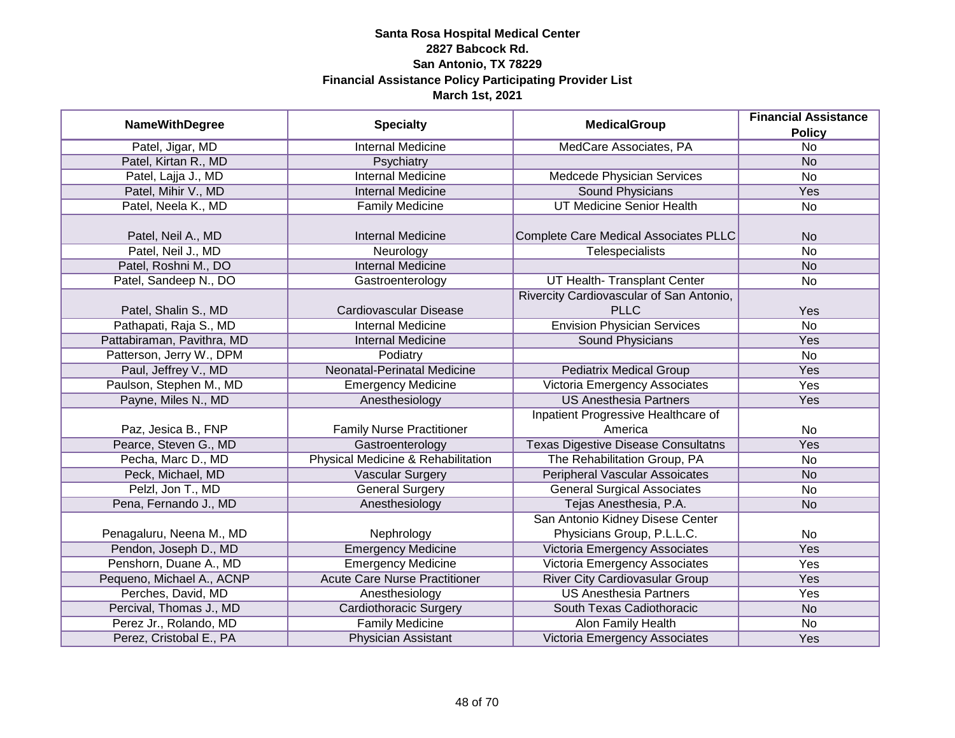|                            |                                      | <b>MedicalGroup</b>                        | <b>Financial Assistance</b> |
|----------------------------|--------------------------------------|--------------------------------------------|-----------------------------|
| <b>NameWithDegree</b>      | <b>Specialty</b>                     |                                            | <b>Policy</b>               |
| Patel, Jigar, MD           | <b>Internal Medicine</b>             | MedCare Associates, PA                     | $\overline{No}$             |
| Patel, Kirtan R., MD       | Psychiatry                           |                                            | <b>No</b>                   |
| Patel, Lajja J., MD        | <b>Internal Medicine</b>             | Medcede Physician Services                 | No                          |
| Patel, Mihir V., MD        | <b>Internal Medicine</b>             | <b>Sound Physicians</b>                    | Yes                         |
| Patel, Neela K., MD        | <b>Family Medicine</b>               | <b>UT Medicine Senior Health</b>           | $\overline{No}$             |
|                            |                                      |                                            |                             |
| Patel, Neil A., MD         | <b>Internal Medicine</b>             | Complete Care Medical Associates PLLC      | <b>No</b>                   |
| Patel, Neil J., MD         | Neurology                            | Telespecialists                            | No                          |
| Patel, Roshni M., DO       | <b>Internal Medicine</b>             |                                            | <b>No</b>                   |
| Patel, Sandeep N., DO      | Gastroenterology                     | UT Health- Transplant Center               | No                          |
|                            |                                      | Rivercity Cardiovascular of San Antonio,   |                             |
| Patel, Shalin S., MD       | Cardiovascular Disease               | <b>PLLC</b>                                | Yes                         |
| Pathapati, Raja S., MD     | <b>Internal Medicine</b>             | <b>Envision Physician Services</b>         | No                          |
| Pattabiraman, Pavithra, MD | <b>Internal Medicine</b>             | Sound Physicians                           | Yes                         |
| Patterson, Jerry W., DPM   | Podiatry                             |                                            | <b>No</b>                   |
| Paul, Jeffrey V., MD       | Neonatal-Perinatal Medicine          | <b>Pediatrix Medical Group</b>             | Yes                         |
| Paulson, Stephen M., MD    | <b>Emergency Medicine</b>            | Victoria Emergency Associates              | Yes                         |
| Payne, Miles N., MD        | Anesthesiology                       | <b>US Anesthesia Partners</b>              | Yes                         |
|                            |                                      | Inpatient Progressive Healthcare of        |                             |
| Paz, Jesica B., FNP        | <b>Family Nurse Practitioner</b>     | America                                    | No                          |
| Pearce, Steven G., MD      | Gastroenterology                     | <b>Texas Digestive Disease Consultatns</b> | Yes                         |
| Pecha, Marc D., MD         | Physical Medicine & Rehabilitation   | The Rehabilitation Group, PA               | No                          |
| Peck, Michael, MD          | <b>Vascular Surgery</b>              | <b>Peripheral Vascular Assoicates</b>      | <b>No</b>                   |
| Pelzl, Jon T., MD          | <b>General Surgery</b>               | <b>General Surgical Associates</b>         | No                          |
| Pena, Fernando J., MD      | Anesthesiology                       | Tejas Anesthesia, P.A.                     | <b>No</b>                   |
|                            |                                      | San Antonio Kidney Disese Center           |                             |
| Penagaluru, Neena M., MD   | Nephrology                           | Physicians Group, P.L.L.C.                 | No                          |
| Pendon, Joseph D., MD      | <b>Emergency Medicine</b>            | Victoria Emergency Associates              | Yes                         |
| Penshorn, Duane A., MD     | <b>Emergency Medicine</b>            | Victoria Emergency Associates              | Yes                         |
| Pequeno, Michael A., ACNP  | <b>Acute Care Nurse Practitioner</b> | <b>River City Cardiovasular Group</b>      | Yes                         |
| Perches, David, MD         | Anesthesiology                       | <b>US Anesthesia Partners</b>              | Yes                         |
| Percival, Thomas J., MD    | <b>Cardiothoracic Surgery</b>        | South Texas Cadiothoracic                  | <b>No</b>                   |
| Perez Jr., Rolando, MD     | <b>Family Medicine</b>               | <b>Alon Family Health</b>                  | No                          |
| Perez, Cristobal E., PA    | Physician Assistant                  | Victoria Emergency Associates              | Yes                         |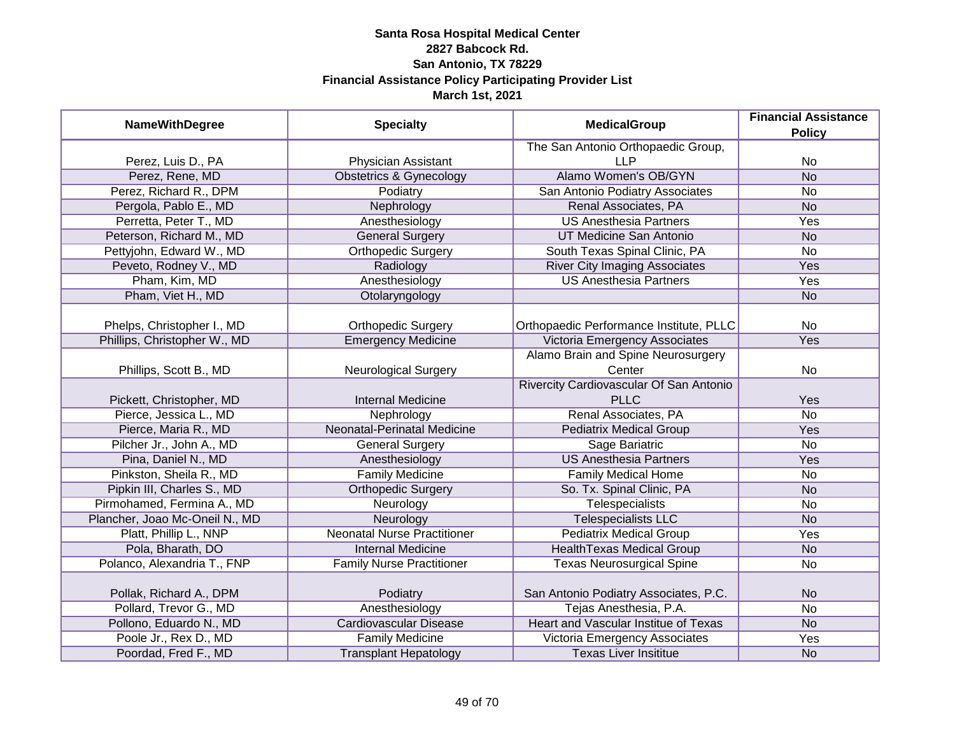| <b>NameWithDegree</b>          | <b>Specialty</b>                   | <b>MedicalGroup</b>                         | <b>Financial Assistance</b><br><b>Policy</b> |
|--------------------------------|------------------------------------|---------------------------------------------|----------------------------------------------|
|                                |                                    | The San Antonio Orthopaedic Group,          |                                              |
| Perez, Luis D., PA             | Physician Assistant                | <b>LLP</b>                                  | No                                           |
| Perez, Rene, MD                | <b>Obstetrics &amp; Gynecology</b> | Alamo Women's OB/GYN                        | N <sub>o</sub>                               |
| Perez, Richard R., DPM         | Podiatry                           | San Antonio Podiatry Associates             | No                                           |
| Pergola, Pablo E., MD          | Nephrology                         | Renal Associates, PA                        | <b>No</b>                                    |
| Perretta, Peter T., MD         | Anesthesiology                     | <b>US Anesthesia Partners</b>               | Yes                                          |
| Peterson, Richard M., MD       | <b>General Surgery</b>             | UT Medicine San Antonio                     | <b>No</b>                                    |
| Pettyjohn, Edward W., MD       | <b>Orthopedic Surgery</b>          | South Texas Spinal Clinic, PA               | No                                           |
| Peveto, Rodney V., MD          | Radiology                          | <b>River City Imaging Associates</b>        | Yes                                          |
| Pham, Kim, MD                  | Anesthesiology                     | <b>US Anesthesia Partners</b>               | Yes                                          |
| Pham, Viet H., MD              | Otolaryngology                     |                                             | <b>No</b>                                    |
| Phelps, Christopher I., MD     | <b>Orthopedic Surgery</b>          | Orthopaedic Performance Institute, PLLC     | No                                           |
| Phillips, Christopher W., MD   | <b>Emergency Medicine</b>          | Victoria Emergency Associates               | Yes                                          |
|                                |                                    | Alamo Brain and Spine Neurosurgery          |                                              |
| Phillips, Scott B., MD         | <b>Neurological Surgery</b>        | Center                                      | No                                           |
|                                |                                    | Rivercity Cardiovascular Of San Antonio     |                                              |
| Pickett, Christopher, MD       | <b>Internal Medicine</b>           | <b>PLLC</b>                                 | Yes                                          |
| Pierce, Jessica L., MD         | Nephrology                         | Renal Associates, PA                        | No                                           |
| Pierce, Maria R., MD           | <b>Neonatal-Perinatal Medicine</b> | <b>Pediatrix Medical Group</b>              | Yes                                          |
| Pilcher Jr., John A., MD       | <b>General Surgery</b>             | Sage Bariatric                              | <b>No</b>                                    |
| Pina, Daniel N., MD            | Anesthesiology                     | <b>US Anesthesia Partners</b>               | Yes                                          |
| Pinkston, Sheila R., MD        | <b>Family Medicine</b>             | <b>Family Medical Home</b>                  | <b>No</b>                                    |
| Pipkin III, Charles S., MD     | <b>Orthopedic Surgery</b>          | So. Tx. Spinal Clinic, PA                   | <b>No</b>                                    |
| Pirmohamed, Fermina A., MD     | Neurology                          | <b>Telespecialists</b>                      | <b>No</b>                                    |
| Plancher, Joao Mc-Oneil N., MD | Neurology                          | <b>Telespecialists LLC</b>                  | <b>No</b>                                    |
| Platt, Phillip L., NNP         | <b>Neonatal Nurse Practitioner</b> | <b>Pediatrix Medical Group</b>              | Yes                                          |
| Pola, Bharath, DO              | <b>Internal Medicine</b>           | <b>HealthTexas Medical Group</b>            | <b>No</b>                                    |
| Polanco, Alexandria T., FNP    | <b>Family Nurse Practitioner</b>   | <b>Texas Neurosurgical Spine</b>            | <b>No</b>                                    |
| Pollak, Richard A., DPM        | Podiatry                           | San Antonio Podiatry Associates, P.C.       | <b>No</b>                                    |
| Pollard, Trevor G., MD         | Anesthesiology                     | Tejas Anesthesia, P.A.                      | <b>No</b>                                    |
| Pollono, Eduardo N., MD        | <b>Cardiovascular Disease</b>      | <b>Heart and Vascular Institue of Texas</b> | <b>No</b>                                    |
| Poole Jr., Rex D., MD          | <b>Family Medicine</b>             | Victoria Emergency Associates               | Yes                                          |
| Poordad, Fred F., MD           | <b>Transplant Hepatology</b>       | <b>Texas Liver Insititue</b>                | <b>No</b>                                    |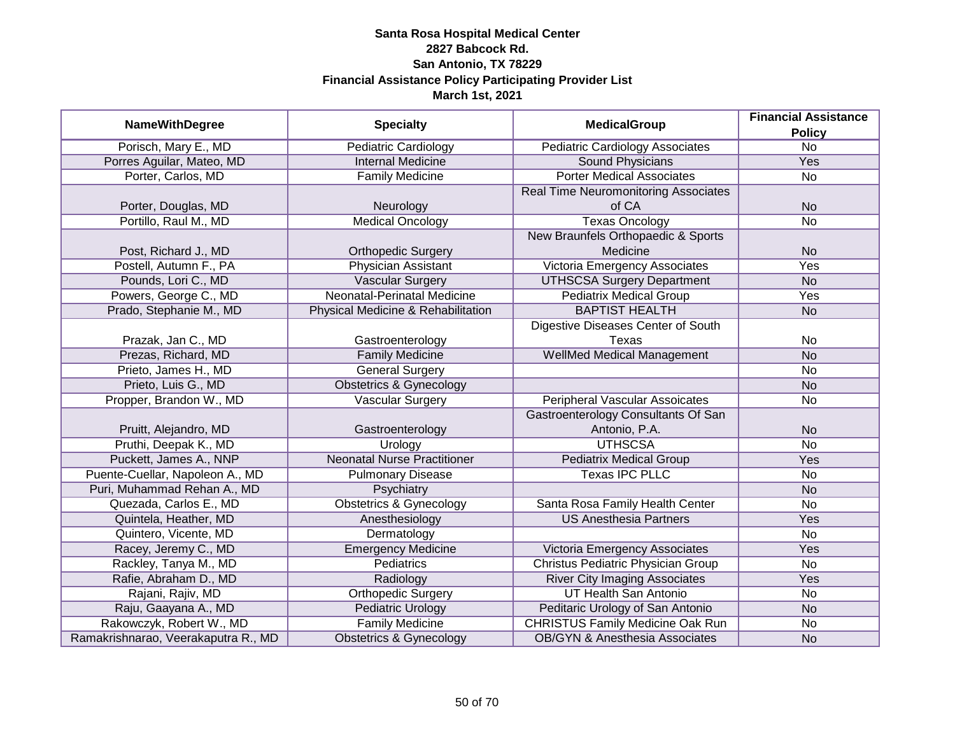|                                     |                                    |                                            | <b>Financial Assistance</b> |
|-------------------------------------|------------------------------------|--------------------------------------------|-----------------------------|
| <b>NameWithDegree</b>               | <b>Specialty</b>                   | <b>MedicalGroup</b>                        | <b>Policy</b>               |
| Porisch, Mary E., MD                | <b>Pediatric Cardiology</b>        | <b>Pediatric Cardiology Associates</b>     | $\overline{No}$             |
| Porres Aguilar, Mateo, MD           | <b>Internal Medicine</b>           | <b>Sound Physicians</b>                    | Yes                         |
| Porter, Carlos, MD                  | <b>Family Medicine</b>             | <b>Porter Medical Associates</b>           | No                          |
|                                     |                                    | Real Time Neuromonitoring Associates       |                             |
| Porter, Douglas, MD                 | Neurology                          | of CA                                      | <b>No</b>                   |
| Portillo, Raul M., MD               | <b>Medical Oncology</b>            | <b>Texas Oncology</b>                      | <b>No</b>                   |
|                                     |                                    | New Braunfels Orthopaedic & Sports         |                             |
| Post, Richard J., MD                | <b>Orthopedic Surgery</b>          | Medicine                                   | <b>No</b>                   |
| Postell, Autumn F., PA              | <b>Physician Assistant</b>         | Victoria Emergency Associates              | Yes                         |
| Pounds, Lori C., MD                 | <b>Vascular Surgery</b>            | <b>UTHSCSA Surgery Department</b>          | <b>No</b>                   |
| Powers, George C., MD               | Neonatal-Perinatal Medicine        | <b>Pediatrix Medical Group</b>             | Yes                         |
| Prado, Stephanie M., MD             | Physical Medicine & Rehabilitation | <b>BAPTIST HEALTH</b>                      | <b>No</b>                   |
|                                     |                                    | Digestive Diseases Center of South         |                             |
| Prazak, Jan C., MD                  | Gastroenterology                   | Texas                                      | No                          |
| Prezas, Richard, MD                 | <b>Family Medicine</b>             | <b>WellMed Medical Management</b>          | <b>No</b>                   |
| Prieto, James H., MD                | <b>General Surgery</b>             |                                            | No                          |
| Prieto, Luis G., MD                 | <b>Obstetrics &amp; Gynecology</b> |                                            | <b>No</b>                   |
| Propper, Brandon W., MD             | <b>Vascular Surgery</b>            | <b>Peripheral Vascular Assoicates</b>      | <b>No</b>                   |
|                                     |                                    | <b>Gastroenterology Consultants Of San</b> |                             |
| Pruitt, Alejandro, MD               | Gastroenterology                   | Antonio, P.A.                              | <b>No</b>                   |
| Pruthi, Deepak K., MD               | Urology                            | <b>UTHSCSA</b>                             | No                          |
| Puckett, James A., NNP              | <b>Neonatal Nurse Practitioner</b> | <b>Pediatrix Medical Group</b>             | Yes                         |
| Puente-Cuellar, Napoleon A., MD     | <b>Pulmonary Disease</b>           | <b>Texas IPC PLLC</b>                      | No                          |
| Puri, Muhammad Rehan A., MD         | Psychiatry                         |                                            | <b>No</b>                   |
| Quezada, Carlos E., MD              | <b>Obstetrics &amp; Gynecology</b> | Santa Rosa Family Health Center            | <b>No</b>                   |
| Quintela, Heather, MD               | Anesthesiology                     | <b>US Anesthesia Partners</b>              | Yes                         |
| Quintero, Vicente, MD               | Dermatology                        |                                            | No                          |
| Racey, Jeremy C., MD                | <b>Emergency Medicine</b>          | Victoria Emergency Associates              | Yes                         |
| Rackley, Tanya M., MD               | <b>Pediatrics</b>                  | <b>Christus Pediatric Physician Group</b>  | No                          |
| Rafie, Abraham D., MD               | Radiology                          | <b>River City Imaging Associates</b>       | Yes                         |
| Rajani, Rajiv, MD                   | Orthopedic Surgery                 | <b>UT Health San Antonio</b>               | No                          |
| Raju, Gaayana A., MD                | <b>Pediatric Urology</b>           | Peditaric Urology of San Antonio           | <b>No</b>                   |
| Rakowczyk, Robert W., MD            | <b>Family Medicine</b>             | <b>CHRISTUS Family Medicine Oak Run</b>    | No                          |
| Ramakrishnarao, Veerakaputra R., MD | <b>Obstetrics &amp; Gynecology</b> | <b>OB/GYN &amp; Anesthesia Associates</b>  | <b>No</b>                   |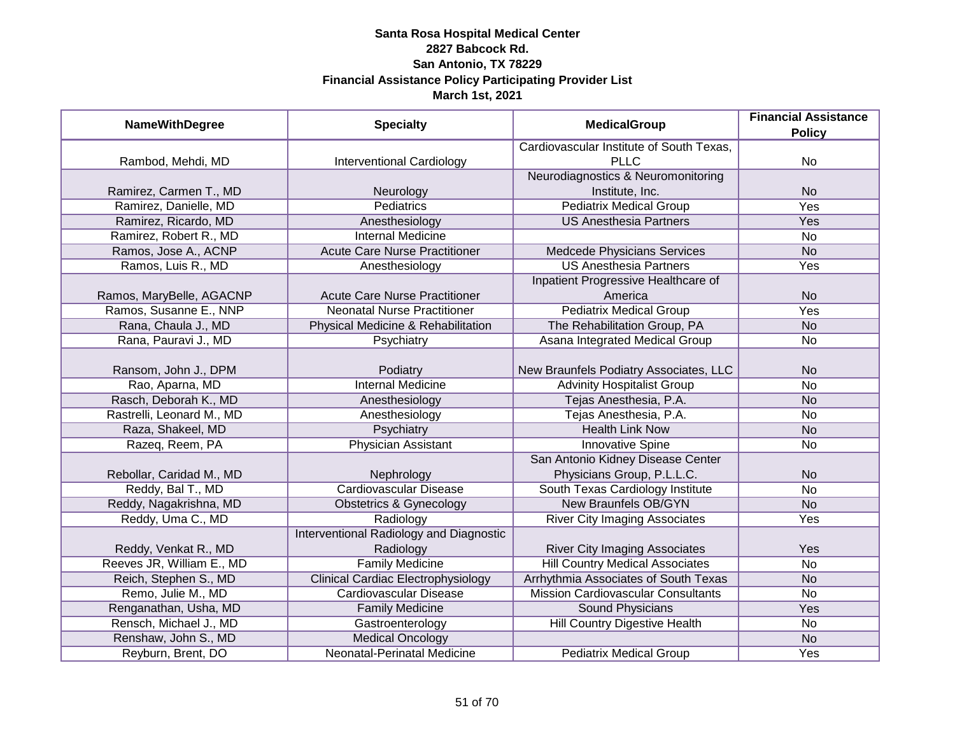| <b>NameWithDegree</b>     | <b>Specialty</b>                          | <b>MedicalGroup</b>                       | <b>Financial Assistance</b> |
|---------------------------|-------------------------------------------|-------------------------------------------|-----------------------------|
|                           |                                           |                                           | <b>Policy</b>               |
|                           |                                           | Cardiovascular Institute of South Texas,  |                             |
| Rambod, Mehdi, MD         | <b>Interventional Cardiology</b>          | <b>PLLC</b>                               | No                          |
|                           |                                           | Neurodiagnostics & Neuromonitoring        |                             |
| Ramirez, Carmen T., MD    | Neurology                                 | Institute, Inc.                           | <b>No</b>                   |
| Ramirez, Danielle, MD     | <b>Pediatrics</b>                         | <b>Pediatrix Medical Group</b>            | <b>Yes</b>                  |
| Ramirez, Ricardo, MD      | Anesthesiology                            | <b>US Anesthesia Partners</b>             | Yes                         |
| Ramirez, Robert R., MD    | <b>Internal Medicine</b>                  |                                           | $\overline{No}$             |
| Ramos, Jose A., ACNP      | <b>Acute Care Nurse Practitioner</b>      | Medcede Physicians Services               | <b>No</b>                   |
| Ramos, Luis R., MD        | Anesthesiology                            | <b>US Anesthesia Partners</b>             | Yes                         |
|                           |                                           | Inpatient Progressive Healthcare of       |                             |
| Ramos, MaryBelle, AGACNP  | <b>Acute Care Nurse Practitioner</b>      | America                                   | <b>No</b>                   |
| Ramos, Susanne E., NNP    | <b>Neonatal Nurse Practitioner</b>        | <b>Pediatrix Medical Group</b>            | Yes                         |
| Rana, Chaula J., MD       | Physical Medicine & Rehabilitation        | The Rehabilitation Group, PA              | <b>No</b>                   |
| Rana, Pauravi J., MD      | Psychiatry                                | Asana Integrated Medical Group            | No                          |
|                           |                                           |                                           |                             |
| Ransom, John J., DPM      | Podiatry                                  | New Braunfels Podiatry Associates, LLC    | <b>No</b>                   |
| Rao, Aparna, MD           | <b>Internal Medicine</b>                  | <b>Advinity Hospitalist Group</b>         | No                          |
| Rasch, Deborah K., MD     | Anesthesiology                            | Tejas Anesthesia, P.A.                    | <b>No</b>                   |
| Rastrelli, Leonard M., MD | Anesthesiology                            | Tejas Anesthesia, P.A.                    | No                          |
| Raza, Shakeel, MD         | Psychiatry                                | <b>Health Link Now</b>                    | <b>No</b>                   |
| Razeq, Reem, PA           | <b>Physician Assistant</b>                | <b>Innovative Spine</b>                   | <b>No</b>                   |
|                           |                                           | San Antonio Kidney Disease Center         |                             |
| Rebollar, Caridad M., MD  | Nephrology                                | Physicians Group, P.L.L.C.                | <b>No</b>                   |
| Reddy, Bal T., MD         | Cardiovascular Disease                    | South Texas Cardiology Institute          | <b>No</b>                   |
| Reddy, Nagakrishna, MD    | Obstetrics & Gynecology                   | <b>New Braunfels OB/GYN</b>               | <b>No</b>                   |
| Reddy, Uma C., MD         | Radiology                                 | <b>River City Imaging Associates</b>      | Yes                         |
|                           | Interventional Radiology and Diagnostic   |                                           |                             |
| Reddy, Venkat R., MD      | Radiology                                 | <b>River City Imaging Associates</b>      | Yes                         |
| Reeves JR, William E., MD | <b>Family Medicine</b>                    | <b>Hill Country Medical Associates</b>    | No                          |
| Reich, Stephen S., MD     | <b>Clinical Cardiac Electrophysiology</b> | Arrhythmia Associates of South Texas      | <b>No</b>                   |
| Remo, Julie M., MD        | <b>Cardiovascular Disease</b>             | <b>Mission Cardiovascular Consultants</b> | No                          |
| Renganathan, Usha, MD     | <b>Family Medicine</b>                    | <b>Sound Physicians</b>                   | Yes                         |
| Rensch, Michael J., MD    | Gastroenterology                          | Hill Country Digestive Health             | No                          |
| Renshaw, John S., MD      | <b>Medical Oncology</b>                   |                                           | <b>No</b>                   |
| Reyburn, Brent, DO        | Neonatal-Perinatal Medicine               | <b>Pediatrix Medical Group</b>            | Yes                         |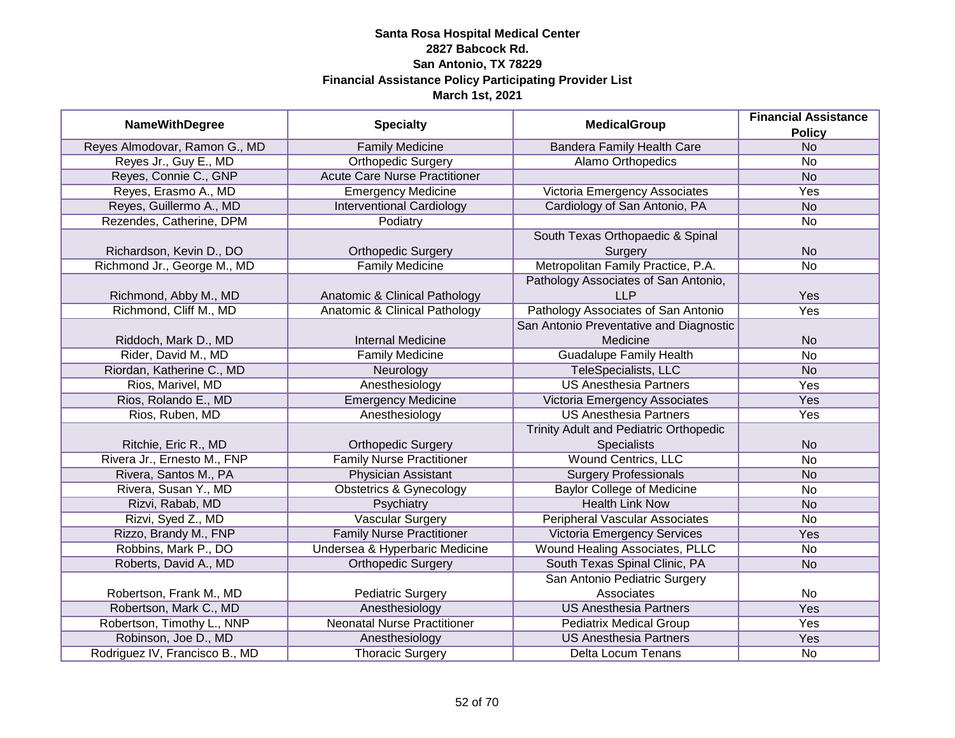| <b>NameWithDegree</b>          | <b>Specialty</b>                     | <b>MedicalGroup</b>                     | <b>Financial Assistance</b> |
|--------------------------------|--------------------------------------|-----------------------------------------|-----------------------------|
|                                |                                      |                                         | <b>Policy</b>               |
| Reyes Almodovar, Ramon G., MD  | <b>Family Medicine</b>               | <b>Bandera Family Health Care</b>       | <b>No</b>                   |
| Reyes Jr., Guy E., MD          | <b>Orthopedic Surgery</b>            | <b>Alamo Orthopedics</b>                | <b>No</b>                   |
| Reyes, Connie C., GNP          | <b>Acute Care Nurse Practitioner</b> |                                         | <b>No</b>                   |
| Reyes, Erasmo A., MD           | <b>Emergency Medicine</b>            | Victoria Emergency Associates           | <b>Yes</b>                  |
| Reyes, Guillermo A., MD        | <b>Interventional Cardiology</b>     | Cardiology of San Antonio, PA           | N <sub>o</sub>              |
| Rezendes, Catherine, DPM       | Podiatry                             |                                         | No                          |
|                                |                                      | South Texas Orthopaedic & Spinal        |                             |
| Richardson, Kevin D., DO       | <b>Orthopedic Surgery</b>            | Surgery                                 | <b>No</b>                   |
| Richmond Jr., George M., MD    | <b>Family Medicine</b>               | Metropolitan Family Practice, P.A.      | <b>No</b>                   |
|                                |                                      | Pathology Associates of San Antonio,    |                             |
| Richmond, Abby M., MD          | Anatomic & Clinical Pathology        | <b>LLP</b>                              | Yes                         |
| Richmond, Cliff M., MD         | Anatomic & Clinical Pathology        | Pathology Associates of San Antonio     | Yes                         |
|                                |                                      | San Antonio Preventative and Diagnostic |                             |
| Riddoch, Mark D., MD           | <b>Internal Medicine</b>             | Medicine                                | <b>No</b>                   |
| Rider, David M., MD            | <b>Family Medicine</b>               | <b>Guadalupe Family Health</b>          | No                          |
| Riordan, Katherine C., MD      | Neurology                            | <b>TeleSpecialists, LLC</b>             | <b>No</b>                   |
| Rios, Marivel, MD              | Anesthesiology                       | <b>US Anesthesia Partners</b>           | Yes                         |
| Rios, Rolando E., MD           | <b>Emergency Medicine</b>            | Victoria Emergency Associates           | Yes                         |
| Rios, Ruben, MD                | Anesthesiology                       | <b>US Anesthesia Partners</b>           | Yes                         |
|                                |                                      | Trinity Adult and Pediatric Orthopedic  |                             |
| Ritchie, Eric R., MD           | <b>Orthopedic Surgery</b>            | <b>Specialists</b>                      | <b>No</b>                   |
| Rivera Jr., Ernesto M., FNP    | <b>Family Nurse Practitioner</b>     | <b>Wound Centrics, LLC</b>              | <b>No</b>                   |
| Rivera, Santos M., PA          | <b>Physician Assistant</b>           | <b>Surgery Professionals</b>            | <b>No</b>                   |
| Rivera, Susan Y., MD           | <b>Obstetrics &amp; Gynecology</b>   | <b>Baylor College of Medicine</b>       | <b>No</b>                   |
| Rizvi, Rabab, MD               | Psychiatry                           | <b>Health Link Now</b>                  | <b>No</b>                   |
| Rizvi, Syed Z., MD             | <b>Vascular Surgery</b>              | <b>Peripheral Vascular Associates</b>   | <b>No</b>                   |
| Rizzo, Brandy M., FNP          | <b>Family Nurse Practitioner</b>     | <b>Victoria Emergency Services</b>      | Yes                         |
| Robbins, Mark P., DO           | Undersea & Hyperbaric Medicine       | Wound Healing Associates, PLLC          | <b>No</b>                   |
| Roberts, David A., MD          | <b>Orthopedic Surgery</b>            | South Texas Spinal Clinic, PA           | <b>No</b>                   |
|                                |                                      | San Antonio Pediatric Surgery           |                             |
| Robertson, Frank M., MD        | <b>Pediatric Surgery</b>             | Associates                              | No                          |
| Robertson, Mark C., MD         | Anesthesiology                       | <b>US Anesthesia Partners</b>           | <b>Yes</b>                  |
| Robertson, Timothy L., NNP     | <b>Neonatal Nurse Practitioner</b>   | <b>Pediatrix Medical Group</b>          | <b>Yes</b>                  |
| Robinson, Joe D., MD           | Anesthesiology                       | <b>US Anesthesia Partners</b>           | Yes                         |
| Rodriguez IV, Francisco B., MD | <b>Thoracic Surgery</b>              | Delta Locum Tenans                      | No                          |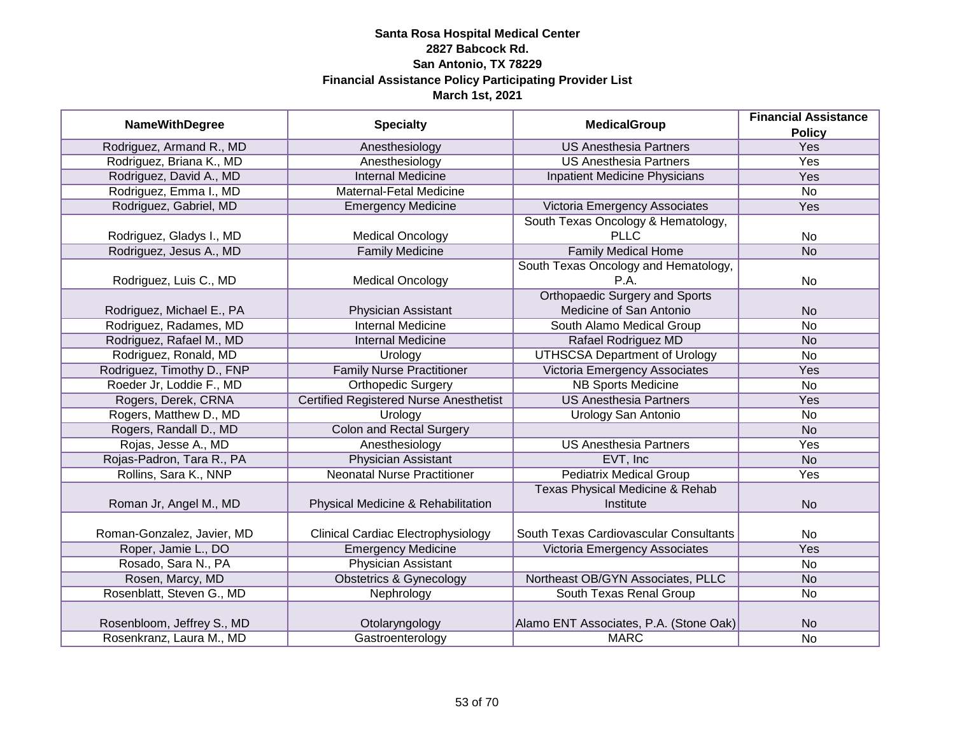|                            |                                               |                                            | <b>Financial Assistance</b> |
|----------------------------|-----------------------------------------------|--------------------------------------------|-----------------------------|
| <b>NameWithDegree</b>      | <b>Specialty</b>                              | <b>MedicalGroup</b>                        | <b>Policy</b>               |
| Rodriguez, Armand R., MD   | Anesthesiology                                | <b>US Anesthesia Partners</b>              | Yes                         |
| Rodriguez, Briana K., MD   | Anesthesiology                                | <b>US Anesthesia Partners</b>              | <b>Yes</b>                  |
| Rodriguez, David A., MD    | <b>Internal Medicine</b>                      | Inpatient Medicine Physicians              | <b>Yes</b>                  |
| Rodriguez, Emma I., MD     | Maternal-Fetal Medicine                       |                                            | $\overline{No}$             |
| Rodriguez, Gabriel, MD     | <b>Emergency Medicine</b>                     | Victoria Emergency Associates              | Yes                         |
|                            |                                               | South Texas Oncology & Hematology,         |                             |
| Rodriguez, Gladys I., MD   | <b>Medical Oncology</b>                       | <b>PLLC</b>                                | No                          |
| Rodriguez, Jesus A., MD    | <b>Family Medicine</b>                        | <b>Family Medical Home</b>                 | <b>No</b>                   |
|                            |                                               | South Texas Oncology and Hematology,       |                             |
| Rodriguez, Luis C., MD     | <b>Medical Oncology</b>                       | P.A.                                       | No                          |
|                            |                                               | <b>Orthopaedic Surgery and Sports</b>      |                             |
| Rodriguez, Michael E., PA  | Physician Assistant                           | Medicine of San Antonio                    | <b>No</b>                   |
| Rodriguez, Radames, MD     | <b>Internal Medicine</b>                      | South Alamo Medical Group                  | <b>No</b>                   |
| Rodriguez, Rafael M., MD   | <b>Internal Medicine</b>                      | Rafael Rodriguez MD                        | <b>No</b>                   |
| Rodriguez, Ronald, MD      | Urology                                       | <b>UTHSCSA Department of Urology</b>       | <b>No</b>                   |
| Rodriguez, Timothy D., FNP | <b>Family Nurse Practitioner</b>              | <b>Victoria Emergency Associates</b>       | Yes                         |
| Roeder Jr, Loddie F., MD   | <b>Orthopedic Surgery</b>                     | <b>NB Sports Medicine</b>                  | No                          |
| Rogers, Derek, CRNA        | <b>Certified Registered Nurse Anesthetist</b> | <b>US Anesthesia Partners</b>              | Yes                         |
| Rogers, Matthew D., MD     | Urology                                       | <b>Urology San Antonio</b>                 | No                          |
| Rogers, Randall D., MD     | <b>Colon and Rectal Surgery</b>               |                                            | <b>No</b>                   |
| Rojas, Jesse A., MD        | Anesthesiology                                | <b>US Anesthesia Partners</b>              | Yes                         |
| Rojas-Padron, Tara R., PA  | <b>Physician Assistant</b>                    | EVT, Inc                                   | <b>No</b>                   |
| Rollins, Sara K., NNP      | <b>Neonatal Nurse Practitioner</b>            | <b>Pediatrix Medical Group</b>             | Yes                         |
|                            |                                               | <b>Texas Physical Medicine &amp; Rehab</b> |                             |
| Roman Jr, Angel M., MD     | Physical Medicine & Rehabilitation            | Institute                                  | <b>No</b>                   |
|                            |                                               |                                            |                             |
| Roman-Gonzalez, Javier, MD | <b>Clinical Cardiac Electrophysiology</b>     | South Texas Cardiovascular Consultants     | No                          |
| Roper, Jamie L., DO        | <b>Emergency Medicine</b>                     | Victoria Emergency Associates              | Yes                         |
| Rosado, Sara N., PA        | <b>Physician Assistant</b>                    |                                            | No                          |
| Rosen, Marcy, MD           | <b>Obstetrics &amp; Gynecology</b>            | Northeast OB/GYN Associates, PLLC          | <b>No</b>                   |
| Rosenblatt, Steven G., MD  | Nephrology                                    | South Texas Renal Group                    | No                          |
|                            |                                               |                                            |                             |
| Rosenbloom, Jeffrey S., MD | Otolaryngology                                | Alamo ENT Associates, P.A. (Stone Oak)     | <b>No</b>                   |
| Rosenkranz, Laura M., MD   | Gastroenterology                              | <b>MARC</b>                                | No                          |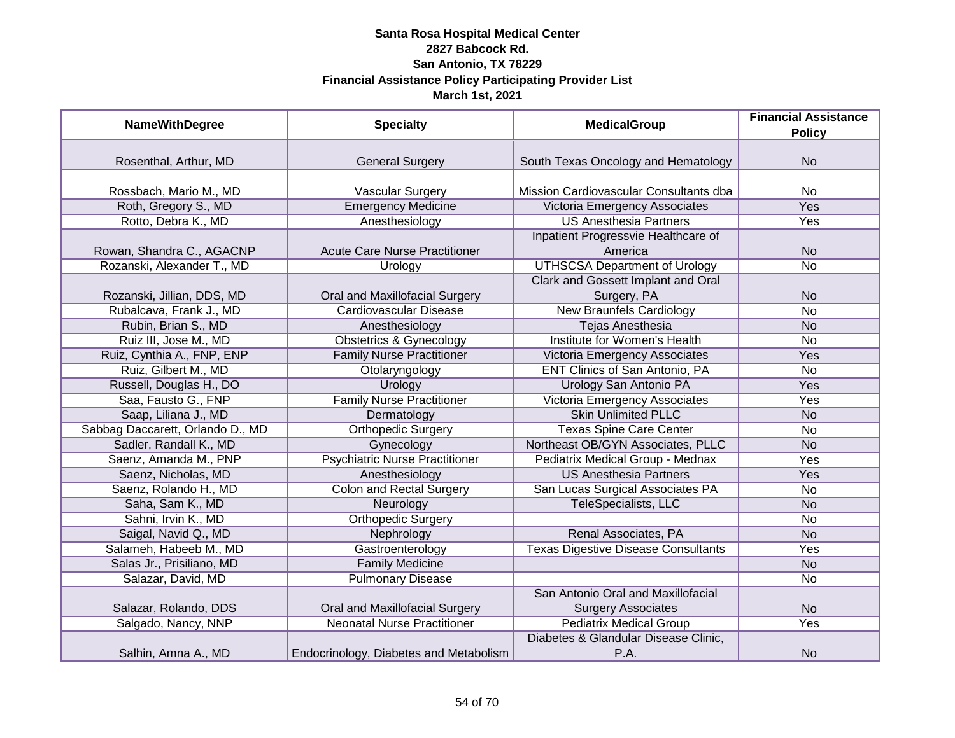| <b>NameWithDegree</b>            | <b>Specialty</b>                       | <b>MedicalGroup</b>                                             | <b>Financial Assistance</b><br><b>Policy</b> |
|----------------------------------|----------------------------------------|-----------------------------------------------------------------|----------------------------------------------|
|                                  |                                        |                                                                 |                                              |
| Rosenthal, Arthur, MD            | <b>General Surgery</b>                 | South Texas Oncology and Hematology                             | <b>No</b>                                    |
| Rossbach, Mario M., MD           | Vascular Surgery                       | Mission Cardiovascular Consultants dba                          | <b>No</b>                                    |
| Roth, Gregory S., MD             | <b>Emergency Medicine</b>              | Victoria Emergency Associates                                   | <b>Yes</b>                                   |
| Rotto, Debra K., MD              | Anesthesiology                         | <b>US Anesthesia Partners</b>                                   | Yes                                          |
| Rowan, Shandra C., AGACNP        | <b>Acute Care Nurse Practitioner</b>   | Inpatient Progressvie Healthcare of<br>America                  | <b>No</b>                                    |
| Rozanski, Alexander T., MD       | <b>Urology</b>                         | <b>UTHSCSA Department of Urology</b>                            | <b>No</b>                                    |
|                                  |                                        | Clark and Gossett Implant and Oral                              |                                              |
| Rozanski, Jillian, DDS, MD       | Oral and Maxillofacial Surgery         | Surgery, PA                                                     | <b>No</b>                                    |
| Rubalcava, Frank J., MD          | <b>Cardiovascular Disease</b>          | <b>New Braunfels Cardiology</b>                                 | <b>No</b>                                    |
| Rubin, Brian S., MD              | Anesthesiology                         | <b>Tejas Anesthesia</b>                                         | <b>No</b>                                    |
| Ruiz III, Jose M., MD            | <b>Obstetrics &amp; Gynecology</b>     | Institute for Women's Health                                    | <b>No</b>                                    |
| Ruiz, Cynthia A., FNP, ENP       | <b>Family Nurse Practitioner</b>       | Victoria Emergency Associates                                   | Yes                                          |
| Ruiz, Gilbert M., MD             | Otolaryngology                         | ENT Clinics of San Antonio, PA                                  | <b>No</b>                                    |
| Russell, Douglas H., DO          | Urology                                | Urology San Antonio PA                                          | Yes                                          |
| Saa, Fausto G., FNP              | <b>Family Nurse Practitioner</b>       | Victoria Emergency Associates                                   | Yes                                          |
| Saap, Liliana J., MD             | Dermatology                            | <b>Skin Unlimited PLLC</b>                                      | <b>No</b>                                    |
| Sabbag Daccarett, Orlando D., MD | <b>Orthopedic Surgery</b>              | <b>Texas Spine Care Center</b>                                  | <b>No</b>                                    |
| Sadler, Randall K., MD           | Gynecology                             | Northeast OB/GYN Associates, PLLC                               | <b>No</b>                                    |
| Saenz, Amanda M., PNP            | <b>Psychiatric Nurse Practitioner</b>  | Pediatrix Medical Group - Mednax                                | Yes                                          |
| Saenz, Nicholas, MD              | Anesthesiology                         | <b>US Anesthesia Partners</b>                                   | Yes                                          |
| Saenz, Rolando H., MD            | <b>Colon and Rectal Surgery</b>        | San Lucas Surgical Associates PA                                | No                                           |
| Saha, Sam K., MD                 | Neurology                              | TeleSpecialists, LLC                                            | <b>No</b>                                    |
| Sahni, Irvin K., MD              | <b>Orthopedic Surgery</b>              |                                                                 | No                                           |
| Saigal, Navid Q., MD             | Nephrology                             | Renal Associates, PA                                            | <b>No</b>                                    |
| Salameh, Habeeb M., MD           | Gastroenterology                       | <b>Texas Digestive Disease Consultants</b>                      | Yes                                          |
| Salas Jr., Prisiliano, MD        | <b>Family Medicine</b>                 |                                                                 | <b>No</b>                                    |
| Salazar, David, MD               | <b>Pulmonary Disease</b>               |                                                                 | No                                           |
| Salazar, Rolando, DDS            | Oral and Maxillofacial Surgery         | San Antonio Oral and Maxillofacial<br><b>Surgery Associates</b> | <b>No</b>                                    |
| Salgado, Nancy, NNP              | <b>Neonatal Nurse Practitioner</b>     | <b>Pediatrix Medical Group</b>                                  | Yes                                          |
| Salhin, Amna A., MD              | Endocrinology, Diabetes and Metabolism | Diabetes & Glandular Disease Clinic,<br>P.A.                    | <b>No</b>                                    |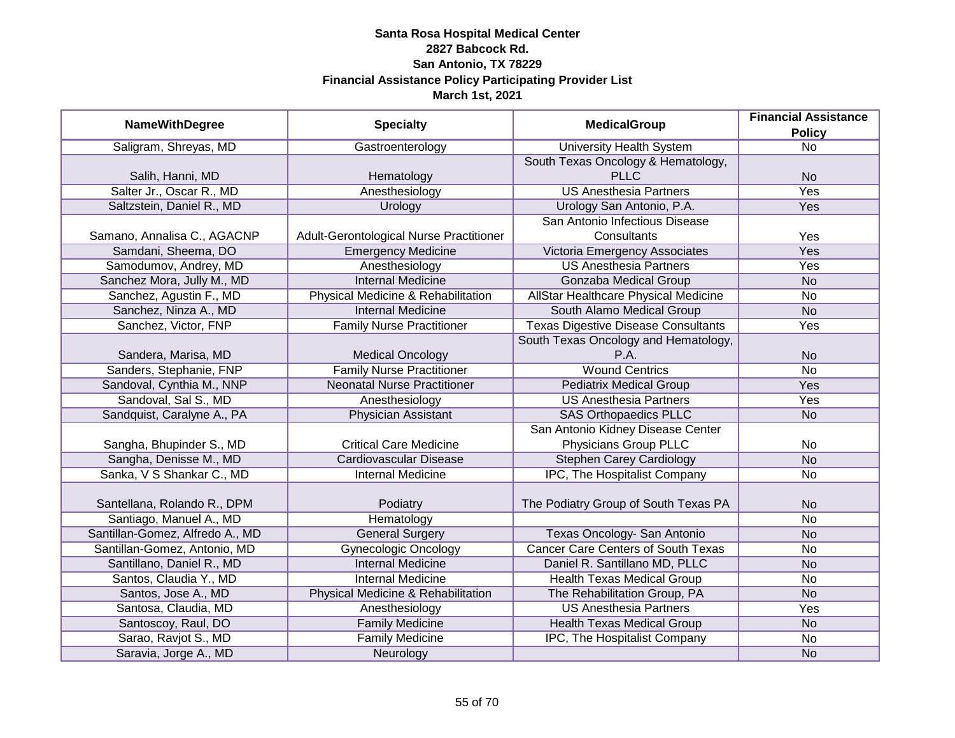|                                 |                                         |                                            | <b>Financial Assistance</b> |
|---------------------------------|-----------------------------------------|--------------------------------------------|-----------------------------|
| <b>NameWithDegree</b>           | <b>Specialty</b>                        | <b>MedicalGroup</b>                        | <b>Policy</b>               |
| Saligram, Shreyas, MD           | Gastroenterology                        | <b>University Health System</b>            | $\overline{No}$             |
|                                 |                                         | South Texas Oncology & Hematology,         |                             |
| Salih, Hanni, MD                | Hematology                              | <b>PLLC</b>                                | <b>No</b>                   |
| Salter Jr., Oscar R., MD        | Anesthesiology                          | <b>US Anesthesia Partners</b>              | <b>Yes</b>                  |
| Saltzstein, Daniel R., MD       | Urology                                 | Urology San Antonio, P.A.                  | Yes                         |
|                                 |                                         | San Antonio Infectious Disease             |                             |
| Samano, Annalisa C., AGACNP     | Adult-Gerontological Nurse Practitioner | Consultants                                | Yes                         |
| Samdani, Sheema, DO             | <b>Emergency Medicine</b>               | Victoria Emergency Associates              | Yes                         |
| Samodumov, Andrey, MD           | Anesthesiology                          | <b>US Anesthesia Partners</b>              | Yes                         |
| Sanchez Mora, Jully M., MD      | <b>Internal Medicine</b>                | Gonzaba Medical Group                      | <b>No</b>                   |
| Sanchez, Agustin F., MD         | Physical Medicine & Rehabilitation      | AllStar Healthcare Physical Medicine       | No                          |
| Sanchez, Ninza A., MD           | <b>Internal Medicine</b>                | South Alamo Medical Group                  | <b>No</b>                   |
| Sanchez, Victor, FNP            | <b>Family Nurse Practitioner</b>        | <b>Texas Digestive Disease Consultants</b> | Yes                         |
|                                 |                                         | South Texas Oncology and Hematology,       |                             |
| Sandera, Marisa, MD             | <b>Medical Oncology</b>                 | P.A.                                       | <b>No</b>                   |
| Sanders, Stephanie, FNP         | <b>Family Nurse Practitioner</b>        | <b>Wound Centrics</b>                      | <b>No</b>                   |
| Sandoval, Cynthia M., NNP       | <b>Neonatal Nurse Practitioner</b>      | <b>Pediatrix Medical Group</b>             | Yes                         |
| Sandoval, Sal S., MD            | Anesthesiology                          | <b>US Anesthesia Partners</b>              | Yes                         |
| Sandquist, Caralyne A., PA      | Physician Assistant                     | <b>SAS Orthopaedics PLLC</b>               | <b>No</b>                   |
|                                 |                                         | San Antonio Kidney Disease Center          |                             |
| Sangha, Bhupinder S., MD        | <b>Critical Care Medicine</b>           | Physicians Group PLLC                      | No                          |
| Sangha, Denisse M., MD          | Cardiovascular Disease                  | <b>Stephen Carey Cardiology</b>            | <b>No</b>                   |
| Sanka, V S Shankar C., MD       | <b>Internal Medicine</b>                | IPC, The Hospitalist Company               | No                          |
|                                 |                                         |                                            |                             |
| Santellana, Rolando R., DPM     | Podiatry                                | The Podiatry Group of South Texas PA       | <b>No</b>                   |
| Santiago, Manuel A., MD         | Hematology                              |                                            | <b>No</b>                   |
| Santillan-Gomez, Alfredo A., MD | <b>General Surgery</b>                  | Texas Oncology- San Antonio                | <b>No</b>                   |
| Santillan-Gomez, Antonio, MD    | <b>Gynecologic Oncology</b>             | <b>Cancer Care Centers of South Texas</b>  | <b>No</b>                   |
| Santillano, Daniel R., MD       | <b>Internal Medicine</b>                | Daniel R. Santillano MD, PLLC              | <b>No</b>                   |
| Santos, Claudia Y., MD          | <b>Internal Medicine</b>                | <b>Health Texas Medical Group</b>          | <b>No</b>                   |
| Santos, Jose A., MD             | Physical Medicine & Rehabilitation      | The Rehabilitation Group, PA               | <b>No</b>                   |
| Santosa, Claudia, MD            | Anesthesiology                          | <b>US Anesthesia Partners</b>              | Yes                         |
| Santoscoy, Raul, DO             | <b>Family Medicine</b>                  | <b>Health Texas Medical Group</b>          | N <sub>o</sub>              |
| Sarao, Ravjot S., MD            | <b>Family Medicine</b>                  | IPC, The Hospitalist Company               | No                          |
| Saravia, Jorge A., MD           | Neurology                               |                                            | <b>No</b>                   |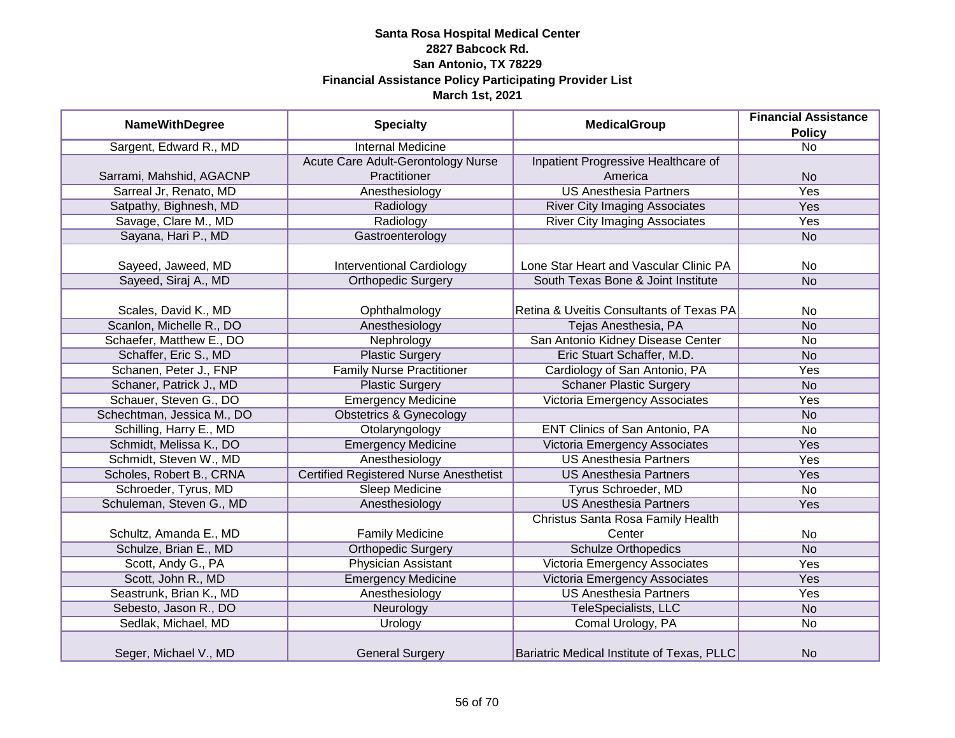|                            |                                               | <b>MedicalGroup</b>                        | <b>Financial Assistance</b> |
|----------------------------|-----------------------------------------------|--------------------------------------------|-----------------------------|
| <b>NameWithDegree</b>      | <b>Specialty</b>                              |                                            | <b>Policy</b>               |
| Sargent, Edward R., MD     | <b>Internal Medicine</b>                      |                                            | $\overline{No}$             |
|                            | Acute Care Adult-Gerontology Nurse            | Inpatient Progressive Healthcare of        |                             |
| Sarrami, Mahshid, AGACNP   | Practitioner                                  | America                                    | <b>No</b>                   |
| Sarreal Jr, Renato, MD     | Anesthesiology                                | <b>US Anesthesia Partners</b>              | Yes                         |
| Satpathy, Bighnesh, MD     | Radiology                                     | <b>River City Imaging Associates</b>       | Yes                         |
| Savage, Clare M., MD       | Radiology                                     | <b>River City Imaging Associates</b>       | Yes                         |
| Sayana, Hari P., MD        | Gastroenterology                              |                                            | <b>No</b>                   |
|                            |                                               |                                            |                             |
| Sayeed, Jaweed, MD         | <b>Interventional Cardiology</b>              | Lone Star Heart and Vascular Clinic PA     | No                          |
| Sayeed, Siraj A., MD       | <b>Orthopedic Surgery</b>                     | South Texas Bone & Joint Institute         | <b>No</b>                   |
|                            |                                               |                                            |                             |
| Scales, David K., MD       | Ophthalmology                                 | Retina & Uveitis Consultants of Texas PA   | No                          |
| Scanlon, Michelle R., DO   | Anesthesiology                                | Tejas Anesthesia, PA                       | <b>No</b>                   |
| Schaefer, Matthew E., DO   | Nephrology                                    | San Antonio Kidney Disease Center          | No                          |
| Schaffer, Eric S., MD      | <b>Plastic Surgery</b>                        | Eric Stuart Schaffer, M.D.                 | <b>No</b>                   |
| Schanen, Peter J., FNP     | <b>Family Nurse Practitioner</b>              | Cardiology of San Antonio, PA              | Yes                         |
| Schaner, Patrick J., MD    | <b>Plastic Surgery</b>                        | <b>Schaner Plastic Surgery</b>             | <b>No</b>                   |
| Schauer, Steven G., DO     | <b>Emergency Medicine</b>                     | Victoria Emergency Associates              | Yes                         |
| Schechtman, Jessica M., DO | <b>Obstetrics &amp; Gynecology</b>            |                                            | <b>No</b>                   |
| Schilling, Harry E., MD    | Otolaryngology                                | ENT Clinics of San Antonio, PA             | <b>No</b>                   |
| Schmidt, Melissa K., DO    | <b>Emergency Medicine</b>                     | Victoria Emergency Associates              | Yes                         |
| Schmidt, Steven W., MD     | Anesthesiology                                | <b>US Anesthesia Partners</b>              | Yes                         |
| Scholes, Robert B., CRNA   | <b>Certified Registered Nurse Anesthetist</b> | <b>US Anesthesia Partners</b>              | Yes                         |
| Schroeder, Tyrus, MD       | <b>Sleep Medicine</b>                         | Tyrus Schroeder, MD                        | <b>No</b>                   |
| Schuleman, Steven G., MD   | Anesthesiology                                | <b>US Anesthesia Partners</b>              | Yes                         |
|                            |                                               | Christus Santa Rosa Family Health          |                             |
| Schultz, Amanda E., MD     | <b>Family Medicine</b>                        | Center                                     | No                          |
| Schulze, Brian E., MD      | <b>Orthopedic Surgery</b>                     | <b>Schulze Orthopedics</b>                 | <b>No</b>                   |
| Scott, Andy G., PA         | <b>Physician Assistant</b>                    | Victoria Emergency Associates              | Yes                         |
| Scott, John R., MD         | <b>Emergency Medicine</b>                     | Victoria Emergency Associates              | Yes                         |
| Seastrunk, Brian K., MD    | Anesthesiology                                | <b>US Anesthesia Partners</b>              | Yes                         |
| Sebesto, Jason R., DO      | Neurology                                     | TeleSpecialists, LLC                       | <b>No</b>                   |
| Sedlak, Michael, MD        | Urology                                       | Comal Urology, PA                          | <b>No</b>                   |
| Seger, Michael V., MD      | <b>General Surgery</b>                        | Bariatric Medical Institute of Texas, PLLC | <b>No</b>                   |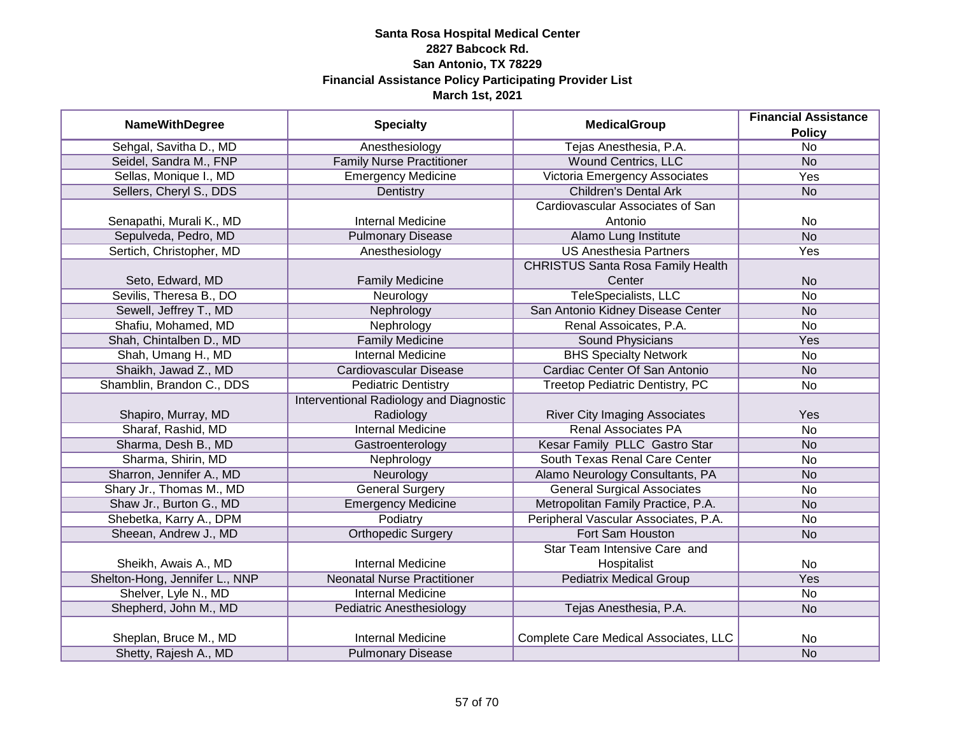|                                |                                         |                                          | <b>Financial Assistance</b> |
|--------------------------------|-----------------------------------------|------------------------------------------|-----------------------------|
| <b>NameWithDegree</b>          | <b>Specialty</b>                        | <b>MedicalGroup</b>                      | <b>Policy</b>               |
| Sehgal, Savitha D., MD         | Anesthesiology                          | Tejas Anesthesia, P.A.                   | $\overline{No}$             |
| Seidel, Sandra M., FNP         | <b>Family Nurse Practitioner</b>        | <b>Wound Centrics, LLC</b>               | <b>No</b>                   |
| Sellas, Monique I., MD         | <b>Emergency Medicine</b>               | Victoria Emergency Associates            | <b>Yes</b>                  |
| Sellers, Cheryl S., DDS        | Dentistry                               | <b>Children's Dental Ark</b>             | <b>No</b>                   |
|                                |                                         | Cardiovascular Associates of San         |                             |
| Senapathi, Murali K., MD       | <b>Internal Medicine</b>                | Antonio                                  | No                          |
| Sepulveda, Pedro, MD           | <b>Pulmonary Disease</b>                | Alamo Lung Institute                     | $\overline{No}$             |
| Sertich, Christopher, MD       | Anesthesiology                          | <b>US Anesthesia Partners</b>            | Yes                         |
|                                |                                         | <b>CHRISTUS Santa Rosa Family Health</b> |                             |
| Seto, Edward, MD               | <b>Family Medicine</b>                  | Center                                   | <b>No</b>                   |
| Sevilis, Theresa B., DO        | Neurology                               | <b>TeleSpecialists, LLC</b>              | No                          |
| Sewell, Jeffrey T., MD         | Nephrology                              | San Antonio Kidney Disease Center        | <b>No</b>                   |
| Shafiu, Mohamed, MD            | Nephrology                              | Renal Assoicates, P.A.                   | No                          |
| Shah, Chintalben D., MD        | <b>Family Medicine</b>                  | <b>Sound Physicians</b>                  | Yes                         |
| Shah, Umang H., MD             | <b>Internal Medicine</b>                | <b>BHS Specialty Network</b>             | <b>No</b>                   |
| Shaikh, Jawad Z., MD           | <b>Cardiovascular Disease</b>           | Cardiac Center Of San Antonio            | <b>No</b>                   |
| Shamblin, Brandon C., DDS      | <b>Pediatric Dentistry</b>              | Treetop Pediatric Dentistry, PC          | No                          |
|                                | Interventional Radiology and Diagnostic |                                          |                             |
| Shapiro, Murray, MD            | Radiology                               | <b>River City Imaging Associates</b>     | Yes                         |
| Sharaf, Rashid, MD             | <b>Internal Medicine</b>                | <b>Renal Associates PA</b>               | <b>No</b>                   |
| Sharma, Desh B., MD            | Gastroenterology                        | Kesar Family PLLC Gastro Star            | <b>No</b>                   |
| Sharma, Shirin, MD             | Nephrology                              | South Texas Renal Care Center            | <b>No</b>                   |
| Sharron, Jennifer A., MD       | Neurology                               | Alamo Neurology Consultants, PA          | <b>No</b>                   |
| Shary Jr., Thomas M., MD       | <b>General Surgery</b>                  | <b>General Surgical Associates</b>       | <b>No</b>                   |
| Shaw Jr., Burton G., MD        | <b>Emergency Medicine</b>               | Metropolitan Family Practice, P.A.       | <b>No</b>                   |
| Shebetka, Karry A., DPM        | Podiatry                                | Peripheral Vascular Associates, P.A.     | No                          |
| Sheean, Andrew J., MD          | <b>Orthopedic Surgery</b>               | Fort Sam Houston                         | <b>No</b>                   |
|                                |                                         | Star Team Intensive Care and             |                             |
| Sheikh, Awais A., MD           | <b>Internal Medicine</b>                | Hospitalist                              | No                          |
| Shelton-Hong, Jennifer L., NNP | <b>Neonatal Nurse Practitioner</b>      | <b>Pediatrix Medical Group</b>           | Yes                         |
| Shelver, Lyle N., MD           | <b>Internal Medicine</b>                |                                          | No                          |
| Shepherd, John M., MD          | <b>Pediatric Anesthesiology</b>         | Tejas Anesthesia, P.A.                   | <b>No</b>                   |
|                                |                                         |                                          |                             |
| Sheplan, Bruce M., MD          | <b>Internal Medicine</b>                | Complete Care Medical Associates, LLC    | No                          |
| Shetty, Rajesh A., MD          | <b>Pulmonary Disease</b>                |                                          | <b>No</b>                   |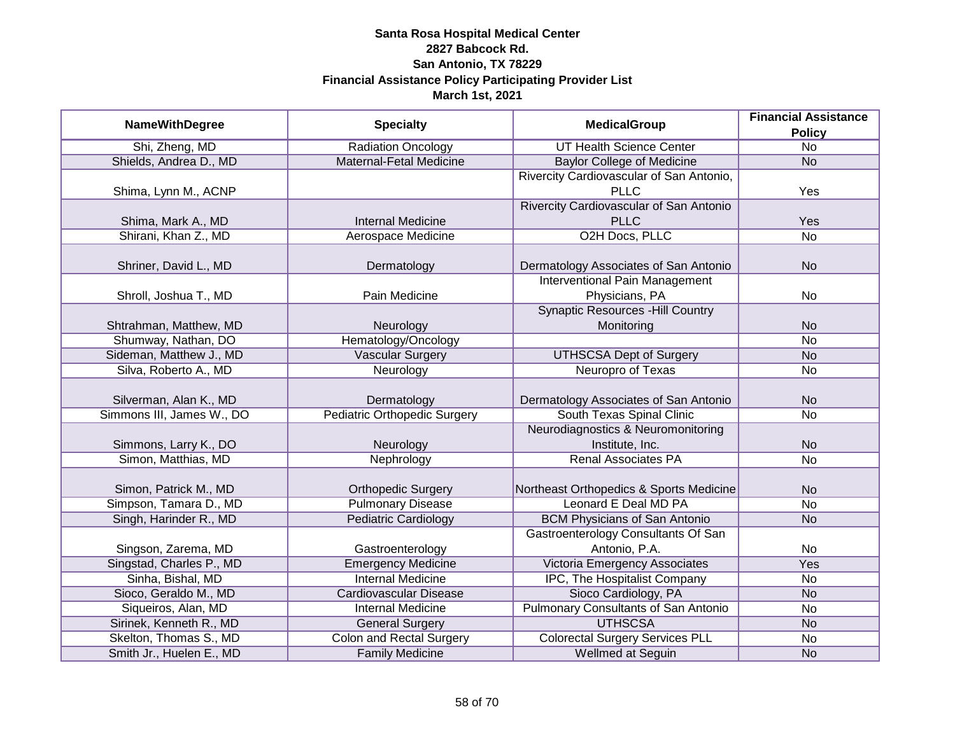|                           |                                     |                                                                                                                                                                                                                                                                                                                                                                                                                               | <b>Financial Assistance</b> |
|---------------------------|-------------------------------------|-------------------------------------------------------------------------------------------------------------------------------------------------------------------------------------------------------------------------------------------------------------------------------------------------------------------------------------------------------------------------------------------------------------------------------|-----------------------------|
| <b>NameWithDegree</b>     | <b>Specialty</b>                    | <b>MedicalGroup</b><br><b>UT Health Science Center</b><br><b>Baylor College of Medicine</b><br><b>PLLC</b><br><b>PLLC</b><br>O2H Docs, PLLC<br><b>Interventional Pain Management</b><br>Physicians, PA<br><b>Synaptic Resources - Hill Country</b><br>Monitoring<br><b>UTHSCSA Dept of Surgery</b><br>Neuropro of Texas<br>South Texas Spinal Clinic<br>Institute, Inc.<br><b>Renal Associates PA</b><br>Leonard E Deal MD PA | <b>Policy</b>               |
| Shi, Zheng, MD            | Radiation Oncology                  |                                                                                                                                                                                                                                                                                                                                                                                                                               | $\overline{No}$             |
| Shields, Andrea D., MD    | <b>Maternal-Fetal Medicine</b>      |                                                                                                                                                                                                                                                                                                                                                                                                                               | <b>No</b>                   |
|                           |                                     | Rivercity Cardiovascular of San Antonio,                                                                                                                                                                                                                                                                                                                                                                                      |                             |
| Shima, Lynn M., ACNP      |                                     |                                                                                                                                                                                                                                                                                                                                                                                                                               | Yes                         |
|                           |                                     | Rivercity Cardiovascular of San Antonio                                                                                                                                                                                                                                                                                                                                                                                       |                             |
| Shima, Mark A., MD        | <b>Internal Medicine</b>            |                                                                                                                                                                                                                                                                                                                                                                                                                               | Yes                         |
| Shirani, Khan Z., MD      | Aerospace Medicine                  |                                                                                                                                                                                                                                                                                                                                                                                                                               | $\overline{No}$             |
|                           |                                     |                                                                                                                                                                                                                                                                                                                                                                                                                               |                             |
| Shriner, David L., MD     | Dermatology                         | Dermatology Associates of San Antonio                                                                                                                                                                                                                                                                                                                                                                                         | <b>No</b>                   |
|                           |                                     |                                                                                                                                                                                                                                                                                                                                                                                                                               |                             |
| Shroll, Joshua T., MD     | Pain Medicine                       |                                                                                                                                                                                                                                                                                                                                                                                                                               | No                          |
|                           |                                     |                                                                                                                                                                                                                                                                                                                                                                                                                               |                             |
| Shtrahman, Matthew, MD    | Neurology                           |                                                                                                                                                                                                                                                                                                                                                                                                                               | <b>No</b>                   |
| Shumway, Nathan, DO       | Hematology/Oncology                 |                                                                                                                                                                                                                                                                                                                                                                                                                               | No                          |
| Sideman, Matthew J., MD   | <b>Vascular Surgery</b>             |                                                                                                                                                                                                                                                                                                                                                                                                                               | <b>No</b>                   |
| Silva, Roberto A., MD     | Neurology                           |                                                                                                                                                                                                                                                                                                                                                                                                                               | No                          |
|                           |                                     |                                                                                                                                                                                                                                                                                                                                                                                                                               |                             |
| Silverman, Alan K., MD    | Dermatology                         | Dermatology Associates of San Antonio                                                                                                                                                                                                                                                                                                                                                                                         | <b>No</b>                   |
| Simmons III, James W., DO | <b>Pediatric Orthopedic Surgery</b> |                                                                                                                                                                                                                                                                                                                                                                                                                               | <b>No</b>                   |
|                           |                                     | Neurodiagnostics & Neuromonitoring                                                                                                                                                                                                                                                                                                                                                                                            |                             |
| Simmons, Larry K., DO     | Neurology                           |                                                                                                                                                                                                                                                                                                                                                                                                                               | <b>No</b>                   |
| Simon, Matthias, MD       | Nephrology                          |                                                                                                                                                                                                                                                                                                                                                                                                                               | $\overline{No}$             |
|                           |                                     |                                                                                                                                                                                                                                                                                                                                                                                                                               |                             |
| Simon, Patrick M., MD     | <b>Orthopedic Surgery</b>           | Northeast Orthopedics & Sports Medicine                                                                                                                                                                                                                                                                                                                                                                                       | <b>No</b>                   |
| Simpson, Tamara D., MD    | <b>Pulmonary Disease</b>            |                                                                                                                                                                                                                                                                                                                                                                                                                               | No                          |
| Singh, Harinder R., MD    | <b>Pediatric Cardiology</b>         | <b>BCM Physicians of San Antonio</b>                                                                                                                                                                                                                                                                                                                                                                                          | <b>No</b>                   |
|                           |                                     | Gastroenterology Consultants Of San                                                                                                                                                                                                                                                                                                                                                                                           |                             |
| Singson, Zarema, MD       | Gastroenterology                    | Antonio, P.A.                                                                                                                                                                                                                                                                                                                                                                                                                 | No                          |
| Singstad, Charles P., MD  | <b>Emergency Medicine</b>           | Victoria Emergency Associates                                                                                                                                                                                                                                                                                                                                                                                                 | Yes                         |
| Sinha, Bishal, MD         | <b>Internal Medicine</b>            | IPC, The Hospitalist Company                                                                                                                                                                                                                                                                                                                                                                                                  | No                          |
| Sioco, Geraldo M., MD     | <b>Cardiovascular Disease</b>       | Sioco Cardiology, PA                                                                                                                                                                                                                                                                                                                                                                                                          | <b>No</b>                   |
| Siqueiros, Alan, MD       | <b>Internal Medicine</b>            | Pulmonary Consultants of San Antonio                                                                                                                                                                                                                                                                                                                                                                                          | No                          |
| Sirinek, Kenneth R., MD   | <b>General Surgery</b>              | <b>UTHSCSA</b>                                                                                                                                                                                                                                                                                                                                                                                                                | <b>No</b>                   |
| Skelton, Thomas S., MD    | <b>Colon and Rectal Surgery</b>     | <b>Colorectal Surgery Services PLL</b>                                                                                                                                                                                                                                                                                                                                                                                        | No                          |
| Smith Jr., Huelen E., MD  | <b>Family Medicine</b>              | Wellmed at Seguin                                                                                                                                                                                                                                                                                                                                                                                                             | <b>No</b>                   |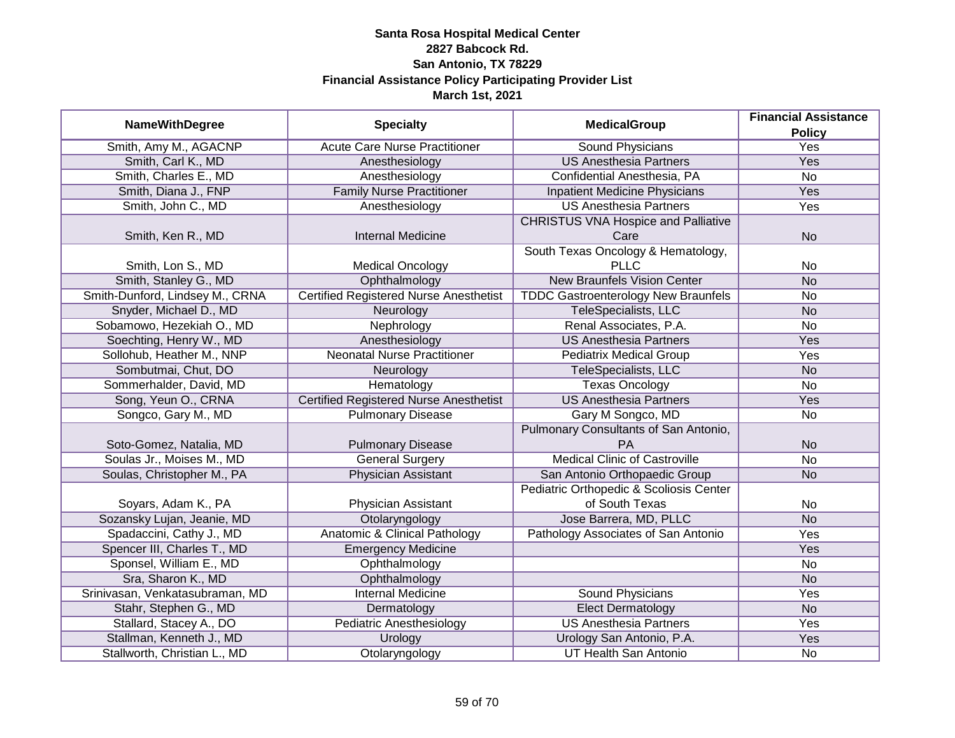| <b>NameWithDegree</b><br><b>Specialty</b><br><b>MedicalGroup</b><br><b>Policy</b>                                                           |  |
|---------------------------------------------------------------------------------------------------------------------------------------------|--|
|                                                                                                                                             |  |
| Smith, Amy M., AGACNP<br><b>Acute Care Nurse Practitioner</b><br><b>Yes</b><br><b>Sound Physicians</b>                                      |  |
| Smith, Carl K., MD<br><b>US Anesthesia Partners</b><br><b>Yes</b><br>Anesthesiology                                                         |  |
| Smith, Charles E., MD<br>Anesthesiology<br>Confidential Anesthesia, PA<br><b>No</b>                                                         |  |
| <b>Family Nurse Practitioner</b><br><b>Yes</b><br>Smith, Diana J., FNP<br><b>Inpatient Medicine Physicians</b>                              |  |
| <b>US Anesthesia Partners</b><br>Smith, John C., MD<br><b>Yes</b><br>Anesthesiology                                                         |  |
| <b>CHRISTUS VNA Hospice and Palliative</b><br><b>Internal Medicine</b><br>Smith, Ken R., MD<br>Care<br><b>No</b>                            |  |
|                                                                                                                                             |  |
| South Texas Oncology & Hematology,                                                                                                          |  |
| <b>PLLC</b><br><b>Medical Oncology</b><br>Smith, Lon S., MD<br>No                                                                           |  |
| Smith, Stanley G., MD<br>Ophthalmology<br><b>New Braunfels Vision Center</b><br><b>No</b>                                                   |  |
| <b>Certified Registered Nurse Anesthetist</b><br>Smith-Dunford, Lindsey M., CRNA<br><b>TDDC Gastroenterology New Braunfels</b><br><b>No</b> |  |
| Snyder, Michael D., MD<br>TeleSpecialists, LLC<br>Neurology<br><b>No</b>                                                                    |  |
| Sobamowo, Hezekiah O., MD<br>Renal Associates, P.A.<br>Nephrology<br><b>No</b>                                                              |  |
| Soechting, Henry W., MD<br>Anesthesiology<br><b>US Anesthesia Partners</b><br>Yes                                                           |  |
| <b>Neonatal Nurse Practitioner</b><br>Sollohub, Heather M., NNP<br><b>Pediatrix Medical Group</b><br>Yes                                    |  |
| Sombutmai, Chut, DO<br>TeleSpecialists, LLC<br>Neurology<br><b>No</b>                                                                       |  |
| Sommerhalder, David, MD<br><b>Texas Oncology</b><br>Hematology<br><b>No</b>                                                                 |  |
| <b>Certified Registered Nurse Anesthetist</b><br><b>US Anesthesia Partners</b><br>Song, Yeun O., CRNA<br>Yes                                |  |
| Songco, Gary M., MD<br><b>Pulmonary Disease</b><br>Gary M Songco, MD<br><b>No</b>                                                           |  |
| Pulmonary Consultants of San Antonio,                                                                                                       |  |
| Soto-Gomez, Natalia, MD<br><b>Pulmonary Disease</b><br><b>PA</b><br><b>No</b>                                                               |  |
| <b>Medical Clinic of Castroville</b><br>Soulas Jr., Moises M., MD<br><b>General Surgery</b><br><b>No</b>                                    |  |
| Soulas, Christopher M., PA<br><b>Physician Assistant</b><br>San Antonio Orthopaedic Group<br><b>No</b>                                      |  |
| Pediatric Orthopedic & Scoliosis Center                                                                                                     |  |
| of South Texas<br>Soyars, Adam K., PA<br>Physician Assistant<br>No                                                                          |  |
| Jose Barrera, MD, PLLC<br>Sozansky Lujan, Jeanie, MD<br>Otolaryngology<br><b>No</b>                                                         |  |
| Spadaccini, Cathy J., MD<br>Anatomic & Clinical Pathology<br>Pathology Associates of San Antonio<br>Yes                                     |  |
| Spencer III, Charles T., MD<br><b>Emergency Medicine</b><br>Yes                                                                             |  |
| Sponsel, William E., MD<br>Ophthalmology<br>No                                                                                              |  |
| Sra, Sharon K., MD<br>Ophthalmology<br><b>No</b>                                                                                            |  |
| Srinivasan, Venkatasubraman, MD<br><b>Internal Medicine</b><br><b>Sound Physicians</b><br><b>Yes</b>                                        |  |
| Stahr, Stephen G., MD<br>Dermatology<br><b>Elect Dermatology</b><br><b>No</b>                                                               |  |
| Stallard, Stacey A., DO<br><b>Pediatric Anesthesiology</b><br><b>US Anesthesia Partners</b><br><b>Yes</b>                                   |  |
| Stallman, Kenneth J., MD<br>Urology San Antonio, P.A.<br>Yes<br>Urology                                                                     |  |
| Stallworth, Christian L., MD<br><b>UT Health San Antonio</b><br>Otolaryngology<br>No                                                        |  |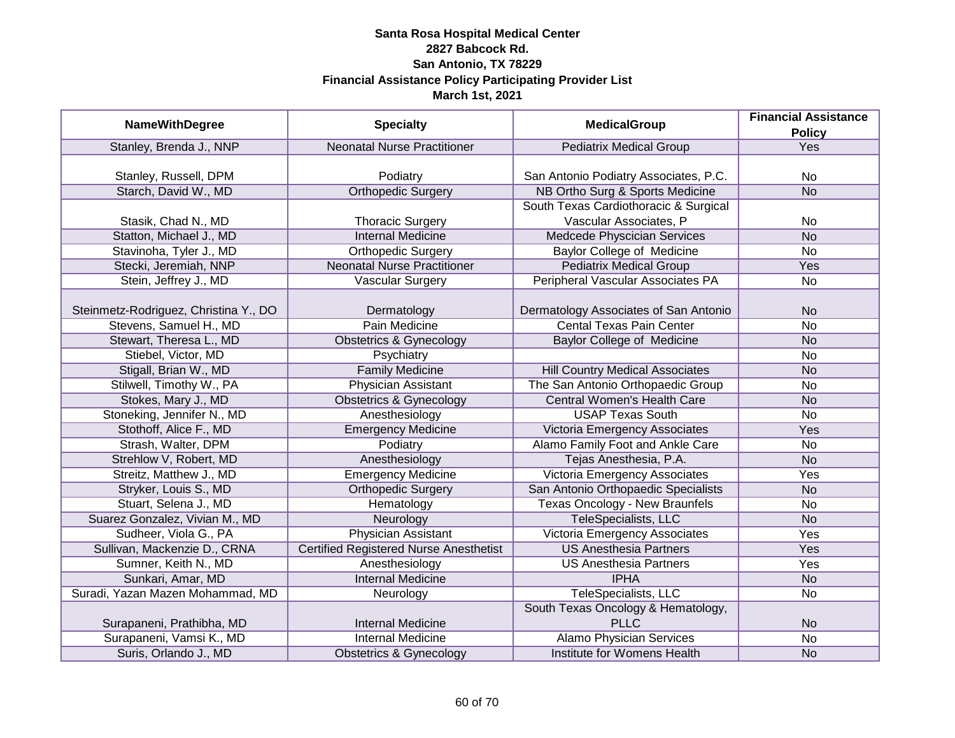|                                       |                                               |                                        | <b>Financial Assistance</b> |
|---------------------------------------|-----------------------------------------------|----------------------------------------|-----------------------------|
| <b>NameWithDegree</b>                 | <b>Specialty</b>                              | <b>MedicalGroup</b>                    | <b>Policy</b>               |
| Stanley, Brenda J., NNP               | <b>Neonatal Nurse Practitioner</b>            | <b>Pediatrix Medical Group</b>         | Yes                         |
|                                       |                                               |                                        |                             |
| Stanley, Russell, DPM                 | Podiatry                                      | San Antonio Podiatry Associates, P.C.  | No                          |
| Starch, David W., MD                  | <b>Orthopedic Surgery</b>                     | NB Ortho Surg & Sports Medicine        | N <sub>o</sub>              |
|                                       |                                               | South Texas Cardiothoracic & Surgical  |                             |
| Stasik, Chad N., MD                   | <b>Thoracic Surgery</b>                       | Vascular Associates, P                 | No                          |
| Statton, Michael J., MD               | <b>Internal Medicine</b>                      | Medcede Physcician Services            | <b>No</b>                   |
| Stavinoha, Tyler J., MD               | <b>Orthopedic Surgery</b>                     | Baylor College of Medicine             | No                          |
| Stecki, Jeremiah, NNP                 | <b>Neonatal Nurse Practitioner</b>            | <b>Pediatrix Medical Group</b>         | Yes                         |
| Stein, Jeffrey J., MD                 | Vascular Surgery                              | Peripheral Vascular Associates PA      | No                          |
|                                       |                                               |                                        |                             |
| Steinmetz-Rodriguez, Christina Y., DO | Dermatology                                   | Dermatology Associates of San Antonio  | <b>No</b>                   |
| Stevens, Samuel H., MD                | Pain Medicine                                 | <b>Cental Texas Pain Center</b>        | <b>No</b>                   |
| Stewart, Theresa L., MD               | <b>Obstetrics &amp; Gynecology</b>            | <b>Baylor College of Medicine</b>      | <b>No</b>                   |
| Stiebel, Victor, MD                   | Psychiatry                                    |                                        | <b>No</b>                   |
| Stigall, Brian W., MD                 | <b>Family Medicine</b>                        | <b>Hill Country Medical Associates</b> | <b>No</b>                   |
| Stilwell, Timothy W., PA              | <b>Physician Assistant</b>                    | The San Antonio Orthopaedic Group      | No                          |
| Stokes, Mary J., MD                   | <b>Obstetrics &amp; Gynecology</b>            | <b>Central Women's Health Care</b>     | <b>No</b>                   |
| Stoneking, Jennifer N., MD            | Anesthesiology                                | <b>USAP Texas South</b>                | <b>No</b>                   |
| Stothoff, Alice F., MD                | <b>Emergency Medicine</b>                     | Victoria Emergency Associates          | Yes                         |
| Strash, Walter, DPM                   | Podiatry                                      | Alamo Family Foot and Ankle Care       | <b>No</b>                   |
| Strehlow V, Robert, MD                | Anesthesiology                                | Tejas Anesthesia, P.A.                 | <b>No</b>                   |
| Streitz, Matthew J., MD               | <b>Emergency Medicine</b>                     | Victoria Emergency Associates          | Yes                         |
| Stryker, Louis S., MD                 | <b>Orthopedic Surgery</b>                     | San Antonio Orthopaedic Specialists    | <b>No</b>                   |
| Stuart, Selena J., MD                 | Hematology                                    | <b>Texas Oncology - New Braunfels</b>  | No                          |
| Suarez Gonzalez, Vivian M., MD        | Neurology                                     | TeleSpecialists, LLC                   | <b>No</b>                   |
| Sudheer, Viola G., PA                 | <b>Physician Assistant</b>                    | <b>Victoria Emergency Associates</b>   | Yes                         |
| Sullivan, Mackenzie D., CRNA          | <b>Certified Registered Nurse Anesthetist</b> | <b>US Anesthesia Partners</b>          | Yes                         |
| Sumner, Keith N., MD                  | Anesthesiology                                | <b>US Anesthesia Partners</b>          | Yes                         |
| Sunkari, Amar, MD                     | <b>Internal Medicine</b>                      | <b>IPHA</b>                            | <b>No</b>                   |
| Suradi, Yazan Mazen Mohammad, MD      | Neurology                                     | TeleSpecialists, LLC                   | No                          |
|                                       |                                               | South Texas Oncology & Hematology,     |                             |
| Surapaneni, Prathibha, MD             | <b>Internal Medicine</b>                      | <b>PLLC</b>                            | <b>No</b>                   |
| Surapaneni, Vamsi K., MD              | <b>Internal Medicine</b>                      | <b>Alamo Physician Services</b>        | $\overline{No}$             |
| Suris, Orlando J., MD                 | <b>Obstetrics &amp; Gynecology</b>            | Institute for Womens Health            | <b>No</b>                   |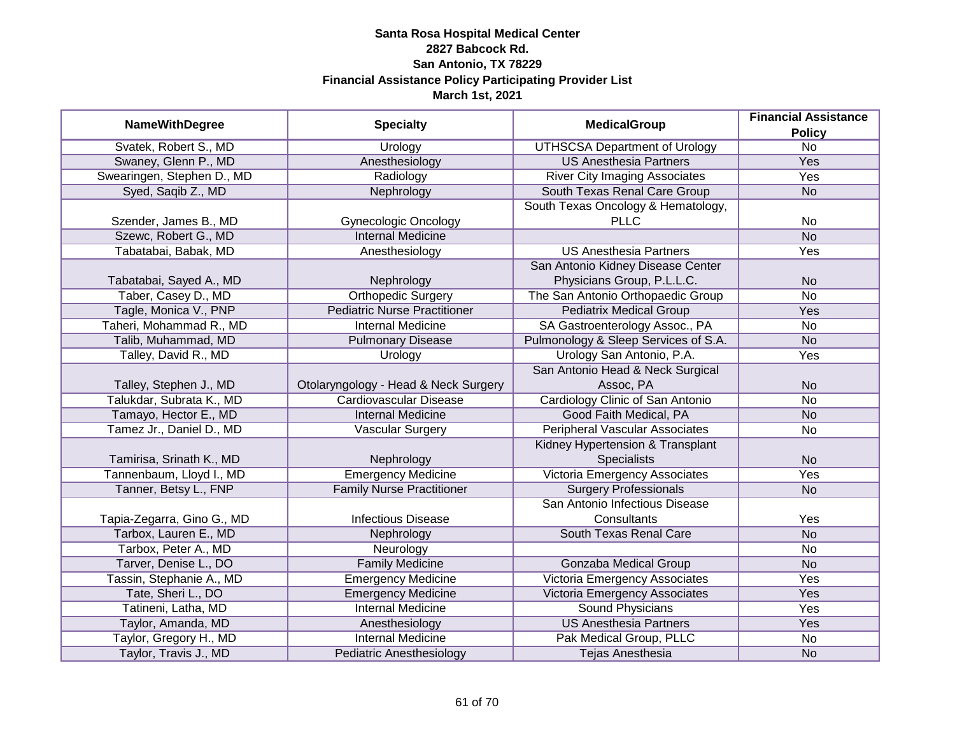| <b>NameWithDegree</b>      | <b>Specialty</b>                     | <b>MedicalGroup</b>                   | <b>Financial Assistance</b> |
|----------------------------|--------------------------------------|---------------------------------------|-----------------------------|
|                            |                                      |                                       | <b>Policy</b>               |
| Svatek, Robert S., MD      | Urology                              | <b>UTHSCSA Department of Urology</b>  | $\overline{No}$             |
| Swaney, Glenn P., MD       | Anesthesiology                       | <b>US Anesthesia Partners</b>         | <b>Yes</b>                  |
| Swearingen, Stephen D., MD | Radiology                            | <b>River City Imaging Associates</b>  | <b>Yes</b>                  |
| Syed, Saqib Z., MD         | Nephrology                           | South Texas Renal Care Group          | <b>No</b>                   |
|                            |                                      | South Texas Oncology & Hematology,    |                             |
| Szender, James B., MD      | <b>Gynecologic Oncology</b>          | <b>PLLC</b>                           | No                          |
| Szewc, Robert G., MD       | <b>Internal Medicine</b>             |                                       | N <sub>o</sub>              |
| Tabatabai, Babak, MD       | Anesthesiology                       | <b>US Anesthesia Partners</b>         | Yes                         |
|                            |                                      | San Antonio Kidney Disease Center     |                             |
| Tabatabai, Sayed A., MD    | Nephrology                           | Physicians Group, P.L.L.C.            | <b>No</b>                   |
| Taber, Casey D., MD        | <b>Orthopedic Surgery</b>            | The San Antonio Orthopaedic Group     | <b>No</b>                   |
| Tagle, Monica V., PNP      | <b>Pediatric Nurse Practitioner</b>  | <b>Pediatrix Medical Group</b>        | Yes                         |
| Taheri, Mohammad R., MD    | <b>Internal Medicine</b>             | SA Gastroenterology Assoc., PA        | <b>No</b>                   |
| Talib, Muhammad, MD        | <b>Pulmonary Disease</b>             | Pulmonology & Sleep Services of S.A.  | <b>No</b>                   |
| Talley, David R., MD       | Urology                              | Urology San Antonio, P.A.             | Yes                         |
|                            |                                      | San Antonio Head & Neck Surgical      |                             |
| Talley, Stephen J., MD     | Otolaryngology - Head & Neck Surgery | Assoc, PA                             | <b>No</b>                   |
| Talukdar, Subrata K., MD   | <b>Cardiovascular Disease</b>        | Cardiology Clinic of San Antonio      | <b>No</b>                   |
| Tamayo, Hector E., MD      | <b>Internal Medicine</b>             | Good Faith Medical, PA                | <b>No</b>                   |
| Tamez Jr., Daniel D., MD   | Vascular Surgery                     | <b>Peripheral Vascular Associates</b> | <b>No</b>                   |
|                            |                                      | Kidney Hypertension & Transplant      |                             |
| Tamirisa, Srinath K., MD   | Nephrology                           | <b>Specialists</b>                    | <b>No</b>                   |
| Tannenbaum, Lloyd I., MD   | <b>Emergency Medicine</b>            | Victoria Emergency Associates         | Yes                         |
| Tanner, Betsy L., FNP      | <b>Family Nurse Practitioner</b>     | <b>Surgery Professionals</b>          | <b>No</b>                   |
|                            |                                      | San Antonio Infectious Disease        |                             |
| Tapia-Zegarra, Gino G., MD | <b>Infectious Disease</b>            | Consultants                           | Yes                         |
| Tarbox, Lauren E., MD      | Nephrology                           | South Texas Renal Care                | <b>No</b>                   |
| Tarbox, Peter A., MD       | Neurology                            |                                       | No                          |
| Tarver, Denise L., DO      | <b>Family Medicine</b>               | <b>Gonzaba Medical Group</b>          | <b>No</b>                   |
| Tassin, Stephanie A., MD   | <b>Emergency Medicine</b>            | <b>Victoria Emergency Associates</b>  | Yes                         |
| Tate, Sheri L., DO         | <b>Emergency Medicine</b>            | Victoria Emergency Associates         | <b>Yes</b>                  |
| Tatineni, Latha, MD        | <b>Internal Medicine</b>             | <b>Sound Physicians</b>               | Yes                         |
| Taylor, Amanda, MD         | Anesthesiology                       | <b>US Anesthesia Partners</b>         | Yes                         |
| Taylor, Gregory H., MD     | <b>Internal Medicine</b>             | Pak Medical Group, PLLC               | No                          |
| Taylor, Travis J., MD      | <b>Pediatric Anesthesiology</b>      | Tejas Anesthesia                      | <b>No</b>                   |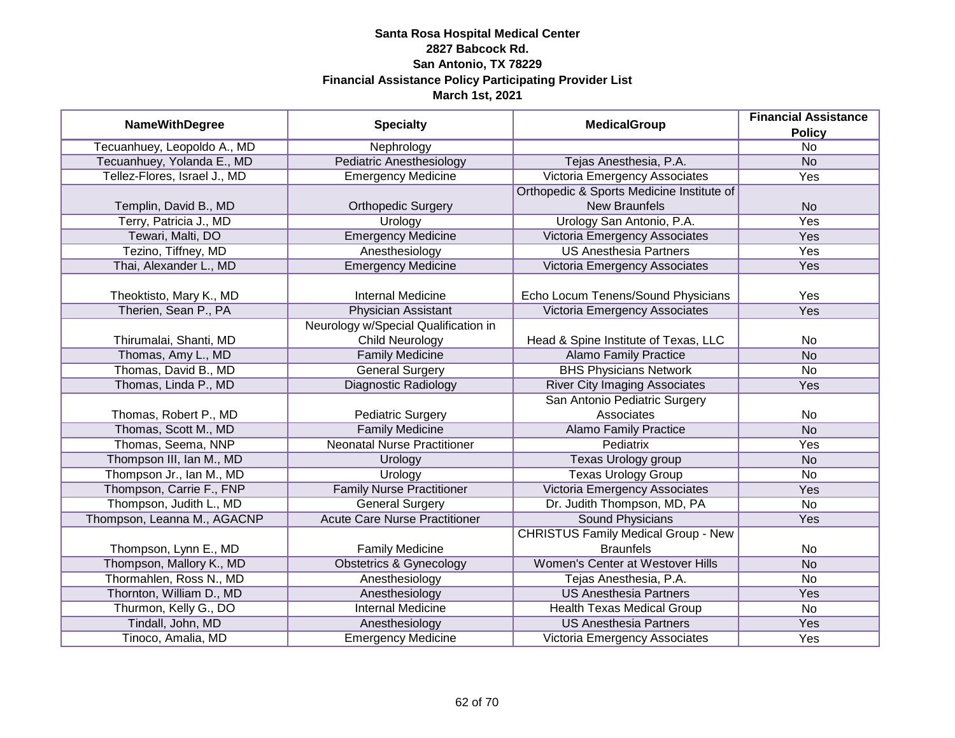|                              | <b>Specialty</b>                     | <b>MedicalGroup</b>                        | <b>Financial Assistance</b> |
|------------------------------|--------------------------------------|--------------------------------------------|-----------------------------|
| <b>NameWithDegree</b>        |                                      |                                            | <b>Policy</b>               |
| Tecuanhuey, Leopoldo A., MD  | Nephrology                           |                                            | $\overline{No}$             |
| Tecuanhuey, Yolanda E., MD   | <b>Pediatric Anesthesiology</b>      | Tejas Anesthesia, P.A.                     | <b>No</b>                   |
| Tellez-Flores, Israel J., MD | <b>Emergency Medicine</b>            | Victoria Emergency Associates              | Yes                         |
|                              |                                      | Orthopedic & Sports Medicine Institute of  |                             |
| Templin, David B., MD        | <b>Orthopedic Surgery</b>            | <b>New Braunfels</b>                       | <b>No</b>                   |
| Terry, Patricia J., MD       | Urology                              | Urology San Antonio, P.A.                  | Yes                         |
| Tewari, Malti, DO            | <b>Emergency Medicine</b>            | Victoria Emergency Associates              | Yes                         |
| Tezino, Tiffney, MD          | Anesthesiology                       | <b>US Anesthesia Partners</b>              | Yes                         |
| Thai, Alexander L., MD       | <b>Emergency Medicine</b>            | Victoria Emergency Associates              | Yes                         |
|                              |                                      |                                            |                             |
| Theoktisto, Mary K., MD      | <b>Internal Medicine</b>             | Echo Locum Tenens/Sound Physicians         | Yes                         |
| Therien, Sean P., PA         | <b>Physician Assistant</b>           | Victoria Emergency Associates              | Yes                         |
|                              | Neurology w/Special Qualification in |                                            |                             |
| Thirumalai, Shanti, MD       | <b>Child Neurology</b>               | Head & Spine Institute of Texas, LLC       | No                          |
| Thomas, Amy L., MD           | <b>Family Medicine</b>               | <b>Alamo Family Practice</b>               | <b>No</b>                   |
| Thomas, David B., MD         | <b>General Surgery</b>               | <b>BHS Physicians Network</b>              | No                          |
| Thomas, Linda P., MD         | <b>Diagnostic Radiology</b>          | <b>River City Imaging Associates</b>       | Yes                         |
|                              |                                      | San Antonio Pediatric Surgery              |                             |
| Thomas, Robert P., MD        | <b>Pediatric Surgery</b>             | Associates                                 | No                          |
| Thomas, Scott M., MD         | <b>Family Medicine</b>               | <b>Alamo Family Practice</b>               | <b>No</b>                   |
| Thomas, Seema, NNP           | <b>Neonatal Nurse Practitioner</b>   | Pediatrix                                  | Yes                         |
| Thompson III, Ian M., MD     | Urology                              | Texas Urology group                        | <b>No</b>                   |
| Thompson Jr., Ian M., MD     | Urology                              | <b>Texas Urology Group</b>                 | No                          |
| Thompson, Carrie F., FNP     | <b>Family Nurse Practitioner</b>     | Victoria Emergency Associates              | Yes                         |
| Thompson, Judith L., MD      | <b>General Surgery</b>               | Dr. Judith Thompson, MD, PA                | <b>No</b>                   |
| Thompson, Leanna M., AGACNP  | <b>Acute Care Nurse Practitioner</b> | <b>Sound Physicians</b>                    | Yes                         |
|                              |                                      | <b>CHRISTUS Family Medical Group - New</b> |                             |
| Thompson, Lynn E., MD        | <b>Family Medicine</b>               | <b>Braunfels</b>                           | No                          |
| Thompson, Mallory K., MD     | <b>Obstetrics &amp; Gynecology</b>   | <b>Women's Center at Westover Hills</b>    | <b>No</b>                   |
| Thormahlen, Ross N., MD      | Anesthesiology                       | Tejas Anesthesia, P.A.                     | No                          |
| Thornton, William D., MD     | Anesthesiology                       | <b>US Anesthesia Partners</b>              | Yes                         |
| Thurmon, Kelly G., DO        | <b>Internal Medicine</b>             | <b>Health Texas Medical Group</b>          | $\overline{No}$             |
| Tindall, John, MD            | Anesthesiology                       | <b>US Anesthesia Partners</b>              | <b>Yes</b>                  |
| Tinoco, Amalia, MD           | <b>Emergency Medicine</b>            | Victoria Emergency Associates              | Yes                         |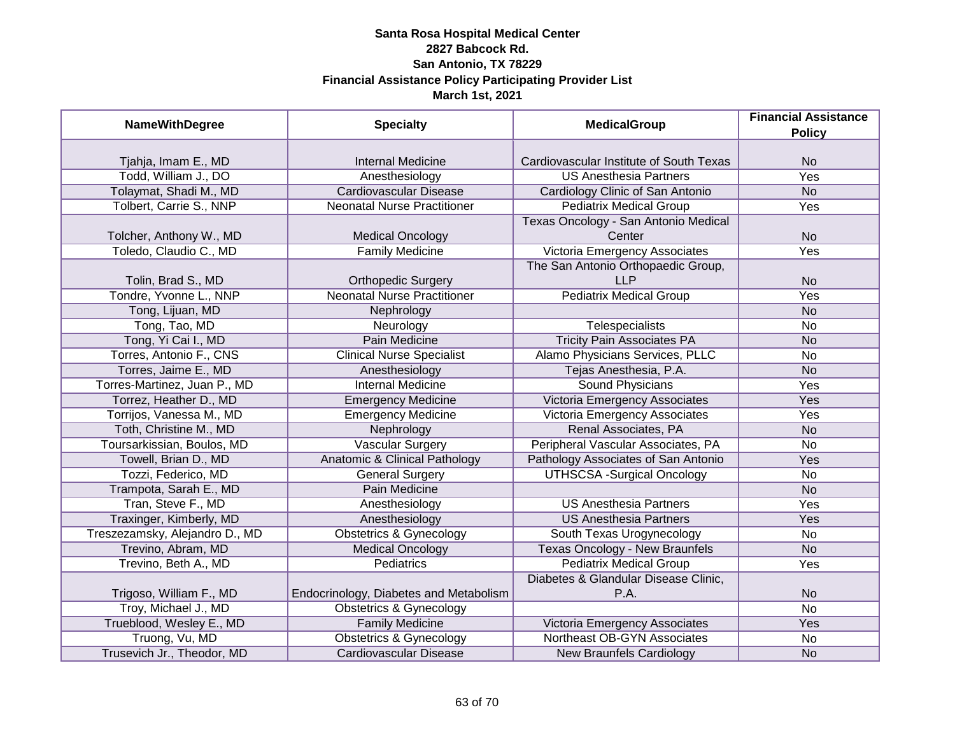| <b>NameWithDegree</b>          | <b>Specialty</b>                       | <b>MedicalGroup</b>                     | <b>Financial Assistance</b><br><b>Policy</b> |
|--------------------------------|----------------------------------------|-----------------------------------------|----------------------------------------------|
|                                |                                        |                                         |                                              |
| Tjahja, Imam E., MD            | <b>Internal Medicine</b>               | Cardiovascular Institute of South Texas | <b>No</b>                                    |
| Todd, William J., DO           | Anesthesiology                         | <b>US Anesthesia Partners</b>           | <b>Yes</b>                                   |
| Tolaymat, Shadi M., MD         | <b>Cardiovascular Disease</b>          | Cardiology Clinic of San Antonio        | N <sub>o</sub>                               |
| Tolbert, Carrie S., NNP        | <b>Neonatal Nurse Practitioner</b>     | <b>Pediatrix Medical Group</b>          | <b>Yes</b>                                   |
|                                |                                        | Texas Oncology - San Antonio Medical    |                                              |
| Tolcher, Anthony W., MD        | <b>Medical Oncology</b>                | Center                                  | <b>No</b>                                    |
| Toledo, Claudio C., MD         | <b>Family Medicine</b>                 | Victoria Emergency Associates           | Yes                                          |
|                                |                                        | The San Antonio Orthopaedic Group,      |                                              |
| Tolin, Brad S., MD             | <b>Orthopedic Surgery</b>              | <b>LLP</b>                              | <b>No</b>                                    |
| Tondre, Yvonne L., NNP         | <b>Neonatal Nurse Practitioner</b>     | <b>Pediatrix Medical Group</b>          | Yes                                          |
| Tong, Lijuan, MD               | Nephrology                             |                                         | <b>No</b>                                    |
| Tong, Tao, MD                  | Neurology                              | Telespecialists                         | No                                           |
| Tong, Yi Cai I., MD            | <b>Pain Medicine</b>                   | <b>Tricity Pain Associates PA</b>       | <b>No</b>                                    |
| Torres, Antonio F., CNS        | <b>Clinical Nurse Specialist</b>       | Alamo Physicians Services, PLLC         | No                                           |
| Torres, Jaime E., MD           | Anesthesiology                         | Tejas Anesthesia, P.A.                  | <b>No</b>                                    |
| Torres-Martinez, Juan P., MD   | <b>Internal Medicine</b>               | Sound Physicians                        | Yes                                          |
| Torrez, Heather D., MD         | <b>Emergency Medicine</b>              | Victoria Emergency Associates           | Yes                                          |
| Torrijos, Vanessa M., MD       | <b>Emergency Medicine</b>              | Victoria Emergency Associates           | Yes                                          |
| Toth, Christine M., MD         | Nephrology                             | Renal Associates, PA                    | <b>No</b>                                    |
| Toursarkissian, Boulos, MD     | <b>Vascular Surgery</b>                | Peripheral Vascular Associates, PA      | <b>No</b>                                    |
| Towell, Brian D., MD           | Anatomic & Clinical Pathology          | Pathology Associates of San Antonio     | Yes                                          |
| Tozzi, Federico, MD            | <b>General Surgery</b>                 | <b>UTHSCSA -Surgical Oncology</b>       | No                                           |
| Trampota, Sarah E., MD         | Pain Medicine                          |                                         | <b>No</b>                                    |
| Tran, Steve F., MD             | Anesthesiology                         | <b>US Anesthesia Partners</b>           | Yes                                          |
| Traxinger, Kimberly, MD        | Anesthesiology                         | <b>US Anesthesia Partners</b>           | Yes                                          |
| Treszezamsky, Alejandro D., MD | <b>Obstetrics &amp; Gynecology</b>     | South Texas Urogynecology               | No                                           |
| Trevino, Abram, MD             | <b>Medical Oncology</b>                | <b>Texas Oncology - New Braunfels</b>   | <b>No</b>                                    |
| Trevino, Beth A., MD           | <b>Pediatrics</b>                      | <b>Pediatrix Medical Group</b>          | Yes                                          |
|                                |                                        | Diabetes & Glandular Disease Clinic,    |                                              |
| Trigoso, William F., MD        | Endocrinology, Diabetes and Metabolism | P.A.                                    | <b>No</b>                                    |
| Troy, Michael J., MD           | <b>Obstetrics &amp; Gynecology</b>     |                                         | $\overline{No}$                              |
| Trueblood, Wesley E., MD       | <b>Family Medicine</b>                 | Victoria Emergency Associates           | Yes                                          |
| Truong, Vu, MD                 | <b>Obstetrics &amp; Gynecology</b>     | <b>Northeast OB-GYN Associates</b>      | No                                           |
| Trusevich Jr., Theodor, MD     | <b>Cardiovascular Disease</b>          | <b>New Braunfels Cardiology</b>         | <b>No</b>                                    |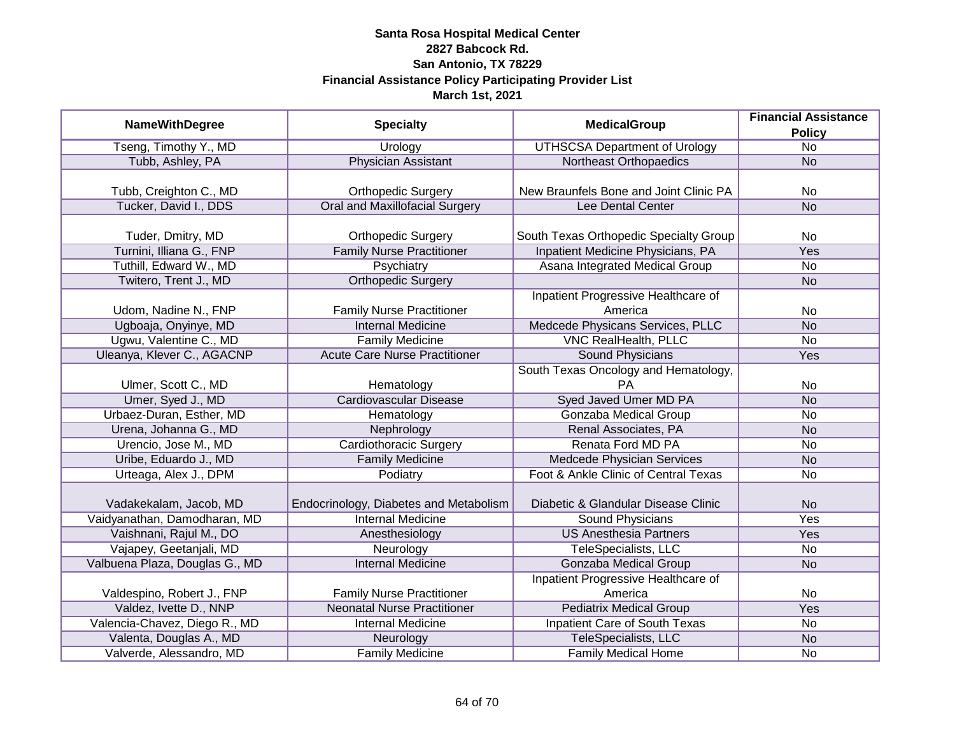|                                | <b>MedicalGroup</b>                    | <b>Financial Assistance</b>            |                 |
|--------------------------------|----------------------------------------|----------------------------------------|-----------------|
| <b>NameWithDegree</b>          | <b>Specialty</b>                       |                                        | <b>Policy</b>   |
| Tseng, Timothy Y., MD          | Urology                                | <b>UTHSCSA Department of Urology</b>   | $\overline{No}$ |
| Tubb, Ashley, PA               | <b>Physician Assistant</b>             | Northeast Orthopaedics                 | <b>No</b>       |
|                                |                                        |                                        |                 |
| Tubb, Creighton C., MD         | <b>Orthopedic Surgery</b>              | New Braunfels Bone and Joint Clinic PA | <b>No</b>       |
| Tucker, David I., DDS          | <b>Oral and Maxillofacial Surgery</b>  | Lee Dental Center                      | <b>No</b>       |
|                                |                                        |                                        |                 |
| Tuder, Dmitry, MD              | <b>Orthopedic Surgery</b>              | South Texas Orthopedic Specialty Group | <b>No</b>       |
| Turnini, Illiana G., FNP       | <b>Family Nurse Practitioner</b>       | Inpatient Medicine Physicians, PA      | Yes             |
| Tuthill, Edward W., MD         | Psychiatry                             | Asana Integrated Medical Group         | <b>No</b>       |
| Twitero, Trent J., MD          | <b>Orthopedic Surgery</b>              |                                        | <b>No</b>       |
|                                |                                        | Inpatient Progressive Healthcare of    |                 |
| Udom, Nadine N., FNP           | <b>Family Nurse Practitioner</b>       | America                                | No              |
| Ugboaja, Onyinye, MD           | <b>Internal Medicine</b>               | Medcede Physicans Services, PLLC       | <b>No</b>       |
| Ugwu, Valentine C., MD         | <b>Family Medicine</b>                 | <b>VNC RealHealth, PLLC</b>            | <b>No</b>       |
| Uleanya, Klever C., AGACNP     | <b>Acute Care Nurse Practitioner</b>   | <b>Sound Physicians</b>                | Yes             |
|                                |                                        | South Texas Oncology and Hematology,   |                 |
| Ulmer, Scott C., MD            | Hematology                             | <b>PA</b>                              | No              |
| Umer, Syed J., MD              | <b>Cardiovascular Disease</b>          | Syed Javed Umer MD PA                  | <b>No</b>       |
| Urbaez-Duran, Esther, MD       | Hematology                             | <b>Gonzaba Medical Group</b>           | <b>No</b>       |
| Urena, Johanna G., MD          | Nephrology                             | Renal Associates, PA                   | <b>No</b>       |
| Urencio, Jose M., MD           | <b>Cardiothoracic Surgery</b>          | Renata Ford MD PA                      | <b>No</b>       |
| Uribe, Eduardo J., MD          | <b>Family Medicine</b>                 | Medcede Physician Services             | <b>No</b>       |
| Urteaga, Alex J., DPM          | Podiatry                               | Foot & Ankle Clinic of Central Texas   | <b>No</b>       |
|                                |                                        |                                        |                 |
| Vadakekalam, Jacob, MD         | Endocrinology, Diabetes and Metabolism | Diabetic & Glandular Disease Clinic    | <b>No</b>       |
| Vaidyanathan, Damodharan, MD   | <b>Internal Medicine</b>               | <b>Sound Physicians</b>                | Yes             |
| Vaishnani, Rajul M., DO        | Anesthesiology                         | <b>US Anesthesia Partners</b>          | <b>Yes</b>      |
| Vajapey, Geetanjali, MD        | Neurology                              | TeleSpecialists, LLC                   | No              |
| Valbuena Plaza, Douglas G., MD | <b>Internal Medicine</b>               | Gonzaba Medical Group                  | <b>No</b>       |
|                                |                                        | Inpatient Progressive Healthcare of    |                 |
| Valdespino, Robert J., FNP     | <b>Family Nurse Practitioner</b>       | America                                | No              |
| Valdez, Ivette D., NNP         | <b>Neonatal Nurse Practitioner</b>     | <b>Pediatrix Medical Group</b>         | <b>Yes</b>      |
| Valencia-Chavez, Diego R., MD  | <b>Internal Medicine</b>               | Inpatient Care of South Texas          | <b>No</b>       |
| Valenta, Douglas A., MD        | Neurology                              | TeleSpecialists, LLC                   | N <sub>o</sub>  |
| Valverde, Alessandro, MD       | <b>Family Medicine</b>                 | <b>Family Medical Home</b>             | <b>No</b>       |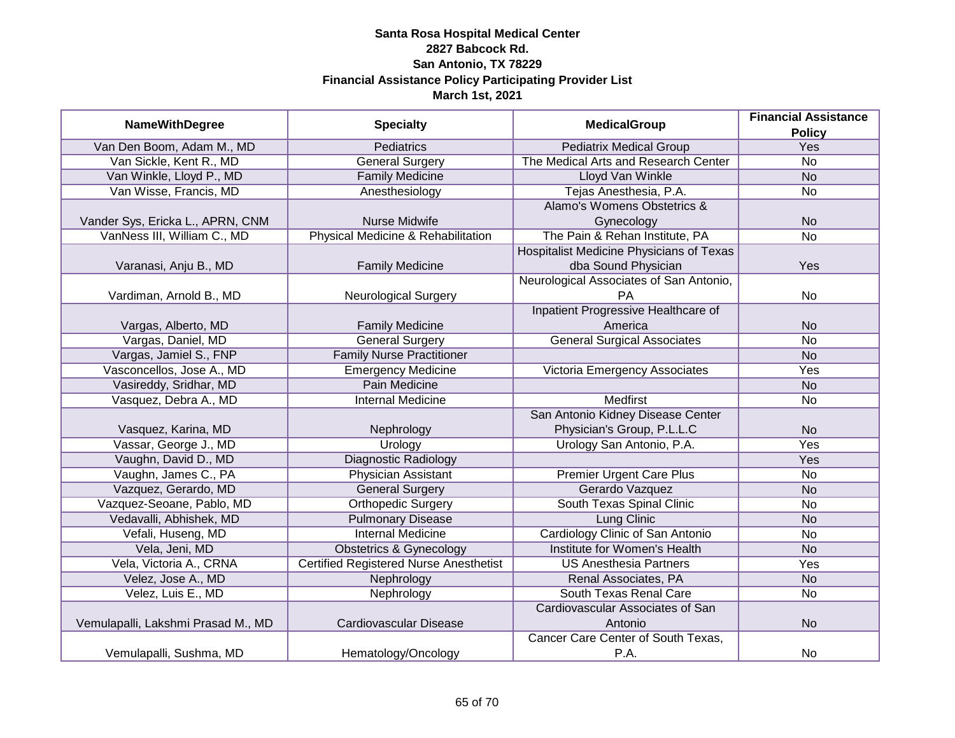| <b>NameWithDegree</b>              | <b>Specialty</b>                              | <b>MedicalGroup</b>                                   | <b>Financial Assistance</b> |
|------------------------------------|-----------------------------------------------|-------------------------------------------------------|-----------------------------|
| Van Den Boom, Adam M., MD          | <b>Pediatrics</b>                             | <b>Pediatrix Medical Group</b>                        | <b>Policy</b><br>Yes        |
| Van Sickle, Kent R., MD            | <b>General Surgery</b>                        | The Medical Arts and Research Center                  | $\overline{No}$             |
| Van Winkle, Lloyd P., MD           | <b>Family Medicine</b>                        | <b>Lloyd Van Winkle</b>                               | N <sub>o</sub>              |
| Van Wisse, Francis, MD             |                                               |                                                       | <b>No</b>                   |
|                                    | Anesthesiology                                | Tejas Anesthesia, P.A.<br>Alamo's Womens Obstetrics & |                             |
|                                    |                                               |                                                       |                             |
| Vander Sys, Ericka L., APRN, CNM   | Nurse Midwife                                 | Gynecology                                            | <b>No</b>                   |
| VanNess III, William C., MD        | Physical Medicine & Rehabilitation            | The Pain & Rehan Institute, PA                        | $\overline{No}$             |
|                                    |                                               | Hospitalist Medicine Physicians of Texas              |                             |
| Varanasi, Anju B., MD              | <b>Family Medicine</b>                        | dba Sound Physician                                   | Yes                         |
|                                    |                                               | Neurological Associates of San Antonio,               |                             |
| Vardiman, Arnold B., MD            | <b>Neurological Surgery</b>                   | PA                                                    | No                          |
|                                    |                                               | Inpatient Progressive Healthcare of                   |                             |
| Vargas, Alberto, MD                | <b>Family Medicine</b>                        | America                                               | <b>No</b>                   |
| Vargas, Daniel, MD                 | <b>General Surgery</b>                        | <b>General Surgical Associates</b>                    | <b>No</b>                   |
| Vargas, Jamiel S., FNP             | <b>Family Nurse Practitioner</b>              |                                                       | <b>No</b>                   |
| Vasconcellos, Jose A., MD          | Emergency Medicine                            | Victoria Emergency Associates                         | Yes                         |
| Vasireddy, Sridhar, MD             | <b>Pain Medicine</b>                          |                                                       | <b>No</b>                   |
| Vasquez, Debra A., MD              | <b>Internal Medicine</b>                      | <b>Medfirst</b>                                       | No                          |
|                                    |                                               | San Antonio Kidney Disease Center                     |                             |
| Vasquez, Karina, MD                | Nephrology                                    | Physician's Group, P.L.L.C                            | <b>No</b>                   |
| Vassar, George J., MD              | Urology                                       | Urology San Antonio, P.A.                             | Yes                         |
| Vaughn, David D., MD               | <b>Diagnostic Radiology</b>                   |                                                       | Yes                         |
| Vaughn, James C., PA               | <b>Physician Assistant</b>                    | <b>Premier Urgent Care Plus</b>                       | No                          |
| Vazquez, Gerardo, MD               | <b>General Surgery</b>                        | Gerardo Vazquez                                       | <b>No</b>                   |
| Vazquez-Seoane, Pablo, MD          | <b>Orthopedic Surgery</b>                     | South Texas Spinal Clinic                             | <b>No</b>                   |
| Vedavalli, Abhishek, MD            | <b>Pulmonary Disease</b>                      | <b>Lung Clinic</b>                                    | <b>No</b>                   |
| Vefali, Huseng, MD                 | <b>Internal Medicine</b>                      | Cardiology Clinic of San Antonio                      | <b>No</b>                   |
| Vela, Jeni, MD                     | <b>Obstetrics &amp; Gynecology</b>            | Institute for Women's Health                          | <b>No</b>                   |
| Vela, Victoria A., CRNA            | <b>Certified Registered Nurse Anesthetist</b> | <b>US Anesthesia Partners</b>                         | Yes                         |
| Velez, Jose A., MD                 | Nephrology                                    | Renal Associates, PA                                  | <b>No</b>                   |
| Velez, Luis E., MD                 | Nephrology                                    | South Texas Renal Care                                | <b>No</b>                   |
|                                    |                                               | Cardiovascular Associates of San                      |                             |
| Vemulapalli, Lakshmi Prasad M., MD | <b>Cardiovascular Disease</b>                 | Antonio                                               | <b>No</b>                   |
|                                    |                                               | Cancer Care Center of South Texas,                    |                             |
| Vemulapalli, Sushma, MD            | Hematology/Oncology                           | P.A.                                                  | <b>No</b>                   |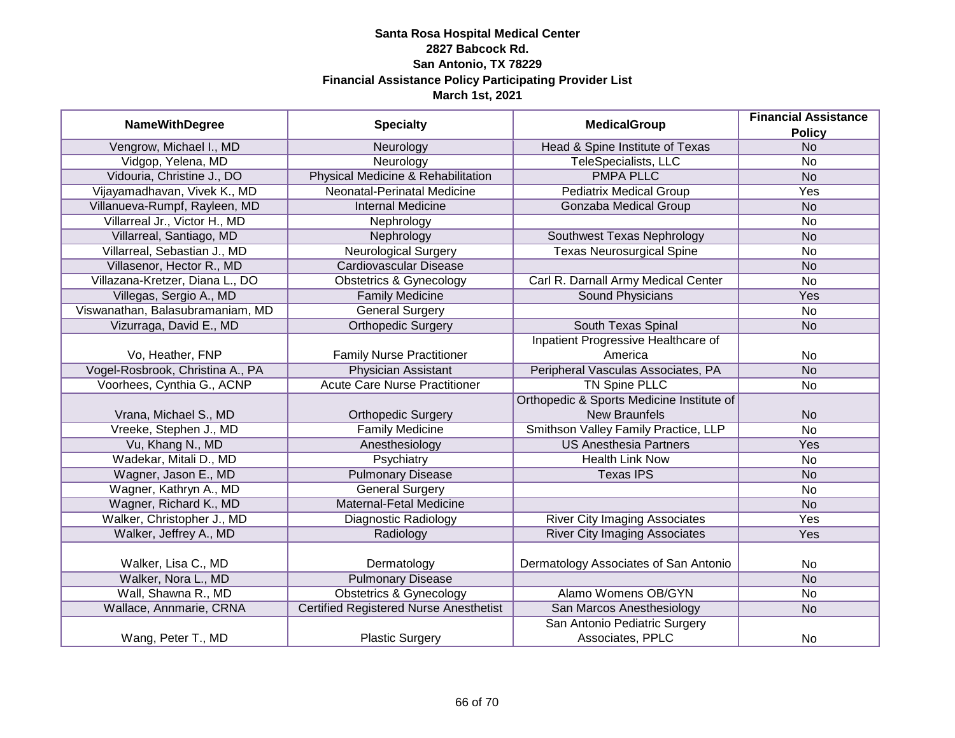| <b>MedicalGroup</b>              | <b>Financial Assistance</b>            |                                            |                |
|----------------------------------|----------------------------------------|--------------------------------------------|----------------|
| <b>NameWithDegree</b>            | <b>Specialty</b>                       |                                            | <b>Policy</b>  |
| Vengrow, Michael I., MD          | Neurology                              | Head & Spine Institute of Texas            | <b>No</b>      |
| Vidgop, Yelena, MD               | Neurology                              | <b>TeleSpecialists, LLC</b>                | <b>No</b>      |
| Vidouria, Christine J., DO       | Physical Medicine & Rehabilitation     | <b>PMPA PLLC</b>                           | <b>No</b>      |
| Vijayamadhavan, Vivek K., MD     | Neonatal-Perinatal Medicine            | <b>Pediatrix Medical Group</b>             | Yes            |
| Villanueva-Rumpf, Rayleen, MD    | <b>Internal Medicine</b>               | Gonzaba Medical Group                      | <b>No</b>      |
| Villarreal Jr., Victor H., MD    | Nephrology                             |                                            | No             |
| Villarreal, Santiago, MD         | Nephrology                             | Southwest Texas Nephrology                 | N <sub>o</sub> |
| Villarreal, Sebastian J., MD     | <b>Neurological Surgery</b>            | <b>Texas Neurosurgical Spine</b>           | No             |
| Villasenor, Hector R., MD        | Cardiovascular Disease                 |                                            | <b>No</b>      |
| Villazana-Kretzer, Diana L., DO  | <b>Obstetrics &amp; Gynecology</b>     | Carl R. Darnall Army Medical Center        | No             |
| Villegas, Sergio A., MD          | <b>Family Medicine</b>                 | <b>Sound Physicians</b>                    | Yes            |
| Viswanathan, Balasubramaniam, MD | <b>General Surgery</b>                 |                                            | No             |
| Vizurraga, David E., MD          | <b>Orthopedic Surgery</b>              | South Texas Spinal                         | <b>No</b>      |
|                                  |                                        | <b>Inpatient Progressive Healthcare of</b> |                |
| Vo, Heather, FNP                 | <b>Family Nurse Practitioner</b>       | America                                    | No             |
| Vogel-Rosbrook, Christina A., PA | <b>Physician Assistant</b>             | Peripheral Vasculas Associates, PA         | <b>No</b>      |
| Voorhees, Cynthia G., ACNP       | <b>Acute Care Nurse Practitioner</b>   | <b>TN Spine PLLC</b>                       | No             |
|                                  |                                        | Orthopedic & Sports Medicine Institute of  |                |
| Vrana, Michael S., MD            | <b>Orthopedic Surgery</b>              | <b>New Braunfels</b>                       | <b>No</b>      |
| Vreeke, Stephen J., MD           | <b>Family Medicine</b>                 | Smithson Valley Family Practice, LLP       | <b>No</b>      |
| Vu, Khang N., MD                 | Anesthesiology                         | <b>US Anesthesia Partners</b>              | Yes            |
| Wadekar, Mitali D., MD           | Psychiatry                             | <b>Health Link Now</b>                     | No             |
| Wagner, Jason E., MD             | <b>Pulmonary Disease</b>               | <b>Texas IPS</b>                           | <b>No</b>      |
| Wagner, Kathryn A., MD           | <b>General Surgery</b>                 |                                            | No             |
| Wagner, Richard K., MD           | <b>Maternal-Fetal Medicine</b>         |                                            | <b>No</b>      |
| Walker, Christopher J., MD       | Diagnostic Radiology                   | <b>River City Imaging Associates</b>       | Yes            |
| Walker, Jeffrey A., MD           | Radiology                              | <b>River City Imaging Associates</b>       | Yes            |
|                                  |                                        |                                            |                |
| Walker, Lisa C., MD              | Dermatology                            | Dermatology Associates of San Antonio      | No             |
| Walker, Nora L., MD              | <b>Pulmonary Disease</b>               |                                            | <b>No</b>      |
| Wall, Shawna R., MD              | <b>Obstetrics &amp; Gynecology</b>     | Alamo Womens OB/GYN                        | No             |
| Wallace, Annmarie, CRNA          | Certified Registered Nurse Anesthetist | San Marcos Anesthesiology                  | <b>No</b>      |
|                                  |                                        | San Antonio Pediatric Surgery              |                |
| Wang, Peter T., MD               | <b>Plastic Surgery</b>                 | Associates, PPLC                           | No             |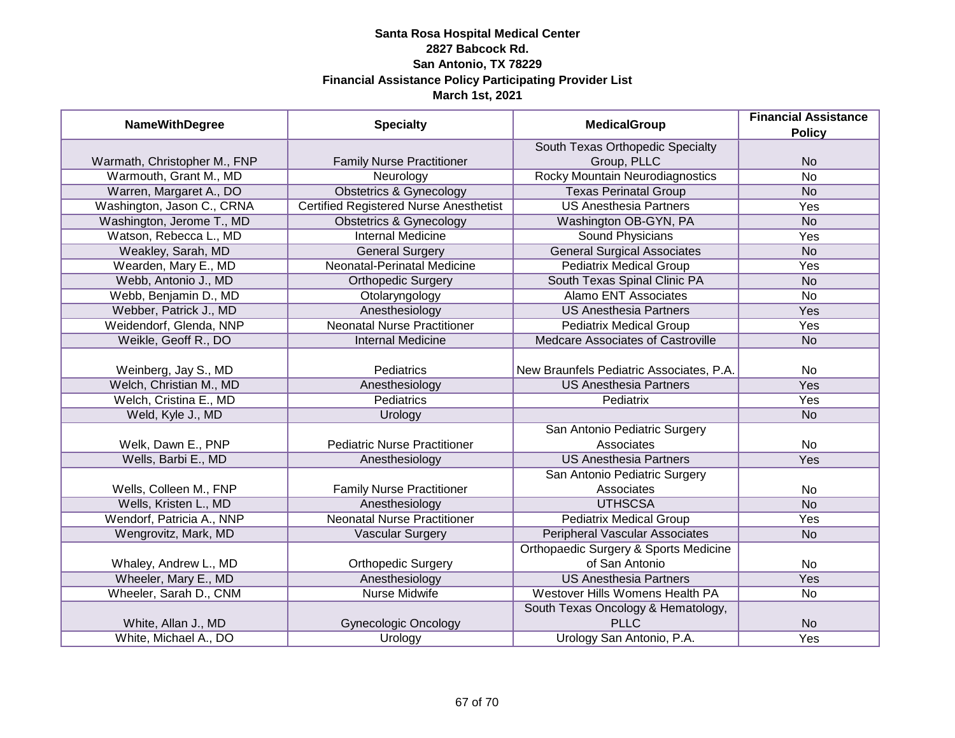| <b>NameWithDegree</b>        | <b>Specialty</b>                              | <b>MedicalGroup</b>                      | <b>Financial Assistance</b> |
|------------------------------|-----------------------------------------------|------------------------------------------|-----------------------------|
|                              |                                               |                                          | <b>Policy</b>               |
|                              |                                               | South Texas Orthopedic Specialty         |                             |
| Warmath, Christopher M., FNP | <b>Family Nurse Practitioner</b>              | Group, PLLC                              | <b>No</b>                   |
| Warmouth, Grant M., MD       | Neurology                                     | <b>Rocky Mountain Neurodiagnostics</b>   | <b>No</b>                   |
| Warren, Margaret A., DO      | <b>Obstetrics &amp; Gynecology</b>            | <b>Texas Perinatal Group</b>             | N <sub>o</sub>              |
| Washington, Jason C., CRNA   | <b>Certified Registered Nurse Anesthetist</b> | <b>US Anesthesia Partners</b>            | Yes                         |
| Washington, Jerome T., MD    | <b>Obstetrics &amp; Gynecology</b>            | Washington OB-GYN, PA                    | <b>No</b>                   |
| Watson, Rebecca L., MD       | <b>Internal Medicine</b>                      | <b>Sound Physicians</b>                  | Yes                         |
| Weakley, Sarah, MD           | <b>General Surgery</b>                        | <b>General Surgical Associates</b>       | <b>No</b>                   |
| Wearden, Mary E., MD         | Neonatal-Perinatal Medicine                   | <b>Pediatrix Medical Group</b>           | Yes                         |
| Webb, Antonio J., MD         | <b>Orthopedic Surgery</b>                     | South Texas Spinal Clinic PA             | <b>No</b>                   |
| Webb, Benjamin D., MD        | Otolaryngology                                | <b>Alamo ENT Associates</b>              | No                          |
| Webber, Patrick J., MD       | Anesthesiology                                | <b>US Anesthesia Partners</b>            | Yes                         |
| Weidendorf, Glenda, NNP      | <b>Neonatal Nurse Practitioner</b>            | <b>Pediatrix Medical Group</b>           | Yes                         |
| Weikle, Geoff R., DO         | <b>Internal Medicine</b>                      | Medcare Associates of Castroville        | <b>No</b>                   |
|                              |                                               |                                          |                             |
| Weinberg, Jay S., MD         | Pediatrics                                    | New Braunfels Pediatric Associates, P.A. | No                          |
| Welch, Christian M., MD      | Anesthesiology                                | <b>US Anesthesia Partners</b>            | Yes                         |
| Welch, Cristina E., MD       | <b>Pediatrics</b>                             | Pediatrix                                | Yes                         |
| Weld, Kyle J., MD            | Urology                                       |                                          | <b>No</b>                   |
|                              |                                               | San Antonio Pediatric Surgery            |                             |
| Welk, Dawn E., PNP           | <b>Pediatric Nurse Practitioner</b>           | Associates                               | No                          |
| Wells, Barbi E., MD          | Anesthesiology                                | <b>US Anesthesia Partners</b>            | Yes                         |
|                              |                                               | San Antonio Pediatric Surgery            |                             |
| Wells, Colleen M., FNP       | <b>Family Nurse Practitioner</b>              | Associates                               | No                          |
| Wells, Kristen L., MD        | Anesthesiology                                | <b>UTHSCSA</b>                           | <b>No</b>                   |
| Wendorf, Patricia A., NNP    | <b>Neonatal Nurse Practitioner</b>            | <b>Pediatrix Medical Group</b>           | Yes                         |
| Wengrovitz, Mark, MD         | Vascular Surgery                              | <b>Peripheral Vascular Associates</b>    | <b>No</b>                   |
|                              |                                               | Orthopaedic Surgery & Sports Medicine    |                             |
| Whaley, Andrew L., MD        | <b>Orthopedic Surgery</b>                     | of San Antonio                           | No                          |
| Wheeler, Mary E., MD         | Anesthesiology                                | <b>US Anesthesia Partners</b>            | Yes                         |
| Wheeler, Sarah D., CNM       | <b>Nurse Midwife</b>                          | <b>Westover Hills Womens Health PA</b>   | $\overline{No}$             |
|                              |                                               | South Texas Oncology & Hematology,       |                             |
| White, Allan J., MD          | <b>Gynecologic Oncology</b>                   | <b>PLLC</b>                              | <b>No</b>                   |
| White, Michael A., DO        | Urology                                       | Urology San Antonio, P.A.                | <b>Yes</b>                  |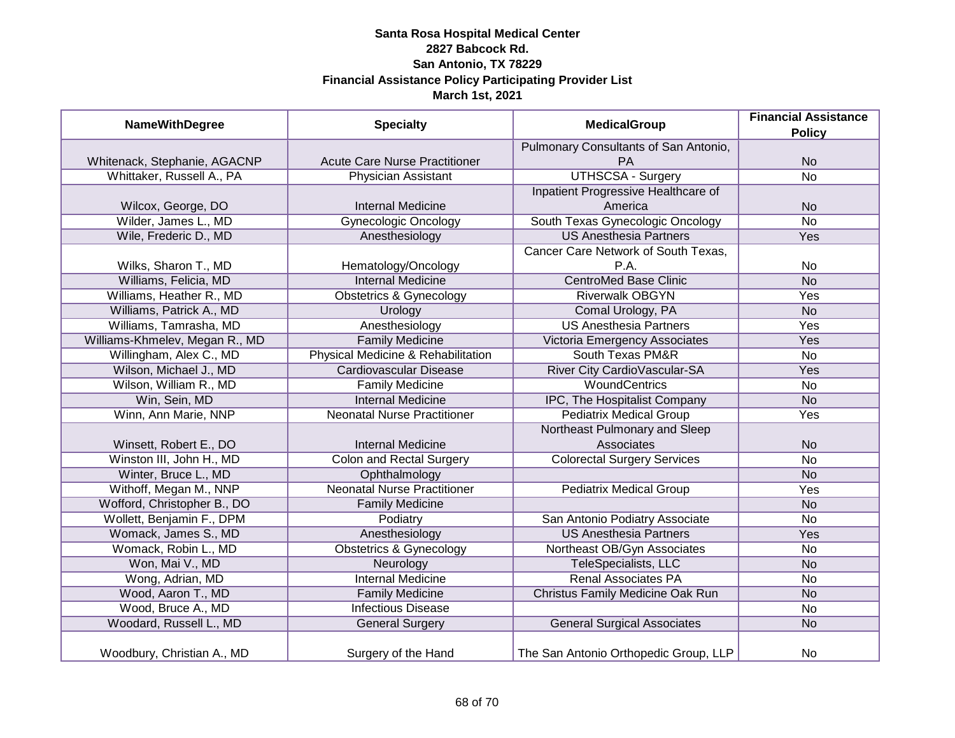| <b>NameWithDegree</b>          | <b>Specialty</b>                     | <b>MedicalGroup</b>                   | <b>Financial Assistance</b> |
|--------------------------------|--------------------------------------|---------------------------------------|-----------------------------|
|                                |                                      |                                       | <b>Policy</b>               |
|                                |                                      | Pulmonary Consultants of San Antonio, |                             |
| Whitenack, Stephanie, AGACNP   | <b>Acute Care Nurse Practitioner</b> | PA                                    | <b>No</b>                   |
| Whittaker, Russell A., PA      | Physician Assistant                  | <b>UTHSCSA - Surgery</b>              | $\overline{No}$             |
|                                |                                      | Inpatient Progressive Healthcare of   |                             |
| Wilcox, George, DO             | <b>Internal Medicine</b>             | America                               | <b>No</b>                   |
| Wilder, James L., MD           | <b>Gynecologic Oncology</b>          | South Texas Gynecologic Oncology      | <b>No</b>                   |
| Wile, Frederic D., MD          | Anesthesiology                       | <b>US Anesthesia Partners</b>         | <b>Yes</b>                  |
|                                |                                      | Cancer Care Network of South Texas,   |                             |
| Wilks, Sharon T., MD           | Hematology/Oncology                  | P.A.                                  | No                          |
| Williams, Felicia, MD          | <b>Internal Medicine</b>             | <b>CentroMed Base Clinic</b>          | <b>No</b>                   |
| Williams, Heather R., MD       | <b>Obstetrics &amp; Gynecology</b>   | <b>Riverwalk OBGYN</b>                | Yes                         |
| Williams, Patrick A., MD       | Urology                              | Comal Urology, PA                     | <b>No</b>                   |
| Williams, Tamrasha, MD         | Anesthesiology                       | <b>US Anesthesia Partners</b>         | Yes                         |
| Williams-Khmelev, Megan R., MD | <b>Family Medicine</b>               | Victoria Emergency Associates         | Yes                         |
| Willingham, Alex C., MD        | Physical Medicine & Rehabilitation   | South Texas PM&R                      | <b>No</b>                   |
| Wilson, Michael J., MD         | <b>Cardiovascular Disease</b>        | River City Cardio Vascular-SA         | Yes                         |
| Wilson, William R., MD         | <b>Family Medicine</b>               | <b>WoundCentrics</b>                  | No                          |
| Win, Sein, MD                  | <b>Internal Medicine</b>             | IPC, The Hospitalist Company          | <b>No</b>                   |
| Winn, Ann Marie, NNP           | <b>Neonatal Nurse Practitioner</b>   | <b>Pediatrix Medical Group</b>        | Yes                         |
|                                |                                      | Northeast Pulmonary and Sleep         |                             |
| Winsett, Robert E., DO         | <b>Internal Medicine</b>             | <b>Associates</b>                     | <b>No</b>                   |
| Winston III, John H., MD       | <b>Colon and Rectal Surgery</b>      | <b>Colorectal Surgery Services</b>    | <b>No</b>                   |
| Winter, Bruce L., MD           | Ophthalmology                        |                                       | <b>No</b>                   |
| Withoff, Megan M., NNP         | <b>Neonatal Nurse Practitioner</b>   | <b>Pediatrix Medical Group</b>        | Yes                         |
| Wofford, Christopher B., DO    | <b>Family Medicine</b>               |                                       | <b>No</b>                   |
| Wollett, Benjamin F., DPM      | Podiatry                             | San Antonio Podiatry Associate        | No                          |
| Womack, James S., MD           | Anesthesiology                       | <b>US Anesthesia Partners</b>         | Yes                         |
| Womack, Robin L., MD           | <b>Obstetrics &amp; Gynecology</b>   | Northeast OB/Gyn Associates           | No                          |
| Won, Mai V., MD                | Neurology                            | TeleSpecialists, LLC                  | <b>No</b>                   |
| Wong, Adrian, MD               | <b>Internal Medicine</b>             | <b>Renal Associates PA</b>            | No                          |
| Wood, Aaron T., MD             | <b>Family Medicine</b>               | Christus Family Medicine Oak Run      | <b>No</b>                   |
| Wood, Bruce A., MD             | <b>Infectious Disease</b>            |                                       | No                          |
| Woodard, Russell L., MD        | <b>General Surgery</b>               | <b>General Surgical Associates</b>    | <b>No</b>                   |
| Woodbury, Christian A., MD     | Surgery of the Hand                  | The San Antonio Orthopedic Group, LLP | No                          |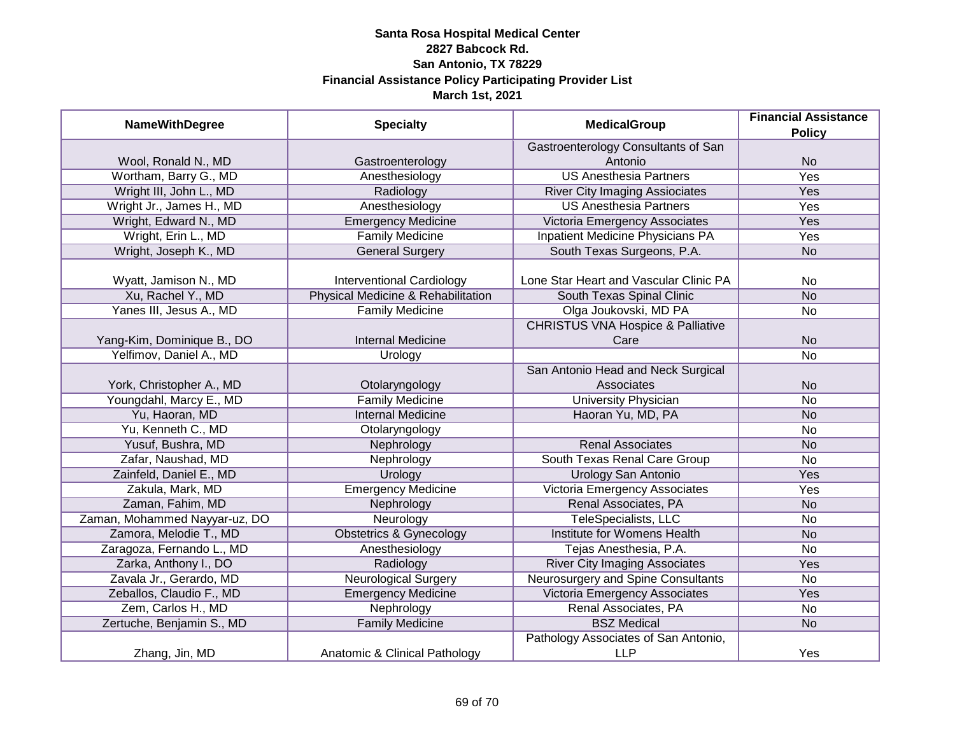| <b>NameWithDegree</b>         | <b>Specialty</b>                   | <b>MedicalGroup</b>                                  | <b>Financial Assistance</b><br><b>Policy</b> |
|-------------------------------|------------------------------------|------------------------------------------------------|----------------------------------------------|
|                               |                                    | Gastroenterology Consultants of San                  |                                              |
| Wool, Ronald N., MD           | Gastroenterology                   | Antonio                                              | <b>No</b>                                    |
| Wortham, Barry G., MD         | Anesthesiology                     | <b>US Anesthesia Partners</b>                        | <b>Yes</b>                                   |
| Wright III, John L., MD       | Radiology                          | <b>River City Imaging Assiociates</b>                | <b>Yes</b>                                   |
| Wright Jr., James H., MD      | Anesthesiology                     | <b>US Anesthesia Partners</b>                        | <b>Yes</b>                                   |
| Wright, Edward N., MD         | <b>Emergency Medicine</b>          | Victoria Emergency Associates                        | Yes                                          |
| Wright, Erin L., MD           | <b>Family Medicine</b>             | <b>Inpatient Medicine Physicians PA</b>              | Yes                                          |
| Wright, Joseph K., MD         | <b>General Surgery</b>             | South Texas Surgeons, P.A.                           | <b>No</b>                                    |
| Wyatt, Jamison N., MD         | <b>Interventional Cardiology</b>   | Lone Star Heart and Vascular Clinic PA               | No                                           |
| Xu, Rachel Y., MD             | Physical Medicine & Rehabilitation | South Texas Spinal Clinic                            | <b>No</b>                                    |
| Yanes III, Jesus A., MD       | <b>Family Medicine</b>             | Olga Joukovski, MD PA                                | <b>No</b>                                    |
| Yang-Kim, Dominique B., DO    | <b>Internal Medicine</b>           | <b>CHRISTUS VNA Hospice &amp; Palliative</b><br>Care | <b>No</b>                                    |
| Yelfimov, Daniel A., MD       | Urology                            |                                                      | <b>No</b>                                    |
| York, Christopher A., MD      | Otolaryngology                     | San Antonio Head and Neck Surgical<br>Associates     | <b>No</b>                                    |
| Youngdahl, Marcy E., MD       | <b>Family Medicine</b>             | <b>University Physician</b>                          | <b>No</b>                                    |
| Yu, Haoran, MD                | <b>Internal Medicine</b>           | Haoran Yu, MD, PA                                    | <b>No</b>                                    |
| Yu, Kenneth C., MD            | Otolaryngology                     |                                                      | No                                           |
| Yusuf, Bushra, MD             | Nephrology                         | <b>Renal Associates</b>                              | <b>No</b>                                    |
| Zafar, Naushad, MD            | Nephrology                         | South Texas Renal Care Group                         | <b>No</b>                                    |
| Zainfeld, Daniel E., MD       | Urology                            | <b>Urology San Antonio</b>                           | Yes                                          |
| Zakula, Mark, MD              | <b>Emergency Medicine</b>          | <b>Victoria Emergency Associates</b>                 | Yes                                          |
| Zaman, Fahim, MD              | Nephrology                         | Renal Associates, PA                                 | <b>No</b>                                    |
| Zaman, Mohammed Nayyar-uz, DO | Neurology                          | TeleSpecialists, LLC                                 | <b>No</b>                                    |
| Zamora, Melodie T., MD        | <b>Obstetrics &amp; Gynecology</b> | Institute for Womens Health                          | <b>No</b>                                    |
| Zaragoza, Fernando L., MD     | Anesthesiology                     | Tejas Anesthesia, P.A.                               | No                                           |
| Zarka, Anthony I., DO         | Radiology                          | <b>River City Imaging Associates</b>                 | Yes                                          |
| Zavala Jr., Gerardo, MD       | <b>Neurological Surgery</b>        | Neurosurgery and Spine Consultants                   | No                                           |
| Zeballos, Claudio F., MD      | <b>Emergency Medicine</b>          | Victoria Emergency Associates                        | <b>Yes</b>                                   |
| Zem, Carlos H., MD            | Nephrology                         | Renal Associates, PA                                 | No                                           |
| Zertuche, Benjamin S., MD     | <b>Family Medicine</b>             | <b>BSZ Medical</b>                                   | <b>No</b>                                    |
| Zhang, Jin, MD                | Anatomic & Clinical Pathology      | Pathology Associates of San Antonio,<br><b>LLP</b>   | Yes                                          |